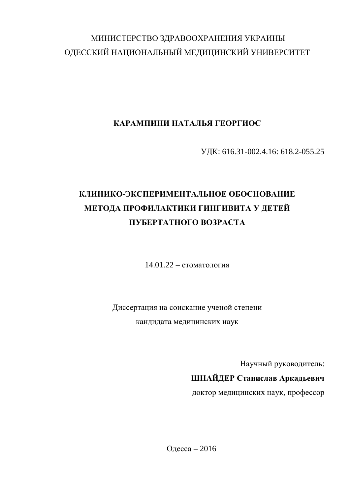# МИНИСТЕРСТВО ЗДРАВООХРАНЕНИЯ УКРАИНЫ ОДЕССКИЙ НАЦИОНАЛЬНЫЙ МЕДИЦИНСКИЙ УНИВЕРСИТЕТ

## КАРАМПИНИ НАТАЛЬЯ ГЕОРГИОС

ɍȾɄ: 616.31-002.4.16: 618.2-055.25

# КЛИНИКО-ЭКСПЕРИМЕНТАЛЬНОЕ ОБОСНОВАНИЕ МЕТОДА ПРОФИЛАКТИКИ ГИНГИВИТА У ДЕТЕЙ **ɉɍȻȿɊɌȺɌɇɈȽɈȼɈɁɊȺɋɌȺ**

 $14.01.22 - c$ томатология

Диссертация на соискание ученой степени кандидата медицинских наук

Научный руководитель:

## ШНАЙДЕР Станислав Аркадьевич

доктор медицинских наук, профессор

Одесса – 2016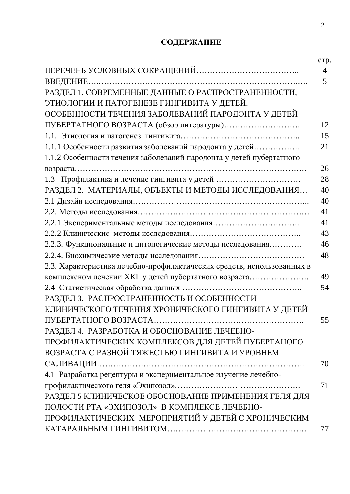## СОДЕРЖАНИЕ

| РАЗДЕЛ 1. СОВРЕМЕННЫЕ ДАННЫЕ О РАСПРОСТРАНЕННОСТИ,                     |
|------------------------------------------------------------------------|
| ЭТИОЛОГИИ И ПАТОГЕНЕЗЕ ГИНГИВИТА У ДЕТЕЙ.                              |
| ОСОБЕННОСТИ ТЕЧЕНИЯ ЗАБОЛЕВАНИЙ ПАРОДОНТА У ДЕТЕЙ                      |
|                                                                        |
|                                                                        |
| 1.1.1 Особенности развития заболеваний пародонта у детей               |
| 1.1.2 Особенности течения заболеваний пародонта у детей пубертатного   |
|                                                                        |
|                                                                        |
| РАЗДЕЛ 2. МАТЕРИАЛЫ, ОБЪЕКТЫ И МЕТОДЫ ИССЛЕДОВАНИЯ                     |
|                                                                        |
|                                                                        |
|                                                                        |
|                                                                        |
| 2.2.3. Функциональные и цитологические методы исследования             |
|                                                                        |
| 2.3. Характеристика лечебно-профилактических средств, использованных в |
| комплексном лечении ХКГ у детей пубертатного возраста                  |
|                                                                        |
| РАЗДЕЛ 3. РАСПРОСТРАНЕННОСТЬ И ОСОБЕННОСТИ                             |
| КЛИНИЧЕСКОГО ТЕЧЕНИЯ ХРОНИЧЕСКОГО ГИНГИВИТА У ДЕТЕЙ                    |
|                                                                        |
| РАЗДЕЛ 4. РАЗРАБОТКА И ОБОСНОВАНИЕ ЛЕЧЕБНО-                            |
| ПРОФИЛАКТИЧЕСКИХ КОМПЛЕКСОВ ДЛЯ ДЕТЕЙ ПУБЕРТАНОГО                      |
| ВОЗРАСТА С РАЗНОЙ ТЯЖЕСТЬЮ ГИНГИВИТА И УРОВНЕМ                         |
|                                                                        |
| 4.1 Разработка рецептуры и экспериментальное изучение лечебно-         |
|                                                                        |
| РАЗДЕЛ 5 КЛИНИЧЕСКОЕ ОБОСНОВАНИЕ ПРИМЕНЕНИЯ ГЕЛЯ ДЛЯ                   |
| ПОЛОСТИ РТА «ЭХИПОЗОЛ» В КОМПЛЕКСЕ ЛЕЧЕБНО-                            |
| ПРОФИЛАКТИЧЕСКИХ МЕРОПРИЯТИЙ У ДЕТЕЙ С ХРОНИЧЕСКИМ                     |
|                                                                        |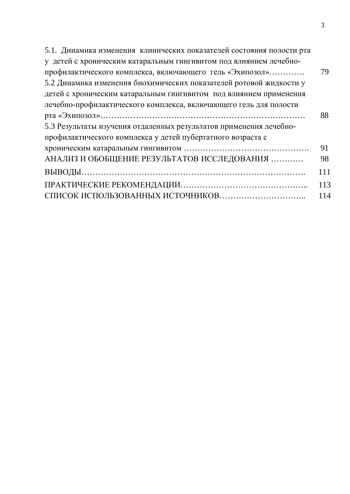| 5.1. Динамика изменения клинических показателей состояния полости рта |     |
|-----------------------------------------------------------------------|-----|
| у детей с хроническим катаральным гингивитом под влиянием лечебно-    |     |
| профилактического комплекса, включающего гель «Эхипозол»              | 79  |
| 5.2 Динамика изменения биохимических показателей ротовой жидкости у   |     |
| детей с хроническим катаральным гингивитом под влиянием применения    |     |
| лечебно-профилактического комплекса, включающего гель для полости     |     |
|                                                                       | 88  |
| 5.3 Результаты изучения отдаленных результатов применения лечебно-    |     |
| профилактического комплекса у детей пубертатного возраста с           |     |
|                                                                       | 91  |
| АНАЛИЗ И ОБОБЩЕНИЕ РЕЗУЛЬТАТОВ ИССЛЕДОВАНИЯ                           | 98  |
|                                                                       | 111 |
|                                                                       | 113 |
|                                                                       | 114 |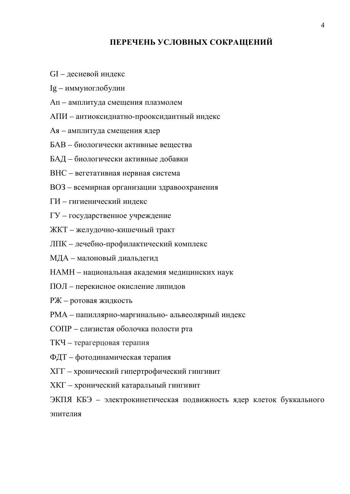### ПЕРЕЧЕНЬ УСЛОВНЫХ СОКРАЩЕНИЙ

- GI десневой индекс
- Ig иммуноглобулин
- Ап амплитуда смещения плазмолем
- АПИ антиоксиднатно-прооксидантный индекс
- Ая амплитуда смещения ядер
- БАВ биологически активные вешества
- БАД биологически активные добавки
- ВНС вегетативная нервная система
- ВОЗ всемирная организации здравоохранения
- ГИ гигиенический индекс
- ГУ государственное учреждение
- ЖКТ желудочно-кишечный тракт
- ЛПК лечебно-профилактический комплекс
- МДА малоновый диальдегид
- НАМН национальная академия медицинских наук
- ПОЛ перекисное окисление липидов
- РЖ ротовая жидкость
- РМА папиллярно-маргинально- альвеолярный индекс
- СОПР слизистая оболочка полости рта
- ТКЧ терагерцовая терапия
- ФДТ фотодинамическая терапия
- ХГГ хронический гипертрофический гингивит
- ХКГ хронический катаральный гингивит
- ЭКПЯ КБЭ электрокинетическая подвижность ядер клеток буккального эпителия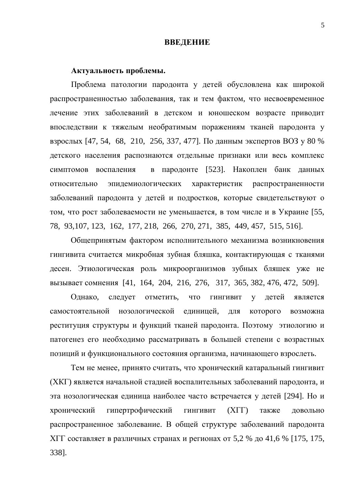#### **ВВЕДЕНИЕ**

#### Актуальность проблемы.

Проблема патологии пародонта у детей обусловлена как широкой распространенностью заболевания, так и тем фактом, что несвоевременное лечение этих заболеваний в детском и юношеском возрасте приводит впоследствии к тяжелым необратимым поражениям тканей пародонта у взрослых [47, 54, 68, 210, 256, 337, 477]. По данным экспертов ВОЗ у 80 % детского населения распознаются отдельные признаки или весь комплекс симптомов воспаления в пародонте [523]. Накоплен банк данных относительно эпидемиологических характеристик распространенности заболеваний пародонта у детей и подростков, которые свидетельствуют о том, что рост заболеваемости не уменьшается, в том числе и в Украине [55, 78, 93,107, 123, 162, 177, 218, 266, 270, 271, 385, 449, 457, 515, 516].

Общепринятым фактором исполнительного механизма возникновения гингивита считается микробная зубная бляшка, контактирующая с тканями десен. Этиологическая роль микроорганизмов зубных бляшек уже не вызывает сомнения [41, 164, 204, 216, 276, 317, 365, 382, 476, 472, 509].

Однако, следует отметить, что гингивит у детей является самостоятельной нозологической единицей, для которого возможна реституция структуры и функций тканей пародонта. Поэтому этиологию и патогенез его необходимо рассматривать в большей степени с возрастных позиций и функционального состояния организма, начинающего взрослеть.

Тем не менее, принято считать, что хронический катаральный гингивит (XKГ) является начальной стадией воспалительных заболеваний пародонта, и эта нозологическая единица наиболее часто встречается у детей [294]. Но и хронический гипертрофический гингивит (XГГ) также довольно распространенное заболевание. В общей структуре заболеваний пародонта XГГ составляет в различных странах и регионах от 5,2 % до 41,6 % [175, 175, 338].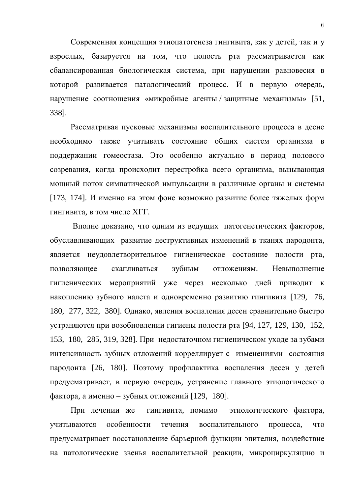Современная концепция этиопатогенеза гингивита, как у детей, так и у взрослых, базируется на том, что полость рта рассматривается как сбалансированная биологическая система, при нарушении равновесия в которой развивается патологический процесс. И в первую очередь, нарушение соотношения «микробные агенты / защитные механизмы» [51, 338].

Рассматривая пусковые механизмы воспалительного процесса в десне необходимо также учитывать состояние общих систем организма в поддержании гомеостаза. Это особенно актуально в период полового созревания, когда происходит перестройка всего организма, вызывающая мощный поток симпатической импульсации в различные органы и системы [173, 174]. И именно на этом фоне возможно развитие более тяжелых форм гингивита, в том числе ХГГ.

Вполне доказано, что одним из ведущих патогенетических факторов, обуславливающих развитие деструктивных изменений в тканях пародонта, является неудовлетворительное гигиеническое состояние полости рта, позволяющее скапливаться зубным отложениям. Невыполнение гигиенических мероприятий уже через несколько дней приводит к накоплению зубного налета и одновременно развитию гингивита [129, 76, 180, 277, 322, 380]. Однако, явления воспаления десен сравнительно быстро устраняются при возобновлении гигиены полости рта [94, 127, 129, 130, 152, 153, 180, 285, 319, 328]. При недостаточном гигиеническом уходе за зубами интенсивность зубных отложений корреллирует с изменениями состояния пародонта [26, 180]. Поэтому профилактика воспаления десен у детей предусматривает, в первую очередь, устранение главного этиологического фактора, а именно – зубных отложений [129, 180].

При лечении же гингивита, помимо этиологического фактора, учитываются особенности течения воспалительного процесса, что предусматривает восстановление барьерной функции эпителия, воздействие на патологические звенья воспалительной реакции, микроциркуляцию и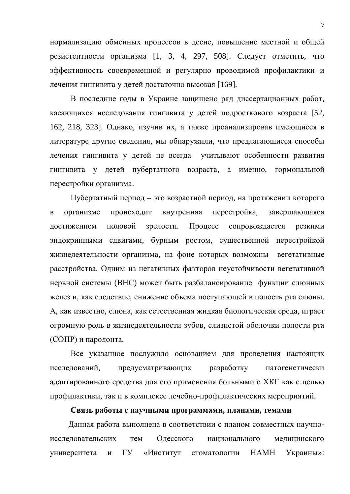нормализацию обменных процессов в десне, повышение местной и общей резистентности организма  $[1, 3, 4, 297, 508]$ . Следует отметить, что эффективность своевременной и регулярно проводимой профилактики и лечения гингивита у детей достаточно высокая [169].

В последние годы в Украине защищено ряд диссертационных работ, касающихся исследования гингивита у детей подросткового возраста [52, 162, 218, 323]. Однако, изучив их, а также проанализировав имеющиеся в литературе другие сведения, мы обнаружили, что предлагающиеся способы лечения гингивита у детей не всегда учитывают особенности развития гингивита у детей пубертатного возраста, а именно, гормональной перестройки организма.

Пубертатный период – это возрастной период, на протяжении которого в организме происходит внутренняя перестройка, завершающаяся достижением половой зрелости. Процесс сопровождается резкими эндокринными сдвигами, бурным ростом, существенной перестройкой жизнедеятельности организма, на фоне которых возможны вегетативные расстройства. Одним из негативных факторов неустойчивости вегетативной нервной системы (ВНС) может быть разбалансирование функции слюнных желез и, как следствие, снижение объема поступающей в полость рта слюны. А, как известно, слюна, как естественная жидкая биологическая среда, играет огромную роль в жизнедеятельности зубов, слизистой оболочки полости рта (СОПР) и пародонта.

Все указанное послужило основанием для проведения настоящих исследований, предусматривающих разработку патогенетически адаптированного средства для его применения больными с ХКГ как с целью профилактики, так и в комплексе лечебно-профилактических мероприятий.

#### Связь работы с научными программами, планами, темами

Данная работа выполнена в соответствии с планом совместных научноисследовательских тем Одесского национального медицинского университета и ГУ «Институт стоматологии НАМН Украины»: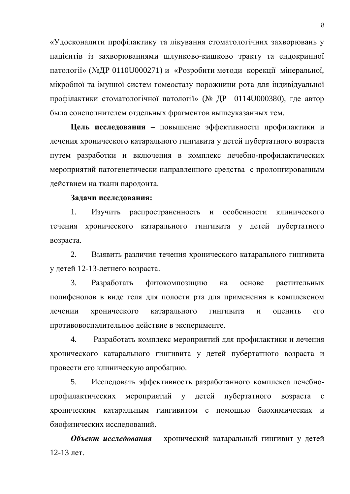«Удосконалити профілактику та лікування стоматологічних захворювань у пацієнтів із захворюваннями шлунково-кишково тракту та ендокринної патології» (№ДР 0110U000271) и «Розробити методи корекції мінеральної, мікробної та імунної систем гомеостазу порожнини рота для індивідуальної профілактики стоматологічної патології» (№ ДР 0114U000380), где автор была соисполнителем отдельных фрагментов вышеуказанных тем.

**Цель исследования** – повышение эффективности профилактики и лечения хронического катарального гингивита у детей пубертатного возраста путем разработки и включения в комплекс лечебно-профилактических мероприятий патогенетически направленного средства с пролонгированным действием на ткани пародонта.

#### Задачи исследования:

1. Изучить распространенность и особенности клинического течения хронического катарального гингивита у детей пубертатного возраста.

2. Выявить различия течения хронического катарального гингивита у детей 12-13-летнего возраста.

3. Разработать фитокомпозицию на основе растительных полифенолов в виде геля для полости рта для применения в комплексном лечении хронического катарального гингивита и оценить его противовоспалительное действие в эксперименте.

4. Разработать комплекс мероприятий для профилактики и лечения хронического катарального гингивита у детей пубертатного возраста и провести его клиническую апробацию.

5. Исследовать эффективность разработанного комплекса лечебнопрофилактических мероприятий у детей пубертатного возраста с хроническим катаральным гингивитом с помощью биохимических и биофизических исследований.

Объект исследования – хронический катаральный гингивит у детей 12-13 лет.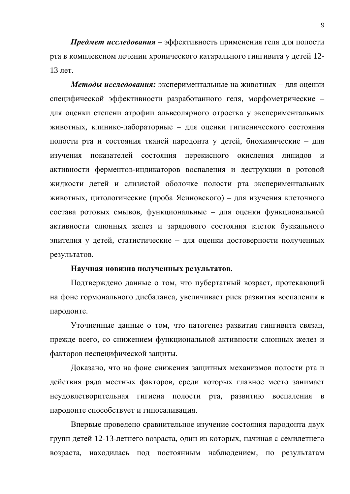**Предмет исследования** – эффективность применения геля для полости рта в комплексном лечении хронического катарального гингивита у детей 12-13 лет.

Методы исследования: экспериментальные на животных – для оценки специфической эффективности разработанного геля, морфометрические – для оценки степени атрофии альвеолярного отростка у экспериментальных животных, клинико-лабораторные – для оценки гигиенического состояния полости рта и состояния тканей пародонта у детей, биохимические – для изучения показателей состояния перекисного окисления липидов и активности ферментов-индикаторов воспаления и деструкции в ротовой жидкости детей и слизистой оболочке полости рта экспериментальных животных, цитологические (проба Ясиновского) – для изучения клеточного состава ротовых смывов, функциональные – для оценки функциональной активности слюнных желез и зарядового состояния клеток буккального эпителия у детей, статистические – для оценки достоверности полученных результатов.

#### Научная новизна полученных результатов.

Подтверждено данные о том, что пубертатный возраст, протекающий на фоне гормонального дисбаланса, увеличивает риск развития воспаления в пародонте.

Уточненные данные о том, что патогенез развития гингивита связан, прежде всего, со снижением функциональной активности слюнных желез и факторов неспецифической защиты.

Доказано, что на фоне снижения защитных механизмов полости рта и действия ряда местных факторов, среди которых главное место занимает неудовлетворительная гигиена полости рта, развитию воспаления в пародонте способствует и гипосаливация.

Впервые проведено сравнительное изучение состояния пародонта двух групп детей 12-13-летнего возраста, один из которых, начиная с семилетнего возраста, находилась под постоянным наблюдением, по результатам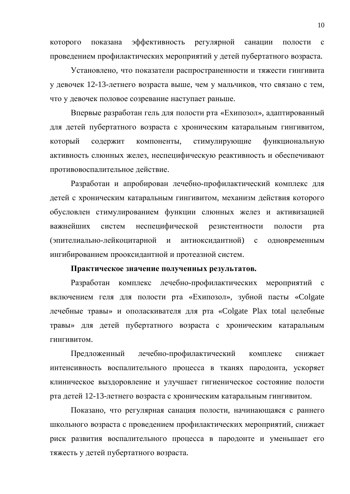которого показана эффективность регулярной санации полости с проведением профилактических мероприятий у детей пубертатного возраста.

Установлено, что показатели распространенности и тяжести гингивита у девочек 12-13-летнего возраста выше, чем у мальчиков, что связано с тем, что у девочек половое созревание наступает раньше.

Впервые разработан гель для полости рта «Ехипозол», адаптированный для детей пубертатного возраста с хроническим катаральным гингивитом, который содержит компоненты, стимулирующие функциональную активность слюнных желез, неспецифическую реактивность и обеспечивают противовоспалительное действие.

Разработан и апробирован лечебно-профилактический комплекс для детей с хроническим катаральным гингивитом, механизм действия которого обусловлен стимулированием функции слюнных желез и активизацией важнейших систем неспецифической резистентности полости рта (эпителиально-лейкоцитарной и антиоксидантной) с одновременным ингибированием прооксидантной и протеазной систем.

#### Практическое значение полученных результатов.

Разработан комплекс лечебно-профилактических мероприятий с включением геля для полости рта «Ехипозол», зубной пасты «Colgate лечебные травы» и ополаскивателя для рта «Colgate Plax total целебные травы» для детей пубертатного возраста с хроническим катаральным ГИНГИВИТОМ.

Предложенный лечебно-профилактический комплекс снижает интенсивность воспалительного процесса в тканях пародонта, ускоряет клиническое выздоровление и улучшает гигиеническое состояние полости рта детей 12-13-летнего возраста с хроническим катаральным гингивитом.

Показано, что регулярная санация полости, начинающаяся с раннего школьного возраста с проведением профилактических мероприятий, снижает риск развития воспалительного процесса в пародонте и уменьшает его тяжесть у детей пубертатного возраста.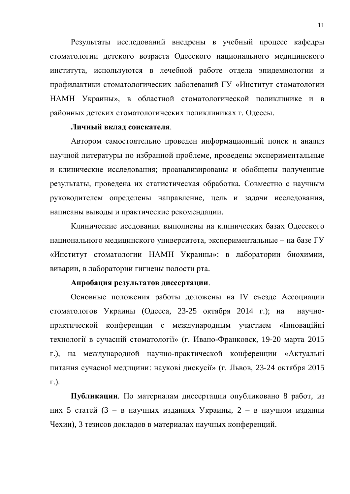Результаты исследований внедрены в учебный процесс кафедры стоматологии детского возраста Одесского национального медицинского института, используются в лечебной работе отдела эпидемиологии и профилактики стоматологических заболеваний ГУ «Институт стоматологии НАМН Украины», в областной стоматологической поликлинике и в районных детских стоматологических поликлиниках г. Одессы.

#### **Личный вклад соискателя.**

Автором самостоятельно проведен информационный поиск и анализ научной литературы по избранной проблеме, проведены экспериментальные и клинические исследования; проанализированы и обобщены полученные результаты, проведена их статистическая обработка. Совместно с научным руководителем определены направление, цель и задачи исследования, написаны выводы и практические рекомендации.

Клинические иссдования выполнены на клинических базах Одесского национального медицинского университета, экспериментальные – на базе ГУ «Институт стоматологии НАМН Украины»: в лаборатории биохимии, виварии, в лаборатории гигиены полости рта.

#### Апробация результатов диссертации.

Основные положения работы доложены на IV съезде Ассоциации стоматологов Украины (Одесса, 23-25 октября 2014 г.); на научнопрактической конференции с международным участием «Інноваційні технології в сучасній стоматології» (г. Ивано-Франковск, 19-20 марта 2015 г.), на международной научно-практической конференции «Актуальні питання сучасної медицини: наукові дискусії» (г. Львов, 23-24 октября 2015 ɝ.).

Публикации. По материалам диссертации опубликовано 8 работ, из них 5 статей (3 – в научных изданиях Украины, 2 – в научном издании Чехии), 3 тезисов докладов в материалах научных конференций.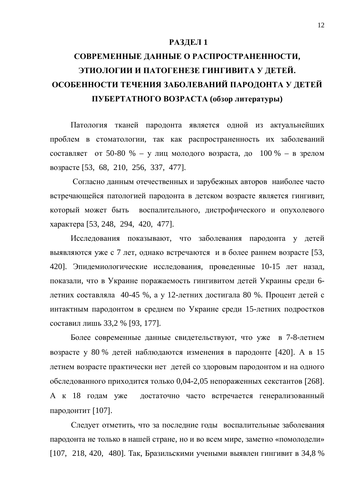### **РАЗДЕЛ 1**

# СОВРЕМЕННЫЕ ДАННЫЕ О РАСПРОСТРАНЕННОСТИ, ЭТИОЛОГИИ И ПАТОГЕНЕЗЕ ГИНГИВИТА У ДЕТЕЙ. ОСОБЕННОСТИ ТЕЧЕНИЯ ЗАБОЛЕВАНИЙ ПАРОДОНТА У ДЕТЕЙ **ɉɍȻȿɊɌȺɌɇɈȽɈȼɈɁɊȺɋɌȺ (ɨɛɡɨɪɥɢɬɟɪɚɬɭɪɵ)**

Патология тканей пародонта является одной из актуальнейших проблем в стоматологии, так как распространенность их заболеваний составляет от 50-80 % – у лиц молодого возраста, до  $100\%$  – в зрелом возрасте [53, 68, 210, 256, 337, 477].

Согласно данным отечественных и зарубежных авторов наиболее часто встречающейся патологией пародонта в детском возрасте является гингивит, который может быть воспалительного, дистрофического и опухолевого характера [53, 248, 294, 420, 477].

Исследования показывают, что заболевания пародонта у детей выявляются уже с 7 лет, однако встречаются и в более раннем возрасте [53, 420]. Эпидемиологические исследования, проведенные 10-15 лет назад, показали, что в Украине поражаемость гингивитом детей Украины среди 6детних составляла 40-45 %, а у 12-летних достигала 80 %. Процент детей с интактным пародонтом в среднем по Украине среди 15-летних подростков составил лишь 33,2 % [93, 177].

Более современные данные свидетельствуют, что уже в 7-8-летнем возрасте у 80 % детей наблюдаются изменения в пародонте [420]. А в 15 летнем возрасте практически нет детей со здоровым пародонтом и на одного обследованного приходится только 0,04-2,05 непораженных секстантов [268]. А к 18 годам уже достаточно часто встречается генерализованный пародонтит [107].

Следует отметить, что за последние годы воспалительные заболевания пародонта не только в нашей стране, но и во всем мире, заметно «помолодели» [107, 218, 420, 480]. Так, Бразильскими учеными выявлен гингивит в 34,8 %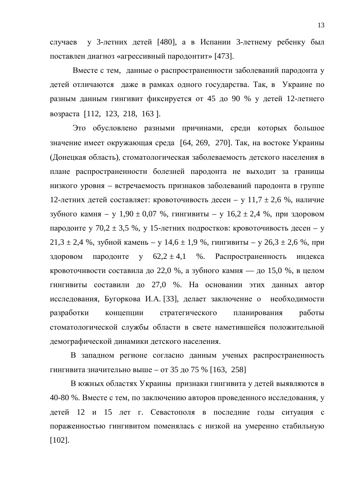случаев у 3-летних детей [480], а в Испании 3-летнему ребенку был поставлен диагноз «агрессивный пародонтит» [473].

Вместе с тем, данные о распространенности заболеваний пародонта у детей отличаются даже в рамках одного государства. Так, в Украине по разным данным гингивит фиксируется от 45 до 90 % у детей 12-летнего возраста [112, 123, 218, 163].

Это обусловлено разными причинами, среди которых большое значение имеет окружающая среда [64, 269, 270]. Так, на востоке Украины (Донецкая область), стоматологическая заболеваемость детского населения в плане распространенности болезней пародонта не выходит за границы низкого уровня – встречаемость признаков заболеваний пародонта в группе 12-летних детей составляет: кровоточивость десен – у 11,7  $\pm$  2,6 %, наличие зубного камня – у  $1,90 \pm 0,07$  %, гингивиты – у  $16,2 \pm 2,4$  %, при здоровом пародонте у 70,2  $\pm$  3,5 %, у 15-летних подростков: кровоточивость десен – у  $21,3 \pm 2,4$  %, зубной камень – у  $14,6 \pm 1,9$  %, гингивиты – у  $26,3 \pm 2,6$  %, при здоровом пародонте у  $62.2 \pm 4.1$  %. Распространенность индекса кровоточивости составила до 22,0 %, а зубного камня — до 15,0 %, в целом гингивиты составили до 27,0 %. На основании этих данных автор исследования, Бугоркова И.А. [33], делает заключение о необходимости разработки концепции стратегического планирования работы стоматологической службы области в свете наметившейся положительной демографической динамики детского населения.

В западном регионе согласно данным ученых распространенность гингивита значительно выше – от 35 до 75 % [163, 258]

В южных областях Украины признаки гингивита у детей выявляются в 40-80 %. Вместе с тем, по заключению авторов проведенного исследования, у детей 12 и 15 лет г. Севастополя в последние годы ситуация с пораженностью гингивитом поменялась с низкой на умеренно стабильную [102].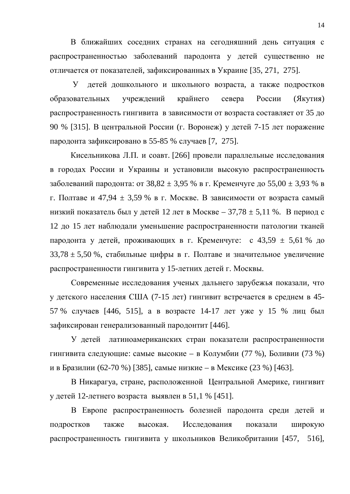В ближайших соседних странах на сегодняшний день ситуация с распространенностью заболеваний пародонта у детей существенно не отличается от показателей, зафиксированных в Украине [35, 271, 275].

У детей дошкольного и школьного возраста, а также подростков образовательных учреждений крайнего севера России (Якутия) распространенность гингивита в зависимости от возраста составляет от 35 до 90 % [315]. В центральной России (г. Воронеж) у детей 7-15 лет поражение пародонта зафиксировано в 55-85 % случаев [7, 275].

Кисельникова Л.П. и соавт. [266] провели параллельные исследования в городах России и Украины и установили высокую распространенность заболеваний пародонта: от  $38,82 \pm 3,95$  % в г. Кременчуге до  $55,00 \pm 3,93$  % в г. Полтаве и 47,94  $\pm$  3,59 % в г. Москве. В зависимости от возраста самый низкий показатель был у детей 12 лет в Москве – 37,78  $\pm$  5,11 %. В период с 12 до 15 лет наблюдали уменьшение распространенности патологии тканей пародонта у детей, проживающих в г. Кременчуге: с 43,59  $\pm$  5,61 % до  $33,78 \pm 5,50$  %, стабильные цифры в г. Полтаве и значительное увеличение распространенности гингивита у 15-летних детей г. Москвы.

Современные исследования ученых дальнего зарубежья показали, что у детского населения США (7-15 лет) гингивит встречается в среднем в 45-57 % случаев [446, 515], а в возрасте 14-17 лет уже у 15 % лиц был зафиксирован генерализованный пародонтит [446].

У детей латиноамериканских стран показатели распространенности гингивита следующие: самые высокие – в Колумбии (77 %), Боливии (73 %) и в Бразилии (62-70 %) [385], самые низкие – в Мексике (23 %) [463].

В Никарагуа, стране, расположенной Центральной Америке, гингивит у детей 12-летнего возраста выявлен в 51,1 % [451].

В Европе распространенность болезней пародонта среди детей и подростков также высокая. Исследования показали широкую распространенность гингивита у школьников Великобритании [457, 516],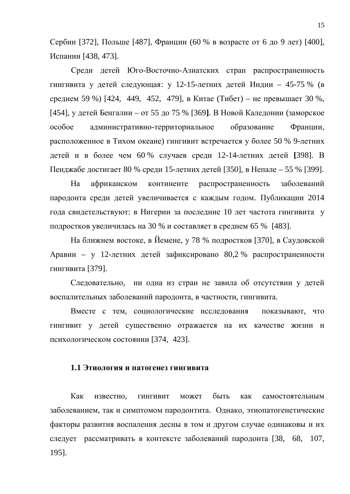Сербии [372], Польше [487], Франции (60 % в возрасте от 6 до 9 лет) [400], Испании [438, 473].

Среди детей Юго-Восточно-Азиатских стран распространенность гингивита у детей следующая: у 12-15-летних детей Индии – 45-75 % (в среднем 59 %) [424, 449, 452, 479], в Китае (Тибет) – не превышает 30 %, [454], у детей Бенгалии – от 55 до 75 % [369]. В Новой Каледонии (заморское особое административно-территориальное образование Франции, расположенное в Тихом океане) гингивит встречается у более 50 % 9-летних детей и в более чем 60 % случаев среди 12-14-летних детей [398]. В Пенджабе достигает 80 % среди 15-летних детей [350], в Непале – 55 % [399].

На африканском континенте распространенность заболеваний пародонта среди детей увеличивается с каждым годом. Публикации 2014 года свидетельствуют: в Нигерии за последние 10 лет частота гингивита у подростков увеличилась на 30 % и составляет в среднем 65 % [483].

На ближнем востоке, в Йемене, у 78 % подростков [370], в Саудовской Аравии – у 12-летних детей зафиксировано 80,2 % распространенности гингивита [379].

Следовательно, ни одна из стран не завила об отсутствии у детей воспалительных заболеваний пародонта, в частности, гингивита.

Вместе с тем, социологические исследования показывают, что гингивит у детей существенно отражается на их качестве жизни и психологическом состоянии [374, 423].

### **1.1 Этиология и патогенез гингивита**

Как известно, гингивит может быть как самостоятельным заболеванием, так и симптомом пародонтита. Однако, этиопатогенетические факторы развития воспаления десны в том и другом случае одинаковы и их следует рассматривать в контексте заболеваний пародонта [38, 68, 107, 195].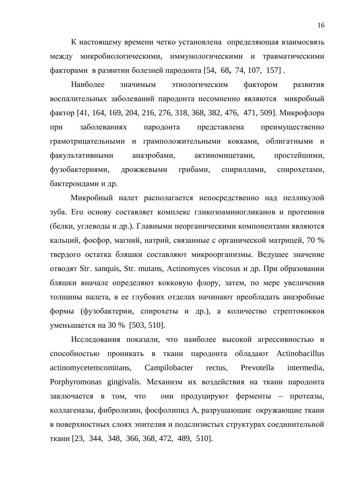К настоящему времени четко установлена определяющая взаимосвязь между микробиологическими, иммунологическими и травматическими факторами в развитии болезней пародонта [54, 68, 74, 107, 157].

Наиболее значимым этиологическим фактором развития воспалительных заболеваний пародонта несомненно являются микробный фактор [41, 164, 169, 204, 216, 276, 318, 368, 382, 476, 471, 509]. Микрофлора при заболеваниях пародонта представлена преимущественно грамотрицательными и грамположительными кокками, облигатными и факультативными анаэробами, актиномицетами, простейшими, фузобактериями, дрожжевыми грибами, спириллами, спирохетами, бактероидами и др.

Микробный налет располагается непосредственно над пелликулой зуба. Его основу составляет комплекс гликозоаминогликанов и протеинов (белки, углеводы и др.). Главными неорганическими компонентами являются кальций, фосфор, магний, натрий, связанные с органической матрицей, 70 % твердого остатка бляшки составляют микроорганизмы. Ведущее значение отводят Str. sanquis, Str. mutans, Actinomyces viscosus и др. При образовании бляшки вначале определяют кокковую флору, затем, по мере увеличения толщины налета, в ее глубоких отделах начинают преобладать анаэробные формы (фузобактерии, спирохеты и др.), а количество стрептококков уменьшается на 30 % [503, 510].

Исследования показали, что наиболее высокой агрессивностью и способностью проникать в ткани пародонта обладают Actinobacillus actinomycetemcomitans, Campilobacter rectus, Prevotella intermedia, Porphyromonas gingivalis. Механизм их воздействия на ткани пародонта заключается в том, что они продуцируют ферменты – протеазы, коллагеназы, фибролизин, фосфолипид А, разрушающие окружающие ткани в поверхностных слоях эпителия и подслизистых структурах соединительной ткани [23, 344, 348, 366, 368, 472, 489, 510].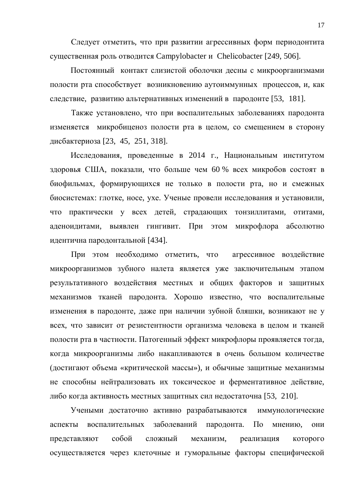Следует отметить, что при развитии агрессивных форм периодонтита существенная роль отводится Campylobacter и Chelicobacter [249, 506].

Постоянный контакт слизистой оболочки десны с микроорганизмами полости рта способствует возникновению аутоиммунных процессов, и, как следствие, развитию альтернативных изменений в пародонте [53, 181].

Также установлено, что при воспалительных заболеваниях пародонта изменяется микробиценоз полости рта в целом, со смещением в сторону дисбактериоза [23, 45, 251, 318].

Исследования, проведенные в 2014 г., Национальным институтом здоровья США, показали, что больше чем 60 % всех микробов состоят в биофильмах, формирующихся не только в полости рта, но и смежных биосистемах: глотке, носе, ухе. Ученые провели исследования и установили, что практически у всех детей, страдающих тонзиллитами, отитами, аденоидитами, выявлен гингивит. При этом микрофлора абсолютно идентична пародонтальной [434].

При этом необходимо отметить, что агрессивное воздействие микроорганизмов зубного налета является уже заключительным этапом результативного воздействия местных и общих факторов и защитных механизмов тканей пародонта. Хорошо известно, что воспалительные изменения в пародонте, даже при наличии зубной бляшки, возникают не у всех, что зависит от резистентности организма человека в целом и тканей полости рта в частности. Патогенный эффект микрофлоры проявляется тогда, когда микроорганизмы либо накапливаются в очень большом количестве (достигают объема «критической массы»), и обычные защитные механизмы не способны нейтрализовать их токсическое и ферментативное действие, либо когда активность местных защитных сил недостаточна [53, 210].

Учеными достаточно активно разрабатываются иммунологические аспекты воспалительных заболеваний пародонта. По мнению, они представляют собой сложный механизм, реализация которого осуществляется через клеточные и гуморальные факторы специфической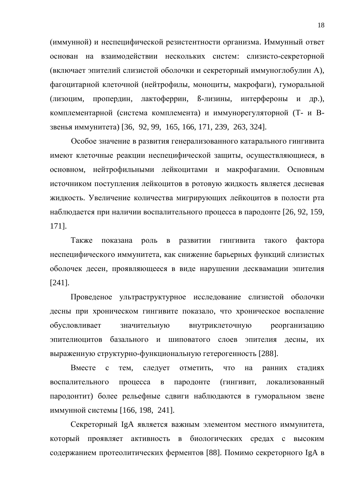(иммунной) и неспецифической резистентности организма. Иммунный ответ основан на взаимодействии нескольких систем: слизисто-секреторной (включает эпителий слизистой оболочки и секреторный иммуноглобулин А), фагоцитарной клеточной (нейтрофилы, моноциты, макрофаги), гуморальной (лизоцим, пропердин, лактоферрин, В-лизины, интерфероны и др.), комплементарной (система комплемента) и иммунорегуляторной (Т- и Взвенья иммунитета) [36, 92, 99, 165, 166, 171, 239, 263, 324].

Особое значение в развития генерализованного катарального гингивита имеют клеточные реакции неспецифической защиты, осуществляющиеся, в основном, нейтрофильными лейкоцитами и макрофагамии. Основным источником поступления лейкоцитов в ротовую жидкость является десневая жидкость. Увеличение количества мигрирующих лейкоцитов в полости рта наблюдается при наличии воспалительного процесса в пародонте [26, 92, 159, 171].

Также показана роль в развитии гингивита такого фактора неспецифического иммунитета, как снижение барьерных функций слизистых оболочек десен, проявляющееся в виде нарушении десквамации эпителия [241].

Проведеное ультраструктурное исследование слизистой оболочки десны при хроническом гингивите показало, что хроническое воспаление обусловливает значительную внутриклеточную реорганизацию эпителиоцитов базального и шиповатого слоев эпителия лесны, их выраженную структурно-функциональную гетерогенность [288].

Вместе с тем, следует отметить, что на ранних стадиях воспалительного процесса в пародонте (гингивит, локализованный пародонтит) более рельефные сдвиги наблюдаются в гуморальном звене иммунной системы [166, 198, 241].

Секреторный IgA является важным элементом местного иммунитета, который проявляет активность в биологических средах с высоким содержанием протеолитических ферментов [88]. Помимо секреторного IgA в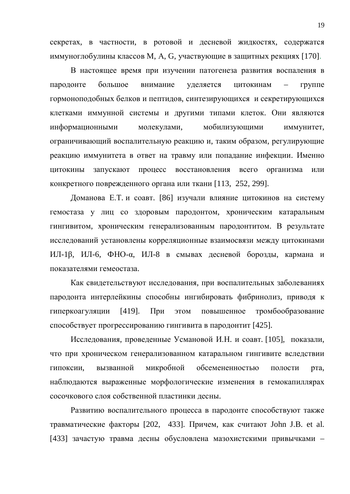секретах, в частности, в ротовой и десневой жидкостях, содержатся иммуноглобулины классов М, А, G, участвующие в защитных рекциях [170].

В настоящее время при изучении патогенеза развития воспаления в пародонте большое внимание уделяется цитокинам – группе гормоноподобных белков и пептидов, синтезирующихся и секретирующихся клетками иммунной системы и другими типами клеток. Они являются информационными молекулами, мобилизующими иммунитет, ограничивающий воспалительную реакцию и, таким образом, регулирующие реакцию иммунитета в ответ на травму или попадание инфекции. Именно цитокины запускают процесс восстановления всего организма или конкретного поврежденного органа или ткани [113, 252, 299].

Доманова Е.Т. и соавт. [86] изучали влияние цитокинов на систему гемостаза у лиц со здоровым пародонтом, хроническим катаральным гингивитом, хроническим генерализованным пародонтитом. В результате исследований установлены корреляционные взаимосвязи между цитокинами ИЛ-1β, ИЛ-6, ФНО-а, ИЛ-8 в смывах десневой борозды, кармана и показателями гемеостаза.

Как свидетельствуют исследования, при воспалительных заболеваниях пародонта интерлейкины способны ингибировать фибринолиз, приводя к гиперкоагуляции [419]. При этом повышенное тромбообразование способствует прогрессированию гингивита в пародонтит [425].

Исследования, проведенные Усмановой И.Н. и соавт. [105], показали, что при хроническом генерализованном катаральном гингивите вследствии гипоксии, вызванной микробной обсемененностью полости рта, наблюдаются выраженные морфологические изменения в гемокапиллярах сосочкового слоя собственной пластинки десны.

Развитию воспалительного процесса в пародонте способствуют также травматические факторы [202, 433]. Причем, как считают John J.B. et al. [433] зачастую травма десны обусловлена мазохистскими привычками –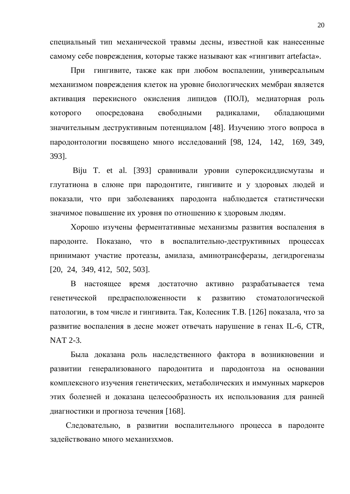специальный тип механической травмы десны, известной как нанесенные самому себе повреждения, которые также называют как «гингивит artefacta».

При гингивите, также как при любом воспалении, универсальным механизмом повреждения клеток на уровне биологических мембран является активация перекисного окисления липидов (ПОЛ), медиаторная роль которого опосредована свободными радикалами, обладающими значительным деструктивным потенциалом [48]. Изучению этого вопроса в пародонтологии посвящено много исследований [98, 124, 142, 169, 349, 393].

Biju T. et al. [393] сравнивали уровни супероксиддисмутазы и глутатиона в слюне при пародонтите, гингивите и у здоровых людей и показали, что при заболеваниях пародонта наблюдается статистически значимое повышение их уровня по отношению к здоровым людям.

Хорошо изучены ферментативные механизмы развития воспаления в пародонте. Показано, что в воспалительно-деструктивных процессах принимают участие протеазы, амилаза, аминотрансферазы, дегидрогеназы [20, 24, 349, 412, 502, 503].

В настоящее время достаточно активно разрабатывается тема генетической предрасположенности к развитию стоматологической патологии, в том числе и гингивита. Так, Колесник Т.В. [126] показала, что за развитие воспаления в десне может отвечать нарушение в генах IL-6, CTR, NAT 2-3.

Была доказана роль наследственного фактора в возникновении и развитии генерализованого пародонтита и пародонтоза на основании комплексного изучения генетических, метаболических и иммунных маркеров этих болезней и доказана целесообразность их использования для ранней диагностики и прогноза течения [168].

Следовательно, в развитии воспалительного процесса в пародонте задействовано много механизхмов.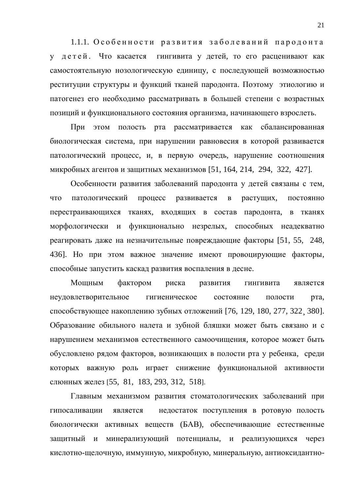1.1.1. Особенности развития заболеваний пародонта у детей. Что касается гингивита у детей, то его расценивают как самостоятельную нозологическую единицу, с последующей возможностью реституции структуры и функций тканей пародонта. Поэтому этиологию и патогенез его необходимо рассматривать в большей степени с возрастных позиций и функционального состояния организма, начинающего взрослеть.

При этом полость рта рассматривается как сбалансированная биологическая система, при нарушении равновесия в которой развивается патологический процесс, и, в первую очередь, нарушение соотношения микробных агентов и защитных механизмов [51, 164, 214, 294, 322, 427].

Особенности развития заболеваний пародонта у детей связаны с тем, что патологический процесс развивается в растущих, постоянно перестраивающихся тканях, входящих в состав пародонта, в тканях морфологически и функционально незрелых, способных неадекватно реагировать даже на незначительные повреждающие факторы [51, 55, 248, 436]. Но при этом важное значение имеют провоцирующие факторы, способные запустить каскад развития воспаления в десне.

Мощным фактором риска развития гингивита является неудовлетворительное гигиеническое состояние полости рта, способствующее накоплению зубных отложений [76, 129, 180, 277, 322, 380]. Образование обильного налета и зубной бляшки может быть связано и с нарушением механизмов естественного самоочищения, которое может быть обусловлено рядом факторов, возникающих в полости рта у ребенка, среди которых важную роль играет снижение функциональной активности слюнных желез [55, 81, 183, 293, 312, 518].

Главным механизмом развития стоматологических заболеваний при гипосаливации является недостаток поступления в ротовую полость биологически активных веществ (БАВ), обеспечивающие естественные защитный и минерализующий потенциалы, и реализующихся через кислотно-щелочную, иммунную, микробную, минеральную, антиоксидантно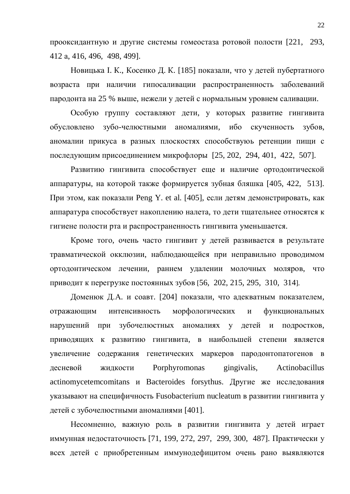прооксидантную и другие системы гомеостаза ротовой полости [221, 293, 412 ɚ, 416, 496, 498, 499].

Новицька І. К., Косенко Д. К. [185] показали, что у детей пубертатного возраста при наличии гипосаливации распространенность заболеваний пародонта на 25 % выше, нежели у детей с нормальным уровнем саливации.

Особую группу составляют дети, у которых развитие гингивита обусловлено зубо-челюстными аномалиями, ибо скученность зубов, аномалии прикуса в разных плоскостях способствуюь ретенции пищи с последующим присоединением микрофлоры [25, 202, 294, 401, 422, 507].

Развитию гингивита способствует еще и наличие ортодонтической аппаратуры, на которой также формируется зубная бляшка [405, 422, 513]. При этом, как показали Peng Y. et al. [405], если детям демонстрировать, как аппаратура способствует накоплению налета, то дети тщательнее относятся к гигиене полости рта и распространенность гингивита уменьшается.

Кроме того, очень часто гингивит у детей развивается в результате травматической окклюзии, наблюдающейся при неправильно проводимом ортодонтическом лечении, раннем удалении молочных моляров, что приводит к перегрузке постоянных зубов [56, 202, 215, 295, 310, 314].

Доменюк Д.А. и соавт. [204] показали, что адекватным показателем, отражающим интенсивность морфологических и функциональных нарушений при зубочелюстных аномалиях у детей и подростков, приводящих к развитию гингивита, в наибольшей степени является увеличение содержания генетических маркеров пародонтопатогенов в десневой жидкости Porphyromonas gingivalis, Actinobacillus actinomycetemcomitans и Bacteroides forsythus. Другие же исследования указывают на специфичность Fusobacterium nucleatum в развитии гингивита у детей с зубочелюстными аномалиями [401].

Несомненно, важную роль в развитии гингивита у детей играет иммунная недостаточность [71, 199, 272, 297, 299, 300, 487]. Практически у всех детей с приобретенным иммунодефицитом очень рано выявляются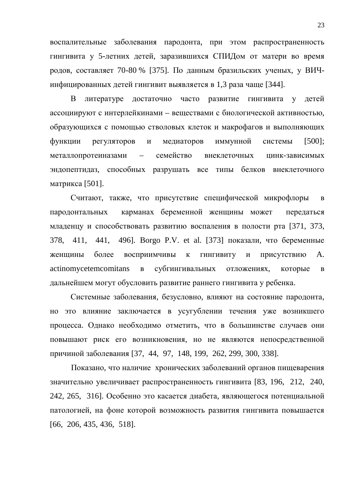воспалительные заболевания пародонта, при этом распространенность гингивита у 5-летних детей, заразившихся СПИДом от матери во время родов, составляет 70-80 % [375]. По данным бразильских ученых, у ВИЧинфицированных детей гингивит выявляется в 1,3 раза чаще [344].

В литературе достаточно часто развитие гингивита у детей ассоциируют с интерлейкинами – веществами с биологической активностью, образующихся с помощью стволовых клеток и макрофагов и выполняющих функции регуляторов и медиаторов иммунной системы [500]; металлопротеиназами – семейство внеклеточных цинк-зависимых эндопептидаз, способных разрушать все типы белков внеклеточного матрикса [501].

Считают, также, что присутствие специфической микрофлоры в пародонтальных карманах беременной женщины может передаться младенцу и способствовать развитию воспаления в полости рта [371, 373, 378, 411, 441, 496]. Borgo P.V. et al. [373] показали, что беременные женщины более восприимчивы к гингивиту и присутствию А. actinomycetemcomitans в субгингивальных отложениях, которые в дальнейшем могут обусловить развитие раннего гингивита у ребенка.

Системные заболевания, безусловно, влияют на состояние пародонта, но это влияние заключается в усугублении течения уже возникшего процесса. Однако необходимо отметить, что в большинстве случаев они повышают риск его возникновения, но не являются непосредственной причиной заболевания [37, 44, 97, 148, 199, 262, 299, 300, 338].

Показано, что наличие хронических заболеваний органов пищеварения значительно увеличивает распространенность гингивита [83, 196, 212, 240, 242, 265, 316]. Особенно это касается диабета, являющегося потенциальной патологией, на фоне которой возможность развития гингивита повышается [66, 206, 435, 436, 518].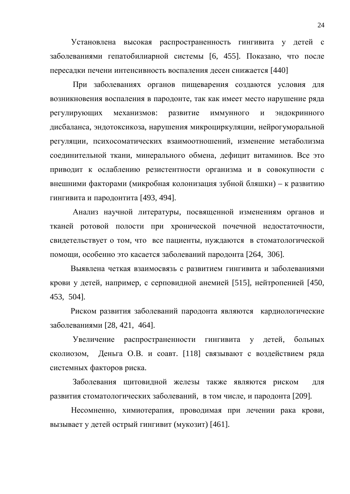Установлена высокая распространенность гингивита у детей с заболеваниями гепатобилиарной системы [6, 455]. Показано, что после пересадки печени интенсивность воспаления десен снижается [440]

При заболеваниях органов пищеварения создаются условия для возникновения воспаления в пародонте, так как имеет место нарушение ряда регулирующих механизмов: развитие иммунного и эндокринного дисбаланса, эндотоксикоза, нарушения микроциркуляции, нейрогуморальной регуляции, психосоматических взаимоотношений, изменение метаболизма соединительной ткани, минерального обмена, дефицит витаминов. Все это приводит к ослаблению резистентности организма и в совокупности с внешними факторами (микробная колонизация зубной бляшки) – к развитию гингивита и пародонтита [493, 494].

Анализ научной литературы, посвященной изменениям органов и тканей ротовой полости при хронической почечной недостаточности, свидетельствует о том, что все пациенты, нуждаются в стоматологической помоши, особенно это касается заболеваний пародонта [264, 306].

Выявлена четкая взаимосвязь с развитием гингивита и заболеваниями крови у детей, например, с серповидной анемией [515], нейтропенией [450, 453, 504].

Риском развития заболеваний пародонта являются кардиологические заболеваниями [28, 421, 464].

Увеличение распространенности гингивита у детей, больных сколиозом, Деньга О.В. и соавт. [118] связывают с воздействием ряда системных факторов риска.

Заболевания щитовидной железы также являются риском для развития стоматологических заболеваний, в том числе, и пародонта [209].

Несомненно, химиотерапия, проводимая при лечении рака крови, вызывает у детей острый гингивит (мукозит) [461].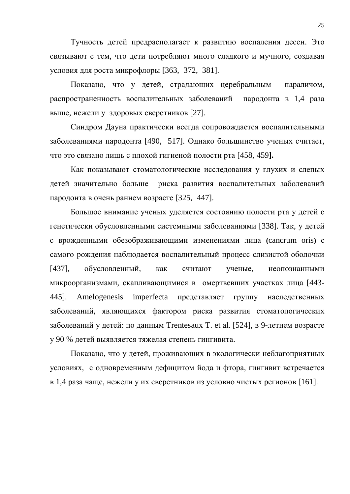Тучность детей предрасполагает к развитию воспаления десен. Это связывают с тем, что дети потребляют много сладкого и мучного, создавая условия для роста микрофлоры [363, 372, 381].

Показано, что у детей, страдающих церебральным параличом, распространенность воспалительных заболеваний пародонта в 1,4 раза выше, нежели у здоровых сверстников [27].

Синдром Дауна практически всегда сопровождается воспалительными заболеваниями пародонта [490, 517]. Однако большинство ученых считает, что это связано лишь с плохой гигиеной полости рта [458, 459].

Как показывают стоматологические исследования у глухих и слепых детей значительно больше риска развития воспалительных заболеваний пародонта в очень раннем возрасте [325, 447].

Большое внимание ученых уделяется состоянию полости рта у детей с генетически обусловленными системными заболеваниями [338]. Так, у детей с врожденными обезображивающими изменениями лица (cancrum oris) с самого рождения наблюдается воспалительный процесс слизистой оболочки [437], обусловленный, как считают ученые, неопознанными микроорганизмами, скапливающимися в омертвевших участках лица [443-445]. Amelogenesis imperfecta представляет группу наследственных заболеваний, являющихся фактором риска развития стоматологических заболеваний у детей: по данным Trentesaux T. et al. [524], в 9-летнем возрасте у 90 % детей выявляется тяжелая степень гингивита.

Показано, что у детей, проживающих в экологически неблагоприятных условиях, с одновременным дефицитом йода и фтора, гингивит встречается в 1,4 раза чаще, нежели у их сверстников из условно чистых регионов [161].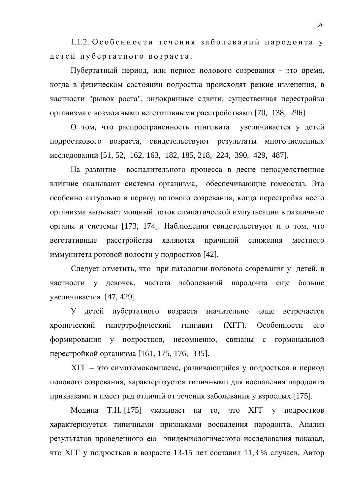1.1.2. Особенности течения заболеваний пародонта у детей пубертатного возраста.

Пубертатный период, или период полового созревания - это время, когда в физическом состоянии подростка происходят резкие изменения, в частности "рывок роста", эндокринные сдвиги, существенная перестройка организма с возможными вегетативными расстройствами [70, 138, 296].

О том, что распространенность гингивита увеличивается у детей подросткового возраста, свидетельствуют результаты многочисленных исследований [51, 52, 162, 163, 182, 185, 218, 224, 390, 429, 487].

На развитие воспалительного процесса в десне непосредственное влияние оказывают системы организма, обеспечивающие гомеостаз. Это особенно актуально в период полового созревания, когда перестройка всего организма вызывает мощный поток симпатической импульсации в различные органы и системы [173, 174]. Наблюдения свидетельствуют и о том, что вегетативные расстройства являются причиной снижения местного иммунитета ротовой полости у подростков [42].

Следует отметить, что при патологии полового созревания у детей, в частности у девочек, частота заболеваний пародонта еще больше увеличивается [47, 429].

У детей пубертатного возраста значительно чаще встречается хронический гипертрофический гингивит (XГГ). Особенности его формирования у подростков, несомненно, связаны с гормональной перестройкой организма [161, 175, 176, 335].

XГГ – это симптомокомплекс, развивающийся у подростков в период полового созревания, характеризуется типичными для воспаления пародонта признаками и имеет ряд отличий от течения заболевания у взрослых [175].

Модина Т.Н. [175] указывает на то, что ХГГ у подростков характеризуется типичными признаками воспаления пародонта. Анализ результатов проведенного ею эпидемиологического исследования показал, что XII у подростков в возрасте 13-15 лет составил 11,3 % случаев. Автор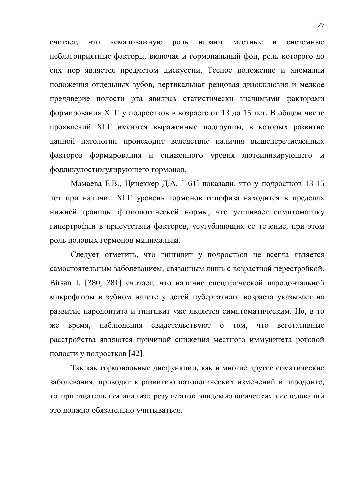считает, что немаловажную роль играют местные и системные неблагоприятные факторы, включая и гормональный фон, роль которого до сих пор является предметом дискуссии. Тесное положение и аномалии положения отдельных зубов, вертикальная резцовая дизокклюзия и мелкое преддверие полости рта явились статистически значимыми факторами формирования XГГ у подростков в возрасте от 13 до 15 лет. В общем числе проявлений ХГГ имеются выраженные подгруппы, в которых развитие данной патологии происходит вследствие наличия вышеперечисленных факторов формирования и сниженного уровня лютеинизирующего и фолликулостимулирующего гормонов.

Мамаева Е.В., Цинеккер Д.А. [161] показали, что у подростков 13-15 дет при наличии ХГГ уровень гормонов гипофиза находится в пределах нижней границы физиологической нормы, что усиливает симптоматику гипертрофии в присутствии факторов, усугубляющих ее течение, при этом роль половых гормонов минимальна.

Следует отметить, что гингивит у подростков не всегда является самостоятельным заболеванием, связанным лишь с возрастной перестройкой. Birsan I. [380, 381] считает, что наличие специфической пародонтальной микрофлоры в зубном налете у детей пубертатного возраста указывает на развитие пародонтита и гингивит уже является симптоматическим. Но, в то же время, наблюдения свидетельствуют о том, что вегетативные расстройства являются причиной снижения местного иммунитета ротовой полости у подростков [42].

Так как гормональные дисфункции, как и многие другие соматические заболевания, приводят к развитию патологических изменений в пародонте, то при тщательном анализе результатов эпидемиологических исследований это должно обязательно учитываться.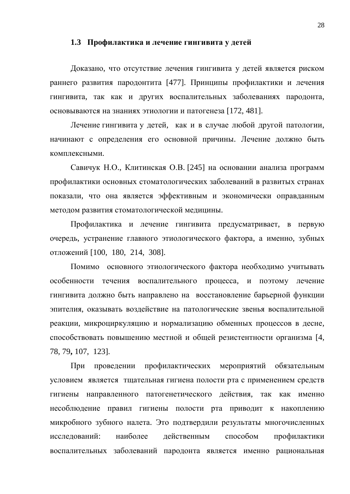#### 1.3 Профилактика и лечение гингивита у детей

Доказано, что отсутствие лечения гингивита у детей является риском раннего развития пародонтита [477]. Принципы профилактики и лечения гингивита, так как и других воспалительных заболеваниях пародонта, основываются на знаниях этиологии и патогенеза [172, 481].

Лечение гингивита у детей, как и в случае любой другой патологии, начинают с определения его основной причины. Лечение должно быть комплексными

Савичук Н.О., Клитинская О.В. [245] на основании анализа программ профилактики основных стоматологических заболеваний в развитых странах показали, что она является эффективным и экономически оправданным методом развития стоматологической медицины.

Профилактика и лечение гингивита предусматривает, в первую очередь, устранение главного этиологического фактора, а именно, зубных отложений [100, 180, 214, 308].

Помимо основного этиологического фактора необходимо учитывать особенности течения воспалительного процесса, и поэтому лечение гингивита должно быть направлено на восстановление барьерной функции эпителия, оказывать воздействие на патологические звенья воспалительной реакции, микроциркуляцию и нормализацию обменных процессов в десне, способствовать повышению местной и общей резистентности организма [4, 78, 79**,** 107, 123].

При проведении профилактических мероприятий обязательным условием является тщательная гигиена полости рта с применением средств гигиены направленного патогенетического действия, так как именно несоблюдение правил гигиены полости рта приводит к накоплению микробного зубного налета. Это подтвердили результаты многочисленных исследований: наиболее действенным способом профилактики воспалительных заболеваний пародонта является именно рациональная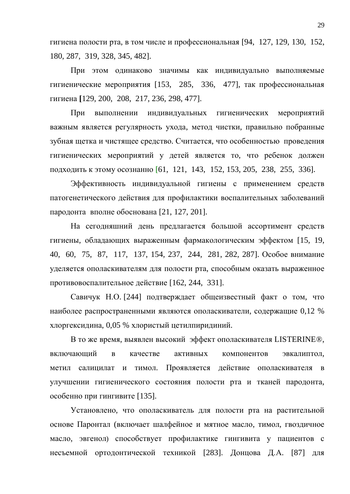гигиена полости рта, в том числе и профессиональная [94, 127, 129, 130, 152, 180, 287, 319, 328, 345, 482].

При этом одинаково значимы как индивидуально выполняемые гигиенические мероприятия [153, 285, 336, 477], так профессиональная гигиена [129, 200, 208, 217, 236, 298, 477].

При выполнении индивидуальных гигиенических мероприятий важным является регулярность ухода, метод чистки, правильно побранные зубная щетка и чистящее средство. Считается, что особенностью проведения гигиенических мероприятий у детей является то, что ребенок должен подходить к этому осознанно [61, 121, 143, 152, 153, 205, 238, 255, 336].

Эффективность индивидуальной гигиены с применением средств патогенетического действия для профилактики воспалительных заболеваний пародонта вполне обоснована [21, 127, 201].

На сегодняшний день предлагается большой ассортимент средств гигиены, обладающих выраженным фармакологическим эффектом [15, 19, 40, 60, 75, 87, 117, 137, 154, 237, 244, 281, 282, 287]. Особое внимание уделяется ополаскивателям для полости рта, способным оказать выраженное противовоспалительное действие [162, 244, 331].

Савичук Н.О. [244] подтверждает общеизвестный факт о том, что наиболее распространенными являются ополаскиватели, содержащие 0,12 % хлоргексидина, 0,05 % хлористый цетилпиридиний.

В то же время, выявлен высокий эффект ополаскивателя LISTERINE®, включающий в качестве активных компонентов эвкалиптол. метил салицилат и тимол. Проявляется действие ополаскивателя в улучшении гигиенического состояния полости рта и тканей пародонта, особенно при гингивите [135].

Установлено, что ополаскиватель для полости рта на растительной основе Паронтал (включает шалфейное и мятное масло, тимол, гвоздичное масло, эвгенол) способствует профилактике гингивита у пациентов с несъемной ортодонтической техникой [283]. Донцова Д.А. [87] для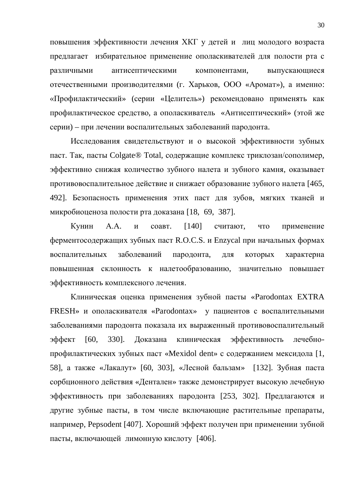повышения эффективности лечения ХКГ у детей и лиц молодого возраста предлагает избирательное применение ополаскивателей для полости рта с различными антисептическими компонентами, выпускающиеся отечественными производителями (г. Харьков, ООО «Аромат»), а именно: «Профилактический» (серии «Целитель») рекомендовано применять как профилактическое средство, а ополаскиватель «Антисептический» (этой же серии) – при лечении воспалительных заболеваний пародонта.

Исследования свидетельствуют и о высокой эффективности зубных паст. Так, пасты Colgate® Total, содержащие комплекс триклозан/сополимер, эффективно снижая количество зубного налета и зубного камня, оказывает противовоспалительное действие и снижает образование зубного налета [465, 492]. Безопасность применения этих паст для зубов, мягких тканей и микробиоценоза полости рта доказана [18, 69, 387].

Кунин А.А. и соавт. [140] считают, что применение ферментосодержащих зубных паст R.O.C.S. и Enzycal при начальных формах воспалительных заболеваний пародонта, для которых характерна повышенная склонность к налетообразованию, значительно повышает эффективность комплексного лечения.

Клиническая оценка применения зубной пасты «Parodontax EXTRA FRESH» и ополаскивателя «Parodontax» у пациентов с воспалительными заболеваниями пародонта показала их выраженный противовоспалительный эффект [60, 330]. Доказана клиническая эффективность лечебнопрофилактических зубных паст «Mexidol dent» с содержанием мексидола [1, 58], а также «Лакалут» [60, 303], «Лесной бальзам» [132]. Зубная паста сорбционного действия «Дентален» также демонстрирует высокую лечебную эффективность при заболеваниях пародонта [253, 302]. Предлагаются и другие зубные пасты, в том числе включающие растительные препараты, например, Pepsodent [407]. Хороший эффект получен при применении зубной пасты, включающей лимонную кислоту [406].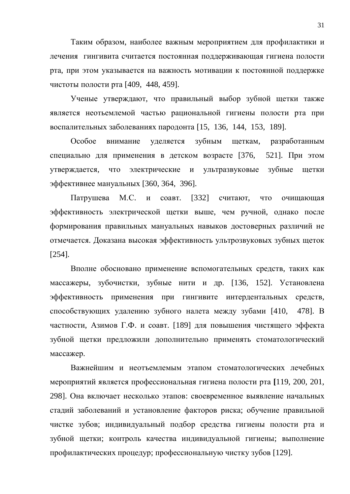Таким образом, наиболее важным мероприятием для профилактики и лечения гингивита считается постоянная поддерживающая гигиена полости рта, при этом указывается на важность мотивации к постоянной поддержке чистоты полости рта [409, 448, 459].

Ученые утверждают, что правильный выбор зубной щетки также является неотьемлемой частью рациональной гигиены полости рта при воспалительных заболеваниях пародонта [15, 136, 144, 153, 189].

Особое внимание уделяется зубным щеткам, разработанным специально для применения в детском возрасте [376, 521]. При этом утверждается, что электрические и ультразвуковые зубные щетки эффективнее мануальных [360, 364, 396].

Патрушева М.С. и соавт. [332] считают, что очищающая эффективность электрической щетки выше, чем ручной, однако после формирования правильных мануальных навыков достоверных различий не отмечается. Доказана высокая эффективность ультрозвуковых зубных щеток [254].

Вполне обосновано применение вспомогательных средств, таких как массажеры, зубочистки, зубные нити и др. [136, 152]. Установлена эффективность применения при гингивите интердентальных средств, способствующих удалению зубного налета между зубами [410, 478]. В частности, Азимов Г.Ф. и соавт. [189] для повышения чистящего эффекта зубной щетки предложили дополнительно применять стоматологический массажер.

Важнейшим и неотъемлемым этапом стоматологических лечебных мероприятий является профессиональная гигиена полости рта [119, 200, 201, 298]. Она включает несколько этапов: своевременное выявление начальных стадий заболеваний и установление факторов риска; обучение правильной чистке зубов; индивидуальный подбор средства гигиены полости рта и зубной щетки; контроль качества индивидуальной гигиены; выполнение профилактических процедур; профессиональную чистку зубов [129].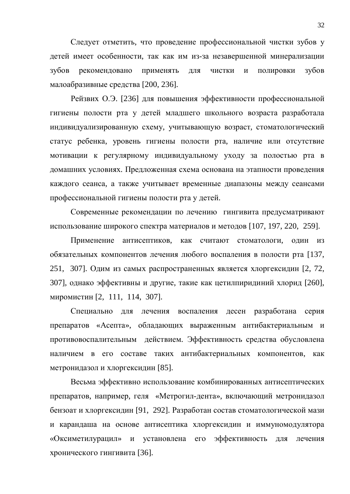Следует отметить, что проведение профессиональной чистки зубов у детей имеет особенности, так как им из-за незавершенной минерализации зубов рекомендовано применять для чистки и полировки зубов малоабразивные средства [200, 236].

Рейзвих О.Э. [236] для повышения эффективности профессиональной гигиены полости рта у детей младшего школьного возраста разработала индивидуализированную схему, учитывающую возраст, стоматологический статус ребенка, уровень гигиены полости рта, наличие или отсутствие мотивации к регулярному индивидуальному уходу за полостью рта в домашних условиях. Предложенная схема основана на этапности проведения каждого сеанса, а также учитывает временные диапазоны между сеансами профессиональной гигиены полости рта у детей.

Современные рекомендации по лечению гингивита предусматривают использование широкого спектра материалов и методов [107, 197, 220, 259].

Применение антисептиков, как считают стоматологи, один из обязательных компонентов лечения любого воспаления в полости рта [137, 251, 307]. Одим из самых распространенных является хлоргексидин [2, 72, 307], однако эффективны и другие, такие как цетилпиридиний хлорид [260], миромистин [2, 111, 114, 307].

Специально для лечения воспаления десен разработана серия препаратов «Асепта», обладающих выраженным антибактериальным и противовоспалительным действием. Эффективность средства обусловлена наличием в его составе таких антибактериальных компонентов, как метронидазол и хлоргексидин [85].

Весьма эффективно использование комбинированных антисептических препаратов, например, геля «Метрогил-дента», включающий метронидазол бензоат и хлоргексидин [91, 292]. Разработан состав стоматологической мази и карандаша на основе антисептика хлоргексидин и иммуномодулятора «Оксиметилурацил» и установлена его эффективность для лечения хронического гингивита [36].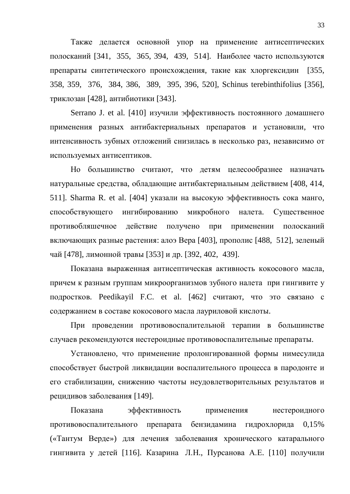Также делается основной упор на применение антисептических полосканий [341, 355, 365, 394, 439, 514]. Наиболее часто используются препараты синтетического происхождения, такие как хлоргексидин [355, 358, 359, 376, 384, 386, 389, 395, 396, 520], Schinus terebinthifolius [356], триклозан [428], антибиотики [343].

Serrano J. et al. [410] изучили эффективность постоянного домашнего применения разных антибактериальных препаратов и установили, что интенсивность зубных отложений снизилась в несколько раз, независимо от используемых антисептиков.

Но большинство считают, что детям целесообразнее назначать натуральные средства, обладающие антибактериальным действием [408, 414, 511]. Sharma R. et al. [404] указали на высокую эффективность сока манго, способствующего ингибированию микробного налета. Существенное противобляшечное действие получено при применении полосканий включающих разные растения: алоэ Вера [403], прополис [488, 512], зеленый чай [478], лимонной травы [353] и др. [392, 402, 439].

Показана выраженная антисептическая активность кокосового масла, причем к разным группам микроорганизмов зубного налета при гингивите у подростков. Peedikayil F.C. et al. [462] считают, что это связано с содержанием в составе кокосового масла лауриловой кислоты.

При проведении противовоспалительной терапии в большинстве случаев рекомендуются нестероидные противовоспалительные препараты.

Установлено, что применение пролонгированной формы нимесулида способствует быстрой ликвидации воспалительного процесса в пародонте и его стабилизации, снижению частоты неудовлетворительных результатов и рецидивов заболевания [149].

Показана эффективность применения нестероидного противовоспалительного препарата бензидамина гидрохлорида 0,15% («Тантум Верде») для лечения заболевания хронического катарального гингивита у детей [116]. Казарина Л.Н., Пурсанова А.Е. [110] получили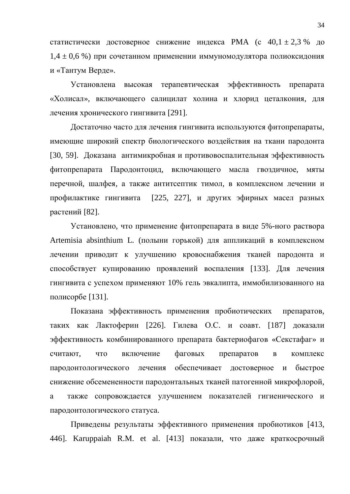статистически достоверное снижение индекса РМА (с  $40,1 \pm 2,3$  % до  $1,4 \pm 0,6$  %) при сочетанном применении иммуномодулятора полиоксидония и «Тантум Верде».

Установлена высокая терапевтическая эффективность препарата «Холисал», включающего салицилат холина и хлорид цеталкония, для лечения хронического гингивита [291].

Достаточно часто для лечения гингивита используются фитопрепараты, имеющие широкий спектр биологического воздействия на ткани пародонта [30, 59]. Доказана антимикробная и противовоспалительная эффективность фитопрепарата Пародонтоцид, включающего масла гвоздичное, мяты перечной, шалфея, а также антитсептик тимол, в комплексном лечении и профилактике гингивита [225, 227], и других эфирных масел разных растений [82].

Установлено, что применение фитопрепарата в виде 5%-ного раствора Artemisia absinthium L. (полыни горькой) для аппликаций в комплексном лечении приводит к улучшению кровоснабжения тканей пародонта и способствует купированию проявлений воспаления [133]. Для лечения гингивита с успехом применяют 10% гель эвкалипта, иммобилизованного на полисорбе [131].

Показана эффективность применения пробиотических препаратов, таких как Лактоферин [226]. Гилева О.С. и соавт. [187] доказали эффективность комбинированного препарата бактериофагов «Секстафаг» и считают, что включение фаговых препаратов в комплекс пародонтологического лечения обеспечивает достоверное и быстрое снижение обсемененности пародонтальных тканей патогенной микрофлорой, а также сопровождается улучшением показателей гигиенического и пародонтологического статуса.

Приведены результаты эффективного применения пробиотиков [413, 446]. Karuppaiah R.M. et al. [413] показали, что даже краткосрочный

34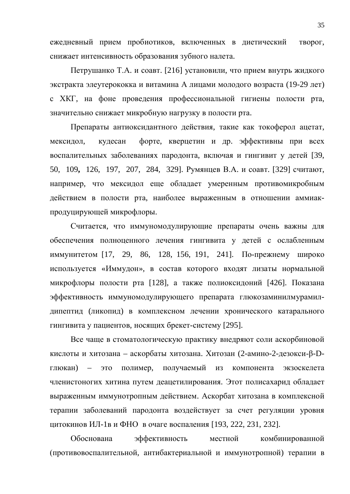ежедневный прием пробиотиков, включенных в диетический творог, снижает интенсивность образования зубного налета.

Петрушанко Т.А. и соавт. [216] установили, что прием внутрь жидкого экстракта элеутерококка и витамина А лицами молодого возраста (19-29 лет) с ХКГ, на фоне проведения профессиональной гигиены полости рта, значительно снижает микробную нагрузку в полости рта.

Препараты антиоксидантного действия, такие как токоферол ацетат, мексидол, кудесан форте, кверцетин и др. эффективны при всех воспалительных заболеваниях пародонта, включая и гингивит у детей [39, 50, 109, 126, 197, 207, 284, 329]. Румянцев В.А. и соавт. [329] считают, например, что мексидол еще обладает умеренным противомикробным действием в полости рта, наиболее выраженным в отношении аммиакпродуцирующей микрофлоры.

Считается, что иммуномодулирующие препараты очень важны для обеспечения полноценного лечения гингивита у детей с ослабленным иммунитетом [17, 29, 86, 128, 156, 191, 241]. По-прежнему широко используется «Иммудон», в состав которого входят лизаты нормальной микрофлоры полости рта [128], а также полиоксидоний [426]. Показана эффективность иммуномодулирующего препарата глюкозаминилмурамилдипептид (ликопид) в комплексном лечении хронического катарального гингивита у пациентов, носящих брекет-систему [295].

Все чаще в стоматологическую практику внедряют соли аскорбиновой кислоты и хитозана – аскорбаты хитозана. Хитозан (2-амино-2-дезокси-β-Dглюкан) – это полимер, получаемый из компонента экзоскелета членистоногих хитина путем деацетилирования. Этот полисахарид обладает выраженным иммунотропным действием. Аскорбат хитозана в комплексной терапии заболеваний пародонта воздействует за счет регуляции уровня цитокинов ИЛ-1в и ФНО в очаге воспаления [193, 222, 231, 232].

Обоснована эффективность местной комбинированной (противовоспалительной, антибактериальной и иммунотропной) терапии в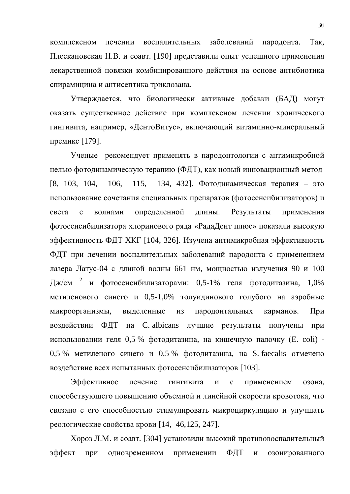комплексном лечении воспалительных заболеваний пародонта. Так, Плескановская Н.В. и соавт. [190] представили опыт успешного применения лекарственной повязки комбинированного действия на основе антибиотика спирамицина и антисептика триклозана.

Утверждается, что биологически активные добавки (БАД) могут оказать существенное действие при комплексном лечении хронического гингивита, например, «ДентоВитус», включающий витаминно-минеральный премикс [179].

Ученые рекомендует применять в пародонтологии с антимикробной целью фотодинамическую терапию (ФДТ), как новый инновационный метод [8, 103, 104, 106, 115, 134, 432]. Фотодинамическая терапия – это использование сочетания специальных препаратов (фотосенсибилизаторов) и света с волнами определенной длины. Результаты применения фотосенсибилизатора хлоринового ряда «РадаДент плюс» показали высокую эффективность ФДТ ХКГ [104, 326]. Изучена антимикробная эффективность ФДТ при лечении воспалительных заболеваний пародонта с применением лазера Латус-04 с длиной волны 661 нм, мощностью излучения 90 и 100 Дж/см <sup>2</sup> и фотосенсибилизаторами: 0,5-1% геля фотодитазина, 1,0% метиленового синего и 0,5-1,0% толуидинового голубого на аэробные микроорганизмы, выделенные из пародонтальных карманов. При воздействии ФДТ на C. albicans лучшие результаты получены при использовании геля 0,5 % фотодитазина, на кишечную палочку (E. coli) -0,5 % метиленого синего и 0,5 % фотодитазина, на S. faecalis отмечено воздействие всех испытанных фотосенсибилизаторов [103].

Эффективное лечение гингивита и с применением озона, способствующего повышению объемной и линейной скорости кровотока, что связано с его способностью стимулировать микроциркуляцию и улучшать реологические свойства крови [14, 46,125, 247].

Хороз Л.М. и соавт. [304] установили высокий противовоспалительный эффект при одновременном применении ФДТ и озонированного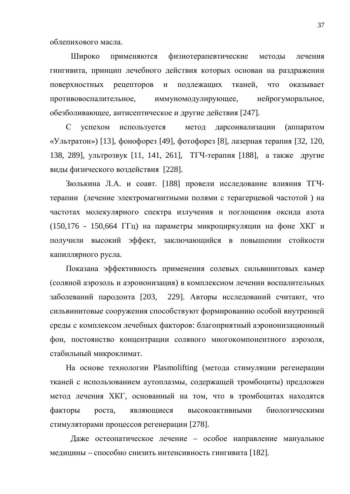облепихового масла.

Широко применяются физиотерапевтические методы лечения гингивита, принцип лечебного действия которых основан на раздражении поверхностных рецепторов и подлежащих тканей, что оказывает противовоспалительное, иммуномодулирующее, нейрогуморальное, обезболивающее, антисептическое и другие действия [247].

С успехом используется метод дарсонвализации (аппаратом «Ультратон») [13], фонофорез [49], фотофорез [8], лазерная терапия [32, 120, 138, 289], ультрозвук [11, 141, 261], ТГЧ-терапия [188], а также другие виды физического воздействия [228].

Зюлькина Л.А. и соавт. [188] провели исследование влияния ТГЧтерапии (лечение электромагнитными полями с терагерцевой частотой) на частотах молекулярного спектра излучения и поглощения оксида азота (150,176 - 150,664 ГГц) на параметры микроциркуляции на фоне ХКГ и получили высокий эффект, заключающийся в повышении стойкости капиллярного русла.

Показана эффективность применения солевых сильвинитовых камер (соляной аэрозоль и аэроионизация) в комплексном лечении воспалительных заболеваний пародонта [203, 229]. Авторы исследований считают, что сильвинитовые сооружения способствуют формированию особой внутренней среды с комплексом лечебных факторов: благоприятный аэроионизационный фон, постоянство концентрации соляного многокомпонентного аэрозоля, стабильный микроклимат.

На основе технологии Plasmolifting (метода стимуляции регенерации тканей с использованием аутоплазмы, содержащей тромбоциты) предложен метод лечения ХКГ, основанный на том, что в тромбоцитах находятся факторы роста, являющиеся высокоактивными биологическими стимуляторами процессов регенерации [278].

Даже остеопатическое лечение – особое направление мануальное медицины – способно снизить интенсивность гингивита [182].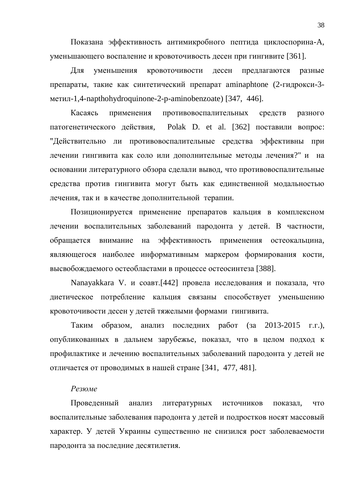Показана эффективность антимикробного пептида циклоспорина-А, уменьшающего воспаление и кровоточивость десен при гингивите [361].

Для уменьшения кровоточивости десен предлагаются разные препараты, такие как синтетический препарат aminaphtone (2-гидрокси-3метил-1,4-napthohydroquinone-2-p-aminobenzoate) [347, 446].

Касаясь применения противовоспалительных средств разного патогенетического действия, Polak D. et al. [362] поставили вопрос: "Действительно ли противовоспалительные средства эффективны при лечении гингивита как соло или дополнительные методы лечения?" и на основании литературного обзора сделали вывод, что противовоспалительные средства против гингивита могут быть как единственной модальностью лечения, так и в качестве дополнительной терапии.

Позиционируется применение препаратов кальция в комплексном лечении воспалительных заболеваний пародонта у детей. В частности, обращается внимание на эффективность применения остеокальцина, являющегося наиболее информативным маркером формирования кости, высвобождаемого остеобластами в процессе остеосинтеза [388].

Nanayakkara V. и соавт.[442] провела исследования и показала, что диетическое потребление кальция связаны способствует уменьшению кровоточивости десен у детей тяжелыми формами гингивита.

Таким образом, анализ последних работ (за 2013-2015 г.г.), опубликованных в дальнем зарубежье, показал, что в целом подход к профилактике и лечению воспалительных заболеваний пародонта у детей не отличается от проводимых в нашей стране [341, 477, 481].

### **Резюме**

Проведенный анализ литературных источников показал, что воспалительные заболевания пародонта у детей и подростков носят массовый характер. У детей Украины существенно не снизился рост заболеваемости пародонта за последние десятилетия.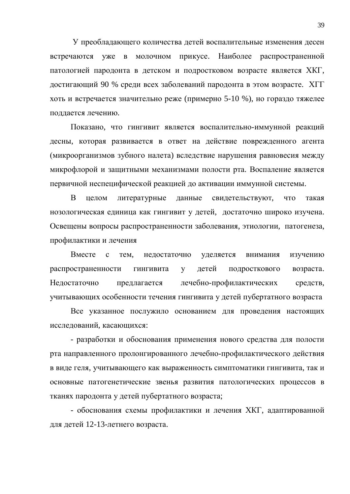У преобладающего количества детей воспалительные изменения десен встречаются уже в молочном прикусе. Наиболее распространенной патологией пародонта в детском и подростковом возрасте является ХКГ, достигающий 90 % среди всех заболеваний пародонта в этом возрасте. ХГГ хоть и встречается значительно реже (примерно 5-10 %), но гораздо тяжелее поддается лечению.

Показано, что гингивит является воспалительно-иммунной реакций десны, которая развивается в ответ на действие поврежденного агента (микроорганизмов зубного налета) вследствие нарушения равновесия между микрофлорой и защитными механизмами полости рта. Воспаление является первичной неспецифической реакцией до активации иммунной системы.

В целом литературные данные свидетельствуют, что такая нозологическая единица как гингивит у детей, достаточно широко изучена. Освещены вопросы распространенности заболевания, этиологии, патогенеза, профилактики и лечения

Вместе с тем, недостаточно уделяется внимания изучению распространенности гингивита у детей подросткового возраста. Недостаточно предлагается лечебно-профилактических средств, учитывающих особенности течения гингивита у детей пубертатного возраста

Все указанное послужило основанием для проведения настоящих исслелований, касающихся:

- разработки и обоснования применения нового средства для полости рта направленного пролонгированного лечебно-профилактического действия в виде геля, учитывающего как выраженность симптоматики гингивита, так и основные патогенетические звенья развития патологических процессов в тканях пародонта у детей пубертатного возраста;

- обоснования схемы профилактики и лечения ХКГ, адаптированной для детей 12-13-летнего возраста.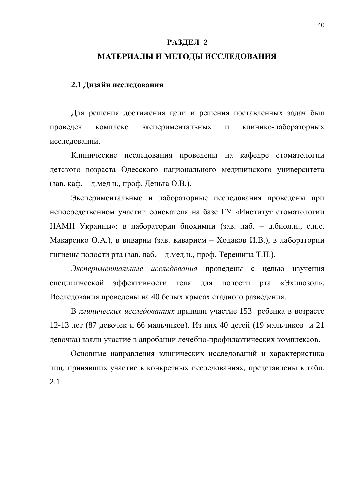### **РАЗДЕЛ 2**

### МАТЕРИАЛЫ И МЕТОДЫ ИССЛЕДОВАНИЯ

#### 2.1 Дизайн исследования

Для решения достижения цели и решения поставленных задач был проведен комплекс экспериментальных и клинико-лабораторных исследований.

Клинические исследования проведены на кафедре стоматологии детского возраста Одесского национального медицинского университета (зав. каф. – д.мед.н., проф. Деньга О.В.).

Экспериментальные и лабораторные исследования проведены при непосредственном участии соискателя на базе ГУ «Институт стоматологии НАМН Украины»: в лаборатории биохимии (зав. лаб. – д.биол.н., с.н.с. Макаренко О.А.), в виварии (зав. виварием – Ходаков И.В.), в лаборатории гигиены полости рта (зав. лаб. – д.мед.н., проф. Терешина Т.П.).

Экспериментальные исследования проведены с целью изучения специфической эффективности геля для полости рта «Эхипозол». Исследования проведены на 40 белых крысах стадного разведения.

В клинических исследованиях приняли участие 153 ребенка в возрасте 12-13 лет (87 девочек и 66 мальчиков). Из них 40 детей (19 мальчиков и 21 девочка) взяли участие в апробации лечебно-профилактических комплексов.

Основные направления клинических исследований и характеристика лиц, принявших участие в конкретных исследованиях, представлены в табл. 2.1.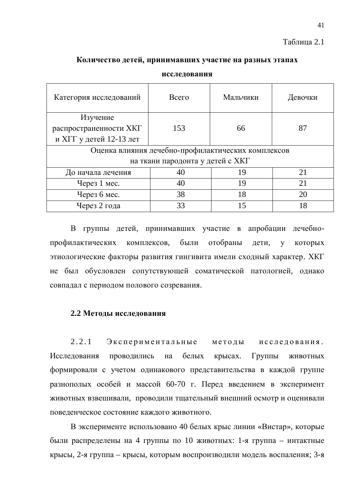### Таблица 2.1

### Количество детей, принимавших участие на разных этапах

| Категория исследований  | Всего                            | Мальчики                                           | Девочки |  |  |  |
|-------------------------|----------------------------------|----------------------------------------------------|---------|--|--|--|
| Изучение                |                                  |                                                    |         |  |  |  |
| распространенности ХКГ  | 153                              | 66                                                 | 87      |  |  |  |
| и ХГГ у детей 12-13 лет |                                  |                                                    |         |  |  |  |
|                         |                                  | Оценка влияния лечебно-профилактических комплексов |         |  |  |  |
|                         | на ткани пародонта у детей с ХКГ |                                                    |         |  |  |  |
| До начала лечения       | 40                               | 19                                                 | 21      |  |  |  |
| Через 1 мес.            | 40                               | 19                                                 | 21      |  |  |  |
| Через 6 мес.            | 38                               | 18                                                 | 20      |  |  |  |
| Через 2 года            | 33                               | 15                                                 | 18      |  |  |  |

исследования

В группы детей, принимавших участие в апробации лечебнопрофилактических комплексов, были отобраны дети, у которых этиологические факторы развития гингивита имели сходный характер. ХКГ не был обусловлен сопутствующей соматической патологией, однако совпадал с периодом полового созревания.

### **2.2 Метолы исслелования**

2.2.1 Экспериментальные методы исследования. Исследования проводились на белых крысах. Группы животных формировали с учетом одинакового представительства в каждой группе разнополых особей и массой 60-70 г. Перед введением в эксперимент животных взвешивали, проводили тщательный внешний осмотр и оценивали поведенческое состояние каждого животного.

В эксперименте использовано 40 белых крыс линии «Вистар», которые были распределены на 4 группы по 10 животных: 1-я группа - интактные крысы, 2-я группа – крысы, которым воспроизводили модель воспаления; 3-я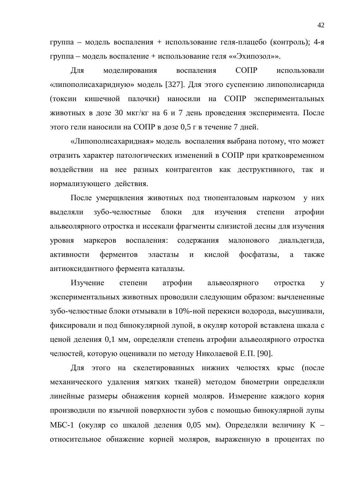группа – модель воспаления + использование геля-плацебо (контроль); 4-я группа – модель воспаление + использование геля ««Эхипозол»».

Для моделирования воспаления СОПР использовали «липополисахаридную» модель [327]. Для этого суспензию липополисарида (токсин кишечной палочки) наносили на СОПР экспериментальных животных в дозе 30 мкг/кг на 6 и 7 день проведения эксперимента. После этого гели наносили на СОПР в дозе 0,5 г в течение 7 дней.

«Липополисахаридная» модель воспаления выбрана потому, что может отразить характер патологических изменений в СОПР при кратковременном воздействии на нее разных контрагентов как деструктивного, так и нормализующего действия.

После умерщвления животных под тиопенталовым наркозом у них выделяли зубо-челюстные блоки для изучения степени атрофии альвеолярного отростка и иссекали фрагменты слизистой десны для изучения уровня маркеров воспаления: содержания малонового диальдегида, активности ферментов эластазы и кислой фосфатазы, а также антиоксидантного фермента каталазы.

Изучение степени атрофии альвеолярного отростка у экспериментальных животных проводили следующим образом: вычлененные зубо-челюстные блоки отмывали в 10%-ной перекиси водорода, высушивали, фиксировали и под бинокулярной лупой, в окуляр которой вставлена шкала с ценой деления 0,1 мм, определяли степень атрофии альвеолярного отростка челюстей, которую оценивали по методу Николаевой Е.П. [90].

Для этого на скелетированных нижних челюстях крыс (после механического удаления мягких тканей) методом биометрии определяли линейные размеры обнажения корней моляров. Измерение каждого корня производили по язычной поверхности зубов с помощью бинокулярной лупы МБС-1 (окуляр со шкалой деления 0,05 мм). Определяли величину К – относительное обнажение корней моляров, выраженную в процентах по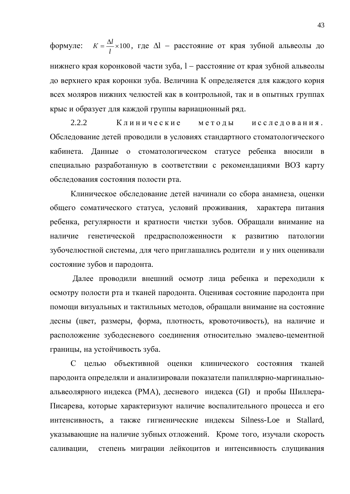формуле:  $K = \frac{\Delta l}{I} \times 100$ *l*  $K = \frac{\Delta l}{I} \times 100$ , где  $\Delta l$  – расстояние от края зубной альвеолы до нижнего края коронковой части зуба,  $l$  – расстояние от края зубной альвеолы до верхнего края коронки зуба. Величина К определяется для каждого корня всех моляров нижних челюстей как в контрольной, так и в опытных группах крыс и образует для каждой группы вариационный ряд.

2.2.2 Клинические методы исследования. Обследование детей проводили в условиях стандартного стоматологического кабинета. Данные о стоматологическом статусе ребенка вносили в специально разработанную в соответствии с рекомендациями ВОЗ карту обследования состояния полости рта.

Клиническое обследование детей начинали со сбора анамнеза, оценки общего соматического статуса, условий проживания, характера питания ребенка, регулярности и кратности чистки зубов. Обращали внимание на наличие генетической предрасположенности к развитию патологии зубочелюстной системы, для чего приглашались родители и у них оценивали состояние зубов и пародонта.

Далее проводили внешний осмотр лица ребенка и переходили к осмотру полости рта и тканей пародонта. Оценивая состояние пародонта при помощи визуальных и тактильных методов, обращали внимание на состояние десны (цвет, размеры, форма, плотность, кровоточивость), на наличие и расположение зубодесневого соединения относительно эмалево-цементной границы, на устойчивость зуба.

С целью объективной оценки клинического состояния тканей пародонта определяли и анализировали показатели папиллярно-маргинальноальвеолярного индекса (РМА), десневого индекса (GI) и пробы Шиллера-Писарева, которые характеризуют наличие воспалительного процесса и его интенсивность, а также гигиенические индексы Silness-Loe и Stallard, указывающие на наличие зубных отложений. Кроме того, изучали скорость саливации, степень миграции лейкоцитов и интенсивность слущивания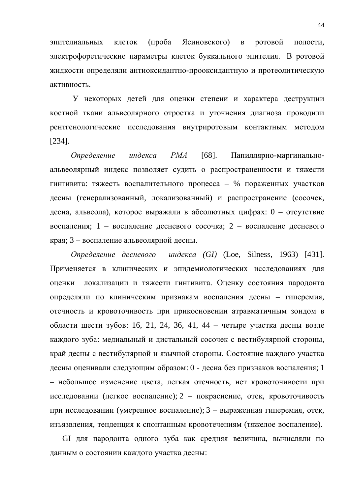эпителиальных клеток (проба Ясиновского) в ротовой полости, электрофоретические параметры клеток буккального эпителия. В ротовой жидкости определяли антиоксидантно-прооксидантную и протеолитическую активность.

У некоторых детей для оценки степени и характера деструкции костной ткани альвеолярного отростка и уточнения диагноза проводили рентгенологические исследования внутриротовым контактным методом [234].

Определение индекса РМА [68]. Папиллярно-маргинальноальвеолярный индекс позволяет судить о распространенности и тяжести гингивита: тяжесть воспалительного процесса – % пораженных участков десны (генерализованный, локализованный) и распространение (сосочек, десна, альвеола), которое выражали в абсолютных цифрах: 0 – отсутствие воспаления; 1 – воспаление десневого сосочка; 2 – воспаление десневого края; 3 – воспаление альвеолярной десны.

*Ɉɩɪɟɞɟɥɟɧɢɟ ɞɟɫɧɟɜɨɝɨ ɢɧɞɟɤɫɚ (GI)* (Loe, Silness, 1963) [431]. Применяется в клинических и эпидемиологических исследованиях для оценки локализации и тяжести гингивита. Оценку состояния пародонта определяли по клиническим признакам воспаления десны – гиперемия, отечность и кровоточивость при прикосновении атравматичным зондом в области шести зубов: 16, 21, 24, 36, 41, 44 – четыре участка десны возле каждого зуба: медиальный и дистальный сосочек с вестибулярной стороны, край десны с вестибулярной и язычной стороны. Состояние каждого участка десны оценивали следующим образом: 0 - десна без признаков воспаления; 1 – небольшое изменение цвета, легкая отечность, нет кровоточивости при исследовании (легкое воспаление); 2 – покраснение, отек, кровоточивость при исследовании (умеренное воспаление); 3 – выраженная гиперемия, отек, изъязвления, тенденция к спонтанным кровотечениям (тяжелое воспаление).

GI для пародонта одного зуба как средняя величина, вычисляли по данным о состоянии каждого участка десны: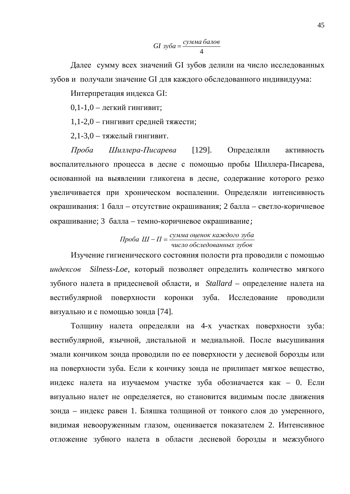4 *ɫɭɦɦɚ ɛɚɥɨɜ GI ɡɭɛɚ*

Далее сумму всех значений GI зубов делили на число исследованных зубов и получали значение GI для каждого обследованного индивидуума:

Интерпретация индекса GI:

 $0,1-1,0$  – легкий гингивит;

1,1-2,0 – гингивит средней тяжести;

 $2,1-3,0$  – тяжелый гингивит.

*Проба Шиллера-Писарева* [129]. Определяли активность воспалительного процесса в десне с помощью пробы Шиллера-Писарева, основанной на выявлении гликогена в десне, содержание которого резко увеличивается при хроническом воспалении. Определяли интенсивность окрашивания: 1 балл – отсутствие окрашивания; 2 балла – светло-коричневое окрашивание; 3 балла – темно-коричневое окрашивание;

> число обследованных зубов  $\Delta$ *Hpоба Ш* –  $\Pi$  =  $\frac{C$ умма оценок каждого зуба

Изучение гигиенического состояния полости рта проводили с помощью индексов Silness-Loe, который позволяет определить количество мягкого зубного налета в придесневой области, и *Stallard* – определение налета на вестибулярной поверхности коронки зуба. Исследование проводили визуально и с помощью зонда [74].

Толщину налета определяли на 4-х участках поверхности зуба: вестибулярной, язычной, дистальной и медиальной. После высушивания эмали кончиком зонда проводили по ее поверхности у десневой борозды или на поверхности зуба. Если к кончику зонда не прилипает мягкое вещество, индекс налета на изучаемом участке зуба обозначается как – 0. Если визуально налет не определяется, но становится видимым после движения зонда – индекс равен 1. Бляшка толщиной от тонкого слоя до умеренного, видимая невооруженным глазом, оценивается показателем 2. Интенсивное отложение зубного налета в области десневой борозды и межзубного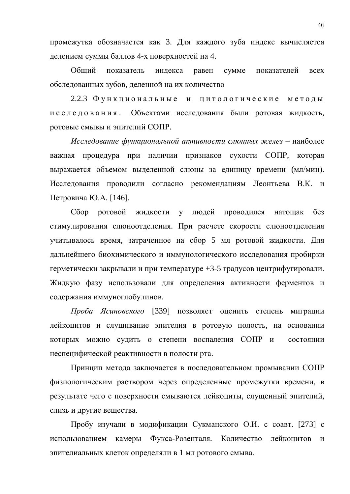промежутка обозначается как 3. Для каждого зуба индекс вычисляется делением суммы баллов 4-х поверхностей на 4.

Общий показатель индекса равен сумме показателей всех обследованных зубов, деленной на их количество

2.2.3 Функциональные и цитологические методы и с с л е д о в а н и я. Объектами исследования были ротовая жидкость, ротовые смывы и эпителий СОПР.

*Исследование функциональной активности слюнных желез* – наиболее важная процедура при наличии признаков сухости СОПР, которая выражается объемом выделенной слюны за единицу времени (мл/мин). Исследования проводили согласно рекомендациям Леонтьева В.К. и Петровича Ю.А. [146].

Сбор ротовой жидкости у людей проводился натощак без стимулирования слюноотделения. При расчете скорости слюноотделения учитывалось время, затраченное на сбор 5 мл ротовой жидкости. Для дальнейшего биохимического и иммунологического исследования пробирки герметически закрывали и при температуре +3-5 градусов центрифугировали. Жидкую фазу использовали для определения активности ферментов и содержания иммуноглобулинов.

Проба Ясиновского [339] позволяет оценить степень миграции лейкоцитов и слущивание эпителия в ротовую полость, на основании которых можно судить о степени воспаления СОПР и состоянии неспецифической реактивности в полости рта.

Принцип метода заключается в последовательном промывании СОПР физиологическим раствором через определенные промежутки времени, в результате чего с поверхности смываются лейкоциты, слущенный эпителий, слизь и другие вещества.

Пробу изучали в модификации Сукманского О.И. с соавт. [273] с использованием камеры Фукса-Розенталя. Количество лейкоцитов и эпителиальных клеток определяли в 1 мл ротового смыва.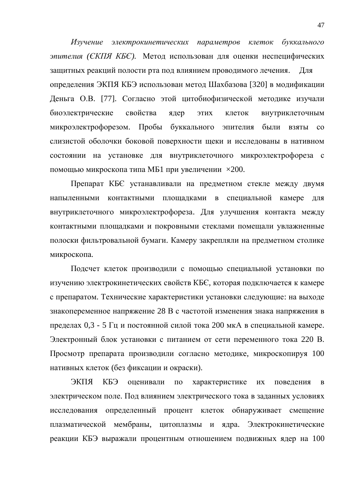Изучение электрокинетических параметров клеток буккального эпителия (СКПЯ КБС). Метод использован для оценки неспецифических защитных реакций полости рта под влиянием проводимого лечения. Для определения ЭКПЯ КБЭ использован метод Шахбазова [320] в модификации Деньга О.В. [77]. Согласно этой цитобиофизической методике изучали биоэлектрические свойства ядер этих клеток внутриклеточным микроэлектрофорезом. Пробы буккального эпителия были взяты со слизистой оболочки боковой поверхности щеки и исследованы в нативном состоянии на установке для внутриклеточного микроэлектрофореза с помощью микроскопа типа МБ1 при увеличении  $\times 200$ .

Препарат КБЄ устанавливали на предметном стекле между двумя напыленными контактными площадками в специальной камере для внутриклеточного микроэлектрофореза. Для улучшения контакта между контактными площадками и покровными стеклами помещали увлажненные полоски фильтровальной бумаги. Камеру закрепляли на предметном столике микроскопа.

Подсчет клеток производили с помощью специальной установки по изучению электрокинетических свойств КБЄ, которая подключается к камере с препаратом. Технические характеристики установки следующие: на выходе знакопеременное напряжение 28 В с частотой изменения знака напряжения в пределах 0,3 - 5 Гц и постоянной силой тока 200 мкА в специальной камере. Электронный блок установки с питанием от сети переменного тока 220 В. Просмотр препарата производили согласно методике, микроскопируя 100 нативных клеток (без фиксации и окраски).

ЭКПЯ КБЭ оценивали по характеристике их поведения в электрическом поле. Под влиянием электрического тока в заданных условиях исследования определенный процент клеток обнаруживает смещение плазматической мембраны, цитоплазмы и ядра. Электрокинетические реакции КБЭ выражали процентным отношением подвижных ядер на 100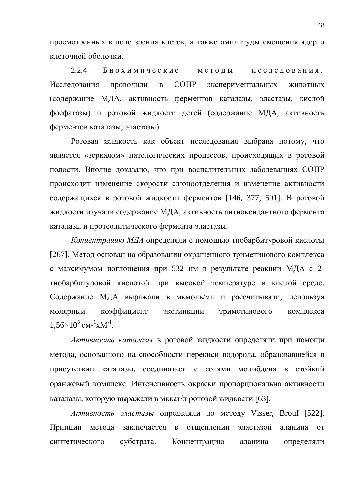просмотренных в поле зрения клеток, а также амплитуды смещения ядер и клеточной оболочки.

2.2.4 Биохимические методы исследования. Исследования проводили в СОПР экспериментальных животных (содержание МДА, активность ферментов каталазы, эластазы, кислой фосфатазы) и ротовой жидкости детей (содержание МДА, активность ферментов каталазы, эластазы).

Ротовая жидкость как объект исследования выбрана потому, что является «зеркалом» патологических процессов, происходящих в ротовой полости. Вполне доказано, что при воспалительных заболеваниях СОПР происходит изменение скорости слюноотделения и изменение активности содержащихся в ротовой жидкости ферментов [146, 377, 501]. В ротовой жидкости изучали содержание МДА, активность антиоксидантного фермента каталазы и протеолитического фермента эластазы.

Концентрацию МДА определяли с помощью тиобарбитуровой кислоты [267]. Метод основан на образовании окрашенного триметинового комплекса с максимумом поглощения при 532 нм в результате реакции МДА с 2тиобарбитуровой кислотой при высокой температуре в кислой среде. Содержание МДА выражали в мкмоль/мл и рассчитывали, используя молярный коэффициент экстинкции триметинового комплекса  $1,56\times10^{5}$  cm- $^{1}$ xM<sup>-1</sup>.

Активность каталазы в ротовой жидкости определяли при помощи метода, основанного на способности перекиси водорода, образовавшейся в присутствии каталазы, соединяться с солями молибдена в стойкий оранжевый комплекс. Интенсивность окраски пропорциональна активности каталазы, которую выражали в мккат/л ротовой жидкости [63].

*Активность эластазы* определяли по методу Visser, Brouf [522]. Принцип метода заключается в отщеплении эластазой аланина от синтетического субстрата. Концентрацию аланина определяли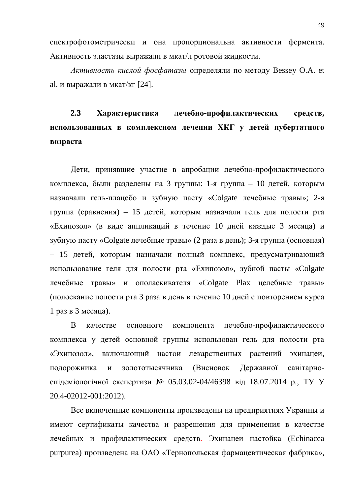спектрофотометрически и она пропорциональна активности фермента. Активность эластазы выражали в мкат/л ротовой жидкости.

Активность кислой фосфатазы определяли по методу Bessey O.A. et al. и выражали в мкат/кг  $[24]$ .

## **2.3 Характеристика лечебно-профилактических средств,** использованных в комплексном лечении ХКГ у детей пубертатного **B03pacra**

Дети, принявшие участие в апробации лечебно-профилактического комплекса, были разделены на 3 группы: 1-я группа – 10 детей, которым назначали гель-плацебо и зубную пасту «Colgate лечебные травы»; 2-я группа (сравнения) – 15 детей, которым назначали гель для полости рта «Ехипозол» (в виде аппликаций в течение 10 дней каждые 3 месяца) и зубную пасту «Colgate лечебные травы» (2 раза в день); 3-я группа (основная) – 15 детей, которым назначали полный комплекс, предусматривающий использование геля для полости рта «Ехипозол», зубной пасты «Colgate лечебные травы» и ополаскивателя «Colgate Plax целебные травы» (полоскание полости рта 3 раза в день в течение 10 дней с повторением курса  $1$  раз в  $3$  месяца).

В качестве основного компонента лечебно-профилактического комплекса у детей основной группы использован гель для полости рта «Эхипозол», включающий настои лекарственных растений эхинацеи, подорожника и золототысячника (Висновок Державної санітарноепідеміологічної експертизи № 05.03.02-04/46398 від 18.07.2014 р., ТУ У 20.4-02012-001:2012).

Все включенные компоненты произведены на предприятиях Украины и имеют сертификаты качества и разрешения для применения в качестве лечебных и профилактических средств. Эхинацеи настойка (Echinacea purpurea) произведена на ОАО «Тернопольская фармацевтическая фабрика»,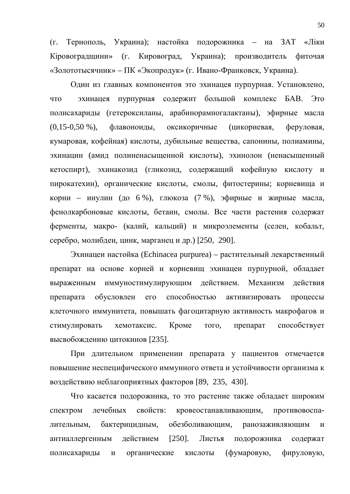(г. Тернополь, Украина); настойка подорожника – на ЗАТ «Ліки Кіровоградщини» (г. Кировоград, Украина); производитель фиточая «Золототысячник» – ПК «Экопродук» (г. Ивано-Франковск, Украина).

Один из главных компонентов это эхинацея пурпурная. Установлено, что эхинацея пурпурная содержит большой комплекс БАВ. Это полисахариды (гетероксиланы, арабинорамногалактаны), эфирные масла (0,15-0,50 %), флавоноиды, оксикоричные (цикориевая, феруловая, кумаровая, кофейная) кислоты, дубильные вещества, сапонины, полиамины, эхинацин (амид полиненасыщенной кислоты), эхинолон (ненасыщенный кетоспирт), эхинакозид (гликозид, содержащий кофейную кислоту и пирокатехин), органические кислоты, смолы, фитостерины; корневища и корни – инулин (до 6 %), глюкоза (7 %), эфирные и жирные масла, фенолкарбоновые кислоты, бетаин, смолы. Все части растения содержат ферменты, макро- (калий, кальций) и микроэлементы (селен, кобальт, серебро, молибден, цинк, марганец и др.) [250, 290].

Эхинацеи настойка (Echinacea purpurea) – растительный лекарственный препарат на основе корней и корневищ эхинацеи пурпурной, обладает выраженным иммуностимулирующим действием. Механизм действия препарата обусловлен его способностью активизировать процессы клеточного иммунитета, повышать фагоцитарную активность макрофагов и стимулировать хемотаксис. Кроме того, препарат способствует высвобождению цитокинов [235].

При длительном применении препарата у пациентов отмечается повышение неспецифического иммунного ответа и устойчивости организма к воздействию неблагоприятных факторов [89, 235, 430].

Что касается подорожника, то это растение также обладает широким спектром лечебных свойств: кровеостанавливающим, противовоспалительным, бактерицидным, обезболивающим, ранозаживляющим и антиаллергенным действием [250]. Листья подорожника содержат полисахариды и органические кислоты (фумаровую, фируловую,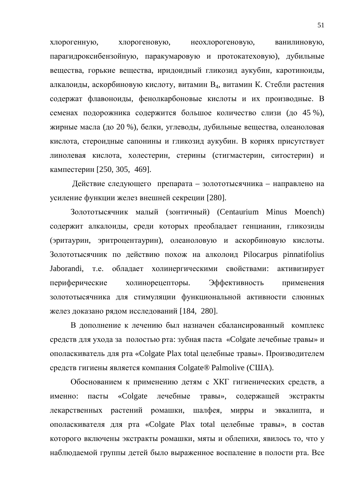хлорогенную, хлорогеновую, неохлорогеновую, ванилиновую, парагидроксибензойную, паракумаровую и протокатеховую), дубильные вещества, горькие вещества, иридоидный гликозид аукубин, каротиноиды, алкалоиды, аскорбиновую кислоту, витамин В<sub>4</sub>, витамин К. Стебли растения содержат флавоноиды, фенолкарбоновые кислоты и их производные. В семенах подорожника содержится большое количество слизи (до 45 %), жирные масла (до 20 %), белки, углеводы, дубильные вещества, олеаноловая кислота, стероидные сапонины и гликозид аукубин. В корнях присутствует линолевая кислота, холестерин, стерины (стигмастерин, ситостерин) и кампестерин [250, 305, 469].

Действие следующего препарата – золототысячника – направлено на усиление функции желез внешней секреции [280].

Золототысячник малый (зонтичный) (Centaurium Minus Moench) содержит алкалоиды, среди которых преобладает генцианин, гликозиды (эритаурин, эритроцентаурин), олеаноловую и аскорбиновую кислоты. Золототысячник по действию похож на алколоид Pilocarpus pinnatifolius Jaborandi, т.е. обладает холинергическими свойствами: активизирует периферические холинорецепторы. Эффективность применения золототысячника для стимуляции функциональной активности слюнных желез доказано рядом исследований [184, 280].

В дополнение к лечению был назначен сбалансированный комплекс средств для ухода за полостью рта: зубная паста «Colgate лечебные травы» и ополаскиватель для рта «Colgate Plax total целебные травы». Производителем средств гигиены является компания Colgate® Palmolive (США).

Обоснованием к применению детям с ХКГ гигиенических средств, а именно: пасты «Colgate лечебные травы», содержащей экстракты лекарственных растений ромашки, шалфея, мирры и эвкалипта, и ополаскивателя для pra «Colgate Plax total целебные травы», в состав которого включены экстракты ромашки, мяты и облепихи, явилось то, что у наблюдаемой группы детей было выраженное воспаление в полости рта. Все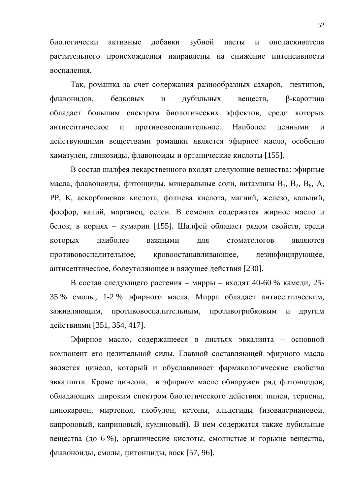биологически активные добавки зубной пасты и ополаскивателя растительного происхождения направлены на снижение интенсивности воспаления.

Так, ромашка за счет содержания разнообразных сахаров, пектинов, флавонидов, белковых и дубильных веществ, β-каротина обладает большим спектром биологических эффектов, среди которых антисептическое и противовоспалительное. Наиболее ценными и действующими веществами ромашки является эфирное масло, особенно хамазулен, гликозиды, флавоноиды и органические кислоты [155].

В состав шалфея лекарственного входят следующие вещества: эфирные масла, флавоноиды, фитонциды, минеральные соли, витамины  $B_1$ ,  $B_2$ ,  $B_6$ , A, РР, К, аскорбиновая кислота, фолиева кислота, магний, железо, кальций, фосфор, калий, марганец, селен. В семенах содержатся жирное масло и белок, в корнях – кумарин [155]. Шалфей обладает рядом свойств, среди которых наиболее важными для стоматологов являются противовоспалительное, кровоостанавливающее, дезинфицирующее, антисептическое, болеутоляющее и вяжущее действия [230].

В состав следующего растения – мирры – входят 40-60 % камеди, 25-35 % смолы, 1-2 % эфирного масла. Мирра обладает антисептическим, заживляющим, противовоспалительным, противогрибковым и другим действиями [351, 354, 417].

Эфирное масло, содержащееся в листьях эвкалипта – основной компонент его целительной силы. Главной составляющей эфирного масла является цинеол, который и обуславливает фармакологические свойства эвкалипта. Кроме цинеола, в эфирном масле обнаружен ряд фитонцидов, обладающих широким спектром биологического действия: пинен, терпены, пинокарвон, миртенол, глобулон, кетоны, альдегиды (изовалериановой, капроновый, каприновый, куминовый). В нем содержатся также дубильные вещества (до 6 %), органические кислоты, смолистые и горькие вещества, флавоноиды, смолы, фитонциды, воск [57, 96].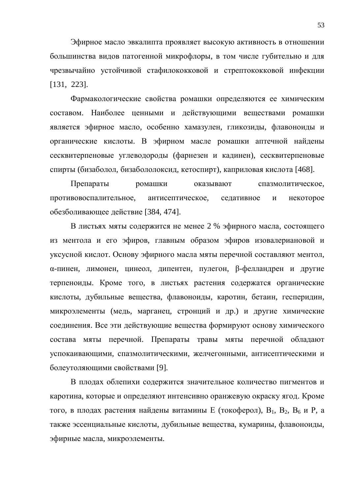Эфирное масло эвкалипта проявляет высокую активность в отношении большинства видов патогенной микрофлоры, в том числе губительно и для чрезвычайно устойчивой стафилококковой и стрептококковой инфекции [131, 223].

Фармакологические свойства ромашки определяются ее химическим составом. Наиболее ценными и действующими веществами ромашки является эфирное масло, особенно хамазулен, гликозиды, флавоноиды и органические кислоты. В эфирном масле ромашки аптечной найдены сесквитерпеновые углеводороды (фарнезен и кадинен), сесквитерпеновые спирты (бизаболол, бизабололоксид, кетоспирт), каприловая кислота [468].

Препараты ромашки оказывают спазмолитическое, противовоспалительное, антисептическое, седативное и некоторое обезболивающее действие [384, 474].

В листьях мяты содержится не менее 2 % эфирного масла, состоящего из ментола и его эфиров, главным образом эфиров изовалериановой и уксусной кислот. Основу эфирного масла мяты перечной составляют ментол, α-пинен, лимонен, цинеол, дипентен, пулегон, β-фелландрен и другие терпеноиды. Кроме того, в листьях растения содержатся органические кислоты, дубильные вещества, флавоноиды, каротин, бетаин, гесперидин, микроэлементы (медь, марганец, стронций и др.) и другие химические соединения. Все эти действующие вещества формируют основу химического состава мяты перечной. Препараты травы мяты перечной обладают успокаивающими, спазмолитическими, желчегонными, антисептическими и болеутоляющими свойствами [9].

В плодах облепихи содержится значительное количество пигментов и каротина, которые и определяют интенсивно оранжевую окраску ягод. Кроме того, в плодах растения найдены витамины Е (токоферол),  $B_1$ ,  $B_2$ ,  $B_6$  и P, а также эссенциальные кислоты, дубильные вещества, кумарины, флавоноиды, эфирные масла, микроэлементы.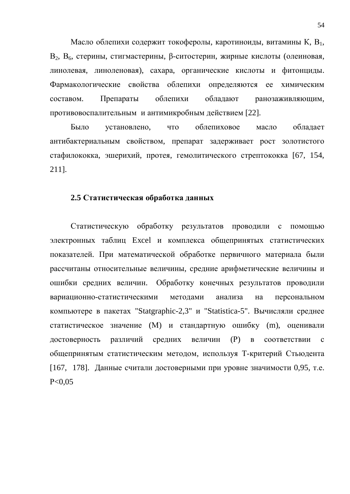Масло облепихи содержит токоферолы, каротиноиды, витамины К, В<sub>1</sub>, В, В, стерины, стигмастерины, β-ситостерин, жирные кислоты (олеиновая, линолевая, линоленовая), сахара, органические кислоты и фитонциды. Фармакологические свойства облепихи определяются ее химическим составом. Препараты облепихи обладают ранозаживляющим, противовоспалительным и антимикробным действием [22].

Было установлено, что облепиховое масло обладает антибактериальным свойством, препарат задерживает рост золотистого стафилококка, эшерихий, протея, гемолитического стрептококка [67, 154, 211].

### 2.5 Статистическая обработка данных

Статистическую обработку результатов проводили с помощью электронных таблиц Excel и комплекса общепринятых статистических показателей. При математической обработке первичного материала были рассчитаны относительные величины, средние арифметические величины и ошибки средних величин. Обработку конечных результатов проводили вариационно-статистическими методами анализа на персональном компьютере в пакетах "Statgraphic-2,3" и "Statistica-5". Вычисляли среднее статистическое значение (М) и стандартную ошибку (m), оценивали достоверность различий средних величин (P) в соответствии с общепринятым статистическим методом, используя Т-критерий Стьюдента [167, 178]. Данные считали достоверными при уровне значимости 0,95, т.е.  $P < 0.05$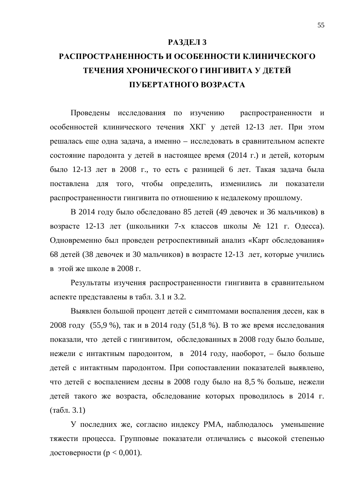### РАЗДЕЛ 3

## РАСПРОСТРАНЕННОСТЬ И ОСОБЕННОСТИ КЛИНИЧЕСКОГО ТЕЧЕНИЯ ХРОНИЧЕСКОГО ГИНГИВИТА У ДЕТЕЙ **ɉɍȻȿɊɌȺɌɇɈȽɈȼɈɁɊȺɋɌȺ**

Проведены исследования по изучению распространенности и особенностей клинического течения ХКГ у детей 12-13 лет. При этом решалась еще одна задача, а именно – исследовать в сравнительном аспекте состояние пародонта у детей в настоящее время (2014 г.) и детей, которым было 12-13 лет в 2008 г., то есть с разницей 6 лет. Такая задача была поставлена для того, чтобы определить, изменились ли показатели распространенности гингивита по отношению к недалекому прошлому.

В 2014 году было обследовано 85 детей (49 девочек и 36 мальчиков) в возрасте 12-13 лет (школьники 7-х классов школы № 121 г. Одесса). Одновременно был проведен ретроспективный анализ «Карт обследования» 68 детей (38 девочек и 30 мальчиков) в возрасте 12-13 лет, которые учились в этой же школе в 2008 г.

Результаты изучения распространенности гингивита в сравнительном аспекте представлены в табл. 3.1 и 3.2.

Выявлен большой процент детей с симптомами воспаления десен, как в 2008 году (55,9 %), так и в 2014 году (51,8 %). В то же время исследования показали, что детей с гингивитом, обследованных в 2008 году было больше, нежели с интактным пародонтом, в 2014 году, наоборот, – было больше детей с интактным пародонтом. При сопоставлении показателей выявлено, что детей с воспалением десны в 2008 году было на 8,5 % больше, нежели детей такого же возраста, обследование которых проводилось в 2014 г.  $(\text{табл. } 3.1)$ 

У последних же, согласно индексу РМА, наблюдалось уменьшение тяжести процесса. Групповые показатели отличались с высокой степенью достоверности ( $p < 0,001$ ).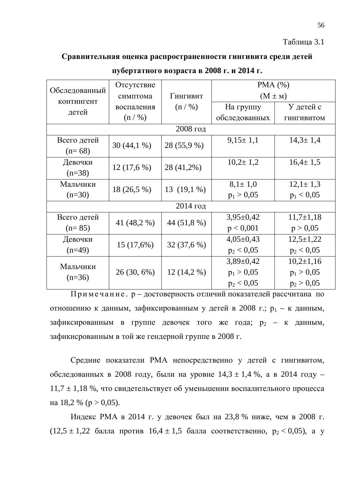### Таблица 3.1

### Сравнительная оценка распространенности гингивита среди детей

|                   | Отсутствие    |               | PMA $(%)$      |                   |  |
|-------------------|---------------|---------------|----------------|-------------------|--|
| Обследованный     | симптома      | Гингивит      | $(M \pm M)$    |                   |  |
| <b>КОНТИНГЕНТ</b> |               |               |                |                   |  |
| детей             | воспаления    | (n / %)       | На группу      | У детей с         |  |
|                   | (n / %)       |               | обследованных  | <b>ГИНГИВИТОМ</b> |  |
|                   |               | 2008 год      |                |                   |  |
| Всего детей       |               |               | $9,15 \pm 1,1$ | $14,3 \pm 1,4$    |  |
| $(n=68)$          | $30(44,1\%)$  | 28 (55,9 %)   |                |                   |  |
| Девочки           |               |               | $10,2 \pm 1,2$ | $16.4 \pm 1.5$    |  |
| $(n=38)$          | 12(17,6%)     | 28 (41,2%)    |                |                   |  |
| Мальчики          |               |               | $8,1 \pm 1,0$  | $12,1 \pm 1,3$    |  |
| $(n=30)$          | 18 (26,5 %)   | 13 $(19,1\%)$ | $p_1 > 0,05$   | $p_1 < 0.05$      |  |
| $2014$ год        |               |               |                |                   |  |
| Всего детей       | 41 (48,2 %)   | 44 (51,8 %)   | $3,95\pm0,42$  | $11,7\pm1,18$     |  |
| $(n=85)$          |               |               | p < 0,001      | p > 0,05          |  |
| Девочки           |               |               | $4,05\pm0,43$  | $12,5+1,22$       |  |
| $(n=49)$          | 15(17,6%)     | 32 (37,6 %)   | $p_2 < 0.05$   | $p_2 < 0.05$      |  |
|                   |               |               | $3,89\pm0,42$  | $10,2{\pm}1,16$   |  |
| Мальчики          | $26(30, 6\%)$ | $12(14,2\%)$  | $p_1 > 0.05$   | $p_1 > 0.05$      |  |
| $(n=36)$          |               |               | $p_2 < 0.05$   | $p_2 > 0,05$      |  |

ПУбертатного возраста в 2008 г. и 2014 г.

 $\Pi$ римечание. р – достоверность отличий показателей рассчитана по отношению к данным, зафиксированным у детей в 2008 г.; р<sub>1</sub> – к данным, зафиксированным в группе девочек того же года;  $p_2 - \kappa$  данным, зафикисрованным в той же гендерной группе в 2008 г.

Средние показатели РМА непосредственно у детей с гингивитом, обследованных в 2008 году, были на уровне  $14,3 \pm 1,4$  %, а в 2014 году –  $11,7 \pm 1,18$  %, что свидетельствует об уменьшении воспалительного процесса на 18,2 % (р > 0,05).

Индекс РМА в 2014 г. у девочек был на 23,8 % ниже, чем в 2008 г.  $(12,5 \pm 1,22)$  балла против  $16,4 \pm 1,5$  балла соответственно,  $p_2 < 0,05$ ), а у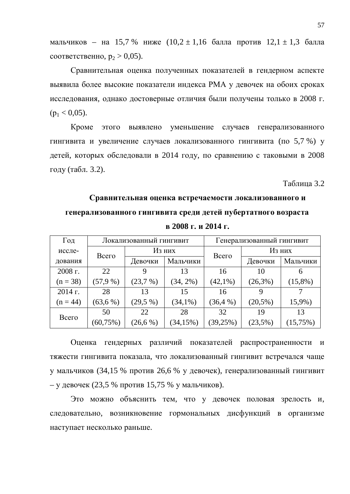мальчиков – на 15,7 % ниже  $(10,2 \pm 1,16)$  балла против  $12,1 \pm 1,3$  балла COOTBETCTBEHHO,  $p_2 > 0.05$ ).

Сравнительная оценка полученных показателей в гендерном аспекте выявила более высокие показатели индекса РМА у девочек на обоих сроках исследования, однако достоверные отличия были получены только в 2008 г.  $(p_1 < 0.05)$ .

Кроме этого выявлено уменьшение случаев генерализованного гингивита и увеличение случаев локализованного гингивита (по 5,7 %) у детей, которых обследовали в 2014 году, по сравнению с таковыми в 2008 году (табл. 3.2).

Таблица 3.2

# Сравнительная оценка встречаемости локализованного и генерализованного гингивита среди детей пубертатного возраста

| Год        |              | Локализованный гингивит |              |            | Генерализованный гингивит |            |
|------------|--------------|-------------------------|--------------|------------|---------------------------|------------|
| иссле-     | Всего        |                         | Из них       |            | Из них                    |            |
| дования    |              | Девочки                 | Мальчики     | Всего      | Девочки                   | Мальчики   |
| 2008 г.    | 22           | 9                       | 13           | 16         | 10                        | 6          |
| $(n = 38)$ | (57,9%       | (23,7%)                 | $(34, 2\%)$  | $(42,1\%)$ | $(26,3\%)$                | $(15,8\%)$ |
| $2014$ г.  | 28           | 13                      | 15           | 16         | 9                         |            |
| $(n = 44)$ | (63, 6%)     | $(29,5\%)$              | $(34,1\%)$   | (36,4%     | $(20,5\%)$                | 15,9%)     |
| Всего      | 50           | 22                      | 28           | 32         | 19                        | 13         |
|            | $(60, 75\%)$ | (26, 6%)                | $(34, 15\%)$ | (39,25%)   | (23,5%)                   | (15,75%)   |

 $B$  2008 Г. И 2014 Г.

Оценка гендерных различий показателей распространенности и тяжести гингивита показала, что локализованный гингивит встречался чаще у мальчиков (34,15 % против 26,6 % у девочек), генерализованный гингивит – у девочек (23,5 % против 15,75 % у мальчиков).

Это можно объяснить тем, что у девочек половая зрелость и, следовательно, возникновение гормональных дисфункций в организме наступает несколько раньше.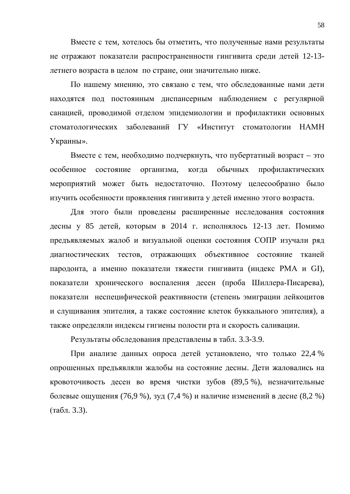Вместе с тем, хотелось бы отметить, что полученные нами результаты не отражают показатели распространенности гингивита среди детей 12-13летнего возраста в целом по стране, они значительно ниже.

По нашему мнению, это связано с тем, что обследованные нами дети находятся под постоянным диспансерным наблюдением с регулярной санацией, проводимой отделом эпидемиологии и профилактики основных стоматологических заболеваний ГУ «Институт стоматологии НАМН Украины».

Вместе с тем, необходимо подчеркнуть, что пубертатный возраст – это особенное состояние организма, когда обычных профилактических мероприятий может быть недостаточно. Поэтому целесообразно было изучить особенности проявления гингивита у детей именно этого возраста.

Для этого были проведены расширенные исследования состояния десны у 85 детей, которым в 2014 г. исполнялось 12-13 лет. Помимо предъявляемых жалоб и визуальной оценки состояния СОПР изучали ряд диагностических тестов, отражающих объективное состояние тканей пародонта, а именно показатели тяжести гингивита (индекс РМА и GI), показатели хронического воспаления десен (проба Шиллера-Писарева), показатели неспецифической реактивности (степень эмиграции лейкоцитов и слущивания эпителия, а также состояние клеток буккального эпителия), а также определяли индексы гигиены полости рта и скорость саливации.

Результаты обследования представлены в табл. 3.3-3.9.

При анализе данных опроса детей установлено, что только 22,4 % опрошенных предъявляли жалобы на состояние десны. Дети жаловались на кровоточивость десен во время чистки зубов (89,5 %), незначительные болевые ощущения (76,9 %), зуд (7,4 %) и наличие изменений в десне (8,2 %)  $(табл. 3.3).$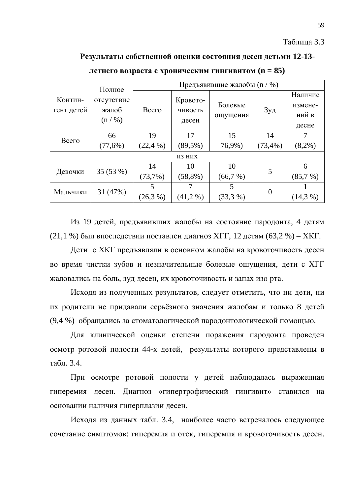### Таблица 3.3

### Результаты собственной оценки состояния десен детьми 12-13-

|            | Полное     | Предъявившие жалобы (n / %) |            |          |                 |            |
|------------|------------|-----------------------------|------------|----------|-----------------|------------|
| Контин-    | отсутствие |                             | Кровото-   |          |                 | Наличие    |
| гент детей | жалоб      | Всего                       | чивость    | Болевые  | 3y <sub>A</sub> | измене-    |
|            | (n / %)    |                             |            | ощущения |                 | ний в      |
|            |            |                             | десен      |          |                 | десне      |
| Всего      | 66         | 19                          | 17         | 15       | 14              |            |
|            | (77,6%)    | (22,4%                      | $(89,5\%)$ | 76,9%)   | (73,4%          | $(8,2\%)$  |
| ИЗ НИХ     |            |                             |            |          |                 |            |
| Девочки    | 35 (53 %)  | 14                          | 10         | 10       | 5               | 6          |
|            |            | $(73,7\%)$                  | $(58,8\%)$ | (66,7%)  |                 | (85,7%)    |
| Мальчики   | 31 (47%)   |                             |            | 5        | $\theta$        |            |
|            |            | (26,3%                      | $(41,2\%)$ | (33,3,9) |                 | $(14,3\%)$ |

**ИСТНЕГО ВОЗРАСТА С ХРОНИЧЕСКИМ ГИНГИВИТОМ (n = 85)** 

Из 19 детей, предъявивших жалобы на состояние пародонта, 4 детям (21,1 %) был впоследствии поставлен диагноз ХГГ, 12 детям (63,2 %) – ХКГ.

Дети с ХКГ предъявляли в основном жалобы на кровоточивость десен во время чистки зубов и незначительные болевые ощущения, дети с XГГ жаловались на боль, зуд десен, их кровоточивость и запах изо рта.

Исходя из полученных результатов, следует отметить, что ни дети, ни их родители не придавали серьёзного значения жалобам и только 8 детей (9,4 %) обращались за стоматологической пародонтологической помощью.

Для клинической оценки степени поражения пародонта проведен осмотр ротовой полости 44-х детей, результаты которого представлены в табл. 3.4.

При осмотре ротовой полости у детей наблюдалась выраженная гиперемия десен. Диагноз «гипертрофический гингивит» ставился на основании наличия гиперплазии десен.

Исходя из данных табл. 3.4, наиболее часто встречалось следующее сочетание симптомов: гиперемия и отек, гиперемия и кровоточивость десен.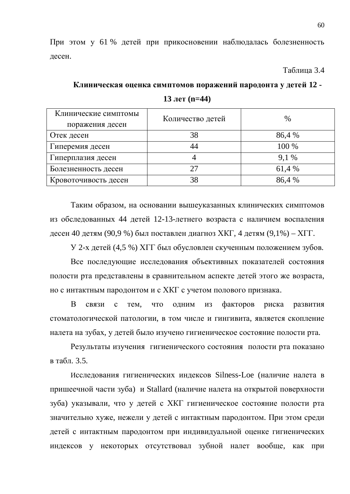При этом у 61 % детей при прикосновении наблюдалась болезненность десен.

Таблица 3.4

### Клиническая оценка симптомов поражений пародонта у детей 12 -

| Клинические симптомы<br>поражения десен | Количество детей | $\frac{0}{0}$ |
|-----------------------------------------|------------------|---------------|
| Отек десен                              | 38               | 86,4 %        |
| Гиперемия десен                         | 44               | 100 %         |
| Гиперплазия десен                       |                  | 9.1 %         |
| Болезненность десен                     | 27               | 61,4 %        |
| Кровоточивость десен                    | 38               | 86,4 %        |

**13** лет ( $n=44$ )

Таким образом, на основании вышеуказанных клинических симптомов из обследованных 44 детей 12-13-летнего возраста с наличием воспаления десен 40 детям (90,9 %) был поставлен диагноз ХКГ, 4 детям (9,1%) – ХГГ.

У 2-х детей (4,5 %) ХГГ был обусловлен скученным положением зубов.

Все последующие исследования объективных показателей состояния полости рта представлены в сравнительном аспекте детей этого же возраста, но с интактным пародонтом и с XKГ с учетом полового признака.

В связи с тем, что одним из факторов риска развития стоматологической патологии, в том числе и гингивита, является скопление налета на зубах, у детей было изучено гигиеническое состояние полости рта.

Результаты изучения гигиенического состояния полости рта показано в табл. 3.5.

Исследования гигиенических индексов Silness-Loe (наличие налета в пришеечной части зуба) и Stallard (наличие налета на открытой поверхности зуба) указывали, что у детей с ХКГ гигиеническое состояние полости рта значительно хуже, нежели у детей с интактным пародонтом. При этом среди детей с интактным пародонтом при индивидуальной оценке гигиенических индексов у некоторых отсутствовал зубной налет вообще, как при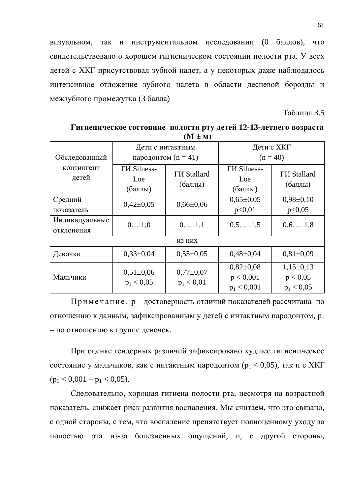визуальном, так и инструментальном исследовании (0 баллов), что свидетельствовало о хорошем гигиеническом состоянии полости рта. У всех детей с ХКГ присутствовал зубной налет, а у некоторых даже наблюдалось интенсивное отложение зубного налета в области десневой борозды и межзубного промежутка (3 балла)

Таблица 3.5

| Обследованный                | Дети с интактным<br>пародонтом $(n = 41)$ |                                 | Дети с ХКГ<br>$(n = 40)$                      |                                           |  |
|------------------------------|-------------------------------------------|---------------------------------|-----------------------------------------------|-------------------------------------------|--|
| <b>КОНТИНГЕНТ</b><br>детей   | <b>TH</b> Silness-<br>Loe<br>(баллы)      | <b>ГИ Stallard</b><br>(баллы)   | <b>TH</b> Silness-<br>Loe<br>(баллы)          | <b>ГИ Stallard</b><br>(баллы)             |  |
| Средний<br>показатель        | $0,42\pm0,05$                             | $0,66 \pm 0,06$                 | $0.65 \pm 0.05$<br>p<0,01                     | $0,98 \pm 0,10$<br>p<0,05                 |  |
| Индивидуальные<br>отклонения | 01,0                                      | $0. \ldots 1, 1$                | $0, 5, \ldots, 1, 5$                          | $0, 6, \ldots, 1, 8$                      |  |
|                              |                                           | ИЗ НИХ                          |                                               |                                           |  |
| Девочки                      | $0,33\pm0,04$                             | $0,55\pm0.05$                   | $0,48\pm0,04$                                 | $0.81 \pm 0.09$                           |  |
| Мальчики                     | $0,51\pm0,06$<br>$p_1 < 0.05$             | $0.77 \pm 0.07$<br>$p_1 < 0.01$ | $0,82{\pm}0,08$<br>p < 0,001<br>$p_1 < 0,001$ | $1,15\pm0,13$<br>p < 0.05<br>$p_1 < 0.05$ |  |

Гигиеническое состояние полости рту детей 12-13-летнего возраста  $(M + M)$ 

Примечание. р – достоверность отличий показателей рассчитана по отношению к данным, зафиксированным у детей с интактным пародонтом, p<sub>1</sub> – по отношению к группе девочек.

При оценке гендерных различий зафиксировано худшее гигиеническое состояние у мальчиков, как с интактным пародонтом ( $p_1 < 0.05$ ), так и с XKГ  $(p_1 < 0.001 - p_1 < 0.05)$ .

Следовательно, хорошая гигиена полости рта, несмотря на возрастной показатель, снижает риск развития воспаления. Мы считаем, что это связано, с одной стороны, с тем, что воспаление препятствует полноценному уходу за полостью рта из-за болезненных ощущений, и, с другой стороны,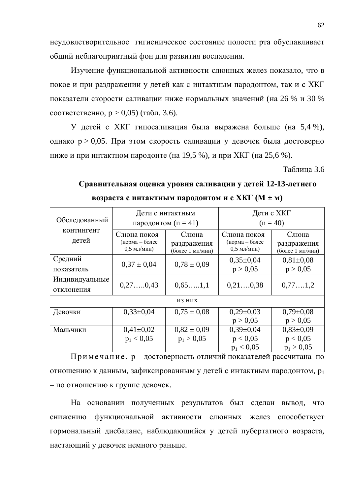неудовлетворительное гигиеническое состояние полости рта обуславливает общий неблагоприятный фон для развития воспаления.

Изучение функциональной активности слюнных желез показало, что в покое и при раздражении у детей как с интактным пародонтом, так и с ХКГ показатели скорости саливации ниже нормальных значений (на 26 % и 30 % соответственно,  $p > 0.05$ ) (табл. 3.6).

У детей с ХКГ гипосаливация была выражена больше (на 5,4 %), однако  $p > 0.05$ . При этом скорость саливации у девочек была достоверно ниже и при интактном пародонте (на 19,5 %), и при ХКГ (на 25,6 %).

Таблина 3.6

## Сравнительная оценка уровня саливации у детей 12-13-летнего **BO3PACTA C ИНТАКТНЫМ ПАРОДОНТОМ И С ХКГ (M**  $\pm$  **M)**

|                            |                                                | Дети с интактным     | Дети с ХКГ                                     |                      |  |
|----------------------------|------------------------------------------------|----------------------|------------------------------------------------|----------------------|--|
| Обследованный              | пародонтом $(n = 41)$                          |                      |                                                | $(n = 40)$           |  |
| <b>КОНТИНГЕНТ</b><br>детей | Слюна покоя<br>(норма – более<br>$0,5$ мл/мин) | Слюна<br>раздражения | Слюна покоя<br>(норма – более<br>$0,5$ мл/мин) | Слюна<br>раздражения |  |
|                            |                                                | (более 1 мл/мин)     |                                                | (более 1 мл/мин)     |  |
| Средний                    | $0.37 \pm 0.04$                                | $0.78 \pm 0.09$      | $0,35\pm0.04$                                  | $0.81 \pm 0.08$      |  |
| показатель                 |                                                |                      | p > 0,05                                       | p > 0,05             |  |
| Индивидуальные             |                                                |                      |                                                |                      |  |
| отклонения                 | 0,27,0,43                                      | 0,65,1,1             | 0,210,38                                       | 0,771,2              |  |
|                            |                                                | ИЗ НИХ               |                                                |                      |  |
| Девочки                    | $0,33\pm0,04$                                  | $0.75 \pm 0.08$      | $0,29\pm0,03$                                  | $0,79 \pm 0,08$      |  |
|                            |                                                |                      | p > 0,05                                       | p > 0,05             |  |
| Мальчики                   | $0,41\pm0,02$                                  | $0.82 \pm 0.09$      | $0,39\pm0,04$                                  | $0,83\pm0,09$        |  |
|                            | $p_1 < 0.05$                                   | $p_1 > 0.05$         | p < 0.05                                       | p < 0.05             |  |
|                            |                                                |                      | $p_1 < 0.05$                                   | $p_1 > 0.05$         |  |

 $\Pi$ римечание. р – достоверность отличий показателей рассчитана по отношению к данным, зафиксированным у детей с интактным пародонтом, p<sub>1</sub> – по отношению к группе девочек.

На основании полученных результатов был сделан вывод, что снижению функциональной активности слюнных желез способствует гормональный дисбаланс, наблюдающийся у детей пубертатного возраста, настающий у девочек немного раньше.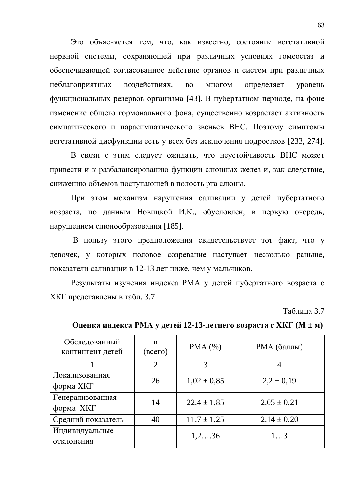Это объясняется тем, что, как известно, состояние вегетативной нервной системы, сохраняющей при различных условиях гомеостаз и обеспечивающей согласованное действие органов и систем при различных неблагоприятных воздействиях, во многом определяет уровень функциональных резервов организма [43]. В пубертатном периоде, на фоне изменение общего гормонального фона, существенно возрастает активность симпатического и парасимпатического звеньев ВНС. Поэтому симптомы вегетативной дисфункции есть у всех без исключения подростков [233, 274].

В связи с этим следует ожидать, что неустойчивость ВНС может привести и к разбалансированию функции слюнных желез и, как следствие, снижению объемов поступающей в полость рта слюны.

При этом механизм нарушения саливации у детей пубертатного возраста, по данным Новицкой И.К., обусловлен, в первую очередь, нарушением слюнообразования [185].

В пользу этого предположения свидетельствует тот факт, что у девочек, у которых половое созревание наступает несколько раньше, показатели саливации в 12-13 лет ниже, чем у мальчиков.

Результаты изучения индекса РМА у детей пубертатного возраста с ХКГ представлены в табл. 3.7

Таблица 3.7

| Обследованный<br>контингент детей | n<br>$($ BCC $\Gamma$ O $)$ | PMA(%)            | РМА (баллы)     |
|-----------------------------------|-----------------------------|-------------------|-----------------|
|                                   | $\overline{2}$              | 3                 | 4               |
| Локализованная<br>форма ХКГ       | 26                          | $1,02 \pm 0,85$   | $2,2 \pm 0,19$  |
| Генерализованная<br>форма ХКГ     | 14                          | $22.4 \pm 1.85$   | $2,05 \pm 0,21$ |
| Средний показатель                | 40                          | $11.7 \pm 1.25$   | $2,14 \pm 0,20$ |
| Индивидуальные<br>отклонения      |                             | $1, 2, \ldots 36$ | 13              |

**ɈɰɟɧɤɚɢɧɞɟɤɫɚɊɆȺɭɞɟɬɟɣ 12-13-ɥɟɬɧɟɝɨɜɨɡɪɚɫɬɚɫɏɄȽ (Ɇ ± ɦ)**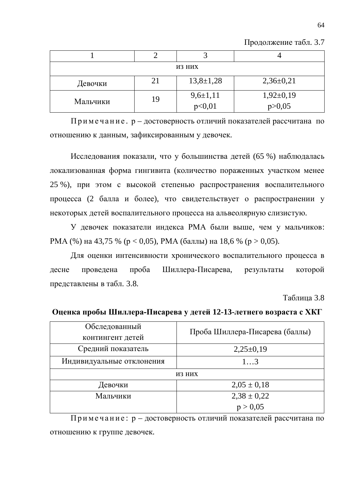| Продолжение табл. 3.7 |  |  |
|-----------------------|--|--|
|-----------------------|--|--|

| ИЗ НИХ   |    |                        |                           |  |  |
|----------|----|------------------------|---------------------------|--|--|
| Девочки  | 21 | $13,8 \pm 1,28$        | $2,36\pm0,21$             |  |  |
| Мальчики | 19 | $9,6\pm1,11$<br>p<0,01 | $1,92\pm0,19$<br>p > 0,05 |  |  |

Примечание. р – достоверность отличий показателей рассчитана по отношению к данным, зафиксированным у девочек.

Исследования показали, что у большинства детей (65 %) наблюдалась локализованная форма гингивита (количество пораженных участком менее 25 %), при этом с высокой степенью распространения воспалительного процесса (2 балла и более), что свидетельствует о распространении у некоторых детей воспалительного процесса на альвеолярную слизистую.

У девочек показатели индекса РМА были выше, чем у мальчиков: PMA (%) на 43,75 % ( $p < 0.05$ ), PMA (баллы) на 18,6 % ( $p > 0.05$ ).

Для оценки интенсивности хронического воспалительного процесса в десне проведена проба Шиллера-Писарева, результаты которой представлены в табл. 3.8.

Таблина 3.8

| Обследованный             | Проба Шиллера-Писарева (баллы) |
|---------------------------|--------------------------------|
| контингент детей          |                                |
| Средний показатель        | $2,25\pm0,19$                  |
| Индивидуальные отклонения | 13                             |
|                           | ИЗ НИХ                         |
| Девочки                   | $2,05 \pm 0,18$                |
| Мальчики                  | $2,38 \pm 0,22$                |
|                           | p > 0.05                       |

Оценка пробы Шиллера-Писарева у детей 12-13-летнего возраста с ХКГ

Примечание:  $p - q$ остоверность отличий показателей рассчитана по отношению к группе девочек.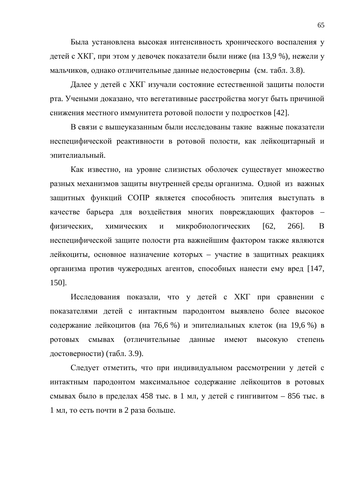Была установлена высокая интенсивность хронического воспаления у детей с ХКГ, при этом у девочек показатели были ниже (на 13,9 %), нежели у мальчиков, однако отличительные данные недостоверны (см. табл. 3.8).

Далее у детей с ХКГ изучали состояние естественной защиты полости рта. Учеными доказано, что вегетативные расстройства могут быть причиной снижения местного иммунитета ротовой полости у подростков [42].

В связи с вышеуказанным были исследованы такие важные показатели неспецифической реактивности в ротовой полости, как лейкоцитарный и эпителиальный.

Как известно, на уровне слизистых оболочек существует множество разных механизмов защиты внутренней среды организма. Одной из важных защитных функций СОПР является способность эпителия выступать в качестве барьера для воздействия многих повреждающих факторов – физических, химических и микробиологических [62, 266]. В неспецифической защите полости рта важнейшим фактором также являются лейкоциты, основное назначение которых – участие в защитных реакциях организма против чужеродных агентов, способных нанести ему вред [147, 150].

Исследования показали, что у детей с ХКГ при сравнении с показателями детей с интактным пародонтом выявлено более высокое содержание лейкоцитов (на 76,6 %) и эпителиальных клеток (на 19,6 %) в ротовых смывах (отличительные данные имеют высокую степень достоверности) (табл. 3.9).

Следует отметить, что при индивидуальном рассмотрении у детей с интактным пародонтом максимальное содержание лейкоцитов в ротовых смывах было в пределах 458 тыс. в 1 мл, у детей с гингивитом – 856 тыс. в 1 мл, то есть почти в 2 раза больше.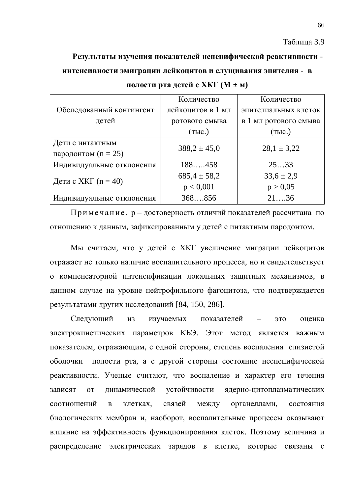Таблица 3.9

### Результаты изучения показателей непецифической реактивности -

### ИНТЕНСИВНОСТИ ЭМИГРАЦИИ ЛЕЙКОЦИТОВ И СЛУЩИВАНИЯ ЭПИТЕЛИЯ - В

|                           | Количество        | Количество            |
|---------------------------|-------------------|-----------------------|
| Обследованный контингент  | лейкоцитов в 1 мл | эпителиальных клеток  |
| детей                     | ротового смыва    | в 1 мл ротового смыва |
|                           | (тыс.)            | (TbIC.)               |
| Дети с интактным          | $388,2 \pm 45,0$  | $28,1 \pm 3,22$       |
| пародонтом (n = 25)       |                   |                       |
| Индивидуальные отклонения | 188458            | 2533                  |
| Дети с ХКГ $(n = 40)$     | $685,4 \pm 58,2$  | $33,6 \pm 2,9$        |
|                           | p < 0,001         | p > 0,05              |
| Индивидуальные отклонения | 368856            | 2136                  |

**ПОЛОСТИ РТА ДЕТЕЙ С ХКГ (М ± м)** 

Примечание. р – достоверность отличий показателей рассчитана по отношению к данным, зафиксированным у детей с интактным пародонтом.

Мы считаем, что у детей с ХКГ увеличение миграции лейкоцитов отражает не только наличие воспалительного процесса, но и свидетельствует о компенсаторной интенсификации локальных защитных механизмов, в данном случае на уровне нейтрофильного фагоцитоза, что подтверждается результатами других исследований [84, 150, 286].

Следующий из изучаемых показателей – это оценка электрокинетических параметров КБЭ. Этот метод является важным показателем, отражающим, с одной стороны, степень воспаления слизистой оболочки полости рта, а с другой стороны состояние неспецифической реактивности. Ученые считают, что воспаление и характер его течения зависят от динамической устойчивости ядерно-цитоплазматических соотношений в клетках, связей между органеллами, состояния биологических мембран и, наоборот, воспалительные процессы оказывают влияние на эффективность функционирования клеток. Поэтому величина и распределение электрических зарядов в клетке, которые связаны с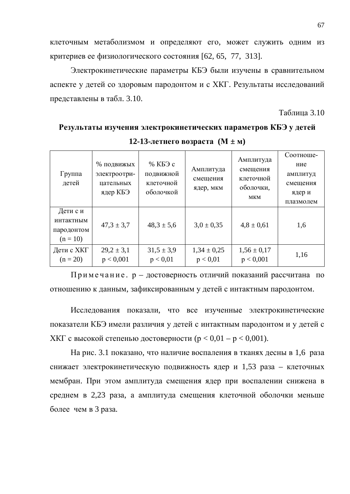клеточным метаболизмом и определяют его, может служить одним из критериев ее физиологического состояния [62, 65, 77, 313].

Электрокинетические параметры КБЭ были изучены в сравнительном аспекте у детей со здоровым пародонтом и с ХКГ. Результаты исследований представлены в табл. 3.10.

Таблица 3.10

Результаты изучения электрокинетических параметров КБЭ у детей **12-13-И** $\text{H} \text{E}$  **+**  $\text{H} \text{F}$ 

| Группа<br>детей                                   | % подвижых<br>электроотри-<br>цательных<br>ядер КБЭ | % КБЭ с<br>подвижной<br>клеточной<br>оболочкой | Амплитуда<br>смещения<br>ядер, мкм | Амплитуда<br>смещения<br>клеточной<br>оболочки,<br><b>MKM</b> | Соотноше-<br>ние<br>амплитуд<br>смещения<br>ядер и<br>плазмолем |
|---------------------------------------------------|-----------------------------------------------------|------------------------------------------------|------------------------------------|---------------------------------------------------------------|-----------------------------------------------------------------|
| Дети с и<br>интактным<br>пародонтом<br>$(n = 10)$ | $47.3 \pm 3.7$                                      | $48.3 \pm 5.6$                                 | $3.0 \pm 0.35$                     | $4,8 \pm 0,61$                                                | 1,6                                                             |
| Дети с ХКГ<br>$(n = 20)$                          | $29,2 \pm 3,1$<br>p < 0,001                         | $31,5 \pm 3,9$<br>p < 0.01                     | $1,34 \pm 0,25$<br>p < 0.01        | $1,56 \pm 0,17$<br>p < 0,001                                  | 1,16                                                            |

Примечание. р – достоверность отличий показаний рассчитана по отношению к данным, зафиксированным у детей с интактным пародонтом.

Исследования показали, что все изученные электрокинетические показатели КБЭ имели различия у детей с интактным пародонтом и у детей с XKГ с высокой степенью достоверности ( $p < 0.01 - p < 0.001$ ).

На рис. 3.1 показано, что наличие воспаления в тканях десны в 1,6 раза снижает электрокинетическую подвижность ядер и 1,53 раза – клеточных мембран. При этом амплитуда смещения ядер при воспалении снижена в среднем в 2,23 раза, а амплитуда смещения клеточной оболочки меньше более чем в 3 раза.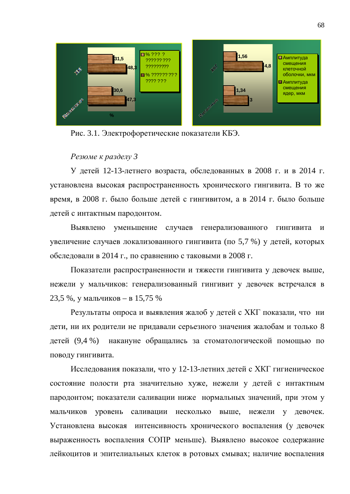

Рис. 3.1. Электрофоретические показатели КБЭ.

### $P$ езюме к разделу 3

У детей 12-13-летнего возраста, обследованных в 2008 г. и в 2014 г. установлена высокая распространенность хронического гингивита. В то же время, в 2008 г. было больше детей с гингивитом, а в 2014 г. было больше детей с интактным пародонтом.

Выявлено уменьшение случаев генерализованного гингивита и увеличение случаев локализованного гингивита (по 5,7 %) у детей, которых обследовали в 2014 г., по сравнению с таковыми в 2008 г.

Показатели распространенности и тяжести гингивита у девочек выше, нежели у мальчиков: генерализованный гингивит у девочек встречался в 23,5 %, у мальчиков – в 15,75 %

Результаты опроса и выявления жалоб у детей с ХКГ показали, что ни дети, ни их родители не придавали серьезного значения жалобам и только 8 детей (9,4 %) накануне обращались за стоматологической помощью по поводу гингивита.

Исследования показали, что у 12-13-летних детей с ХКГ гигиеническое состояние полости рта значительно хуже, нежели у детей с интактным пародонтом; показатели саливации ниже нормальных значений, при этом у мальчиков уровень саливации несколько выше, нежели у девочек. Установлена высокая интенсивность хронического воспаления (у девочек выраженность воспаления СОПР меньше). Выявлено высокое содержание лейкоцитов и эпителиальных клеток в ротовых смывах; наличие воспаления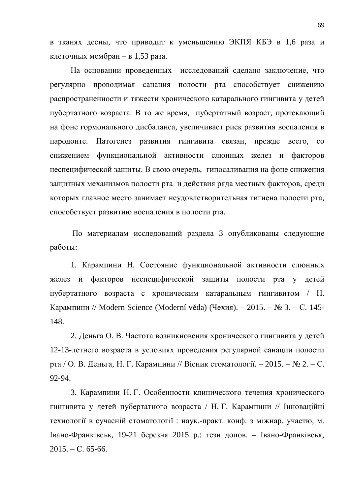в тканях десны, что приводит к уменьшению ЭКПЯ КБЭ в 1,6 раза и клеточных мембран – в 1,53 раза.

На основании проведенных исследований сделано заключение, что регулярно проводимая санация полости рта способствует снижению распространенности и тяжести хронического катарального гингивита у детей пубертатного возраста. В то же время, пубертатный возраст, протекающий на фоне гормонального дисбаланса, увеличивает риск развития воспаления в пародонте. Патогенез развития гингивита связан, прежде всего, со снижением функциональной активности слюнных желез и факторов неспецифической защиты. В свою очередь, гипосаливация на фоне снижения защитных механизмов полости рта и действия ряда местных факторов, среди которых главное место занимает неудовлетворительная гигиена полости рта, способствует развитию воспаления в полости рта.

По материалам исследований раздела 3 опубликованы следующие работы:

1. Карампини Н. Состояние функциональной активности слюнных желез и факторов неспецифической защиты полости рта у детей пубертатного возраста с хроническим катаральным гингивитом / Н. Карампини // Modern Science (Moderní věda) (Чехия). – 2015. – № 3. – С. 145-148.

2. Деньга О. В. Частота возникновения хронического гингивита у детей 12-13-летнего возраста в условиях проведения регулярной санации полости рта / О. В. Деньга, Н. Г. Карампини // Вісник стоматології. – 2015. – № 2. – С. 92-94.

3. Карампини Н. Г. Особенности клинического течения хронического гингивита у детей пубертатного возраста / Н. Г. Карампини // Інноваційні технології в сучасній стоматології: наук.-практ. конф. з міжнар. участю, м. Iвано-Франківськ, 19-21 березня 2015 р.: тези допов. – Івано-Франківськ,  $2015. - C. 65-66.$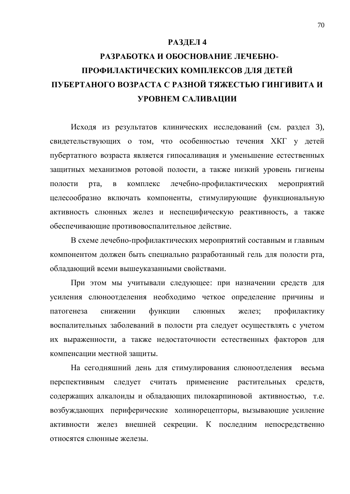### **РАЗДЕЛ 4**

# РАЗРАБОТКА И ОБОСНОВАНИЕ ЛЕЧЕБНО-ПРОФИЛАКТИЧЕСКИХ КОМПЛЕКСОВ ДЛЯ ДЕТЕЙ **ɉɍȻȿɊɌȺɇɈȽɈȼɈɁɊȺɋɌȺɋɊȺɁɇɈɃɌəɀȿɋɌɖɘȽɂɇȽɂȼɂɌȺɂ УРОВНЕМ САЛИВАЦИИ**

Исходя из результатов клинических исследований (см. раздел 3), свидетельствующих о том, что особенностью течения ХКГ у детей пубертатного возраста является гипосаливация и уменьшение естественных защитных механизмов ротовой полости, а также низкий уровень гигиены полости рта, в комплекс лечебно-профилактических мероприятий целесообразно включать компоненты, стимулирующие функциональную активность слюнных желез и неспецифическую реактивность, а также обеспечивающие противовоспалительное действие.

В схеме лечебно-профилактических мероприятий составным и главным компонентом должен быть специально разработанный гель для полости рта, обладающий всеми вышеуказанными свойствами.

При этом мы учитывали следующее: при назначении средств для усиления слюноотделения необходимо четкое определение причины и патогенеза снижении функции слюнных желез; профилактику воспалительных заболеваний в полости рта следует осуществлять с учетом их выраженности, а также недостаточности естественных факторов для компенсации местной зашиты.

На сегодняшний день для стимулирования слюноотделения весьма перспективным следует считать применение растительных средств, содержащих алкалоиды и обладающих пилокарпиновой активностью, т.е. возбуждающих периферические холинорецепторы, вызывающие усиление активности желез внешней секреции. К последним непосредственно относятся слюнные железы.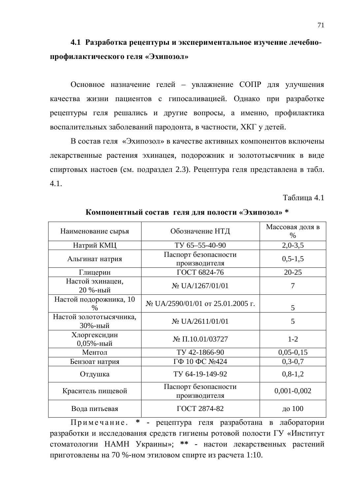### **4.1 Ɋɚɡɪɚɛɨɬɤɚɪɟɰɟɩɬɭɪɵɢɷɤɫɩɟɪɢɦɟɧɬɚɥɶɧɨɟɢɡɭɱɟɧɢɟɥɟɱɟɛɧɨ**профилактического геля «Эхипозол»

Основное назначение гелей – увлажнение СОПР для улучшения качества жизни пациентов с гипосаливацией. Однако при разработке рецептуры геля решались и другие вопросы, а именно, профилактика воспалительных заболеваний пародонта, в частности, ХКГ у детей.

В состав геля «Эхипозол» в качестве активных компонентов включены лекарственные растения эхинацея, подорожник и золототысячник в виде спиртовых настоев (см. подраздел 2.3). Рецептура геля представлена в табл. 4.1.

Таблина 4.1

| Наименование сырья                      | Обозначение НТД                               | Массовая доля в<br>$\%$ |
|-----------------------------------------|-----------------------------------------------|-------------------------|
| Натрий КМЦ                              | TV 65-55-40-90                                | $2,0-3,5$               |
| Альгинат натрия                         | Паспорт безопасности<br>производителя         | $0, 5 - 1, 5$           |
| Глицерин                                | ГОСТ 6824-76                                  | $20 - 25$               |
| Настой эхинацеи,<br>20 %-ный            | N <sub>2</sub> UA/1267/01/01                  | 7                       |
| Настой подорожника, 10<br>$\frac{0}{0}$ | $\mathcal{N}$ UA/2590/01/01 от 25.01.2005 г.  | 5                       |
| Настой золототысячника,<br>30%-ный      | N <sub>2</sub> UA/2611/01/01                  | 5                       |
| Хлоргексидин<br>$0,05%$ -ный            | $\mathcal{N}$ <sup>o</sup> $\Pi$ .10.01/03727 | $1-2$                   |
| Ментол<br>TV 42-1866-90                 |                                               | $0,05-0,15$             |
| Бензоат натрия                          | ГФ 10 ФС №424                                 | $0, 3 - 0, 7$           |
| Отдушка                                 | TV 64-19-149-92                               | $0,8-1,2$               |
| Краситель пищевой                       | Паспорт безопасности<br>производителя         | $0,001-0,002$           |
| Вода питьевая                           | ГОСТ 2874-82                                  | до 100                  |

Компонентный состав геля для полости «Эхипозол» \*

Примечание. \* - рецептура геля разработана в лаборатории разработки и исследования средств гигиены ротовой полости ГУ «Институт стоматологии НАМН Украины»; \*\* - настои лекарственных растений приготовлены на 70 %-ном этиловом спирте из расчета 1:10.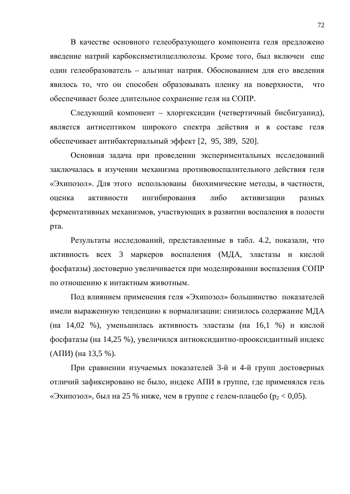В качестве основного гелеобразующего компонента геля предложено введение натрий карбоксиметилцеллюлозы. Кроме того, был включен еще один гелеобразователь – альгинат натрия. Обоснованием для его введения явилось то, что он способен образовывать пленку на поверхности, что обеспечивает более длительное сохранение геля на СОПР.

Следующий компонент – хлоргексидин (четвертичный бисбигуанид), является антисептиком широкого спектра действия и в составе геля обеспечивает антибактериальный эффект [2, 95, 389, 520].

Основная задача при проведении экспериментальных исследований заключалась в изучении механизма противовоспалительного действия геля «Эхипозол». Для этого использованы биохимические методы, в частности, оценка активности ингибирования либо активизации разных ферментативных механизмов, участвующих в развитии воспаления в полости рта.

Результаты исследований, представленные в табл. 4.2, показали, что активность всех 3 маркеров воспаления (МЛА, эластазы и кислой фосфатазы) достоверно увеличивается при моделировании воспаления СОПР по отношению к интактным животным.

Под влиянием применения геля «Эхипозол» большинство показателей имели выраженную тенденцию к нормализации: снизилось содержание МДА (на 14,02 %), уменьшилась активность эластазы (на 16,1 %) и кислой фосфатазы (на 14,25 %), увеличился антиоксидантно-прооксидантный индекс  $(A\Pi W)$  (на 13,5 %).

При сравнении изучаемых показателей 3-й и 4-й групп достоверных отличий зафиксировано не было, индекс АПИ в группе, где применялся гель «Эхипозол», был на 25 % ниже, чем в группе с гелем-плацебо ( $p_2 < 0.05$ ).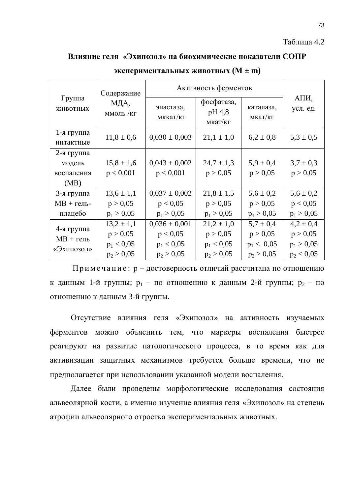#### Таблица 4.2

### **Влияние геля «Эхипозол» на биохимические показатели СОПР**

|                           | Содержание        |                       | Активность ферментов            |                      |                  |  |  |
|---------------------------|-------------------|-----------------------|---------------------------------|----------------------|------------------|--|--|
| Группа<br>ЖИВОТНЫХ        | МДА,<br>ммоль /кг | эластаза,<br>мккат/кг | фосфатаза,<br>pH 4,8<br>мкат/кг | каталаза,<br>мкат/кг | АПИ,<br>усл. ед. |  |  |
| 1-я группа                | $11,8 \pm 0,6$    | $0,030 \pm 0,003$     | $21,1 \pm 1,0$                  | $6.2 \pm 0.8$        | $5,3 \pm 0,5$    |  |  |
| интактные                 |                   |                       |                                 |                      |                  |  |  |
| $2$ -я группа             |                   |                       |                                 |                      |                  |  |  |
| модель                    | $15,8 \pm 1,6$    | $0,043 \pm 0,002$     | $24.7 \pm 1.3$                  | $5.9 \pm 0.4$        | $3.7 \pm 0.3$    |  |  |
| воспаления                | p < 0,001         | p < 0,001             | p > 0.05                        | p > 0.05             | p > 0,05         |  |  |
| (MB)                      |                   |                       |                                 |                      |                  |  |  |
| 3-я группа                | $13,6 \pm 1,1$    | $0.037 \pm 0.002$     | $21.8 \pm 1.5$                  | $5.6 \pm 0.2$        | $5,6 \pm 0.2$    |  |  |
| $MB +$ гель-              | p > 0,05          | p < 0.05              | p > 0,05                        | p > 0,05             | p < 0.05         |  |  |
| плацебо                   | $p_1 > 0.05$      | $p_1 > 0.05$          | $p_1 > 0.05$                    | $p_1 > 0,05$         | $p_1 > 0.05$     |  |  |
|                           | $13,2 \pm 1,1$    | $0,036 \pm 0,001$     | $21,2 \pm 1,0$                  | $5.7 \pm 0.4$        | $4,2 \pm 0,4$    |  |  |
| 4-я группа<br>$MB +$ гель | p > 0,05          | p < 0.05              | p > 0,05                        | p > 0,05             | p > 0,05         |  |  |
|                           | $p_1 < 0.05$      | $p_1 < 0.05$          | $p_1 < 0.05$                    | $p_1 < 0.05$         | $p_1 > 0.05$     |  |  |
| «Эхипозол»                | $p_2 > 0,05$      | $p_2 > 0.05$          | $p_2 > 0.05$                    | $p_2 > 0.05$         | $p_2 < 0.05$     |  |  |

#### **ЭКСПЕРИМЕНТАЛЬНЫХ ЖИВОТНЫХ** (M  $\pm$  m)

Примечание:  $p - q$ остоверность отличий рассчитана по отношению к данным 1-й группы;  $p_1$  – по отношению к данным 2-й группы;  $p_2$  – по отношению к данным 3-й группы.

Отсутствие влияния геля «Эхипозол» на активность изучаемых ферментов можно объяснить тем, что маркеры воспаления быстрее реагируют на развитие патологического процесса, в то время как для активизации защитных механизмов требуется больше времени, что не предполагается при использовании указанной модели воспаления.

Далее были проведены морфологические исследования состояния альвеолярной кости, а именно изучение влияния геля «Эхипозол» на степень атрофии альвеолярного отростка экспериментальных животных.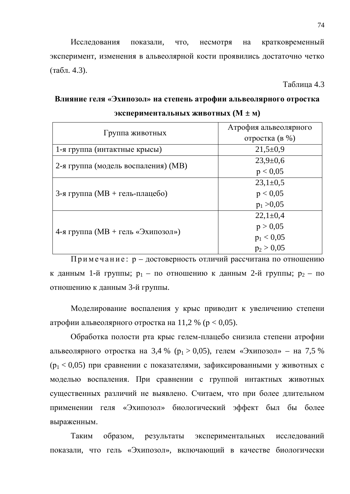Исследования показали, что, несмотря на кратковременный эксперимент, изменения в альвеолярной кости проявились достаточно четко  $(\text{табл. } 4.3).$ 

Таблица 4.3

## Влияние геля «Эхипозол» на степень атрофии альвеолярного отростка  $\text{3}\text{KCR}$ **ериментальных животных (** $\text{M} \pm \text{M}$ **)**

|                                     | Атрофия альвеолярного |  |
|-------------------------------------|-----------------------|--|
| Группа животных                     | отростка (в %)        |  |
| 1-я группа (интактные крысы)        | $21,5+0,9$            |  |
| 2-я группа (модель воспаления) (МВ) | $23,9 \pm 0.6$        |  |
|                                     | p < 0.05              |  |
|                                     | $23,1\pm0,5$          |  |
| 3-я группа (МВ + гель-плацебо)      | p < 0.05              |  |
|                                     | $p_1 > 0.05$          |  |
|                                     | $22,1\pm0,4$          |  |
| 4-я группа (МВ + гель «Эхипозол»)   | p > 0,05              |  |
|                                     | $p_1 < 0.05$          |  |
|                                     | $p_2 > 0.05$          |  |

Примечание:  $p - \text{достоверность отличий рассчитана по отношению}$ к данным 1-й группы;  $p_1$  – по отношению к данным 2-й группы;  $p_2$  – по отношению к данным 3-й группы.

Моделирование воспаления у крыс приводит к увеличению степени атрофии альвеолярного отростка на 11,2 % ( $p < 0.05$ ).

Обработка полости рта крыс гелем-плацебо снизила степени атрофии альвеолярного отростка на 3,4 % ( $p_1 > 0.05$ ), гелем «Эхипозол» – на 7,5 %  $(p_1 < 0.05)$  при сравнении с показателями, зафиксированными у животных с моделью воспаления. При сравнении с группой интактных животных существенных различий не выявлено. Считаем, что при более длительном применении геля «Эхипозол» биологический эффект был бы более выраженным.

Таким образом, результаты экспериментальных исследований показали, что гель «Эхипозол», включающий в качестве биологически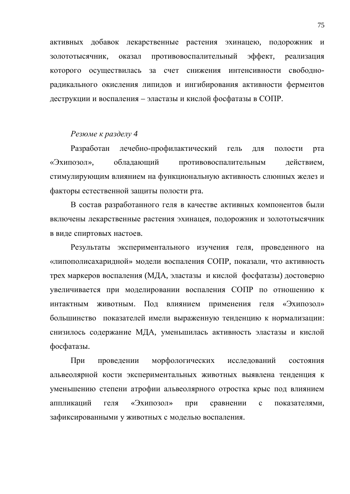активных добавок лекарственные растения эхинацею, подорожник и золототысячник, оказал противовоспалительный эффект, реализация которого осуществилась за счет снижения интенсивности свободнорадикального окисления липидов и ингибирования активности ферментов деструкции и воспаления – эластазы и кислой фосфатазы в СОПР.

### Резюме к разделу 4

Разработан лечебно-профилактический гель для полости рта «Эхипозол», обладающий противовоспалительным действием, стимулирующим влиянием на функциональную активность слюнных желез и факторы естественной защиты полости рта.

В состав разработанного геля в качестве активных компонентов были включены лекарственные растения эхинацея, подорожник и золототысячник в виде спиртовых настоев.

Результаты экспериментального изучения геля, проведенного на «липополисахаридной» модели воспаления СОПР, показали, что активность трех маркеров воспаления (МДА, эластазы и кислой фосфатазы) достоверно увеличивается при моделировании воспаления СОПР по отношению к интактным животным. Под влиянием применения геля «Эхипозол» большинство показателей имели выраженную тенденцию к нормализации: снизилось содержание МДА, уменьшилась активность эластазы и кислой фосфатазы.

При проведении морфологических исследований состояния альвеолярной кости экспериментальных животных выявлена тенденция к уменьшению степени атрофии альвеолярного отростка крыс под влиянием аппликаций геля «Эхипозол» при сравнении с показателями, зафиксированными у животных с моделью воспаления.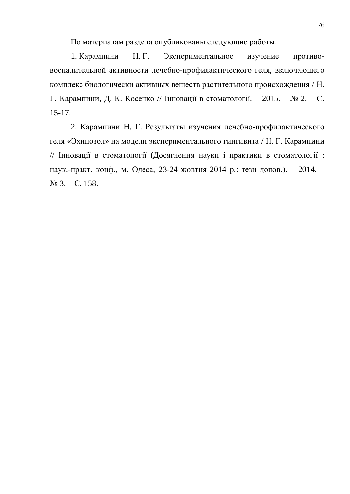По материалам раздела опубликованы следующие работы:

1. Карампини Н. Г. Экспериментальное изучение противовоспалительной активности лечебно-профилактического геля, включающего комплекс биологически активных веществ растительного происхождения / Н. Г. Карампини, Д. К. Косенко // Інновації в стоматології. – 2015. – № 2. – С. 15-17.

2. Карампини Н. Г. Результаты изучения лечебно-профилактического геля «Эхипозол» на модели экспериментального гингивита / Н. Г. Карампини // Інновації в стоматології (Досягнення науки і практики в стоматології : наук.-практ. конф., м. Одеса, 23-24 жовтня 2014 р.: тези допов.). – 2014. –  $\mathcal{N}$ <sup>o</sup> 3. – C. 158.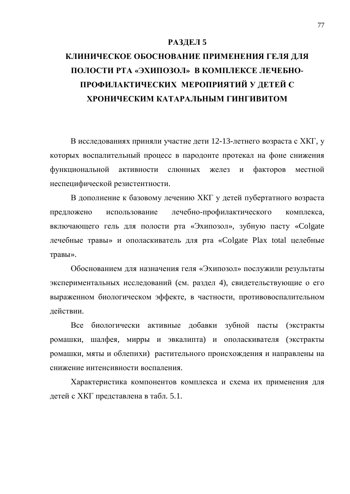#### РАЗДЕЛ 5

# КЛИНИЧЕСКОЕ ОБОСНОВАНИЕ ПРИМЕНЕНИЯ ГЕЛЯ ДЛЯ ПОЛОСТИ РТА «ЭХИПОЗОЛ» В КОМПЛЕКСЕ ЛЕЧЕБНО-ПРОФИЛАКТИЧЕСКИХ МЕРОПРИЯТИЙ У ДЕТЕЙ С **ХРОНИЧЕСКИМ КАТАРАЛЬНЫМ ГИНГИВИТОМ**

В исследованиях приняли участие дети 12-13-летнего возраста с ХКГ, у которых воспалительный процесс в пародонте протекал на фоне снижения функциональной активности слюнных желез и факторов местной неспецифической резистентности.

В дополнение к базовому лечению ХКГ у детей пубертатного возраста предложено использование лечебно-профилактического комплекса, включающего гель для полости рта «Эхипозол», зубную пасту «Colgate лечебные травы» и ополаскиватель для рта «Colgate Plax total целебные травы».

Обоснованием для назначения геля «Эхипозол» послужили результаты экспериментальных исследований (см. раздел 4), свидетельствующие о его выраженном биологическом эффекте, в частности, противовоспалительном лействии.

Все биологически активные добавки зубной пасты (экстракты ромашки, шалфея, мирры и эвкалипта) и ополаскивателя (экстракты ромашки, мяты и облепихи) растительного происхождения и направлены на снижение интенсивности воспаления.

Характеристика компонентов комплекса и схема их применения для детей с ХКГ представлена в табл. 5.1.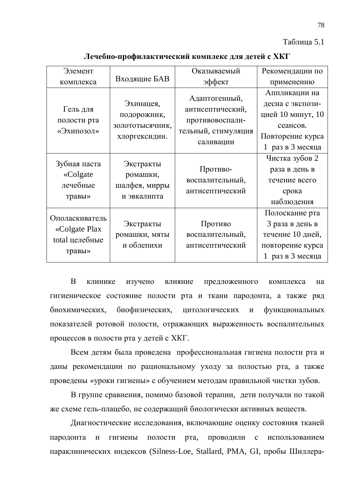Таблица 5.1

| Элемент                                                     |                                                              | Оказываемый                                                                              | Рекомендации по                                                                                            |
|-------------------------------------------------------------|--------------------------------------------------------------|------------------------------------------------------------------------------------------|------------------------------------------------------------------------------------------------------------|
| комплекса                                                   | Входящие БАВ                                                 | эффект                                                                                   | применению                                                                                                 |
| Гель для<br>полости рта<br>«Эхипозол»                       | Эхинацея,<br>подорожник,<br>золототысячник,<br>хлоргексидин. | Адаптогенный,<br>антисептический,<br>противовоспали-<br>тельный, стимуляция<br>саливации | Аппликации на<br>десна с экспози-<br>цией 10 минут, 10<br>сеансов.<br>Повторение курса<br>1 раз в 3 месяца |
| Зубная паста<br>«Colgate<br>лечебные<br>травы»              | Экстракты<br>ромашки,<br>шалфея, мирры<br>и эвкалипта        | Противо-<br>воспалительный,<br>антисептический                                           | Чистка зубов 2<br>раза в день в<br>течение всего<br>срока<br>наблюдения                                    |
| Ополаскиватель<br>«Colgate Plax<br>total целебные<br>травы» | Экстракты<br>ромашки, мяты<br>и облепихи                     | Противо<br>воспалительный,<br>антисептический                                            | Полоскание рта<br>3 раза в день в<br>течение 10 дней,<br>повторение курса<br>1 раз в 3 месяца              |

Лечебно-профилактический комплекс для детей с ХКГ

В клинике изучено влияние предложенного комплекса на гигиеническое состояние полости рта и ткани пародонта, а также ряд биохимических, биофизических, цитологических и функциональных показателей ротовой полости, отражающих выраженность воспалительных процессов в полости рта у детей с ХКГ.

Всем детям была проведена профессиональная гигиена полости рта и даны рекомендации по рациональному уходу за полостью рта, а также проведены «уроки гигиены» с обучением методам правильной чистки зубов.

В группе сравнения, помимо базовой терапии, дети получали по такой же схеме гель-плацебо, не содержащий биологически активных веществ.

Диагностические исследования, включающие оценку состояния тканей пародонта и гигиены полости рта, проводили с использованием параклинических индексов (Silness-Loe, Stallard, PMA, GI, пробы Шиллера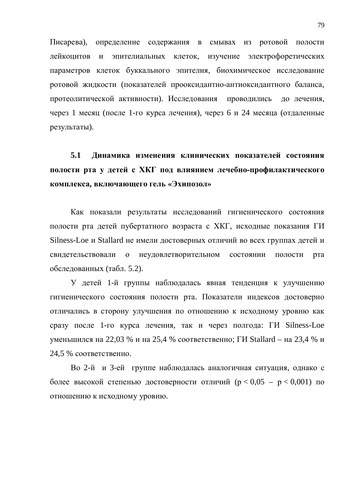Писарева), определение содержания в смывах из ротовой полости лейкоцитов и эпителиальных клеток, изучение электрофоретических параметров клеток буккального эпителия, биохимическое исследование ротовой жидкости (показателей прооксидантно-антиоксидантного баланса, протеолитической активности). Исследования проводились до лечения, через 1 месяц (после 1-го курса лечения), через 6 и 24 месяца (отдаленные результаты).

## 5.1 Динамика изменения клинических показателей состояния полости рта у детей с ХКГ под влиянием лечебно-профилактического **комплекса, включающего гель «Эхипозол»**

Как показали результаты исследований гигиенического состояния полости рта детей пубертатного возраста с ХКГ, исходные показания ГИ Silness-Loe и Stallard не имели достоверных отличий во всех группах детей и свидетельствовали о неудовлетворительном состоянии полости рта обследованных (табл. 5.2).

У детей 1-й группы наблюдалась явная тенденция к улучшению гигиенического состояния полости рта. Показатели индексов достоверно отличались в сторону улучшения по отношению к исходному уровню как сразу после 1-го курса лечения, так и через полгода: ГИ Silness-Loe уменьшился на 22,03 % и на 25,4 % соответственно; ГИ Stallard – на 23,4 % и  $24,5%$  соответственно.

Во 2-й и 3-ей группе наблюдалась аналогичная ситуация, однако с более высокой степенью достоверности отличий ( $p < 0.05 - p < 0.001$ ) по отношению к исходному уровню.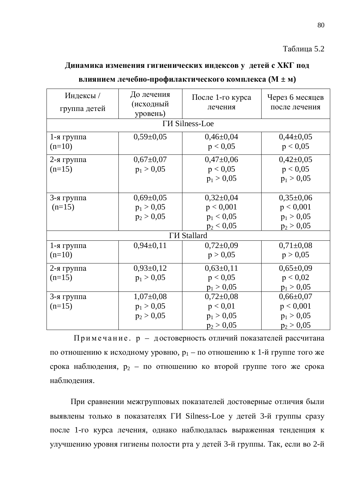### Таблина 5.2

## Динамика изменения гигиенических индексов у детей с ХКГ под

| Индексы /    | До лечения      | После 1-го курса      | Через 6 месяцев |
|--------------|-----------------|-----------------------|-----------------|
| группа детей | (исходный       | лечения               | после лечения   |
|              | уровень)        |                       |                 |
|              |                 | <b>TH</b> Silness-Loe |                 |
| 1-я группа   | $0,59 \pm 0,05$ | $0,46 \pm 0,04$       | $0,44\pm0,05$   |
| $(n=10)$     |                 | p < 0.05              | p < 0.05        |
| 2-я группа   | $0,67 \pm 0,07$ | $0,47\pm0,06$         | $0,42\pm0,05$   |
| $(n=15)$     | $p_1 > 0.05$    | p < 0.05              | p < 0,05        |
|              |                 | $p_1 > 0.05$          | $p_1 > 0.05$    |
|              |                 |                       |                 |
| 3-я группа   | $0,69 \pm 0,05$ | $0,32\pm0,04$         | $0,35\pm0,06$   |
| $(n=15)$     | $p_1 > 0.05$    | p < 0,001             | p < 0,001       |
|              | $p_2 > 0.05$    | $p_1 < 0.05$          | $p_1 > 0.05$    |
|              |                 | $p_2 < 0.05$          | $p_2 > 0,05$    |
|              |                 | <b>ГИ Stallard</b>    |                 |
| 1-я группа   | $0,94\pm0,11$   | $0,72\pm0,09$         | $0,71\pm0,08$   |
| $(n=10)$     |                 | p > 0,05              | p > 0,05        |
| 2-я группа   | $0,93\pm0,12$   | $0,63\pm0,11$         | $0,65\pm0,09$   |
| $(n=15)$     | $p_1 > 0.05$    | p < 0.05              | p < 0.02        |
|              |                 | $p_1 > 0,05$          | $p_1 > 0,05$    |
| 3-я группа   | $1,07\pm0,08$   | $0,72\pm0,08$         | $0,66 \pm 0,07$ |
| $(n=15)$     | $p_1 > 0.05$    | p < 0.01              | p < 0,001       |
|              | $p_2 > 0,05$    | $p_1 > 0.05$          | $p_1 > 0.05$    |
|              |                 | $p_2 > 0,05$          | $p_2 > 0,05$    |

#### **влиянием лечебно-профилактического комплекса (** $M \pm \textbf{M}$ **)**

Примечание. р – достоверность отличий показателей рассчитана по отношению к исходному уровню,  $p_1$  – по отношению к 1-й группе того же срока наблюдения,  $p_2$  – по отношению ко второй группе того же срока наблюдения.

При сравнении межгрупповых показателей достоверные отличия были выявлены только в показателях ГИ Silness-Loe у детей 3-й группы сразу после 1-го курса лечения, однако наблюдалась выраженная тенденция к улучшению уровня гигиены полости рта у детей 3-й группы. Так, если во 2-й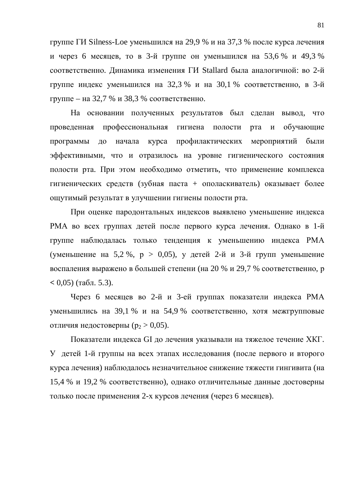группе ГИ Silness-Loe уменьшился на 29,9 % и на 37,3 % после курса лечения и через 6 месяцев, то в 3-й группе он уменьшился на 53,6 % и 49.3 % соответственно. Динамика изменения ГИ Stallard была аналогичной: во 2-й группе индекс уменьшился на 32,3 % и на 30,1 % соответственно, в 3-й группе – на 32,7 % и 38,3 % соответственно.

На основании полученных результатов был сделан вывод, что проведенная профессиональная гигиена полости рта и обучающие программы до начала курса профилактических мероприятий были эффективными, что и отразилось на уровне гигиенического состояния полости рта. При этом необходимо отметить, что применение комплекса гигиенических средств (зубная паста + ополаскиватель) оказывает более ощутимый результат в улучшении гигиены полости рта.

При оценке пародонтальных индексов выявлено уменьшение индекса РМА во всех группах детей после первого курса лечения. Однако в 1-й группе наблюдалась только тенденция к уменьшению индекса РМА (уменьшение на 5,2 %,  $p > 0.05$ ), у детей 2-й и 3-й групп уменьшение воспаления выражено в большей степени (на 20 % и 29,7 % соответственно, р  $(6, 0.05)$  ( $\text{rad}$ , 5.3).

Через 6 месяцев во 2-й и 3-ей группах показатели индекса РМА уменьшились на 39,1 % и на 54,9 % соответственно, хотя межгрупповые отличия недостоверны ( $p_2 > 0.05$ ).

Показатели индекса GI до лечения указывали на тяжелое течение ХКГ. У детей 1-й группы на всех этапах исследования (после первого и второго курса лечения) наблюдалось незначительное снижение тяжести гингивита (на 15,4 % и 19,2 % соответственно), однако отличительные данные достоверны только после применения 2-х курсов лечения (через 6 месяцев).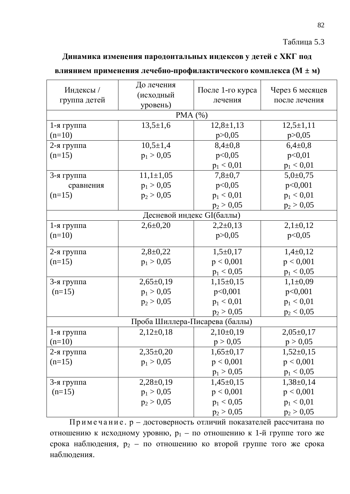## Таблица 5.3

## Динамика изменения пародонтальных индексов у детей с ХКГ под

## **влиянием применения лечебно-профилактического комплекса** ( $M \pm \text{M}$ )

| Индексы/<br>группа детей | До лечения<br>(исходный<br>уровень) | После 1-го курса<br>лечения | Через 6 месяцев<br>после лечения |
|--------------------------|-------------------------------------|-----------------------------|----------------------------------|
|                          | PMA $(%)$                           |                             |                                  |
| 1-я группа               | $13,5 \pm 1,6$                      | $12,8 \pm 1,13$             | $12,5+1,11$                      |
| $(n=10)$                 |                                     | p > 0,05                    | p > 0,05                         |
| 2-я группа               | $10,5 \pm 1,4$                      | $8,4\pm0,8$                 | $6,4\pm0,8$                      |
| $(n=15)$                 | $p_1 > 0,05$                        | p<0,05                      | p<0,01                           |
|                          |                                     | $p_1 < 0.01$                | $p_1 < 0.01$                     |
| 3-я группа               | $11,1 \pm 1,05$                     | $7,8 \pm 0.7$               | $5,0{\pm}0,75$                   |
| сравнения                | $p_1 > 0,05$                        | p<0,05                      | p<0,001                          |
| $(n=15)$                 | $p_2 > 0,05$                        | $p_1 < 0.01$                | $p_1 < 0.01$                     |
|                          |                                     | $p_2 > 0,05$                | $p_2 > 0,05$                     |
|                          | Десневой индекс GI(баллы)           |                             |                                  |
| 1-я группа               | $2,6 \pm 0,20$                      | $2,2\pm0,13$                | $2,1\pm0,12$                     |
| $(n=10)$                 |                                     | p > 0,05                    | p<0,05                           |
| 2-я группа               | $2,8+0,22$                          | $1,5+0,17$                  | $1,4\pm0,12$                     |
| $(n=15)$                 | $p_1 > 0.05$                        | p < 0,001                   | p < 0,001                        |
|                          |                                     | $p_1 < 0.05$                | $p_1 < 0,05$                     |
| 3-я группа               | $2,65\pm0,19$                       | $1,15\pm0,15$               | $1,1\pm0,09$                     |
| $(n=15)$                 | $p_1 > 0,05$                        | p<0,001                     | p<0,001                          |
|                          | $p_2 > 0,05$                        | $p_1 < 0.01$                | $p_1 < 0.01$                     |
|                          |                                     | $p_2 > 0,05$                | $p_2 < 0,05$                     |
|                          | Проба Шиллера-Писарева (баллы)      |                             |                                  |
| 1-я группа               | $2,12\pm0,18$                       | $2,10\pm0,19$               | $2,05\pm0,17$                    |
| $(n=10)$                 |                                     | p > 0,05                    | p > 0,05                         |
| 2-я группа               | $2,35\pm0,20$                       | $1,65 \pm 0,17$             | $1,52\pm0,15$                    |
| $(n=15)$                 | $p_1 > 0.05$                        | p < 0,001                   | p < 0,001                        |
|                          |                                     | $p_1 > 0,05$                | $p_1 < 0,05$                     |
| 3-я группа               | $2,28\pm0,19$                       | $1,45\pm0,15$               | $1,38\pm0,14$                    |
| $(n=15)$                 | $p_1 > 0,05$                        | p < 0,001                   | p < 0,001                        |
|                          | $p_2 > 0,05$                        | $p_1 < 0.05$                | $p_1 < 0.01$                     |
|                          |                                     | $p_2 > 0,05$                | $p_2 > 0,05$                     |

Примечание. р – достоверность отличий показателей рассчитана по отношению к исходному уровню,  $p_1 - n_0$  отношению к 1-й группе того же срока наблюдения,  $p_2$  – по отношению ко второй группе того же срока наблюдения.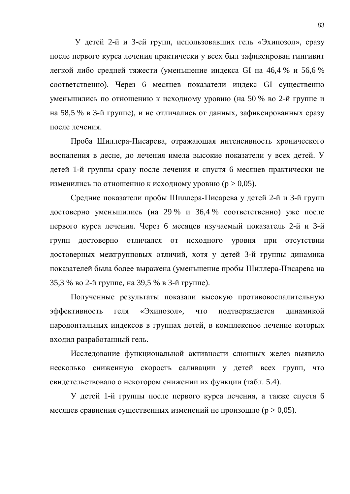У детей 2-й и 3-ей групп, использовавших гель «Эхипозол», сразу после первого курса лечения практически у всех был зафиксирован гингивит легкой либо средней тяжести (уменьшение индекса GI на 46,4 % и 56,6 % соответственно). Через 6 месяцев показатели индекс GI существенно уменьшились по отношению к исходному уровню (на 50 % во 2-й группе и на 58,5 % в 3-й группе), и не отличались от данных, зафиксированных сразу после лечения.

Проба Шиллера-Писарева, отражающая интенсивность хронического воспаления в десне, до лечения имела высокие показатели у всех детей. У детей 1-й группы сразу после лечения и спустя 6 месяцев практически не изменились по отношению к исходному уровню ( $p > 0.05$ ).

Средние показатели пробы Шиллера-Писарева у детей 2-й и 3-й групп достоверно уменьшились (на 29 % и 36,4 % соответственно) уже после первого курса лечения. Через 6 месяцев изучаемый показатель 2-й и 3-й групп достоверно отличался от исходного уровня при отсутствии достоверных межгрупповых отличий, хотя у детей 3-й группы динамика показателей была более выражена (уменьшение пробы Шиллера-Писарева на 35,3 % во 2-й группе, на 39,5 % в 3-й группе).

Полученные результаты показали высокую противовоспалительную эффективность геля «Эхипозол», что подтверждается динамикой пародонтальных индексов в группах детей, в комплексное лечение которых входил разработанный гель.

Исследование функциональной активности слюнных желез выявило несколько сниженную скорость саливации у детей всех групп, что свидетельствовало о некотором снижении их функции (табл. 5.4).

У детей 1-й группы после первого курса лечения, а также спустя 6 месяцев сравнения существенных изменений не произошло ( $p > 0.05$ ).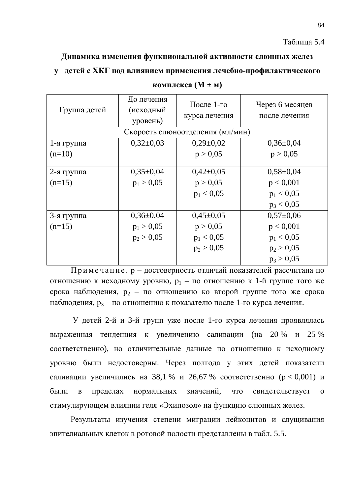Динамика изменения функциональной активности слюнных желез

## у детей с ХКГ под влиянием применения лечебно-профилактического

| Группа детей  | До лечения<br>(исходный<br>уровень) | После $1$ -го<br>курса лечения   | Через 6 месяцев<br>после лечения |
|---------------|-------------------------------------|----------------------------------|----------------------------------|
|               |                                     | Скорость слюноотделения (мл/мин) |                                  |
| $1$ -я группа | $0,32\pm0,03$                       | $0,29\pm0,02$                    | $0,36\pm0.04$                    |
| $(n=10)$      |                                     | p > 0,05                         | p > 0,05                         |
| $2$ -я группа | $0,35\pm0,04$                       | $0,42\pm0,05$                    | $0,58 \pm 0,04$                  |
| $(n=15)$      | $p_1 > 0.05$                        | p > 0,05                         | p < 0,001                        |
|               |                                     | $p_1 < 0.05$                     | $p_1 < 0.05$                     |
|               |                                     |                                  | $p_3 < 0.05$                     |
| 3-я группа    | $0,36\pm0,04$                       | $0,45\pm0,05$                    | $0,57\pm0,06$                    |
| $(n=15)$      | $p_1 > 0.05$                        | p > 0,05                         | p < 0,001                        |
|               | $p_2 > 0.05$                        | $p_1 < 0.05$                     | $p_1 < 0.05$                     |
|               |                                     | $p_2 > 0.05$                     | $p_2 > 0.05$                     |
|               |                                     |                                  | $p_3 > 0.05$                     |

#### **комплекса** ( $M \pm M$ )

Примечание. р – достоверность отличий показателей рассчитана по отношению к исходному уровню,  $p_1 - \pi o$  отношению к 1-й группе того же срока наблюдения,  $p_2$  – по отношению ко второй группе того же срока наблюдения,  $p_3$  – по отношению к показателю после 1-го курса лечения.

У детей 2-й и 3-й групп уже после 1-го курса лечения проявлялась выраженная тенденция к увеличению саливации (на 20 % и 25 % соответственно), но отличительные данные по отношению к исходному уровню были недостоверны. Через полгода у этих детей показатели саливации увеличились на 38,1 % и 26,67 % соответственно ( $p < 0,001$ ) и были в пределах нормальных значений, что свидетельствует о стимулирующем влиянии геля «Эхипозол» на функцию слюнных желез.

Результаты изучения степени миграции лейкоцитов и слущивания эпителиальных клеток в ротовой полости представлены в табл. 5.5.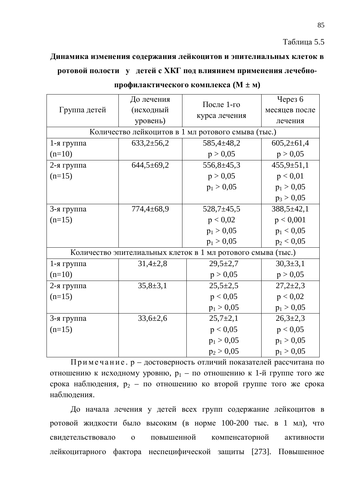85

## Динамика изменения содержания лейкоцитов и эпителиальных клеток в **изначая • полная и совета и трансичности и трансичности и детей с ХКГ под влиянием применения лечебно-**

|              | До лечения                          | После 1-го                                         | Через 6          |
|--------------|-------------------------------------|----------------------------------------------------|------------------|
| Группа детей | (исходный                           |                                                    | месяцев после    |
|              | уровень)                            | курса лечения                                      | лечения          |
|              |                                     | Количество лейкоцитов в 1 мл ротового смыва (тыс.) |                  |
| 1-я группа   | $633,2 \pm 56,2$                    | $585,4 \pm 48,2$                                   | $605,2 \pm 61,4$ |
| $(n=10)$     |                                     | p > 0,05                                           | p > 0,05         |
| 2-я группа   | $644,5 \pm 69,2$                    | $556,8 \pm 45,3$                                   | $455,9 \pm 51,1$ |
| $(n=15)$     |                                     | p > 0,05                                           | p < 0.01         |
|              |                                     | $p_1 > 0.05$                                       | $p_1 > 0.05$     |
|              |                                     |                                                    | $p_3 > 0.05$     |
| 3-я группа   | $774,4 \pm 68,9$                    | $528,7 \pm 45,5$                                   | $388,5 \pm 42,1$ |
| $(n=15)$     |                                     | p < 0.02                                           | p < 0,001        |
|              |                                     | $p_1 > 0,05$                                       | $p_1 < 0.05$     |
|              |                                     | $p_1 > 0,05$                                       | $p_2 < 0,05$     |
|              | Количество эпителиальных клеток в 1 | мл ротового смыва (тыс.)                           |                  |
| 1-я группа   | $31,4\pm 2,8$                       | $29,5 \pm 2,7$                                     | $30,3{\pm}3,1$   |
| $(n=10)$     |                                     | p > 0,05                                           | p > 0,05         |
| 2-я группа   | $35,8 \pm 3,1$                      | $25,5 \pm 2,5$                                     | $27,2{\pm}2,3$   |
| $(n=15)$     |                                     | p < 0,05                                           | p < 0,02         |
|              |                                     | $p_1 > 0,05$                                       | $p_1 > 0,05$     |
| 3-я группа   | $33,6{\pm}2,6$                      | $25,7+2,1$                                         | $26,3{\pm}2,3$   |
| $(n=15)$     |                                     | p < 0,05                                           | p < 0,05         |
|              |                                     | $p_1 > 0.05$                                       | $p_1 > 0.05$     |
|              |                                     | $p_2 > 0.05$                                       | $p_1 > 0.05$     |

| профилактического комплекса (М $\pm$ м) |  |
|-----------------------------------------|--|
|                                         |  |

 $\Pi$ римечание. р – достоверность отличий показателей рассчитана по отношению к исходному уровню,  $p_1 - \pi o$  отношению к 1-й группе того же срока наблюдения,  $p_2$  – по отношению ко второй группе того же срока наблюдения.

До начала лечения у детей всех групп содержание лейкоцитов в ротовой жидкости было высоким (в норме 100-200 тыс. в 1 мл), что свидетельствовало о повышенной компенсаторной активности лейкоцитарного фактора неспецифической защиты [273]. Повышенное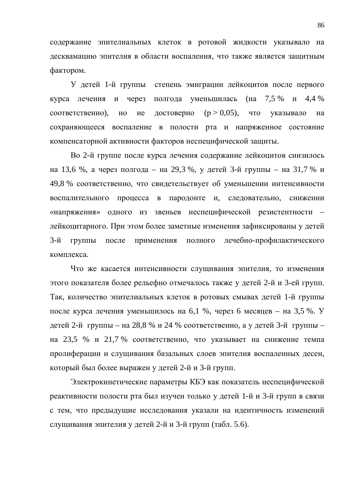содержание эпителиальных клеток в ротовой жидкости указывало на десквамацию эпителия в области воспаления, что также является защитным фактором.

У детей 1-й группы степень эмиграции лейкоцитов после первого курса лечения и через полгода уменьшилась (на 7,5 % и 4,4 % соответственно), но не достоверно  $(p > 0,05)$ , что указывало на сохраняющееся воспаление в полости рта и напряженное состояние компенсаторной активности факторов неспецифической защиты.

Во 2-й группе после курса лечения содержание лейкоцитов снизилось на 13,6 %, а через полгода – на 29,3 %, у детей 3-й группы – на 31,7 % и 49,8 % соответственно, что свидетельствует об уменьшении интенсивности воспалительного процесса в пародонте и, следовательно, снижении «напряжения» одного из звеньев неспецифической резистентности – лейкоцитарного. При этом более заметные изменения зафиксированы у детей 3-й группы после применения полного лечебно-профилактического комплекса.

Что же касается интенсивности слущивания эпителия, то изменения этого показателя более рельефно отмечалось также у детей 2-й и 3-ей групп. Так, количество эпителиальных клеток в ротовых смывах детей 1-й группы после курса лечения уменьшилось на 6,1 %, через 6 месяцев – на 3,5 %. У детей 2-й группы – на 28,8 % и 24 % соответственно, а у детей 3-й группы – на 23,5 % и 21,7 % соответственно, что указывает на снижение темпа пролиферации и слущивания базальных слоев эпителия воспаленных десен, который был более выражен у детей 2-й и 3-й групп.

Электрокинетические параметры КБЭ как показатель неспецифической реактивности полости рта был изучен только у детей 1-й и 3-й групп в связи с тем, что предыдущие исследования указали на идентичность изменений слущивания эпителия у детей 2-й и 3-й групп (табл. 5.6).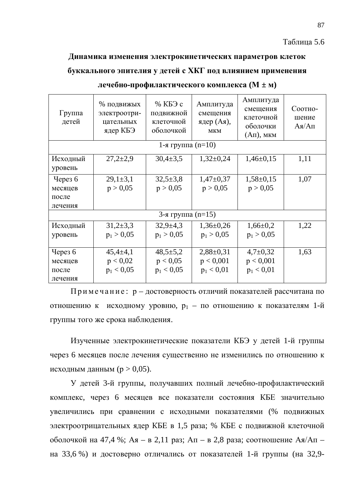#### Таблица 5.6

#### Динамика изменения электрокинетических параметров клеток

### буккального эпителия у детей с ХКГ под влиянием применения

| Группа<br>детей     | % подвижых<br>электроотри-<br>цательных<br>ядер КБЭ | % КБЭ с<br>подвижной<br>клеточной<br>оболочкой | Амплитуда<br>смещения<br>ядер (Ая),<br><b>MKM</b> | Амплитуда<br>смещения<br>клеточной<br>оболочки<br>$(AII)$ , MKM | Соотно-<br>шение<br>$A$ я/Ап |
|---------------------|-----------------------------------------------------|------------------------------------------------|---------------------------------------------------|-----------------------------------------------------------------|------------------------------|
|                     |                                                     | 1-я группа $(n=10)$                            |                                                   |                                                                 |                              |
| Исходный<br>уровень | $27,2{\pm}2,9$                                      | $30,4{\pm}3,5$                                 | $1,32\pm0,24$                                     | $1,46\pm0,15$                                                   | 1,11                         |
| Через $6$           | $29,1 \pm 3,1$                                      | $32,5+3,8$                                     | $1,47+0,37$                                       | $1,58 \pm 0,15$                                                 | 1,07                         |
| месяцев             | p > 0,05                                            | p > 0,05                                       | p > 0,05                                          | p > 0,05                                                        |                              |
| после               |                                                     |                                                |                                                   |                                                                 |                              |
| лечения             |                                                     |                                                |                                                   |                                                                 |                              |
|                     |                                                     | 3-я группа $(n=15)$                            |                                                   |                                                                 |                              |
| Исходный            | $31,2+3,3$                                          | $32,9+4,3$                                     | $1,36\pm0,26$                                     | $1,66 \pm 0,2$                                                  | 1,22                         |
| уровень             | $p_1 > 0.05$                                        | $p_1 > 0.05$                                   | $p_1 > 0.05$                                      | $p_1 > 0.05$                                                    |                              |
|                     |                                                     |                                                |                                                   |                                                                 |                              |
| Через $6$           | $45,4{\pm}4,1$                                      | $48,5 \pm 5,2$                                 | $2,88 \pm 0,31$                                   | $4,7+0,32$                                                      | 1,63                         |
| месяцев             | p < 0.02                                            | p < 0.05                                       | p < 0,001                                         | p < 0,001                                                       |                              |
| после               | $p_1 < 0.05$                                        | $p_1 < 0.05$                                   | $p_1 < 0.01$                                      | $p_1 < 0.01$                                                    |                              |
| лечения             |                                                     |                                                |                                                   |                                                                 |                              |

#### $\mu$ чебно-профилактического комплекса (М ± м)

Примечание: р – достоверность отличий показателей рассчитана по отношению к исходному уровню,  $p_1 - n$ о отношению к показателям 1-й группы того же срока наблюдения.

Изученные электрокинетические показатели КБЭ у детей 1-й группы через 6 месяцев после лечения существенно не изменились по отношению к исходным данным ( $p > 0.05$ ).

У детей 3-й группы, получавших полный лечебно-профилактический комплекс, через 6 месяцев все показатели состояния КБЕ значительно увеличились при сравнении с исходными показателями (% подвижных электроотрицательных ядер КБЕ в 1,5 раза; % КБЕ с подвижной клеточной оболочкой на 47,4 %; Ая – в 2,11 раз; Ап – в 2,8 раза; соотношение Ая/Ап – на 33,6 %) и достоверно отличались от показателей 1-й группы (на 32,9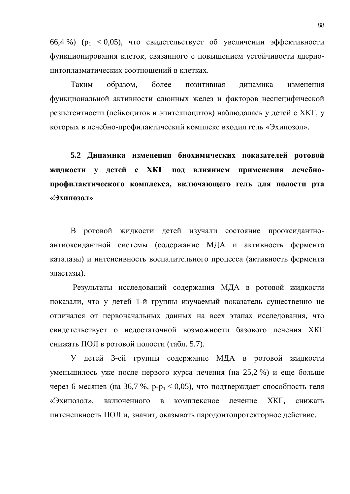66,4 %) ( $p_1$  < 0,05), что свидетельствует об увеличении эффективности функционирования клеток, связанного с повышением устойчивости ядерноиитоплазматических соотношений в клетках.

Таким образом, более позитивная динамика изменения функциональной активности слюнных желез и факторов неспецифической резистентности (лейкоцитов и эпителиоцитов) наблюдалась у детей с ХКГ, у которых в лечебно-профилактический комплекс входил гель «Эхипозол».

5.2 Динамика изменения биохимических показателей ротовой **ЖИДКОСТИ У ДЕТЕЙ С ХКГ ПОД ВЛИЯНИЕМ ПРИМЕНЕНИЯ ЛЕЧЕбно**профилактического комплекса, включающего гель для полости рта **«Эхипозол»** 

В ротовой жидкости детей изучали состояние прооксидантноантиоксидантной системы (содержание МДА и активность фермента каталазы) и интенсивность воспалительного процесса (активность фермента эластазы).

Результаты исследований содержания МДА в ротовой жидкости показали, что у детей 1-й группы изучаемый показатель существенно не отличался от первоначальных данных на всех этапах исследования, что свидетельствует о недостаточной возможности базового лечения ХКГ снижать ПОЛ в ротовой полости (табл. 5.7).

У детей 3-ей группы содержание МДА в ротовой жидкости үменьшилось уже после первого курса лечения (на 25,2 %) и еще больше через 6 месяцев (на 36,7 %, p-p<sub>1</sub> < 0,05), что подтверждает способность геля «Эхипозол», включенного в комплексное лечение XKГ, снижать интенсивность ПОЛ и, значит, оказывать пародонтопротекторное действие.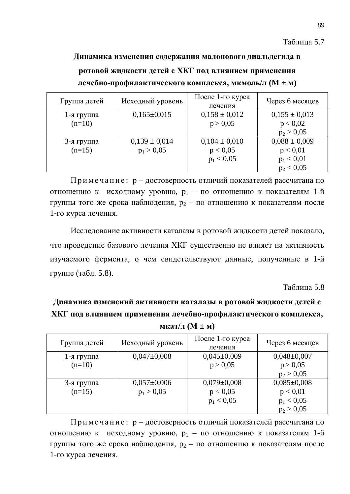## Динамика изменения содержания малонового диальдегида в

## ротовой жидкости детей с ХКГ под влиянием применения  $\mu$ чебно-профилактического комплекса, мкмоль/л (М  $\pm$  м)

| Группа детей  | Исходный уровень  | После 1-го курса<br>лечения | Через 6 месяцев   |
|---------------|-------------------|-----------------------------|-------------------|
| $1$ -я группа | $0,165\pm0,015$   | $0,158 \pm 0,012$           | $0,155 \pm 0,013$ |
| $(n=10)$      |                   | p > 0,05                    | p < 0.02          |
|               |                   |                             | $p_2 > 0,05$      |
| 3-я группа    | $0,139 \pm 0,014$ | $0,104 \pm 0,010$           | $0,088 \pm 0,009$ |
| $(n=15)$      | $p_1 > 0.05$      | p < 0,05                    | p < 0.01          |
|               |                   | $p_1 < 0.05$                | $p_1 < 0.01$      |
|               |                   |                             | $p_2 < 0.05$      |

Примечание: р – достоверность отличий показателей рассчитана по отношению к исходному уровню,  $p_1$  – по отношению к показателям 1-й группы того же срока наблюдения,  $p_2 - n$ о отношению к показателям после 1-го курса лечения.

Исследование активности каталазы в ротовой жидкости детей показало, что проведение базового лечения ХКГ существенно не влияет на активность изучаемого фермента, о чем свидетельствуют данные, полученные в 1-й группе (табл. 5.8).

 $Ta6\pi$ ица 5.8

Динамика изменений активности каталазы в ротовой жидкости детей с ХКГ под влиянием применения лечебно-профилактического комплекса, **NKAT** $/\text{J}$  (**M**  $\pm$  **M**)

| Группа детей  | Исходный уровень | После 1-го курса<br>лечения | Через 6 месяцев |
|---------------|------------------|-----------------------------|-----------------|
| $1$ -я группа | $0,047\pm0,008$  | $0,045\pm0,009$             | $0,048\pm0,007$ |
| $(n=10)$      |                  | p > 0,05                    | p > 0,05        |
|               |                  |                             | $p_2 > 0.05$    |
| 3-я группа    | $0,057\pm0,006$  | $0,079\pm0,008$             | $0,085\pm0,008$ |
| $(n=15)$      | $p_1 > 0.05$     | p < 0,05                    | p < 0.01        |
|               |                  | $p_1 < 0.05$                | $p_1 < 0.05$    |
|               |                  |                             | $p_2 > 0.05$    |

Примечание: р – достоверность отличий показателей рассчитана по отношению к исходному уровню,  $p_1 - n$ о отношению к показателям 1-й группы того же срока наблюдения,  $p_2$  – по отношению к показателям после 1-го курса лечения.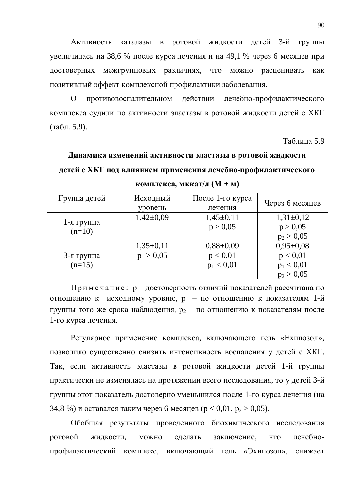Активность каталазы в ротовой жидкости детей 3-й группы увеличилась на 38,6 % после курса лечения и на 49,1 % через 6 месяцев при достоверных межгрупповых различиях, что можно расценивать как позитивный эффект комплексной профилактики заболевания.

О противовоспалительном действии лечебно-профилактического комплекса судили по активности эластазы в ротовой жидкости детей с ХКГ  $(\text{табл. } 5.9).$ 

Таблица 5.9

## Динамика изменений активности эластазы в ротовой жидкости детей с ХКГ под влиянием применения лечебно-профилактического **комплекса**, **мккат**/**л** ( $M \pm M$ )

| Группа детей           | Исходный<br>уровень           | После 1-го курса<br>лечения               | Через 6 месяцев                                           |
|------------------------|-------------------------------|-------------------------------------------|-----------------------------------------------------------|
| 1-я группа<br>$(n=10)$ | $1,42\pm0,09$                 | $1,45\pm0,11$<br>p > 0,05                 | $1,31\pm0,12$<br>p > 0,05<br>$p_2 > 0,05$                 |
| 3-я группа<br>$(n=15)$ | $1,35\pm0,11$<br>$p_1 > 0.05$ | $0,88\pm0,09$<br>p < 0.01<br>$p_1 < 0.01$ | $0,95\pm0,08$<br>p < 0.01<br>$p_1 < 0.01$<br>$p_2 > 0.05$ |

Примечание: р – достоверность отличий показателей рассчитана по отношению к исходному уровню,  $p_1$  – по отношению к показателям 1-й группы того же срока наблюдения,  $p_2$  – по отношению к показателям после 1-го курса лечения.

Регулярное применение комплекса, включающего гель «Ехипозол», позволило существенно снизить интенсивность воспаления у детей с ХКГ. Так, если активность эластазы в ротовой жидкости детей 1-й группы практически не изменялась на протяжении всего исследования, то у детей 3-й группы этот показатель достоверно уменьшился после 1-го курса лечения (на 34,8 %) и оставался таким через 6 месяцев ( $p < 0.01$ ,  $p_2 > 0.05$ ).

Обобщая результаты проведенного биохимического исследования ротовой жидкости, можно сделать заключение, что лечебнопрофилактический комплекс, включающий гель «Эхипозол», снижает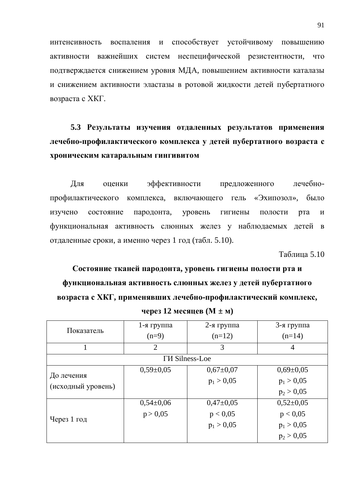интенсивность воспаления и способствует устойчивому повышению активности важнейших систем неспецифической резистентности, что подтверждается снижением уровня МДА, повышением активности каталазы и снижением активности эластазы в ротовой жидкости детей пубертатного возраста с ХКГ.

## 5.3 Результаты изучения отдаленных результатов применения лечебно-профилактического комплекса у детей пубертатного возраста с **хроническим катаральным гингивитом**

Для оценки эффективности предложенного лечебнопрофилактического комплекса, включающего гель «Эхипозол», было изучено состояние пародонта, уровень гигиены полости рта и функциональная активность слюнных желез у наблюдаемых детей в отдаленные сроки, а именно через 1 год (табл. 5.10).

**Таблина 5.10** 

# Состояние тканей пародонта, уровень гигиены полости рта и функциональная активность слюнных желез у детей пубертатного **возраста с ХКГ, применявших лечебно-профилактический комплекс,**

| Показатель                       | $1$ -я группа  | 2-я группа      | 3-я группа      |  |  |
|----------------------------------|----------------|-----------------|-----------------|--|--|
|                                  | $(n=9)$        | $(n=12)$        | $(n=14)$        |  |  |
|                                  | $\overline{2}$ | 3               | $\overline{4}$  |  |  |
| <b>TH</b> Silness-Loe            |                |                 |                 |  |  |
| До лечения<br>(исходный уровень) | $0,59\pm0,05$  | $0,67 \pm 0,07$ | $0,69 \pm 0,05$ |  |  |
|                                  |                | $p_1 > 0.05$    | $p_1 > 0,05$    |  |  |
|                                  |                |                 | $p_2 > 0.05$    |  |  |
| Через 1 год                      | $0,54\pm0,06$  | $0,47+0,05$     | $0,52\pm0,05$   |  |  |
|                                  | p > 0,05       | p < 0,05        | p < 0,05        |  |  |
|                                  |                | $p_1 > 0.05$    | $p_1 > 0,05$    |  |  |
|                                  |                |                 | $p_2 > 0.05$    |  |  |

 $\textbf{H} = \textbf{H} \cdot \textbf{S}$  **12 Mecauer** (**M**  $\pm \textbf{M}$ )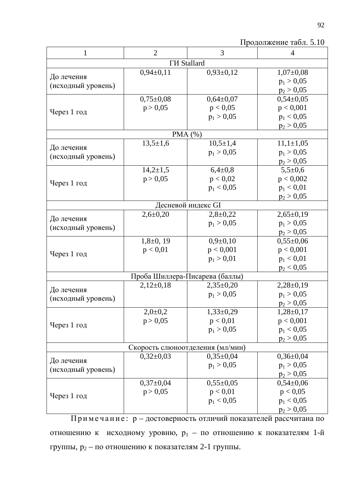| $\mathbf{1}$                     | $\overline{2}$  | 3              | $\overline{4}$  |  |  |
|----------------------------------|-----------------|----------------|-----------------|--|--|
| <b>ГИ Stallard</b>               |                 |                |                 |  |  |
|                                  | $0,94\pm0,11$   | $0,93\pm0,12$  | $1,07\pm0,08$   |  |  |
| До лечения                       |                 |                | $p_1 > 0,05$    |  |  |
| (исходный уровень)               |                 |                | $p_2 > 0,05$    |  |  |
| Через 1 год                      | $0,75 \pm 0,08$ | $0,64\pm0,07$  | $0,54\pm0,05$   |  |  |
|                                  | p > 0,05        | p < 0,05       | p < 0,001       |  |  |
|                                  |                 | $p_1 > 0.05$   | $p_1 < 0.05$    |  |  |
|                                  |                 |                | $p_2 > 0,05$    |  |  |
| PMA $(%)$                        |                 |                |                 |  |  |
| До лечения                       | $13,5 \pm 1,6$  | $10,5 \pm 1,4$ | $11,1 \pm 1,05$ |  |  |
|                                  |                 | $p_1 > 0.05$   | $p_1 > 0,05$    |  |  |
| (исходный уровень)               |                 |                | $p_2 > 0,05$    |  |  |
| Через 1 год                      | $14,2{\pm}1,5$  | $6,4\pm0,8$    | $5,5+0,6$       |  |  |
|                                  | p > 0,05        | p < 0,02       | p < 0,002       |  |  |
|                                  |                 | $p_1 < 0.05$   | $p_1 < 0.01$    |  |  |
|                                  |                 |                | $p_2 > 0,05$    |  |  |
| Десневой индекс GI               |                 |                |                 |  |  |
| До лечения                       | $2,6 \pm 0,20$  | $2,8+0,22$     | $2,65\pm0,19$   |  |  |
| (исходный уровень)               |                 | $p_1 > 0.05$   | $p_1 > 0,05$    |  |  |
|                                  |                 |                | $p_2 > 0,05$    |  |  |
| Через 1 год                      | $1,8\pm0,19$    | $0,9+0,10$     | $0,55 \pm 0,06$ |  |  |
|                                  | p < 0.01        | p < 0,001      | p < 0,001       |  |  |
|                                  |                 | $p_1 > 0,01$   | $p_1 < 0.01$    |  |  |
|                                  |                 |                | $p_2 < 0.05$    |  |  |
| Проба Шиллера-Писарева (баллы)   |                 |                |                 |  |  |
| До лечения                       | $2,12\pm0,18$   | $2,35\pm0,20$  | $2,28\pm0,19$   |  |  |
| (исходный уровень)               |                 | $p_1 > 0.05$   | $p_1 > 0,05$    |  |  |
|                                  |                 |                | $p_2 > 0,05$    |  |  |
| Через 1 год                      | $2,0 \pm 0,2$   | $1,33\pm0,29$  | $1,28 \pm 0,17$ |  |  |
|                                  | p > 0.05        | p < 0.01       | p < 0,001       |  |  |
|                                  |                 | $p_1 > 0.05$   | $p_1 < 0.05$    |  |  |
|                                  |                 |                | $p_2 > 0,05$    |  |  |
| Скорость слюноотделения (мл/мин) |                 |                |                 |  |  |
| До лечения                       | $0,32\pm0,03$   | $0,35\pm0,04$  | $0,36 \pm 0,04$ |  |  |
| (исходный уровень)               |                 | $p_1 > 0.05$   | $p_1 > 0.05$    |  |  |
|                                  |                 |                | $p_2 > 0,05$    |  |  |
| Через 1 год                      | $0,37\pm0,04$   | $0,55\pm0,05$  | $0,54\pm0,06$   |  |  |
|                                  | p > 0,05        | p < 0.01       | p < 0,05        |  |  |
|                                  |                 | $p_1 < 0.05$   | $p_1 < 0.05$    |  |  |
|                                  |                 |                | $p_2 > 0,05$    |  |  |

Примечание: р – достоверность отличий показателей рассчитана по отношению к исходному уровню,  $p_1$  – по отношению к показателям 1-й группы,  $p_2$  – по отношению к показателям 2-1 группы.

Продолжение табл. 5.10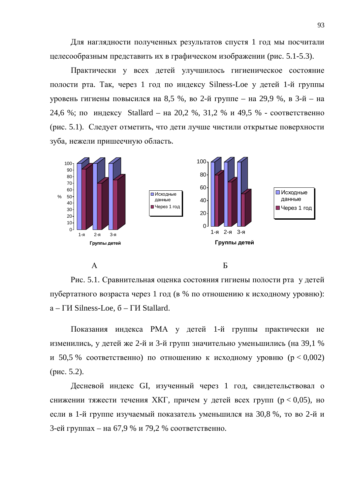Для наглядности полученных результатов спустя 1 год мы посчитали целесообразным представить их в графическом изображении (рис. 5.1-5.3).

Практически у всех детей улучшилось гигиеническое состояние полости рта. Так, через 1 год по индексу Silness-Loe у детей 1-й группы уровень гигиены повысился на 8,5 %, во 2-й группе – на 29,9 %, в 3-й – на 24,6 %; по индексу Stallard – на 20,2 %, 31,2 % и 49,5 % - соответственно (рис. 5.1). Следует отметить, что дети лучше чистили открытые поверхности зуба, нежели пришеечную область.





Рис. 5.1. Сравнительная оценка состояния гигиены полости рта у детей пубертатного возраста через 1 год (в % по отношению к исходному уровню):  $a$  –  $\Gamma$ *H* Silness-Loe,  $\delta$  –  $\Gamma$ *H* Stallard.

Показания индекса РМА у детей 1-й группы практически не изменились, у детей же 2-й и 3-й групп значительно уменьшились (на 39,1 % и 50,5 % соответственно) по отношению к исходному уровню ( $p < 0.002$ )  $(p<sub>MC</sub>, 5.2).$ 

Десневой индекс GI, изученный через 1 год, свидетельствовал о снижении тяжести течения ХКГ, причем у детей всех групп ( $p < 0.05$ ), но если в 1-й группе изучаемый показатель уменьшился на 30,8 %, то во 2-й и 3-ей группах – на 67,9 % и 79,2 % соответственно.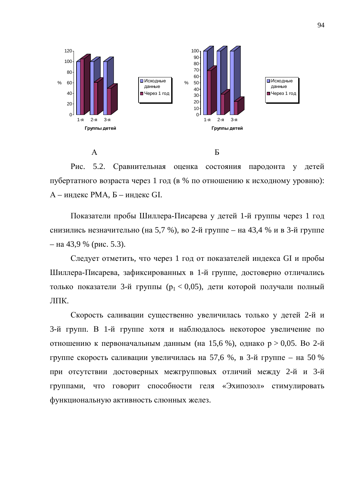

Рис. 5.2. Сравнительная оценка состояния пародонта у детей пубертатного возраста через 1 год (в % по отношению к исходному уровню): А – индекс РМА, Б – индекс GI.

Показатели пробы Шиллера-Писарева у детей 1-й группы через 1 год снизились незначительно (на 5,7 %), во 2-й группе – на 43,4 % и в 3-й группе  $-$  на 43,9 % (рис. 5.3).

Следует отметить, что через 1 год от показателей индекса GI и пробы Шиллера-Писарева, зафиксированных в 1-й группе, достоверно отличались только показатели 3-й группы ( $p_1 < 0.05$ ), дети которой получали полный ЛПК.

Скорость саливации существенно увеличилась только у детей 2-й и 3-й групп. В 1-й группе хотя и наблюдалось некоторое увеличение по отношению к первоначальным данным (на 15,6 %), однако  $p > 0.05$ . Во 2-й группе скорость саливации увеличилась на 57,6 %, в 3-й группе – на 50 % при отсутствии достоверных межгрупповых отличий между 2-й и 3-й группами, что говорит способности геля «Эхипозол» стимулировать функциональную активность слюнных желез.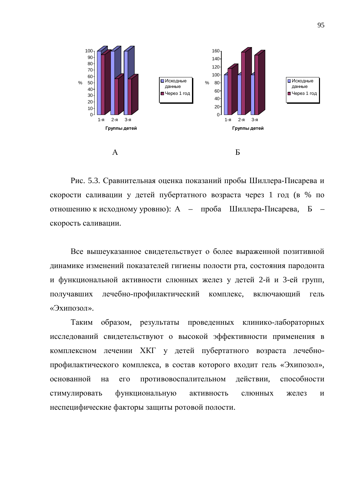

Рис. 5.3. Сравнительная оценка показаний пробы Шиллера-Писарева и скорости саливации у детей пубертатного возраста через 1 год (в % по отношению к исходному уровню): А – проба Шиллера-Писарева, Б скорость саливации.

Все вышеуказанное свидетельствует о более выраженной позитивной динамике изменений показателей гигиены полости рта, состояния пародонта и функциональной активности слюнных желез у детей 2-й и 3-ей групп, получавших лечебно-профилактический комплекс, включающий гель  $\alpha$ Эхипозол».

Таким образом, результаты проведенных клинико-лабораторных исследований свидетельствуют о высокой эффективности применения в комплексном лечении ХКГ у детей пубертатного возраста лечебнопрофилактического комплекса, в состав которого входит гель «Эхипозол», основанной на его противовоспалительном действии, способности стимулировать функциональную активность слюнных желез и неспецифические факторы защиты ротовой полости.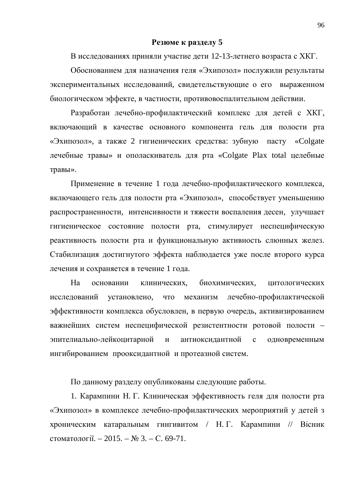#### **Резюме к разделу 5**

В исследованиях приняли участие дети 12-13-летнего возраста с ХКГ.

Обоснованием для назначения геля «Эхипозол» послужили результаты экспериментальных исследований, свидетельствующие о его выраженном биологическом эффекте, в частности, противовоспалительном действии.

Разработан лечебно-профилактический комплекс для детей с ХКГ, включающий в качестве основного компонента гель для полости рта «Эхипозол», а также 2 гигиенических средства: зубную пасту «Colgate лечебные травы» и ополаскиватель для рта «Colgate Plax total целебные травы».

Применение в течение 1 года лечебно-профилактического комплекса, включающего гель для полости рта «Эхипозол», способствует уменьшению распространенности, интенсивности и тяжести воспаления десен, улучшает гигиеническое состояние полости рта, стимулирует неспецифическую реактивность полости рта и функциональную активность слюнных желез. Стабилизация достигнутого эффекта наблюдается уже после второго курса лечения и сохраняется в течение 1 года.

На основании клинических, биохимических, цитологических исследований установлено, что механизм лечебно-профилактической эффективности комплекса обусловлен, в первую очередь, активизированием важнейших систем неспецифической резистентности ротовой полости – эпителиально-лейкоцитарной и антиоксидантной с одновременным ингибированием прооксидантной и протеазной систем.

По данному разделу опубликованы следующие работы.

1. Карампини Н. Г. Клиническая эффективность геля для полости рта «Эхипозол» в комплексе лечебно-профилактических мероприятий у детей з хроническим катаральным гингивитом / Н. Г. Карампини // Вісник стоматології. – 2015. –  $\mathbb{N}^2$  3. – С. 69-71.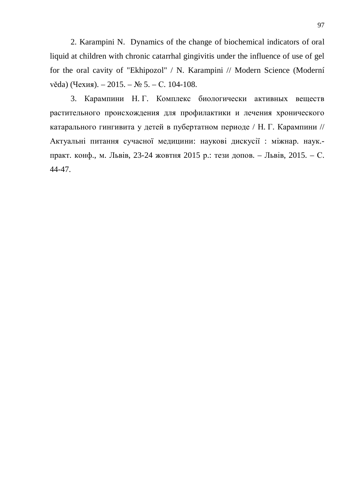2. Karampini N. Dynamics of the change of biochemical indicators of oral liquid at children with chronic catarrhal gingivitis under the influence of use of gel for the oral cavity of "Ekhipozol" / N. Karampini // Modern Science (Moderní  $věda)$  (Чехия). – 2015. – № 5. – С. 104-108.

3. Карампини Н. Г. Комплекс биологически активных веществ растительного происхождения для профилактики и лечения хронического катарального гингивита у детей в пубертатном периоде / Н. Г. Карампини // Актуальні питання сучасної медицини: наукові дискусії : міжнар. наук.практ. конф., м. Львів, 23-24 жовтня 2015 р.: тези допов. – Львів, 2015. – С. 44-47.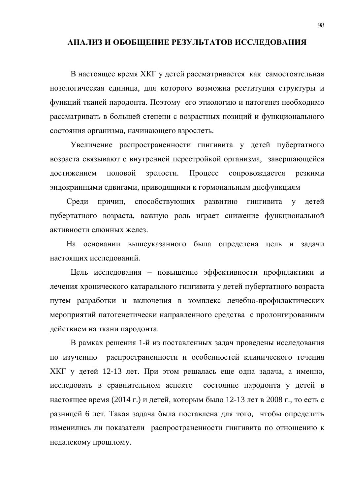### АНАЛИЗ И ОБОБЩЕНИЕ РЕЗУЛЬТАТОВ ИССЛЕДОВАНИЯ

В настоящее время ХКГ у детей рассматривается как самостоятельная нозологическая единица, для которого возможна реституция структуры и функций тканей пародонта. Поэтому его этиологию и патогенез необходимо рассматривать в большей степени с возрастных позиций и функционального состояния организма, начинающего взрослеть.

Увеличение распространенности гингивита у детей пубертатного возраста связывают с внутренней перестройкой организма, завершающейся достижением половой зрелости. Процесс сопровождается резкими эндокринными сдвигами, приводящими к гормональным дисфункциям

Среди причин, способствующих развитию гингивита у детей пубертатного возраста, важную роль играет снижение функциональной активности слюнных желез.

На основании вышеуказанного была определена цель и задачи настоящих исследований.

Цель исследования – повышение эффективности профилактики и лечения хронического катарального гингивита у детей пубертатного возраста путем разработки и включения в комплекс лечебно-профилактических мероприятий патогенетически направленного средства с пролонгированным действием на ткани пародонта.

В рамках решения 1-й из поставленных задач проведены исследования по изучению распространенности и особенностей клинического течения ХКГ у детей 12-13 лет. При этом решалась еще одна задача, а именно, исследовать в сравнительном аспекте состояние пародонта у детей в настоящее время (2014 г.) и детей, которым было 12-13 лет в 2008 г., то есть с разницей 6 лет. Такая задача была поставлена для того, чтобы определить изменились ли показатели распространенности гингивита по отношению к недалекому прошлому.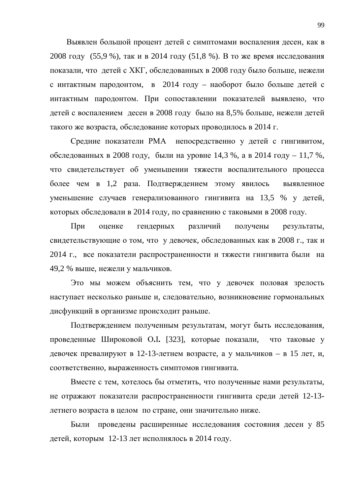Выявлен большой процент детей с симптомами воспаления десен, как в 2008 году (55,9 %), так и в 2014 году (51,8 %). В то же время исследования показали, что детей с ХКГ, обследованных в 2008 году было больше, нежели с интактным пародонтом, в 2014 году – наоборот было больше детей с интактным пародонтом. При сопоставлении показателей выявлено, что детей с воспалением десен в 2008 году было на 8,5% больше, нежели детей такого же возраста, обследование которых проводилось в 2014 г.

Средние показатели РМА непосредственно у детей с гингивитом, обследованных в 2008 году, были на уровне 14,3 %, а в 2014 году – 11,7 %, что свидетельствует об уменьшении тяжести воспалительного процесса более чем в 1,2 раза. Подтверждением этому явилось выявленное уменьшение случаев генерализованного гингивита на 13,5 % у детей, которых обследовали в 2014 году, по сравнению с таковыми в 2008 году.

При оценке гендерных различий получены результаты, свидетельствующие о том, что у девочек, обследованных как в 2008 г., так и 2014 г., все показатели распространенности и тяжести гингивита были на 49,2 % выше, нежели у мальчиков.

Это мы можем объяснить тем, что у девочек половая зрелость наступает несколько раньше и, следовательно, возникновение гормональных дисфункций в организме происходит раньше.

Подтверждением полученным результатам, могут быть исследования, проведенные Широковой О.I. [323], которые показали, что таковые у девочек превалируют в 12-13-летнем возрасте, а у мальчиков – в 15 лет, и, соответственно, выраженность симптомов гингивита.

Вместе с тем, хотелось бы отметить, что полученные нами результаты, не отражают показатели распространенности гингивита среди детей 12-13летнего возраста в целом по стране, они значительно ниже.

Были проведены расширенные исследования состояния десен у 85 детей, которым 12-13 лет исполнялось в 2014 году.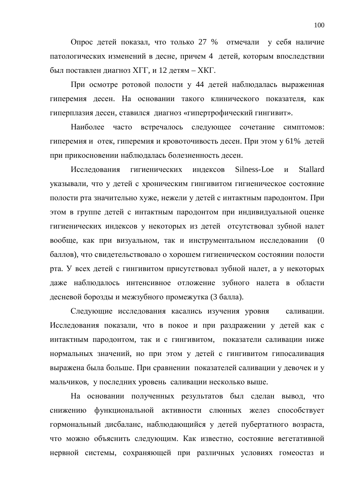Опрос детей показал, что только 27 % отмечали у себя наличие патологических изменений в десне, причем 4 детей, которым впоследствии был поставлен диагноз XГГ, и 12 детям – XКГ.

При осмотре ротовой полости у 44 детей наблюдалась выраженная гиперемия десен. На основании такого клинического показателя, как гиперплазия десен, ставился диагноз «гипертрофический гингивит».

Наиболее часто встречалось следующее сочетание симптомов: гиперемия и отек, гиперемия и кровоточивость десен. При этом у 61% детей при прикосновении наблюдалась болезненность десен.

Исследования гигиенических индексов Silness-Loe и Stallard указывали, что у детей с хроническим гингивитом гигиеническое состояние полости рта значительно хуже, нежели у детей с интактным пародонтом. При этом в группе детей с интактным пародонтом при индивидуальной оценке гигиенических индексов у некоторых из детей отсутствовал зубной налет вообще, как при визуальном, так и инструментальном исследовании (0 баллов), что свидетельствовало о хорошем гигиеническом состоянии полости рта. У всех детей с гингивитом присутствовал зубной налет, а у некоторых даже наблюдалось интенсивное отложение зубного налета в области десневой борозды и межзубного промежутка (3 балла).

Следующие исследования касались изучения уровня саливации. Исследования показали, что в покое и при раздражении у детей как с интактным пародонтом, так и с гингивитом, показатели саливации ниже нормальных значений, но при этом у детей с гингивитом гипосаливация выражена была больше. При сравнении показателей саливации у девочек и у мальчиков, у последних уровень саливации несколько выше.

На основании полученных результатов был сделан вывод, что снижению функциональной активности слюнных желез способствует гормональный дисбаланс, наблюдающийся у детей пубертатного возраста, что можно объяснить следующим. Как известно, состояние вегетативной нервной системы, сохраняющей при различных условиях гомеостаз и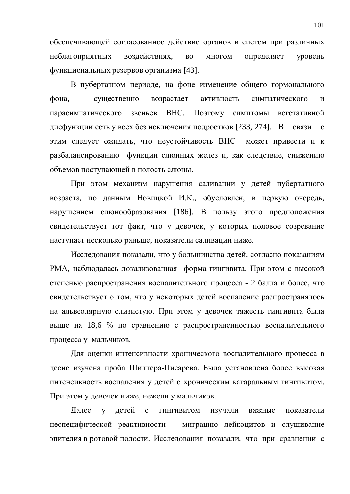обеспечивающей согласованное действие органов и систем при различных неблагоприятных воздействиях, во многом определяет уровень функциональных резервов организма [43].

В пубертатном периоде, на фоне изменение общего гормонального фона, существенно возрастает активность симпатического и парасимпатического звеньев ВНС. Поэтому симптомы вегетативной дисфункции есть у всех без исключения подростков [233, 274]. В связи с этим следует ожидать, что неустойчивость ВНС может привести и к разбалансированию функции слюнных желез и, как следствие, снижению объемов поступающей в полость слюны.

При этом механизм нарушения саливации у детей пубертатного возраста, по данным Новицкой И.К., обусловлен, в первую очередь, нарушением слюнообразования [186]. В пользу этого предположения свидетельствует тот факт, что у девочек, у которых половое созревание наступает несколько раньше, показатели саливации ниже.

Исследования показали, что у большинства детей, согласно показаниям РМА, наблюдалась локализованная форма гингивита. При этом с высокой степенью распространения воспалительного процесса - 2 балла и более, что свидетельствует о том, что у некоторых детей воспаление распространялось на альвеолярную слизистую. При этом у девочек тяжесть гингивита была выше на 18,6 % по сравнению с распространенностью воспалительного процесса у мальчиков.

Для оценки интенсивности хронического воспалительного процесса в десне изучена проба Шиллера-Писарева. Была установлена более высокая интенсивность воспаления у детей с хроническим катаральным гингивитом. При этом у девочек ниже, нежели у мальчиков.

Далее у детей с гингивитом изучали важные показатели неспецифической реактивности – миграцию лейкоцитов и слущивание эпителия в ротовой полости. Исследования показали, что при сравнении с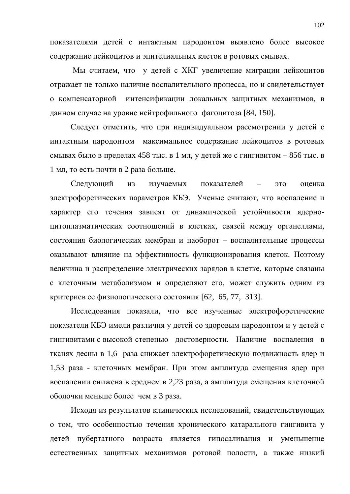показателями детей с интактным пародонтом выявлено более высокое содержание лейкоцитов и эпителиальных клеток в ротовых смывах.

Мы считаем, что у детей с ХКГ увеличение миграции лейкоцитов отражает не только наличие воспалительного процесса, но и свидетельствует о компенсаторной интенсификации локальных защитных механизмов, в данном случае на уровне нейтрофильного фагоцитоза [84, 150].

Следует отметить, что при индивидуальном рассмотрении у детей с интактным пародонтом максимальное содержание лейкоцитов в ротовых смывах было в пределах 458 тыс. в 1 мл, у детей же с гингивитом – 856 тыс. в 1 мл, то есть почти в 2 раза больше.

Следующий из изучаемых показателей – это оценка электрофоретических параметров КБЭ. Ученые считают, что воспаление и характер его течения зависят от динамической устойчивости ядерноцитоплазматических соотношений в клетках, связей между органеллами, состояния биологических мембран и наоборот – воспалительные процессы оказывают влияние на эффективность функционирования клеток. Поэтому величина и распределение электрических зарядов в клетке, которые связаны с клеточным метаболизмом и определяют его, может служить одним из критериев ее физиологического состояния [62, 65, 77, 313].

Исследования показали, что все изученные электрофоретические показатели КБЭ имели различия у детей со здоровым пародонтом и у детей с гингивитами с высокой степенью достоверности. Наличие воспаления в тканях десны в 1,6 раза снижает электрофоретическую подвижность ядер и 1,53 раза - клеточных мембран. При этом амплитуда смещения ядер при воспалении снижена в среднем в 2,23 раза, а амплитуда смещения клеточной оболочки меньше более чем в 3 раза.

Исходя из результатов клинических исследований, свидетельствующих о том, что особенностью течения хронического катарального гингивита у детей пубертатного возраста является гипосаливация и уменьшение естественных защитных механизмов ротовой полости, а также низкий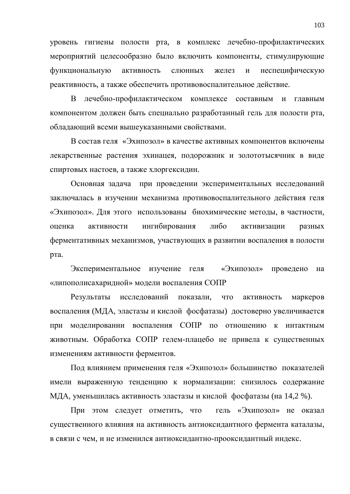уровень гигиены полости рта, в комплекс лечебно-профилактических мероприятий целесообразно было включить компоненты, стимулирующие функциональную активность слюнных желез и неспецифическую реактивность, а также обеспечить противовоспалительное действие.

В лечебно-профилактическом комплексе составным и главным компонентом должен быть специально разработанный гель для полости рта, обладающий всеми вышеуказанными свойствами.

В состав геля «Эхипозол» в качестве активных компонентов включены лекарственные растения эхинацея, подорожник и золототысячник в виде спиртовых настоев, а также хлоргексидин.

Основная задача при проведении экспериментальных исследований заключалась в изучении механизма противовоспалительного действия геля «Эхипозол». Для этого использованы биохимические методы, в частности, оценка активности ингибирования либо активизации разных ферментативных механизмов, участвующих в развитии воспаления в полости рта.

Экспериментальное изучение геля «Эхипозол» проведено на «липополисахаридной» модели воспаления СОПР

Результаты исследований показали, что активность маркеров воспаления (МДА, эластазы и кислой фосфатазы) достоверно увеличивается при моделировании воспаления СОПР по отношению к интактным животным. Обработка СОПР гелем-плацебо не привела к существенных изменениям активности ферментов.

Под влиянием применения геля «Эхипозол» большинство показателей имели выраженную тенденцию к нормализации: снизилось содержание МДА, уменьшилась активность эластазы и кислой фосфатазы (на 14,2 %).

При этом следует отметить, что гель «Эхипозол» не оказал существенного влияния на активность антиоксидантного фермента каталазы, в связи с чем, и не изменился антиоксидантно-прооксидантный индекс.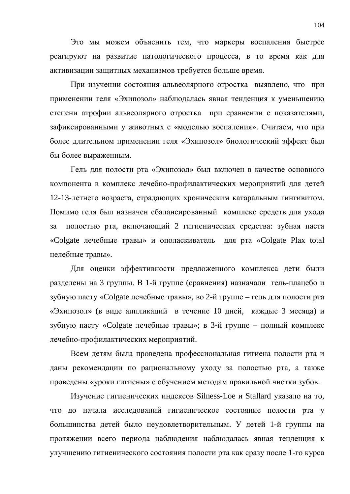Это мы можем объяснить тем, что маркеры воспаления быстрее реагируют на развитие патологического процесса, в то время как для активизации защитных механизмов требуется больше время.

При изучении состояния альвеолярного отростка выявлено, что при применении геля «Эхипозол» наблюдалась явная тенденция к уменьшению степени атрофии альвеолярного отростка при сравнении с показателями, зафиксированными у животных с «моделью воспаления». Считаем, что при более длительном применении геля «Эхипозол» биологический эффект был бы более выраженным.

Гель для полости рта «Эхипозол» был включен в качестве основного компонента в комплекс лечебно-профилактических мероприятий для детей 12-13-летнего возраста, страдающих хроническим катаральным гингивитом. Помимо геля был назначен сбалансированный комплекс средств для ухода за полостью рта, включающий 2 гигиенических средства: зубная паста «Colgate лечебные травы» и ополаскиватель для рта «Colgate Plax total целебные травы».

Для оценки эффективности предложенного комплекса дети были разделены на 3 группы. В 1-й группе (сравнения) назначали гель-плацебо и зубную пасту «Colgate лечебные травы», во 2-й группе – гель для полости рта «Эхипозол» (в виде аппликаций в течение 10 дней, каждые 3 месяца) и зубную пасту «Colgate лечебные травы»; в 3-й группе – полный комплекс лечебно-профилактических мероприятий.

Всем детям была проведена профессиональная гигиена полости рта и даны рекомендации по рациональному уходу за полостью рта, а также проведены «уроки гигиены» с обучением методам правильной чистки зубов.

Изучение гигиенических индексов Silness-Loe и Stallard указало на то, что до начала исследований гигиеническое состояние полости рта у большинства детей было неудовлетворительным. У детей 1-й группы на протяжении всего периода наблюдения наблюдалась явная тенденция к улучшению гигиенического состояния полости рта как сразу после 1-го курса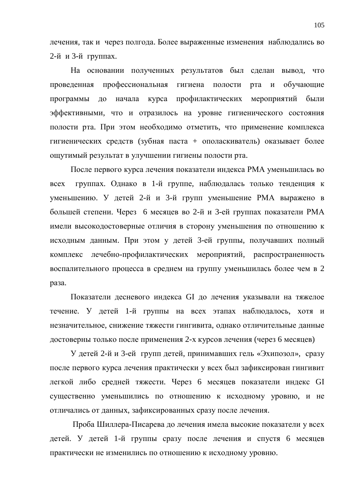лечения, так и через полгода. Более выраженные изменения наблюдались во 2-й и 3-й группах.

На основании полученных результатов был сделан вывод, что проведенная профессиональная гигиена полости рта и обучающие программы до начала курса профилактических мероприятий были эффективными, что и отразилось на уровне гигиенического состояния полости рта. При этом необходимо отметить, что применение комплекса гигиенических средств (зубная паста + ополаскиватель) оказывает более ощутимый результат в улучшении гигиены полости рта.

После первого курса лечения показатели индекса РМА уменьшилась во всех группах. Однако в 1-й группе, наблюдалась только тенденция к уменьшению. У детей 2-й и 3-й групп уменьшение РМА выражено в большей степени. Через 6 месяцев во 2-й и 3-ей группах показатели РМА имели высокодостоверные отличия в сторону уменьшения по отношению к исходным данным. При этом у детей 3-ей группы, получавших полный комплекс лечебно-профилактических мероприятий, распространенность воспалительного процесса в среднем на группу уменьшилась более чем в 2 раза.

Показатели десневого индекса GI до лечения указывали на тяжелое течение. У детей 1-й группы на всех этапах наблюдалось, хотя и незначительное, снижение тяжести гингивита, однако отличительные данные достоверны только после применения 2-х курсов лечения (через 6 месяцев)

У детей 2-й и 3-ей групп детей, принимавших гель «Эхипозол», сразу после первого курса лечения практически у всех был зафиксирован гингивит легкой либо средней тяжести. Через 6 месяцев показатели индекс GI существенно уменьшились по отношению к исходному уровню, и не отличались от данных, зафиксированных сразу после лечения.

Проба Шиллера-Писарева до лечения имела высокие показатели у всех детей. У детей 1-й группы сразу после лечения и спустя 6 месяцев практически не изменились по отношению к исходному уровню.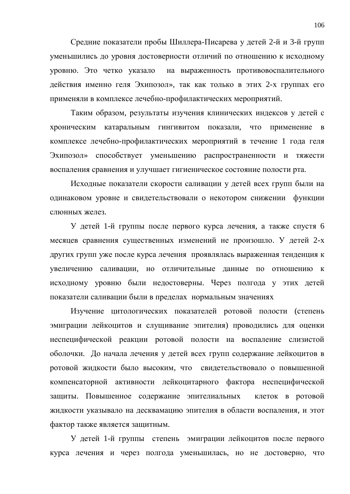Средние показатели пробы Шиллера-Писарева у детей 2-й и 3-й групп уменьшились до уровня достоверности отличий по отношению к исходному уровню. Это четко указало на выраженность противовоспалительного действия именно геля Эхипозол», так как только в этих 2-х группах его применяли в комплексе лечебно-профилактических мероприятий.

Таким образом, результаты изучения клинических индексов у детей с хроническим катаральным гингивитом показали, что применение в комплексе лечебно-профилактических мероприятий в течение 1 года геля Эхипозол» способствует уменьшению распространенности и тяжести воспаления сравнения и улучшает гигиеническое состояние полости рта.

Исходные показатели скорости саливации у детей всех групп были на одинаковом уровне и свидетельствовали о некотором снижении функции слюнных желез.

У детей 1-й группы после первого курса лечения, а также спустя 6 месяцев сравнения существенных изменений не произошло. У детей 2-х других групп уже после курса лечения проявлялась выраженная тенденция к увеличению саливации, но отличительные данные по отношению к исходному уровню были недостоверны. Через полгода у этих детей показатели саливации были в пределах нормальным значениях

Изучение цитологических показателей ротовой полости (степень эмиграции лейкоцитов и слущивание эпителия) проводились для оценки неспецифической реакции ротовой полости на воспаление слизистой оболочки. До начала лечения у детей всех групп содержание лейкоцитов в ротовой жидкости было высоким, что свидетельствовало о повышенной компенсаторной активности лейкоцитарного фактора неспецифической защиты. Повышенное содержание эпителиальных клеток в ротовой жидкости указывало на десквамацию эпителия в области воспаления, и этот фактор также является защитным.

У детей 1-й группы степень эмиграции лейкоцитов после первого курса лечения и через полгода уменьшилась, но не достоверно, что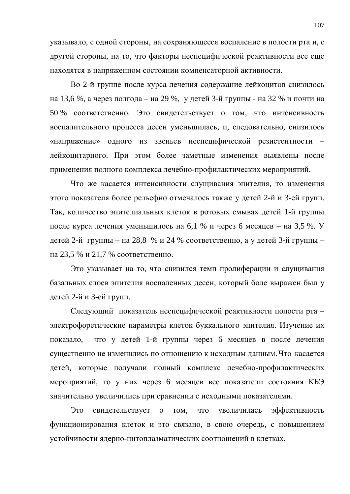указывало, с одной стороны, на сохраняющееся воспаление в полости рта и, с другой стороны, на то, что факторы неспецифической реактивности все еще находятся в напряженном состоянии компенсаторной активности.

Во 2-й группе после курса лечения содержание лейкоцитов снизилось на 13,6 %, а через полгода – на 29 %, у детей 3-й группы - на 32 % и почти на 50 % соответственно. Это свидетельствует о том, что интенсивность воспалительного процесса десен уменьшилась, и, следовательно, снизилось «напряжение» одного из звеньев неспецифической резистентности – лейкоцитарного. При этом более заметные изменения выявлены после применения полного комплекса лечебно-профилактических мероприятий.

Что же касается интенсивности слущивания эпителия, то изменения этого показателя более рельефно отмечалось также у детей 2-й и 3-ей групп. Так, количество эпителиальных клеток в ротовых смывах детей 1-й группы после курса лечения уменьшилось на 6,1 % и через 6 месяцев – на 3,5 %. У детей 2-й группы – на 28,8 % и 24 % соответственно, а у детей 3-й группы – на 23,5 % и 21,7 % соответственно.

Это указывает на то, что снизился темп пролиферации и слущивания базальных слоев эпителия воспаленных десен, который боле выражен был у детей 2-й и 3-ей групп.

Следующий показатель неспецифической реактивности полости рта – электрофоретические параметры клеток буккального эпителия. Изучение их показало, что у детей 1-й группы через 6 месяцев в после лечения существенно не изменились по отношению к исходным данным. Что касается детей, которые получали полный комплекс лечебно-профилактических мероприятий, то у них через 6 месяцев все показатели состояния КБЭ значительно увеличились при сравнении с исходными показателями.

Это свидетельствует о том, что увеличилась эффективность функционирования клеток и это связано, в свою очередь, с повышением устойчивости ядерно-цитоплазматических соотношений в клетках.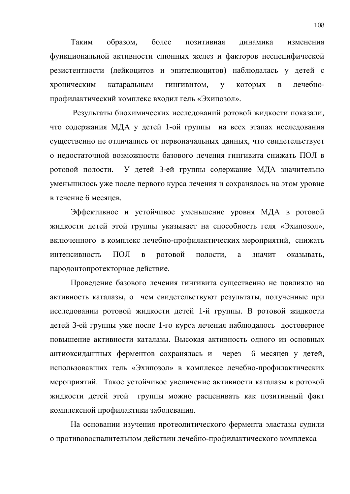Таким образом, более позитивная динамика изменения функциональной активности слюнных желез и факторов неспецифической резистентности (лейкоцитов и эпителиоцитов) наблюдалась у детей с хроническим катаральным гингивитом, у которых в лечебнопрофилактический комплекс входил гель «Эхипозол».

Результаты биохимических исследований ротовой жидкости показали, что содержания МДА у детей 1-ой группы на всех этапах исследования существенно не отличались от первоначальных данных, что свидетельствует о недостаточной возможности базового лечения гингивита снижать ПОЛ в ротовой полости. У детей 3-ей группы содержание МДА значительно уменьшилось уже после первого курса лечения и сохранялось на этом уровне в течение 6 месяцев.

Эффективное и устойчивое уменьшение уровня МДА в ротовой жидкости детей этой группы указывает на способность геля «Эхипозол», включенного в комплекс лечебно-профилактических мероприятий, снижать интенсивность ПОЛ в ротовой полости, а значит оказывать, пародонтопротекторное действие.

Проведение базового лечения гингивита существенно не повлияло на активность каталазы, о чем свидетельствуют результаты, полученные при исследовании ротовой жидкости детей 1-й группы. В ротовой жидкости детей 3-ей группы уже после 1-го курса лечения наблюдалось достоверное повышение активности каталазы. Высокая активность одного из основных антиоксидантных ферментов сохранялась и через 6 месяцев у детей, использовавших гель «Эхипозол» в комплексе лечебно-профилактических мероприятий. Такое устойчивое увеличение активности каталазы в ротовой жидкости детей этой группы можно расценивать как позитивный факт комплексной профилактики заболевания.

На основании изучения протеолитического фермента эластазы судили о противовоспалительном действии лечебно-профилактического комплекса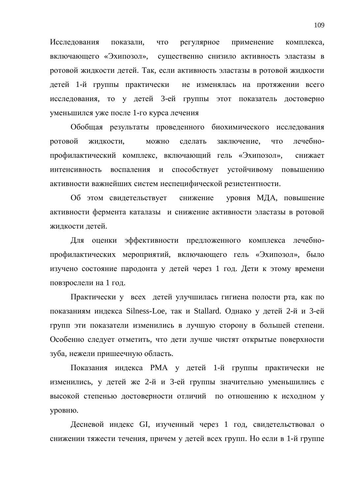Исследования показали, что регулярное применение комплекса, включающего «Эхипозол», существенно снизило активность эластазы в ротовой жидкости детей. Так, если активность эластазы в ротовой жидкости детей 1-й группы практически не изменялась на протяжении всего исследования, то у детей 3-ей группы этот показатель достоверно уменьшился уже после 1-го курса лечения

Обобщая результаты проведенного биохимического исследования ротовой жидкости, можно сделать заключение, что лечебнопрофилактический комплекс, включающий гель «Эхипозол», снижает интенсивность воспаления и способствует устойчивому повышению активности важнейших систем неспецифической резистентности.

Об этом свидетельствует снижение уровня МДА, повышение активности фермента каталазы и снижение активности эластазы в ротовой жидкости детей.

Для оценки эффективности предложенного комплекса лечебнопрофилактических мероприятий, включающего гель «Эхипозол», было изучено состояние пародонта у детей через 1 год. Дети к этому времени повзрослели на 1 год.

Практически у всех детей улучшилась гигиена полости рта, как по показаниям индекса Silness-Loe, так и Stallard. Однако у детей 2-й и 3-ей групп эти показатели изменились в лучшую сторону в большей степени. Особенно следует отметить, что дети лучше чистят открытые поверхности зуба, нежели пришеечную область.

Показания индекса РМА у детей 1-й группы практически не изменились, у детей же 2-й и 3-ей группы значительно уменьшились с высокой степенью достоверности отличий по отношению к исходном у уровню.

Десневой индекс GI, изученный через 1 год, свидетельствовал о снижении тяжести течения, причем у детей всех групп. Но если в 1-й группе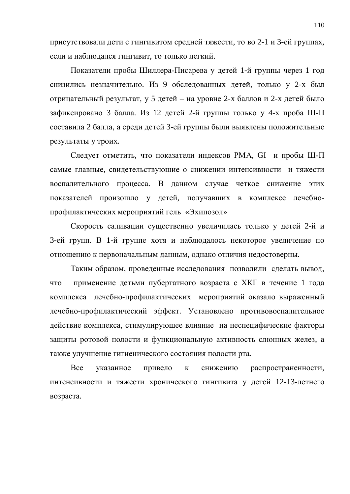присутствовали дети с гингивитом средней тяжести, то во 2-1 и 3-ей группах, если и наблюдался гингивит, то только легкий.

Показатели пробы Шиллера-Писарева у детей 1-й группы через 1 год снизились незначительно. Из 9 обследованных детей, только у 2-х был отрицательный результат, у 5 детей – на уровне 2-х баллов и 2-х детей было зафиксировано 3 балла. Из 12 детей 2-й группы только у 4-х проба Ш-П составила 2 балла, а среди детей 3-ей группы были выявлены положительные результаты у троих.

Следует отметить, что показатели индексов РМА, GI и пробы Ш-П самые главные, свидетельствующие о снижении интенсивности и тяжести воспалительного процесса. В данном случае четкое снижение этих показателей произошло у детей, получавших в комплексе лечебнопрофилактических мероприятий гель «Эхипозол»

Скорость саливации существенно увеличилась только у детей 2-й и 3-ей групп. В 1-й группе хотя и наблюдалось некоторое увеличение по отношению к первоначальным данным, однако отличия недостоверны.

Таким образом, проведенные исследования позволили сделать вывод, что применение детьми пубертатного возраста с ХКГ в течение 1 года комплекса лечебно-профилактических мероприятий оказало выраженный лечебно-профилактический эффект. Установлено противовоспалительное действие комплекса, стимулирующее влияние на неспецифические факторы защиты ротовой полости и функциональную активность слюнных желез, а также улучшение гигиенического состояния полости рта.

Все указанное привело к снижению распространенности, интенсивности и тяжести хронического гингивита у детей 12-13-летнего возраста.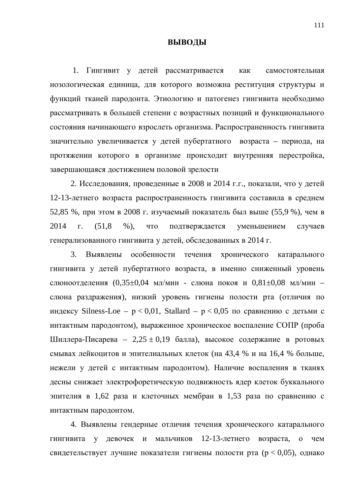## **ВЫВОДЫ**

1. Гингивит у детей рассматривается как самостоятельная нозологическая единица, для которого возможна реституция структуры и функций тканей пародонта. Этиологию и патогенез гингивита необходимо рассматривать в большей степени с возрастных позиций и функционального состояния начинающего взрослеть организма. Распространенность гингивита значительно увеличивается у детей пубертатного возраста – периода, на протяжении которого в организме происходит внутренняя перестройка, завершающаяся достижением половой зрелости

2. Исследования, проведенные в 2008 и 2014 г.г., показали, что у детей 12-13-летнего возраста распространенность гингивита составила в среднем 52,85 %, при этом в 2008 г. изучаемый показатель был выше (55,9 %), чем в 2014 г. (51,8 %), что подтверждается уменьшением случаев генерализованного гингивита у детей, обследованных в 2014 г.

3. Выявлены особенности течения хронического катарального гингивита у детей пубертатного возраста, в именно сниженный уровень слюноотделения  $(0,35\pm0,04$  мл/мин - слюна покоя и  $0,81\pm0,08$  мл/мин – слюна раздражения), низкий уровень гигиены полости рта (отличия по индексу Silness-Loe –  $p < 0.01$ , Stallard –  $p < 0.05$  по сравнению с детьми с интактным пародонтом), выраженное хроническое воспаление СОПР (проба Шиллера-Писарева – 2,25 ± 0,19 балла), высокое содержание в ротовых смывах лейкоцитов и эпителиальных клеток (на 43,4 % и на 16,4 % больше, нежели у детей с интактным пародонтом). Наличие воспаления в тканях десны снижает электрофоретическую подвижность ядер клеток буккального эпителия в 1,62 раза и клеточных мембран в 1,53 раза по сравнению с интактным пародонтом.

4. Выявлены гендерные отличия течения хронического катарального гингивита у девочек и мальчиков 12-13-летнего возраста, о чем свидетельствует лучшие показатели гигиены полости рта ( $p < 0.05$ ), однако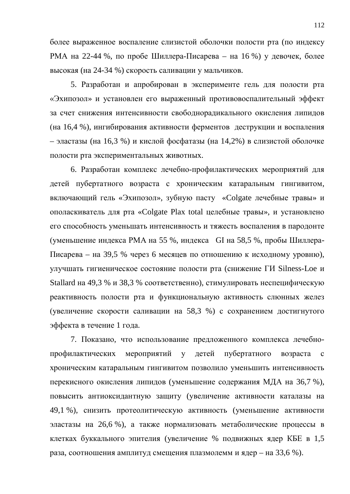более выраженное воспаление слизистой оболочки полости рта (по индексу РМА на 22-44 %, по пробе Шиллера-Писарева – на 16 %) у девочек, более высокая (на 24-34 %) скорость саливации у мальчиков.

5. Разработан и апробирован в эксперименте гель для полости рта «Эхипозол» и установлен его выраженный противовоспалительный эффект за счет снижения интенсивности свободнорадикального окисления липидов (на 16,4 %), ингибирования активности ферментов деструкции и воспаления – эластазы (на 16,3 %) и кислой фосфатазы (на 14,2%) в слизистой оболочке полости рта экспериментальных животных.

6. Разработан комплекс лечебно-профилактических мероприятий для детей пубертатного возраста с хроническим катаральным гингивитом, включающий гель «Эхипозол», зубную пасту «Colgate лечебные травы» и ополаскиватель для рта «Colgate Plax total целебные травы», и установлено его способность уменьшать интенсивность и тяжесть воспаления в пародонте (уменьшение индекса РМА на 55 %, индекса GI на 58,5 %, пробы Шиллера-Писарева – на 39,5 % через 6 месяцев по отношению к исходному уровню), улучшать гигиеническое состояние полости рта (снижение ГИ Silness-Loe и Stallard на 49,3 % и 38,3 % соответственно), стимулировать неспецифическую реактивность полости рта и функциональную активность слюнных желез (увеличение скорости саливации на 58,3 %) с сохранением достигнутого эффекта в течение 1 года.

7. Показано, что использование предложенного комплекса лечебнопрофилактических мероприятий у детей пубертатного возраста с хроническим катаральным гингивитом позволило уменьшить интенсивность перекисного окисления липидов (уменьшение содержания МДА на 36,7 %), повысить антиоксидантную защиту (увеличение активности каталазы на 49,1 %), снизить протеолитическую активность (уменьшение активности эластазы на 26,6 %), а также нормализовать метаболические процессы в клетках буккального эпителия (увеличение % подвижных ядер КБЕ в 1,5 раза, соотношения амплитуд смещения плазмолемм и ядер – на 33,6 %).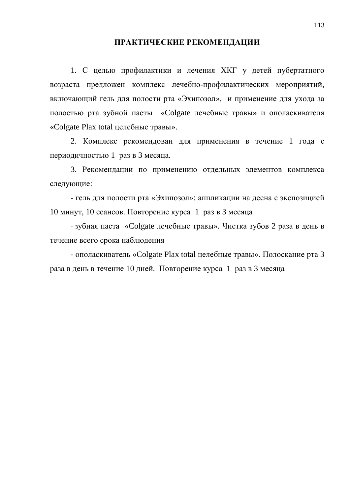## ПРАКТИЧЕСКИЕ РЕКОМЕНДАЦИИ

1. С целью профилактики и лечения ХКГ у детей пубертатного возраста предложен комплекс лечебно-профилактических мероприятий, включающий гель для полости рта «Эхипозол», и применение для ухода за полостью рта зубной пасты «Colgate лечебные травы» и ополаскивателя «Colgate Plax total целебные травы».

2. Комплекс рекомендован для применения в течение 1 года с периодичностью 1 раз в 3 месяца.

3. Рекомендации по применению отдельных элементов комплекса следующие:

- гель для полости рта «Эхипозол»: аппликации на десна с экспозицией 10 минут, 10 сеансов. Повторение курса 1 раз в 3 месяца

- зубная паста «Colgate лечебные травы». Чистка зубов 2 раза в день в течение всего срока наблюдения

- ополаскиватель «Colgate Plax total целебные травы». Полоскание рта 3 раза в день в течение 10 дней. Повторение курса 1 раз в 3 месяца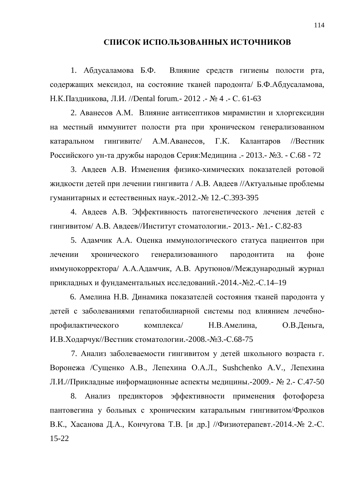## СПИСОК ИСПОЛЬЗОВАННЫХ ИСТОЧНИКОВ

1. Абдусаламова Б.Ф. Влияние средств гигиены полости рта, содержащих мексидол, на состояние тканей пародонта/ Б.Ф.Абдусаламова, Н.К.Паздникова, Л.И. //Dental forum. - 2012 . - № 4 . - С. 61-63

2. Аванесов А.М. Влияние антисептиков мирамистин и хлоргексидин на местный иммунитет полости рта при хроническом генерализованном катаральном гингивите/ А.М.Аванесов, Г.К. Калантаров //Вестник Российского ун-та дружбы народов Серия:Медицина .- 2013.- №3. - С.68 - 72

3. Авдеев А.В. Изменения физико-химических показателей ротовой жидкости детей при лечении гингивита / А.В. Авдеев //Актуальные проблемы гуманитарных и естественных наук.-2012.-№ 12.-С.393-395

4. Авдеев А.В. Эффективность патогенетического лечения детей с гингивитом/ А.В. Авдеев//Институт стоматологии. - 2013. - №1. - С.82-83

5. Адамчик А.А. Оценка иммунологического статуса пациентов при лечении хронического генерализованного пародонтита на фоне иммунокорректора/ А.А.Адамчик, А.В. Арутюнов//Международный журнал прикладных и фундаментальных исследований.-2014.-№2.-С.14–19

6. Амелина Н.В. Динамика показателей состояния тканей пародонта у детей с заболеваниями гепатобилиарной системы под влиянием лечебнопрофилактического комплекса/ Н.В.Амелина, О.В.Деньга, И.В.Ходарчук//Вестник стоматологии.-2008.-№3.-С.68-75

7. Анализ заболеваемости гингивитом у детей школьного возраста г. Воронежа /Сущенко А.В., Лепехина О.А.Л., Sushchenko A.V., Лепехина Л.И.//Прикладные информационные аспекты медицины.-2009.- № 2.- С.47-50

8. Анализ предикторов эффективности применения фотофореза пантовегина у больных с хроническим катаральным гингивитом/Фролков В.К., Хасанова Д.А., Кончугова Т.В. [и др.] //Физиотерапевт.-2014.-№ 2.-С. 15-22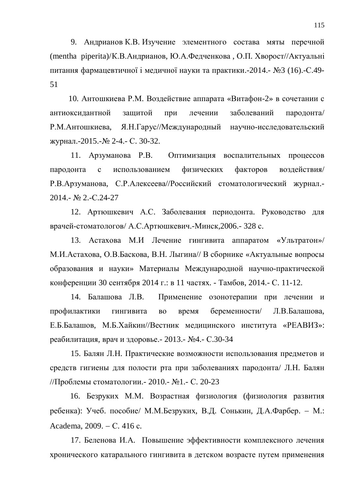9. Андрианов К.В. Изучение элементного состава мяты перечной (mentha piperita)/К.В.Андрианов, Ю.А.Федченкова, О.П. Хворост//Актуальні питання фармацевтичної і медичної науки та практики.-2014.- №3 (16).-С.49-51

10. Антошкиева Р.М. Воздействие аппарата «Витафон-2» в сочетании с антиоксидантной защитой при лечении заболеваний пародонта/ Р.М.Антошкиева, Я.Н.Гарус//Международный научно-исследовательский журнал.-2015.-№ 2-4.- С. 30-32.

11. Арзуманова Р.В. Оптимизация воспалительных процессов пародонта с использованием физических факторов воздействия/ Р.В.Арзуманова, С.Р.Алексеева//Российский стоматологический журнал.-2014.- № 2.-C.24-27

12. Артюшкевич А.С. Заболевания периодонта. Руководство для врачей-стоматологов/ А.С. Артюшкевич.-Минск, 2006.- 328 с.

13. Астахова М.И Лечение гингивита аппаратом «Ультратон»/ М.И.Астахова, О.В.Баскова, В.Н. Лыгина// В сборнике «Актуальные вопросы образования и науки» Материалы Международной научно-практической конференции 30 сентября 2014 г.: в 11 частях. - Тамбов, 2014.- С. 11-12.

14. Балашова Л.В. Применение озонотерапии при лечении и профилактики гингивита во время беременности/ Л.В.Балашова, Е.Б.Балашов, М.Б.Хайкин//Вестник медицинского института «РЕАВИЗ»: реабилитация, врач и здоровье. - 2013. - №4. - С.30-34

15. Балян Л.Н. Практические возможности использования предметов и средств гигиены для полости рта при заболеваниях пародонта/ Л.Н. Балян //Проблемы стоматологии.- 2010.- №1.- С. 20-23

16. Безруких М.М. Возрастная физиология (физиология развития ребенка): Учеб. пособие/ М.М.Безруких, В.Д. Сонькин, Д.А.Фарбер. – М.: Academa, 2009. – C. 416 c.

17. Беленова И.А. Повышение эффективности комплексного лечения хронического катарального гингивита в детском возрасте путем применения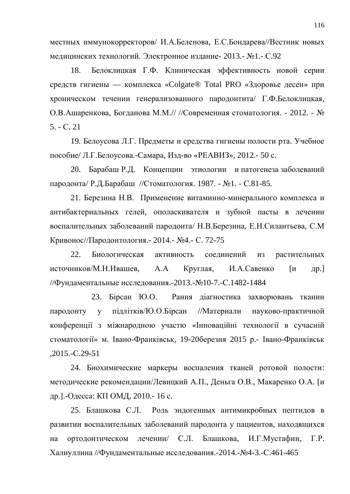местных иммунокорректоров/ И.А.Беленова, Е.С.Бондарева//Вестник новых медицинских технологий. Электронное издание- 2013.- №1.- С.92

18. Белоклицкая Г.Ф. Клиническая эффективность новой серии средств гигиены — комплекса «Colgate® Total PRO «Здоровье десен» при хроническом течении генерализованного пародонтита/ Г.Ф.Белоклицкая, О.В.Ашаренкова, Богданова М.М.// //Современная стоматология. - 2012. - №  $5. - C. 21$ 

19. Белоусова Л.Г. Предметы и средства гигиены полости рта. Учебное пособие/ Л.Г.Белоусова.-Самара, Изд-во «РЕАВИЗ», 2012.- 50 с.

20. Барабаш Р.Д. Концепции этиологии и патогенеза заболеваний пародонта/ Р.Д.Барабаш //Стоматология. 1987. - №1. - С.81-85.

21. Березина Н.В. Применение витаминно-минерального комплекса и антибактериальных гелей, ополаскивателя и зубной пасты в лечении воспалительных заболеваний пародонта/ Н.В.Березина, Е.Н.Силантьева, С.М Кривонос//Пародонтология. - 2014. - №4. - С. 72-75

22. Биологическая активность соелинений из растительных источников/М.Н.Ивашев, А.А Круглая, И.А.Савенко [и др.] //Фундаментальные исследования.-2013.-№10-7.-С.1482-1484

23. Бірсан Ю.О. Рання діагностика захворювань тканин пародонту у підлітків/Ю.О.Бірсан //Материали науково-практичной конференції з міжнародною участю «Інноваційні технології в сучасній стоматології» м. Івано-Франківськ, 19-20березня 2015 р.- Івано-Франківськ ,2015.-ɋ.29-51

24. Биохимические маркеры воспаления тканей ротовой полости: методические рекомендации/Левицкий А.П., Деньга О.В., Макаренко О.А. [и др.].-Одесса: КП ОМД, 2010.- 16 с.

25. Блашкова С.Л. Роль эндогенных антимикробных пептидов в развитии воспалительных заболеваний пародонта у пациентов, находящихся на ортодонтическом лечении/ С.Л. Блашкова, И.Г.Мустафин, Г.Р. Халиуллина //Фундаментальные исследования. - 2014. - №4-3. - С.461-465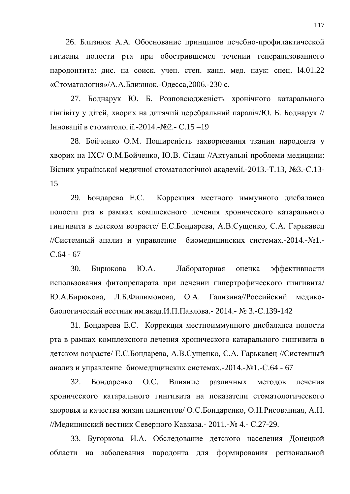26. Близнюк А.А. Обоснование принципов лечебно-профилактической гигиены полости рта при обострившемся течении генерализованного пародонтита: дис. на соиск. учен. степ. канд. мед. наук: спец. 14.01.22 «Стоматология»/А.А.Близнюк.-Одесса,2006.-230 с.

27. Боднарук Ю. Б. Розповсюдженість хронічного катарального гінгівіту у дітей, хворих на дитячий церебральний параліч/Ю. Б. Боднарук // ∐нновації в стоматології.-2014.-№2.- С.15 –19

28. Бойченко О.М. Поширеність захворювання тканин пародонта у хворих на IXC/ О.М.Бойченко, Ю.В. Сідаш //Актуальні проблеми медицини: Вісник української медичної стоматологічної академії.-2013.-Т.13, №3.-С.13-15

29. Бондарева Е.С. Коррекция местного иммунного дисбаланса полости рта в рамках комплексного лечения хронического катарального гингивита в детском возрасте/ Е.С.Бондарева, А.В.Сущенко, С.А. Гарькавец //Системный анализ и управление биомедицинских системах.-2014.-№1.- $C.64 - 67$ 

30. Бирюкова Ю.А. Лабораторная оценка эффективности использования фитопрепарата при лечении гипертрофического гингивита/ Ю.А.Бирюкова, Л.Б.Филимонова, О.А. Гализина//Российский медикобиологический вестник им.акад.И.П.Павлова. - 2014. - № 3.-С.139-142

31. Бондарева Е.С. Коррекция местноиммунного дисбаланса полости рта в рамках комплексного лечения хронического катарального гингивита в детском возрасте/ Е.С.Бондарева, А.В.Сущенко, С.А. Гарькавец //Системный анализ и управление биомедицинских системах.-2014.- №1.-С.64 - 67

32. Бондаренко О.С. Влияние различных методов лечения хронического катарального гингивита на показатели стоматологического здоровья и качества жизни пациентов/ О.С. Бондаренко, О.Н. Рисованная, А.Н. //Медицинский вестник Северного Кавказа. - 2011.- № 4.- С.27-29.

33. Бугоркова И.А. Обследование детского населения Донецкой области на заболевания пародонта для формирования региональной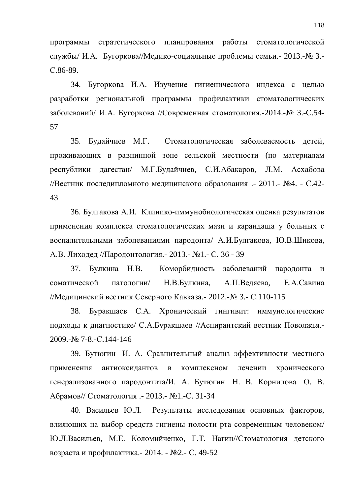программы стратегического планирования работы стоматологической службы/ И.А. Бугоркова//Медико-социальные проблемы семьи. - 2013.-№ 3.-C.86-89.

34. Бугоркова И.А. Изучение гигиенического индекса с целью разработки региональной программы профилактики стоматологических заболеваний/ И.А. Бугоркова //Современная стоматология.-2014.-№ 3.-С.54-57

35. Будайчиев М.Г. Стоматологическая заболеваемость детей, проживающих в равнинной зоне сельской местности (по материалам республики дагестан/ М.Г.Будайчиев, С.И.Абакаров, Л.М. Асхабова //Вестник последипломного медицинского образования .- 2011.- №4. - С.42-43

36. Булгакова А.И. Клинико-иммунобиологическая оценка результатов применения комплекса стоматологических мази и карандаша у больных с воспалительными заболеваниями пародонта/ А.И.Булгакова, Ю.В.Шикова, А.В. Лиходед //Пародонтология. - 2013. - №1. - С. 36 - 39

37. Булкина Н.В. Коморбидность заболеваний пародонта и соматической патологии/ Н.В.Булкина, А.П.Ведяева, Е.А.Савина //Медицинский вестник Северного Кавказа. - 2012.- № 3.- С.110-115

38. Буракшаев С.А. Хронический гингивит: иммунологические подходы к диагностике/ С.А.Буракшаев //Аспирантский вестник Поволжья.-2009. - No. 7-8. - C. 144-146

39. Бутюгин И. А. Сравнительный анализ эффективности местного применения антиоксидантов в комплексном лечении хронического генерализованного пародонтита/И. А. Бутюгин Н. В. Корнилова О. В. Абрамов// Стоматология .- 2013.- №1.-С. 31-34

40. Васильев Ю.Л. Результаты исследования основных факторов, влияющих на выбор средств гигиены полости рта современным человеком/ Ю.Л.Васильев, М.Е. Коломийченко, Г.Т. Нагин//Стоматология детского возраста и профилактика. - 2014. - №2. - С. 49-52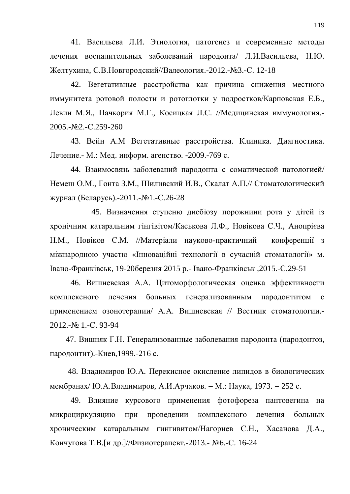41. Васильева Л.И. Этиология, патогенез и современные методы лечения воспалительных заболеваний пародонта/ Л.И.Васильева, Н.Ю. Желтухина, С.В. Новгородский//Валеология. - 2012. - №3. -С. 12-18

42. Вегетативные расстройства как причина снижения местного иммунитета ротовой полости и ротоглотки у подростков/Карповская Е.Б., Левин М.Я., Пачкория М.Г., Косицкая Л.С. //Медицинская иммунология.-2005.-№2.-C.259-260

43. Вейн А.М Вегетативные расстройства. Клиника. Диагностика. Лечение.- М.: Мед. информ. агенство. -2009.-769 с.

44. Взаимосвязь заболеваний пародонта с соматической патологией/ Немеш О.М., Гонта З.М., Шиливский И.В., Скалат А.П.// Стоматологический журнал (Беларусь).-2011.-№1.-С.26-28

45. Визначення ступеню дисбіозу порожнини рота у дітей із хронічним катаральним гінгівітом/Каськова Л.Ф., Новікова С.Ч., Анопрієва Н.М., Новіков Є.М. //Матеріали науково-практичний конференції з міжнародною участю «Інноваційні технології в сучасній стоматології» м. Iвано-Франківськ, 19-20березня 2015 р.- Івано-Франківськ, 2015.-С.29-51

46. Вишневская А.А. Цитоморфологическая оценка эффективности комплексного лечения больных генерализованным пародонтитом с применением озонотерапии/ А.А. Вишневская // Вестник стоматологии.-2012.-№ 1.-C. 93-94

47. Вишняк Г.Н. Генерализованные заболевания пародонта (пародонтоз, пародонтит).-Киев, 1999.-216 с.

48. Владимиров Ю.А. Перекисное окисление липидов в биологических мембранах/ Ю.А.Владимиров, А.И.Арчаков. – М.: Наука, 1973. – 252 с.

49. Влияние курсового применения фотофореза пантовегина на микроциркуляцию при проведении комплексного лечения больных хроническим катаральным гингивитом/Нагорнев С.Н., Хасанова Д.А., Кончугова Т.В. [и др. ]//Физиотерапевт. - 2013. - №6. -С. 16-24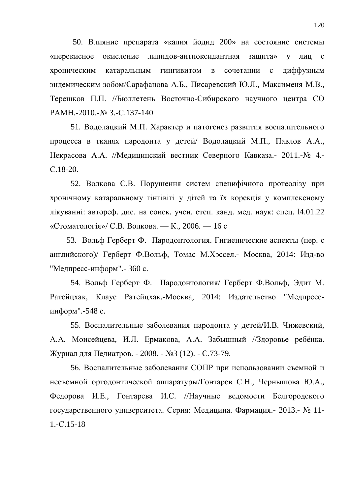50. Влияние препарата «калия йодид 200» на состояние системы «перекисное окисление липидов-антиоксидантная защита» у лиц с хроническим катаральным гингивитом в сочетании с диффузным эндемическим зобом/Сарафанова А.Б., Писаревский Ю.Л., Максименя М.В., Терешков П.П. //Бюллетень Восточно-Сибирского научного центра СО PAMH.-2010.-№ 3.-C.137-140

51. Водолацкий М.П. Характер и патогенез развития воспалительного процесса в тканях пародонта у детей/ Водолацкий М.П., Павлов А.А., Некрасова А.А. //Медицинский вестник Северного Кавказа. - 2011.- № 4.ɋ.18-20.

52. Волкова С.В. Порушення систем специфічного протеолізу при хронічному катаральному гінгівіті у дітей та їх корекція у комплексному лікуванні: автореф. дис. на соиск. учен. степ. канд. мед. наук: спец. 14.01.22 «Стоматологія»/ С.В. Волкова. — К., 2006. — 16 с

53. Вольф Герберт Ф. Пародонтология. Гигиенические аспекты (пер. с английского)/ Герберт Ф.Вольф, Томас М.Хэссел.- Москва, 2014: Изд-во "Медпресс-информ".- 360 с.

54. Вольф Герберт Ф. Пародонтология/ Герберт Ф.Вольф, Эдит М. Ратейцхак, Клаус Ратейцхак.-Москва, 2014: Издательство "Медпрессинформ".-548 с.

55. Воспалительные заболевания пародонта у детей/И.В. Чижевский. А.А. Моисейцева, И.Л. Ермакова, А.А. Забышный //Здоровье ребёнка. Журнал для Педиатров. - 2008. - №3 (12). - С.73-79.

56. Воспалительные заболевания СОПР при использовании съемной и несъемной ортодонтической аппаратуры/Гонтарев С.Н., Чернышова Ю.А., Федорова И.Е., Гонтарева И.С. //Научные ведомости Белгородского государственного университета. Серия: Медицина. Фармация. - 2013. - № 11- $1.-C.15-18$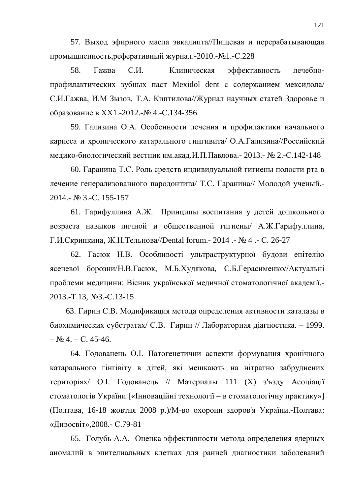57. Выход эфирного масла эвкалипта//Пищевая и перерабатывающая промышленность, реферативный журнал. - 2010. - №1. - С.228

58. Гажва С.И. Клиническая эффективность лечебнопрофилактических зубных паст Mexidol dent с содержанием мексидола/ С.И.Гажва, И.М Зызов, Т.А. Киптилова//Журнал научных статей Здоровье и образование в XX1.-2012.-№ 4.-С.134-356

59. Гализина О.А. Особенности лечения и профилактики начального кариеса и хронического катарального гингивита/ О.А.Гализина//Российский медико-биологический вестник им.акад.И.П.Павлова. - 2013. - № 2.-С.142-148

60. Гаранина Т.С. Роль средств индивидуальной гигиены полости рта в лечение генерализованного пародонтита/ Т.С. Гаранина// Молодой ученый.-2014.- № 3.-C. 155-157

61. Гарифуллина А.Ж. Принципы воспитания у детей дошкольного возраста навыков личной и общественной гигиены/ А.Ж.Гарифуллина, Г.И.Скрипкина, Ж.Н.Тельнова//Dental forum. - 2014 . - № 4 . - С. 26-27

62. Гасюк Н.В. Особливості ультраструктурної будови епітелію ясеневої борозни/Н.В.Гасюк, М.Б.Худякова, С.Б.Герасименко//Актуальні проблеми медицини: Вісник української медичної стоматологічної академії.-2013.-T.13, №3.-C.13-15

63. Гирин С.В. Модификация метода определения активности каталазы в биохимических субстратах/ С.В. Гирин // Лабораторная діагностика. – 1999.  $-$  No 4. – C. 45-46.

64. Годованець О. І. Патогенетични аспекти формування хронічного катарального гінгівіту в дітей, які мешкають на нітратно забруднених територіях/ О.І. Годованець // Материалы 111 (X) з'ъзду Асоціації стоматологів України [«Інноваційні технології – в стоматологічну практику»] (Полтава, 16-18 жовтня 2008 р.)/М-во охорони здоров'я України.-Полтава: «Дивосвіт», 2008. - С.79-81

65. Голубь А.А. Оценка эффективности метода определения ядерных аномалий в эпителиальных клетках для ранней диагностики заболеваний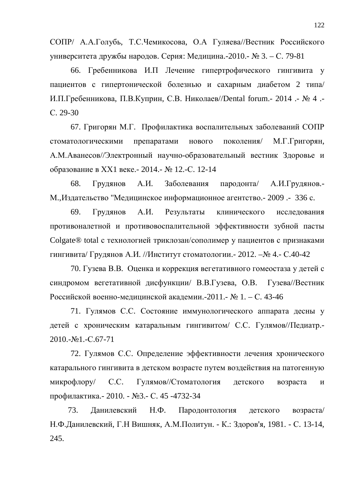СОПР/ А.А.Голубь, Т.С.Чемикосова, О.А Гуляева//Вестник Российского университета дружбы народов. Серия: Медицина.-2010.- № 3. – С. 79-81

66. Гребенникова И.П Лечение гипертрофического гингивита у пациентов с гипертонической болезнью и сахарным диабетом 2 типа/ И.П.Гребенникова, П.В.Куприн, С.В. Николаев//Dental forum.- 2014 .- № 4 .ɋ. 29-30

67. Григорян М.Г. Профилактика воспалительных заболеваний СОПР стоматологическими препаратами нового поколения/ М.Г.Григорян, А.М.Аванесов//Электронный научно-образовательный вестник Здоровье и образование в XX1 веке.- 2014.- № 12.-С. 12-14

68. Грудянов А.И. Заболевания пародонта/ А.И.Грудянов.-М., Издательство "Медицинское информационное агентство. - 2009 .- 336 с.

69. Грудянов А.И. Результаты клинического исследования противоналетной и противовоспалительной эффективности зубной пасты Colgate® total с технологией триклозан/сополимер у пациентов с признаками гингивита/ Грудянов А.И. //Институт стоматологии.- 2012. –№ 4.- С.40-42

70. Гузева В.В. Оценка и коррекция вегетативного гомеостаза у детей с синдромом вегетативной дисфункции/ В.В.Гузева, О.В. Гузева//Вестник Российской военно-медицинской академии.-2011.- № 1. – С. 43-46

71. Гулямов С.С. Состояние иммунологического аппарата десны у детей с хроническим катаральным гингивитом/ С.С. Гулямов//Педиатр.- $2010,-\text{Ne}1,-\text{C}.67-71$ 

72. Гулямов С.С. Определение эффективности лечения хронического катарального гингивита в детском возрасте путем воздействия на патогенную микрофлору/ С.С. Гулямов//Стоматология детского возраста и профилактика. - 2010. - №3. - С. 45 -4732-34

73. Данилевский Н.Ф. Пародонтология детского возраста/ Н.Ф.Данилевский, Г.Н Вишняк, А.М.Политун. - К.: Здоров'я, 1981. - С. 13-14, 245.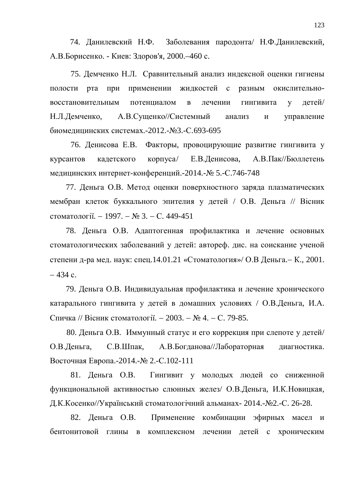74. Данилевский Н.Ф. Заболевания пародонта/ Н.Ф.Данилевский, А.В.Борисенко. - Киев: Здоров'я, 2000.-460 с.

75. Демченко Н.Л. Сравнительный анализ индексной оценки гигиены полости рта при применении жидкостей с разным окислительновосстановительным потенциалом в лечении гингивита у детей/ Н.Л.Демченко, А.В.Сущенко//Системный анализ и управление биомедицинских системах.-2012.-№3.-С.693-695

76. Денисова Е.В. Факторы, провоцирующие развитие гингивита у курсантов кадетского корпуса/ Е.В.Денисова, А.В.Пак//Бюллетень медицинских интернет-конференций.-2014.-№ 5.-С.746-748

77. Деньга О.В. Метод оценки поверхностного заряда плазматических мембран клеток буккального эпителия у детей / О.В. Деньга // Вісник стоматології.  $-1997. -$  № 3.  $-$  С. 449-451

78. Деньга О.В. Адаптогенная профилактика и лечение основных стоматологических заболеваний у детей: автореф. дис. на соискание ученой степени д-ра мед. наук: спец.14.01.21 «Стоматология»/ О.В Деньга. – К., 2001.  $-434$  c.

79. Деньга О.В. Индивидуальная профилактика и лечение хронического катарального гингивита у детей в домашних условиях / О.В.Деньга, И.А. Спичка // Вісник стоматології. − 2003. – № 4. – С. 79-85.

80. Деньга О.В. Иммунный статус и его коррекция при слепоте у детей/ О.В.Деньга, С.В.Шпак, А.В.Богданова//Лабораторная диагностика. Восточная Европа.-2014.-№ 2.-С.102-111

81. Деньга О.В. Гингивит у молодых людей со сниженной функциональной активностью слюнных желез/ О.В.Деньга, И.К.Новицкая, Д.К.Косенко//Український стоматологічний альманах- 2014.-№2.-С. 26-28.

82. Деньга О.В. Применение комбинации эфирных масел и бентонитовой глины в комплексном лечении детей с хроническим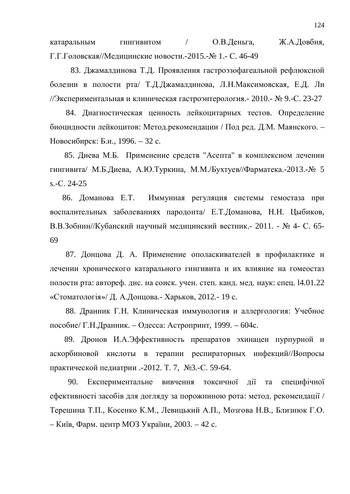катаральным гингивитом / О.В.Деньга, Ж.А.Довбня, Г.Г.Головская//Медицинские новости.-2015.-№ 1.- С. 46-49

83. Джамалдинова Т.Д. Проявления гастроэзофагеальной рефлюксной болезни в полости рта/ Т.Д.Джамалдинова, Л.Н.Максимовская, Е.Д. Ли //Экспериментальная и клиническая гастроэнтерология. - 2010. - № 9. -С. 23-27

84. Диагностическая ценность лейкоцитарных тестов. Определение биоцидности лейкоцитов: Метод.рекомендации / Под ред. Д.М. Маянского. – Новосибирск: Б.и., 1996. – 32 с.

85. Диева М.Б. Применение средств "Асепта" в комплексном лечении гингивита/ М.Б.Диева, А.Ю.Туркина, М.М./Бухтуев//Фарматека.-2013.-№ 5 s.-C. 24-25

86. Доманова Е.Т. Иммунная регуляция системы гемостаза при воспалительных заболеваниях пародонта/ Е.Т.Доманова, Н.Н. Цыбиков, В.В.Зобнин//Кубанский научный медицинский вестник.- 2011. - № 4- С. 65-69

87. Донцова Д. А. Применение ополаскивателей в профилактике и лечении хронического катарального гингивита и их влияние на гомеостаз полости рта: автореф. дис. на соиск. учен. степ. канд. мед. наук: спец. 14.01.22 «Стоматологія»/ Д. А.Донцова.- Харьков, 2012.- 19 с.

88. Дранник Г.Н. Клиническая иммунология и аллергология: Учебное пособие/ Г.Н.Дранник. – Одесса: Астропринт, 1999. – 604с.

89. Дронов И.А.Эффективность препаратов эхинацеи пурпурной и аскорбиновой кислоты в терапии респираторных инфекций//Вопросы практической педиатрии .-2012. Т. 7, №3.-С. 59-64.

90. Експериментальне вивчення токсичної дії та специфічної ефективності засобів для догляду за порожниною рота: метод. рекомендації / Терешина Т.П., Косенко К.М., Левицький А.П., Мозгова Н.В., Близнюк Г.О. – Київ, Фарм. центр МОЗ України, 2003. – 42 с.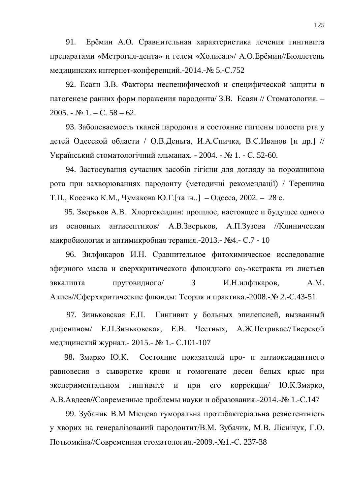91. Ерёмин А.О. Сравнительная характеристика лечения гингивита препаратами «Метрогил-дента» и гелем «Холисал»/ А.О.Ерёмин//Бюллетень медицинских интернет-конференций.-2014.-№ 5.-С.752

92. Есаян З.В. Факторы неспецифической и специфической защиты в патогенезе ранних форм поражения пародонта/ З.В. Есаян // Стоматология. –  $2005. - N_2 1. - C. 58 - 62.$ 

93. Заболеваемость тканей пародонта и состояние гигиены полости рта у детей Одесской области / О.В.Деньга, И.А.Спичка, В.С.Иванов [и др.] // Український стоматологічний альманах. - 2004. - № 1. - С. 52-60.

94. Застосування сучасних засобів гігієни для догляду за порожниною рота при захворюваннях пародонту (методичні рекомендації) / Терешина Т.П., Косенко К.М., Чумакова Ю.Г. [та ін..] – Одесса, 2002. – 28 с.

95. Зверьков А.В. Хлоргексидин: прошлое, настоящее и будущее одного из основных антисептиков/ А.В.Зверьков, А.П.Зузова //Клиническая микробиология и антимикробная терапия.-2013.- №4.- С.7 - 10

96. Зилфикаров И.Н. Сравнительное фитохимическое исследование эфирного масла и сверхкритического флюидного со<sub>2</sub>-экстракта из листьев эвкалипта прутовидного/ 3 И.Н.илфикаров, А.М. Алиев//Сферхкритические флюиды: Теория и практика.-2008.- $\mathcal{N}_2$  2.-С.43-51

97. Зиньковская Е.П. Гингивит у больных эпилепсией, вызванный дифенином/ Е.П.Зиньковская, Е.В. Честных, А.Ж.Петрикас//Тверской медицинский журнал. - 2015. - № 1. - С.101-107

98. Змарко Ю.К. Состояние показателей про- и антиоксидантного равновесия в сыворотке крови и гомогенате десен белых крыс при экспериментальном гингивите и при его коррекции/ Ю.К.Змарко, А.В.Авдеев//Современные проблемы науки и образования.-2014.-№ 1.-С.147

99. Зубачик В.М Місцева гуморальна протибактеріальна резистентність у хворих на генералізований пародонтит/В.М. Зубачик, М.В. Ліснічук, Г.О. Потьомкіна//Современная стоматология.-2009.-№1.-С. 237-38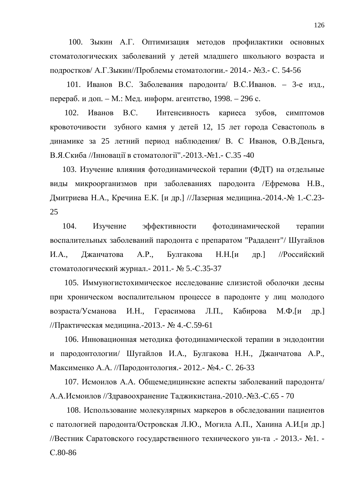100. Зыкин А.Г. Оптимизация методов профилактики основных стоматологических заболеваний у детей младшего школьного возраста и подростков/ А.Г.Зыкин//Проблемы стоматологии.- 2014.- №3.- С. 54-56

101. Иванов В.С. Заболевания пародонта/ В.С.Иванов. – 3-е изд., перераб. и доп. – М.: Мед. информ. агентство, 1998. – 296 с.

102. Иванов В.С. Интенсивность кариеса зубов, симптомов кровоточивости зубного камня у детей 12, 15 лет города Севастополь в динамике за 25 летний период наблюдения/ В. С Иванов, О.В.Деньга, В.Я.Скиба //Інновації в стоматології".-2013.-№1.- С.35 -40

103. Изучение влияния фотодинамической терапии (ФДТ) на отдельные виды микроорганизмов при заболеваниях пародонта /Ефремова Н.В., Дмитриева Н.А., Кречина Е.К. [и др.] //Лазерная медицина.-2014.-№ 1.-С.23-25

104. Изучение эффективности фотодинамической терапии воспалительных заболеваний пародонта с препаратом "Рададент"/ Шугайлов И.А., Лжанчатова А.Р., Булгакова Н.Н. [и др.] //Российский стоматологический журнал.- 2011.- № 5.-С.35-37

105. Иммуногистохимическое исследование слизистой оболочки десны при хроническом воспалительном процессе в пародонте у лиц молодого возраста/Усманова И.Н., Герасимова Л.П., Кабирова М.Ф. [и др.] //Практическая медицина.-2013.- № 4.-С.59-61

106. Инновационная методика фотодинамической терапии в эндодонтии и пародонтологии/ Шугайлов И.А., Булгакова Н.Н., Джанчатова А.Р., Максименко А.А. //Пародонтология. - 2012. - №4. - С. 26-33

107. Исмоилов А.А. Общемедицинские аспекты заболеваний пародонта/ А.А.Исмоилов //Здравоохранение Таджикистана.-2010.-№3.-С.65 - 70

108. Использование молекулярных маркеров в обследовании пациентов с патологией пародонта/Островская Л.Ю., Могила А.П., Ханина А.И.[и др.] //Вестник Саратовского государственного технического ун-та .- 2013.- №1. ɋ.80-86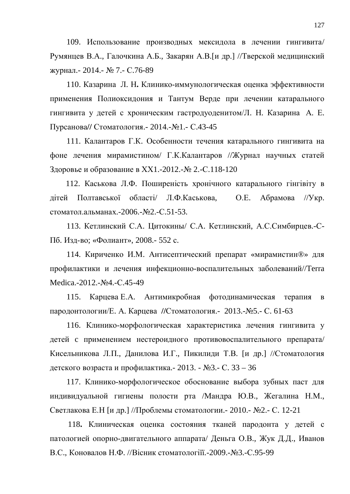109. Использование производных мексидола в лечении гингивита/ Румянцев В.А., Галочкина А.Б., Закарян А.В. [и др.] //Тверской медицинский журнал.- 2014.- № 7.- С.76-89

110. Казарина Л. Н. Клинико-иммунологическая оценка эффективности применения Полиоксидония и Тантум Верде при лечении катарального гингивита у детей с хроническим гастродуоденитом/Л. Н. Казарина А. Е. Пурсанова// Стоматология.- 2014.-№1.- С.43-45

111. Калантаров Г.К. Особенности течения катарального гингивита на фоне лечения мирамистином/ Г.К.Калантаров //Журнал научных статей Здоровье и образование в XX1.-2012.-№ 2.-С.118-120

112. Каськова Л.Ф. Поширеність хронічного катарального гінгівіту в дітей Полтавської області/ Л.Ф.Каськова, О.Е. Абрамова //Укр. стоматол.альманах.-2006.-№2.-С.51-53.

113. Кетлинский С.А. Цитокины/ С.А. Кетлинский, А.С.Симбирцев.-С-Пб. Изд-во; «Фолиант», 2008.- 552 с.

114. Кириченко И.М. Антисептический препарат «мирамистин®» для профилактики и лечения инфекционно-воспалительных заболеваний//Terra Medica.-2012.-No<sub>4</sub>.-C.45-49

115. Карцева Е.А. Антимикробная фотодинамическая терапия в пародонтологии/Е. А. Карцева //Стоматология.- 2013.- №5.- С. 61-63

116. Клинико-морфологическая характеристика лечения гингивита у детей с применением нестероидного противовоспалительного препарата/ Кисельникова Л.П., Данилова И.Г., Пикилиди Т.В. [и др.] //Стоматология детского возраста и профилактика. - 2013. -  $N_2$ 3. - С. 33 – 36

117. Клинико-морфологическое обоснование выбора зубных паст для индивидуальной гигиены полости рта /Мандра Ю.В., Жегалина Н.М., Светлакова Е.Н [и др.] //Проблемы стоматологии.- 2010.- №2.- С. 12-21

118. Клиническая оценка состояния тканей пародонта у детей с патологией опорно-двигательного аппарата/ Деньга О.В., Жук Д.Д., Иванов В.С., Коновалов Н.Ф. //Вісник стоматологіїї.-2009.- №3.-С.95-99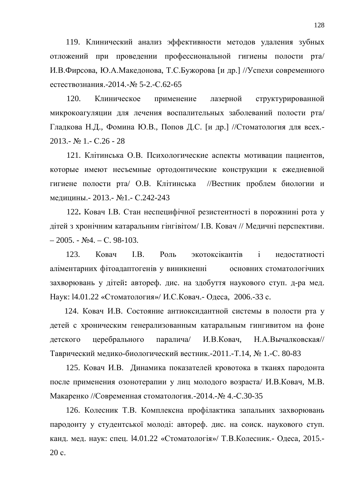119. Клинический анализ эффективности методов удаления зубных отложений при проведении профессиональной гигиены полости рта/ И.В.Фирсова, Ю.А.Македонова, Т.С.Бужорова [и др.] //Успехи современного естествознания.-2014.-№ 5-2.-С.62-65

120. Клиническое применение лазерной структурированной микрокоагуляции для лечения воспалительных заболеваний полости рта/ Гладкова Н.Д., Фомина Ю.В., Попов Д.С. [и др.] //Стоматология для всех.- $2013 \text{Ne}$  1.-  $\text{C.26}$  - 28

121. Клітинська О.В. Психологические аспекты мотивации пациентов, которые имеют несъемные ортодонтические конструкции к ежедневной гигиене полости рта/ О.В. Клітинська //Вестник проблем биологии и медицины. - 2013. - №1. - С.242-243

122. Ковач І.В. Стан неспецифічної резистентності в порожнині рота у дітей з хронічним катаральним гінгівітом/ І.В. Ковач // Медичні перспективи.  $-2005. - N<sub>2</sub>4. - C. 98-103.$ 

123. Ковач I.В. Роль экотоксікантів і нелостатності аліментарних фітоадаптогенів у виникненні основних стоматологічних захворювань у дітей: автореф. дис. на здобуття наукового ступ. д-ра мед. Наук: 14.01.22 «Стоматология»/ И.С.Ковач.- Одеса, 2006.-33 с.

124. Ковач И.В. Состояние антиоксидантной системы в полости рта у детей с хроническим генерализованным катаральным гингивитом на фоне детского церебрального паралича/ И.В.Ковач, Н.А.Вычалковская// Таврический медико-биологический вестник.-2011.-Т.14, № 1.-С. 80-83

125. Ковач И.В. Динамика показателей кровотока в тканях пародонта после применения озонотерапии у лиц молодого возраста/ И.В.Ковач, М.В. Макаренко //Современная стоматология.-2014.-№ 4.-С.30-35

126. Колесник Т.В. Комплексна профілактика запальних захворювань пародонту у студентської молоді: автореф. дис. на соиск. наукового ступ. канд. мед. наук: спец. 14.01.22 «Стоматологія»/ Т.В.Колесник.- Одеса, 2015.-20 c.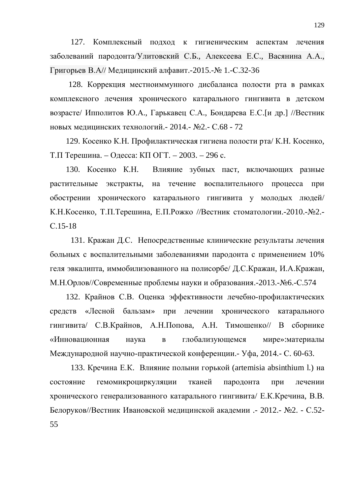127. Комплексный полхол к гигиеническим аспектам лечения заболеваний пародонта/Улитовский С.Б., Алексеева Е.С., Васянина А.А., Григорьев В.А// Медицинский алфавит.-2015.- № 1.-С.32-36

128. Коррекция местноиммунного дисбаланса полости рта в рамках комплексного лечения хронического катарального гингивита в детском возрасте/ Ипполитов Ю.А., Гарькавец С.А., Бондарева Е.С. [и др.] //Вестник новых медицинских технологий. - 2014. - №2. - С.68 - 72

129. Косенко К.Н. Профилактическая гигиена полости рта/ К.Н. Косенко, Т.П Терешина. – Одесса: КП ОГТ. – 2003. – 296 с.

130. Косенко К.Н. Влияние зубных паст, включающих разные растительные экстракты, на течение воспалительного процесса при обострении хронического катарального гингивита у молодых людей/ К.Н. Косенко, Т.П. Терешина, Е.П. Рожко //Вестник стоматологии. - 2010. - № 2.ɋ.15-18

131. Кражан Д.С. Непосредственные клинические результаты лечения больных с воспалительными заболеваниями пародонта с применением 10% геля эвкалипта, иммобилизованного на полисорбе/ Д.С.Кражан, И.А.Кражан, М.Н.Орлов//Современные проблемы науки и образования.-2013.-№6.-С.574

132. Крайнов С.В. Оценка эффективности лечебно-профилактических средств «Лесной бальзам» при лечении хронического катарального гингивита/ С.В.Крайнов, А.Н.Попова, А.Н. Тимошенко// В сборнике «Инновационная наука в глобализующемся мире»:материалы Международной научно-практической конференции.- Уфа, 2014.- С. 60-63.

133. Кречина Е.К. Влияние полыни горькой (artemisia absinthium l.) на состояние гемомикроциркуляции тканей пародонта при лечении хронического генерализованного катарального гингивита/ Е.К.Кречина, В.В. Белоруков//Вестник Ивановской медицинской академии .- 2012.- №2. - С.52-55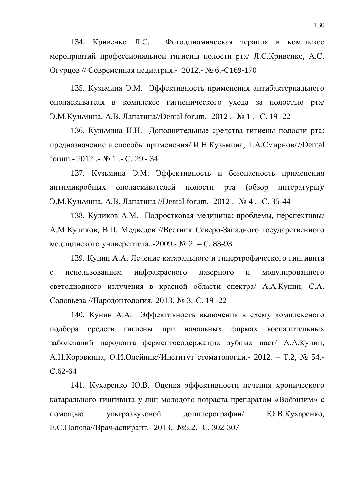134. Кривенко Л.С. Фотодинамическая терапия в комплексе мероприятий профессиональной гигиены полости рта/ Л.С.Кривенко, А.С. Огурцов // Современная педиатрия.- 2012.- № 6.-С169-170

135. Кузьмина Э.М. Эффективность применения антибактериального ополаскивателя в комплексе гигиенического ухода за полостью рта/ Э.М. Кузьмина, A.B. Лапатина//Dental forum. - 2012 . - № 1 . - С. 19 -22

136. Кузьмина И.Н. Дополнительные средства гигиены полости рта: предназначение и способы применения/ И.Н.Кузьмина, Т.А.Смирнова//Dental forum. - 2012 . - № 1 . - С. 29 - 34

137. Кузьмина Э.М. Эффективность и безопасность применения антимикробных ополаскивателей полости рта (обзор литературы)/ Э.М. Кузьмина, A.B. Лапатина //Dental forum. - 2012 . - № 4 . - С. 35-44

138. Куликов А.М. Подростковая медицина: проблемы, перспективы/ А.М.Куликов, В.П. Медведев //Вестник Северо-Западного государственного медицинского университета..-2009.- № 2. – С. 83-93

139. Кунин А.А. Лечение катарального и гипертрофического гингивита с использованием инфракрасного лазерного и модулированного светодиодного излучения в красной области спектра/ А.А.Кунин, С.А. Соловьева //Пародонтология.-2013.-№ 3.-С. 19 -22

140. Кунин А.А. Эффективность включения в схему комплексного подбора средств гигиены при начальных формах воспалительных заболеваний пародонта ферментосодержащих зубных паст/ А.А.Кунин, А.Н. Коровкина, О.И. Олейник//Институт стоматологии. - 2012. – Т.2, № 54.ɋ.62-64

141. Кухаренко Ю.В. Оценка эффективности лечения хронического катарального гингивита у лиц молодого возраста препаратом «Вобэнзим» с помощью ультразвуковой допплерографии/ Ю.В.Кухаренко, Е.С.Попова//Врач-аспирант. - 2013. - №5.2. - С. 302-307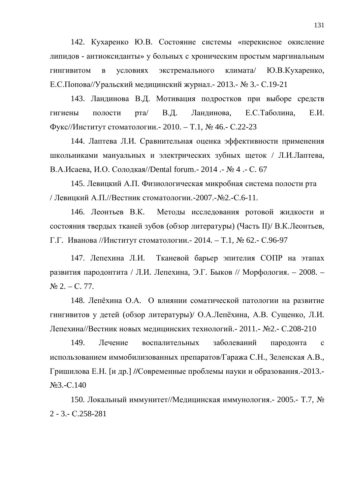142. Кухаренко Ю.В. Состояние системы «перекисное окисление липидов - антиоксиданты» у больных с хроническим простым маргинальным гингивитом в условиях экстремального климата/ Ю.В.Кухаренко, Е.С. Попова//Уральский медицинский журнал. - 2013. - № 3. - С. 19-21

143. Ландинова В.Д. Мотивация подростков при выборе средств гигиены полости рта/ В.Д. Ландинова, Е.С.Таболина, Е.И. Фукс//Институт стоматологии. - 2010. – Т.1, № 46. - С.22-23

144. Лаптева Л.И. Сравнительная оценка эффективности применения школьниками мануальных и электрических зубных щеток / Л.И.Лаптева, В.А.Исаева, И.О. Солодкая//Dental forum. - 2014 . - № 4 . - С. 67

145. Левицкий А.П. Физиологическая микробная система полости рта / Левицкий А.П.//Вестник стоматологии.-2007.-№2.-С.6-11.

146. Леонтьев В.К. Методы исследования ротовой жидкости и состояния твердых тканей зубов (обзор литературы) (Часть II)/ В.К.Леонтьев,  $\Gamma$ . Иванова //Институт стоматологии. - 2014. – Т.1, № 62. - С.96-97

147. Лепехина Л.И. Тканевой барьер эпителия СОПР на этапах развития пародонтита / Л.И. Лепехина, Э.Г. Быков // Морфология. – 2008. –  $\mathbb{N}^{\circ}$  2. – C. 77.

148. Лепёхина О.А. О влиянии соматической патологии на развитие гингивитов у детей (обзор литературы)/ О.А.Лепёхина, А.В. Сущенко, Л.И. Лепехина//Вестник новых медицинских технологий.- 2011.- №2.- С.208-210

149. Лечение воспалительных заболеваний пародонта с использованием иммобилизованных препаратов/Гаража С.Н., Зеленская А.В., Гришилова Е.Н. [и др.] //Современные проблемы науки и образования.-2013.- $N<sub>93.-C.140</sub>$ 

150. Локальный иммунитет//Медицинская иммунология.- 2005.- Т.7, № 2 - 3.- ɋ.258-281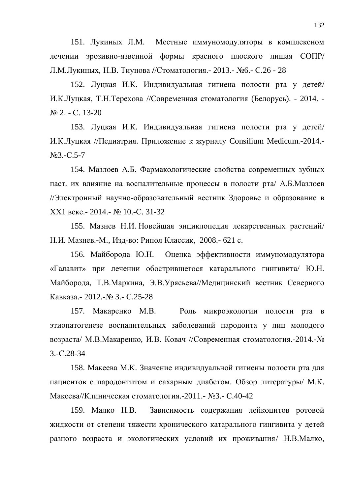151. Лукиных Л.М. Местные иммуномодуляторы в комплексном лечении эрозивно-язвенной формы красного плоского лишая СОПР/ Л.М.Лукиных, Н.В. Тиунова //Стоматология.- 2013.- №6.- С.26 - 28

152. Луцкая И.К. Индивидуальная гигиена полости рта у детей/ И.К.Луцкая, Т.Н.Терехова //Современная стоматология (Белорусь). - 2014. -N<sub>o</sub> 2. − C. 13-20

153. Луцкая И.К. Индивидуальная гигиена полости рта у детей/ И.К.Луцкая //Педиатрия. Приложение к журналу Consilium Medicum.-2014.- $N<sub>93.-C.5-7</sub>$ 

154. Мазлоев А.Б. Фармакологические свойства современных зубных паст. их влияние на воспалительные процессы в полости рта/ А.Б.Мазлоев //Электронный научно-образовательный вестник Здоровье и образование в ХХ1 веке.- 2014.- № 10.-С. 31-32

155. Мазнев Н.И. Новейшая энциклопедия лекарственных растений/ Н.И. Мазнев.-М., Изд-во: Рипол Классик, 2008.- 621 с.

156. Майборода Ю.Н. Оценка эффективности иммуномодулятора «Галавит» при лечении обострившегося катарального гингивита/ Ю.Н. Майборода, Т.В.Маркина, Э.В.Урясьева//Медицинский вестник Северного Кавказа.- 2012.-№ 3.- С.25-28

157. Макаренко М.В. Роль микроэкологии полости рта в этиопатогенезе воспалительных заболеваний пародонта у лиц молодого возраста/ М.В.Макаренко, И.В. Ковач //Современная стоматология.-2014.-№ 3.-ɋ.28-34

158. Макеева М.К. Значение индивидуальной гигиены полости рта для пациентов с пародонтитом и сахарным диабетом. Обзор литературы/ М.К. Макеева//Клиническая стоматология.-2011.- №3.- С.40-42

159. Малко Н.В. Зависимость содержания лейкоцитов ротовой жидкости от степени тяжести хронического катарального гингивита у детей разного возраста и экологических условий их проживания/ Н.В.Малко,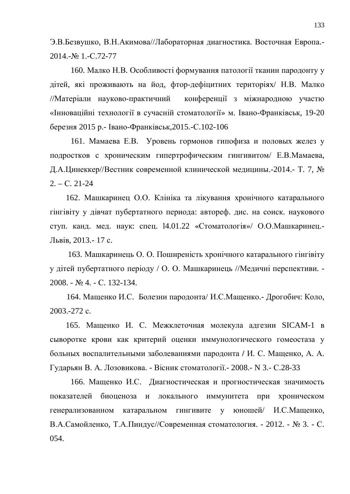Э.В.Безвушко, В.Н.Акимова//Лабораторная диагностика. Восточная Европа.-2014.-№ 1.-C.72-77

160. Малко Н.В. Особливості формування патології тканин пародонту у дітей, які проживають на йод, фтор-дефіцитних територіях/ Н.В. Малко //Матеріали науково-практичний конференції з міжнародною участю «Інноваційні технології в сучасній стоматології» м. Івано-Франківськ, 19-20 березня 2015 р.- Івано-Франківськ, 2015.-С. 102-106

161. Мамаева Е.В. Уровень гормонов гипофиза и половых желез у подростков с хроническим гипертрофическим гингивитом/ Е.В.Мамаева, Д.А.Цинеккер//Вестник современной клинической медицины.-2014.- Т. 7, №  $2. - C. 21-24$ 

162. Машкаринец О.О. Клініка та лікування хронічного катарального гінгівіту у дівчат пубертатного периода: автореф. дис. на соиск. наукового ступ. канд. мед. наук: спец. 14.01.22 «Стоматологія»/ О.О.Машкаринец.-Львів, 2013.- 17 с.

163. Машкаринець О. О. Поширеність хронічного катарального гінгівіту у дітей пубертатного періоду / О. О. Машкаринець //Медичні перспективи. -2008. - № 4. - С. 132-134.

164. Мащенко И.С. Болезни пародонта/ И.С.Мащенко.- Дрогобич: Коло,  $2003.-272$  c.

165. Мащенко И. С. Межклеточная молекула адгезии SICAM-1 в сыворотке крови как критерий оценки иммунологического гомеостаза у больных воспалительными заболеваниями пародонта / И. С. Мащенко, А. А. Гударьян В. А. Лозовикова. - Вісник стоматології. - 2008. - N 3. - С.28-33

166. Мащенко И.С. Диагностическая и прогностическая значимость показателей биоценоза и локального иммунитета при хроническом генерализованном катаральном гингивите у юношей/ И.С.Мащенко, В.А.Самойленко, Т.А.Пиндус//Современная стоматология. - 2012. - № 3. - С. 054.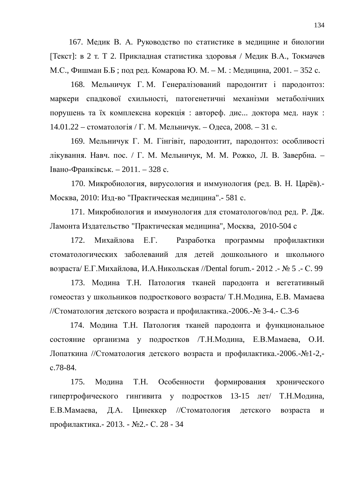167. Медик В. А. Руководство по статистике в медицине и биологии [Текст]: в 2 т. Т 2. Прикладная статистика здоровья / Медик В.А., Токмачев М.С., Фишман Б.Б; под ред. Комарова Ю. М. – М. : Медицина, 2001. – 352 с.

168. Мельничук Г.М. Генералізований пародонтит і пародонтоз: маркери спадкової схильності, патогенетичні механізми метаболічних порушень та їх комплексна корекція: автореф. дис... доктора мед. наук: 14.01.22 – стоматологія / Г. М. Мельничук. – Одеса, 2008. – 31 с.

169. Мельничук Г. М. Гінгівіт, пародонтит, пародонтоз: особливості лікування. Навч. пос. / Г. М. Мельничук, М. М. Рожко, Л. В. Завербна. – Iвано-Франківськ. – 2011. – 328 с.

170. Микробиология, вирусология и иммунология (ред. В. Н. Царёв).-Москва, 2010: Изд-во "Практическая медицина".- 581 с.

171. Микробиология и иммунология для стоматологов/под ред. Р. Дж. Ламонта Издательство "Практическая медицина", Москва, 2010-504 с

172. Михайлова Е.Г. Разработка программы профилактики стоматологических заболеваний для детей дошкольного и школьного возраста/ Е.Г. Михайлова, И.А. Никольская //Dental forum.- 2012 .- № 5 .- С. 99

173. Модина Т.Н. Патология тканей пародонта и вегетативный гомеостаз у школьников подросткового возраста/ Т.Н. Модина, Е.В. Мамаева //Стоматология детского возраста и профилактика.-2006.- $\mathbb{N}$  3-4.- С.3-6

174. Модина Т.Н. Патология тканей пародонта и функциональное состояние организма у подростков /Т.Н.Модина, Е.В.Мамаева, О.И. Лопаткина //Стоматология детского возраста и профилактика.-2006.-№1-2,ɫ.78-84.

175. Модина Т.Н. Особенности формирования хронического гипертрофического гингивита у подростков 13-15 лет/ Т.Н.Модина, Е.В.Мамаева, Д.А. Цинеккер //Стоматология детского возраста и профилактика.- 2013. - №2.- С. 28 - 34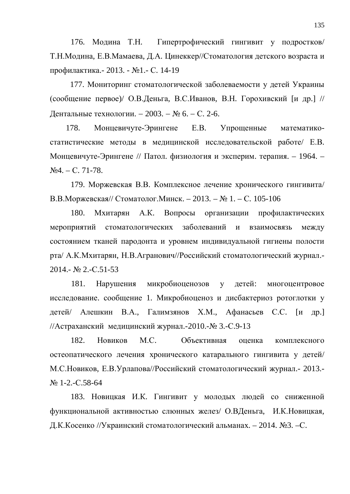176. Модина Т.Н. Гипертрофический гингивит у подростков/ Т.Н.Модина, Е.В.Мамаева, Д.А. Цинеккер//Стоматология детского возраста и профилактика.- 2013. - №1.- С. 14-19

177. Мониторинг стоматологической заболеваемости у детей Украины (сообщение первое)/ О.В.Деньга, В.С.Иванов, В.Н. Горохивский [и др.] // Дентальные технологии. − 2003. – № 6. – С. 2-6.

178. Монцевичуте-Эрингене Е.В. Упрощенные математикостатистические методы в медицинской исследовательской работе/ Е.В. Монцевичуте-Эрингене // Патол. физиология и эксперим. терапия. – 1964. –  $\text{Na}4. - \text{C}$ , 71-78.

179. Моржевская В.В. Комплексное лечение хронического гингивита/ В.В. Моржевская// Стоматолог. Минск. – 2013. – № 1. – С. 105-106

180. Мхитарян А.К. Вопросы организации профилактических мероприятий стоматологических заболеваний и взаимосвязь между состоянием тканей пародонта и уровнем индивидуальной гигиены полости рта/ А.К.Мхитарян, Н.В.Агранович//Российский стоматологический журнал.- $2014 - N<sub>2</sub> 2 - C.51-53$ 

181. Нарушения микробиоценозов у детей: многоцентровое исследование. сообщение 1. Микробиоценоз и дисбактериоз ротоглотки у детей/ Алешкин В.А., Галимзянов Х.М., Афанасьев С.С. [и др.] //Астраханский медицинский журнал.-2010.- № 3.-С.9-13

182. Новиков М.С. Объективная оценка комплексного остеопатического лечения хронического катарального гингивита у детей/ М.С. Новиков, Е.В. Урлапова//Российский стоматологический журнал. - 2013.-N<sub>o</sub> 1-2, -C.58-64

183. Новицкая И.К. Гингивит у молодых людей со сниженной функциональной активностью слюнных желез/ О.ВДеньга, И.К.Новицкая, Д.К. Косенко //Украинский стоматологический альманах. – 2014. №3. –С.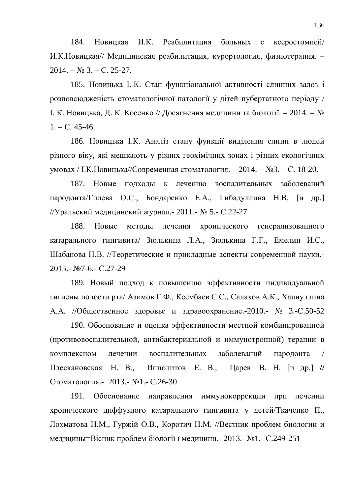184. Новицкая И.К. Реабилитация больных с ксеростомией/ И.К.Новицкая// Медицинская реабилитация, курортология, физиотерапия. –  $2014. - N<sub>2</sub> 3. - C. 25-27.$ 

185. Новицька І. К. Стан функціональної активності слинних залоз і розповсюдженість стоматологічної патології у дітей пубертатного періоду / Ⅰ. К. Новицька, Д. К. Косенко // Досягнення медицини та біології. – 2014. – №  $1. - C. 45-46.$ 

186. Новицька І.К. Аналіз стану функції виділення слини в людей різного віку, які мешкають у різних геохімічних зонах і різних екологічних умовах / І.К. Новицька//Современная стоматология. – 2014. – №3. – С. 18-20.

187. Новые полхолы к лечению воспалительных заболеваний пародонта/Гилева О.С., Бондаренко Е.А., Гибадуллина Н.В. [и др.] //Уральский медицинский журнал. - 2011. - № 5. - С.22-27

188. Новые методы лечения хронического генерализованного катарального гингивита/ Зюлькина Л.А., Зюлькина Г.Г., Емелин И.С., Шабанова Н.В. //Теоретические и прикладные аспекты современной науки.-2015.- №7-6.- С.27-29

189. Новый подход к повышению эффективности индивидуальной гигиены полости рта/ Азимов Г.Ф., Ксембаев С.С., Салахов А.К., Халиуллина А.А. //Общественное здоровье и здравоохранение.-2010.- № 3.-С.50-52

190. Обоснование и оценка эффективности местной комбинированной (противовоспалительной, антибактериальной и иммунотропной) терапии в комплексном лечении воспалительных заболеваний пародонта / Плескановская Н. В., Ипполитов Е. В., Царев В. Н. [и др.] // Стоматология.- 2013.- №1.- С.26-30

191. Обоснование направления иммунокоррекции при лечении хронического диффузного катарального гингивита у детей/Ткаченко П., Лохматова Н.М., Гуржій О.В., Коротич Н.М. //Вестник проблем биологии и медицины=Вісник проблем біології ї медицини. - 2013. - №1. - С.249-251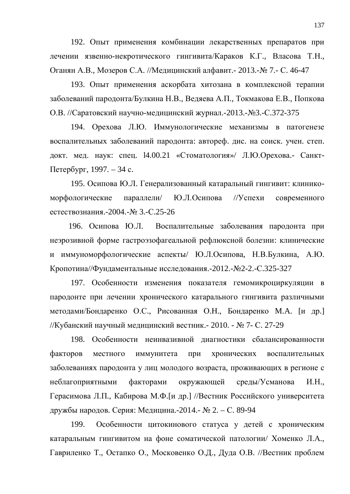192. Опыт применения комбинации лекарственных препаратов при лечении язвенно-некротического гингивита/Караков К.Г., Власова Т.Н., Оганян А.В., Мозеров С.А. //Медицинский алфавит. - 2013.- № 7. - С. 46-47

193. Опыт применения аскорбата хитозана в комплексной терапии заболеваний пародонта/Булкина Н.В., Ведяева А.П., Токмакова Е.В., Попкова О.В. //Саратовский научно-медицинский журнал.-2013.-№3.-С.372-375

194. Орехова Л.Ю. Иммунологические механизмы в патогенезе воспалительных заболеваний пародонта: автореф. дис. на соиск. учен. степ. докт. мед. наук: спец. 14.00.21 «Стоматология»/ Л.Ю.Орехова.- Санкт- $\Pi$ e $\tau$ e $\bar{p}$ ov $\bar{p}$ r, 1997. – 34 c.

195. Осипова Ю.Л. Генерализованный катаральный гингивит: клиникоморфологические параллели/ Ю.Л.Осипова //Успехи современного естествознания.-2004.-№ 3.-С.25-26

196. Осипова Ю.Л. Воспалительные заболевания пародонта при неэрозивной форме гастроэзофагеальной рефлюксной болезни: клинические и иммуноморфологические аспекты/ Ю.Л.Осипова, Н.В.Булкина, А.Ю. Кропотина//Фундаментальные исследования.-2012.-№2-2.-С.325-327

197. Особенности изменения показателя гемомикроциркуляции в пародонте при лечении хронического катарального гингивита различными методами/Бондаренко О.С., Рисованная О.Н., Бондаренко М.А. [и др.] //Кубанский научный медицинский вестник. - 2010. - № 7- С. 27-29

198. Особенности неинвазивной диагностики сбалансированности факторов местного иммунитета при хронических воспалительных заболеваниях пародонта у лиц молодого возраста, проживающих в регионе с неблагоприятными факторами окружающей среды/Усманова И.Н., Герасимова Л.П., Кабирова М.Ф. [и др.] //Вестник Российского университета дружбы народов. Серия: Медицина.-2014.- № 2. – С. 89-94

199. Особенности цитокинового статуса у детей с хроническим катаральным гингивитом на фоне соматической патологии/ Хоменко Л.А., Гавриленко Т., Остапко О., Московенко О.Д., Дуда О.В. //Вестник проблем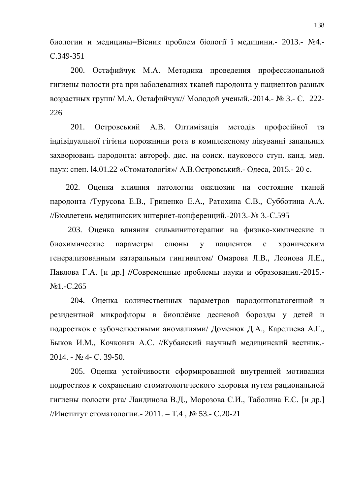биологии и медицины=Вісник проблем біології ї медицини. 2013.- №4.ɋ.349-351

200. Остафийчук М.А. Методика проведения профессиональной гигиены полости рта при заболеваниях тканей пародонта у пациентов разных возрастных групп/ М.А. Остафийчук// Молодой ученый. - 2014. - № 3.- С. 222-226

201. Островський А.В. Оптимізація методів професійної та індівідуальної гігієни порожнини рота в комплексному лікуванні запальних захворювань пародонта: автореф. дис. на соиск. наукового ступ. канд. мед. наук: спец. 14.01.22 «Стоматологія»/ А.В.Островський.- Одеса, 2015.- 20 с.

202. Оценка влияния патологии окклюзии на состояние тканей пародонта /Турусова Е.В., Гриценко Е.А., Ратохина С.В., Субботина А.А. //Бюллетень медицинских интернет-конференций.-2013.- № 3.-С.595

203. Оценка влияния сильвинитотерапии на физико-химические и биохимические параметры слюны у пациентов с хроническим генерализованным катаральным гингивитом/ Омарова Л.В., Леонова Л.Е., Павлова Г.А. [и др.] //Современные проблемы науки и образования.-2015.-No<sub>1</sub>.-C.265

204. Оценка количественных параметров пародонтопатогенной и резидентной микрофлоры в биоплёнке десневой борозды у детей и подростков с зубочелюстными аномалиями/ Доменюк Д.А., Карслиева А.Г., Быков И.М., Кочконян А.С. //Кубанский научный медицинский вестник.- $2014. - N<sub>2</sub> 4 - C. 39-50.$ 

205. Оценка устойчивости сформированной внутренней мотивации подростков к сохранению стоматологического здоровья путем рациональной гигиены полости рта/ Ландинова В.Д., Морозова С.И., Таболина Е.С. [и др.] //Институт стоматологии. - 2011. – Т.4,  $\mathbb{N}$  53. - С.20-21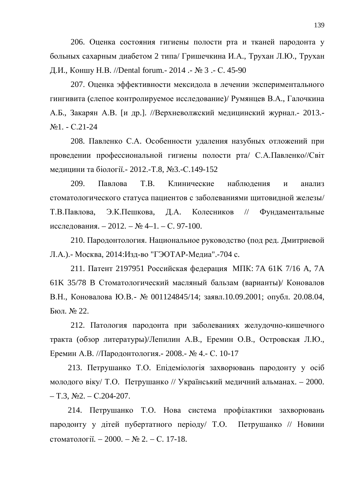206. Оценка состояния гигиены полости рта и тканей пародонта у больных сахарным диабетом 2 типа/ Гришечкина И.А., Трухан Л.Ю., Трухан Д.И., Коншу Н.В. //Dental forum. - 2014 . - № 3 . - С. 45-90

207. Оценка эффективности мексидола в лечении экспериментального гингивита (слепое контролируемое исследование)/ Румянцев В.А., Галочкина А.Б., Закарян А.В. [и др.]. //Верхневолжский медицинский журнал.- 2013.- $N<sub>21</sub> - C.21-24$ 

208. Павленко С.А. Особенности удаления назубных отложений при проведении профессиональной гигиены полости рта/ С.А.Павленко//Світ медицини та біології. - 2012.-Т.8, №3.-С.149-152

209. Павлова Т.В. Клинические наблюдения и анализ стоматологического статуса пациентов с заболеваниями щитовидной железы/ Т.В.Павлова, Э.К.Пешкова, Д.А. Колесников // Фундаментальные исследования. – 2012. – № 4–1. – С. 97-100.

210. Пародонтология. Национальное руководство (под ред. Дмитриевой Л.А.).- Москва, 2014: Изд-во "ГЭОТАР-Медиа".-704 с.

211. Патент 2197951 Российская федерация МПК: 7А 61К 7/16 А, 7А 61K 35/78 В Стоматологический масляный бальзам (варианты)/ Коновалов В.Н., Коновалова Ю.В. - № 001124845/14; заявл.10.09.2001; опубл. 20.08.04, Бюл.  $\mathbb{N}$ <sup>o</sup> 22.

212. Патология пародонта при заболеваниях желудочно-кишечного тракта (обзор литературы)/Лепилин А.В., Еремин О.В., Островская Л.Ю., Еремин А.В. //Пародонтология.- 2008.- № 4.- С. 10-17

213. Петрушанко Т.О. Епідеміологія захворювань пародонту у осіб молодого віку/ Т.О. Петрушанко // Український медичний альманах. – 2000.  $-$  T.3,  $\mathcal{N}$ <sup>0</sup>2. – C.204-207.

214. Петрушанко Т.О. Нова система профілактики захворювань пародонту у дітей пубертатного періоду/ Т.О. Петрушанко // Новини стоматології.  $-2000. -$  № 2.  $-$  С. 17-18.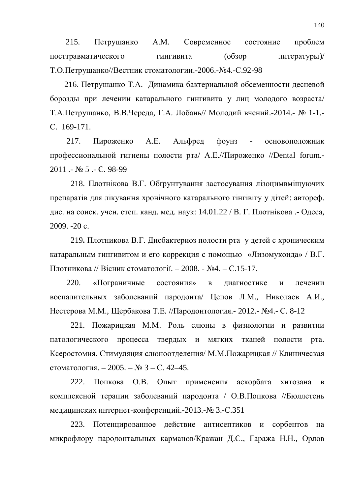215. Петрушанко А.М. Современное состояние проблем посттравматического гингивита (обзор литературы)/ Т.О.Петрушанко//Вестник стоматологии.-2006.- №4.-С.92-98

216. Петрушанко Т.А. Динамика бактериальной обсеменности десневой борозды при лечении катарального гингивита у лиц молодого возраста/ Т.А.Петрушанко, В.В.Череда, Г.А. Лобань// Молодий вчений.-2014.- № 1-1.-C. 169-171.

217. Пироженко А.Е. Альфред фоунз - основоположник профессиональной гигиены полости рта/ А.Е.//Пироженко //Dental forum.-2011 .- № 5 .- С. 98-99

218. Плотнікова В.Г. Обґрунтування застосування лізоцимвміщуючих препаратів для лікування хронічного катарального гінгівіту у дітей: автореф. дис. на соиск. учен. степ. канд. мед. наук: 14.01.22 / В. Г. Плотнікова. - Одеса, 2009. -20 c.

219. Плотникова В.Г. Дисбактериоз полости рта у детей с хроническим катаральным гингивитом и его коррекция с помощью «Лизомукоида» / В.Г. Плотникова // Вісник стоматології. – 2008. - №4. – С.15-17.

220. «Пограничные состояния» в диагностике и лечении воспалительных заболеваний пародонта/ Цепов Л.М., Николаев А.И., Нестерова М.М., Щербакова Т.Е. //Пародонтология. - 2012. - №4. - С. 8-12

221. Пожарицкая М.М. Роль слюны в физиологии и развитии патологического процесса твердых и мягких тканей полости рта. Ксеростомия. Стимуляция слюноотделения/ М.М.Пожарицкая // Клиническая стоматология. – 2005. –  $\mathbb{N}^2$  3 – С. 42–45.

222. Попкова О.В. Опыт применения аскорбата хитозана в комплексной терапии заболеваний пародонта / О.В.Попкова //Бюллетень медицинских интернет-конференций.-2013.- № 3.-С.351

223. Потенцированное действие антисептиков и сорбентов на микрофлору пародонтальных карманов/Кражан Д.С., Гаража Н.Н., Орлов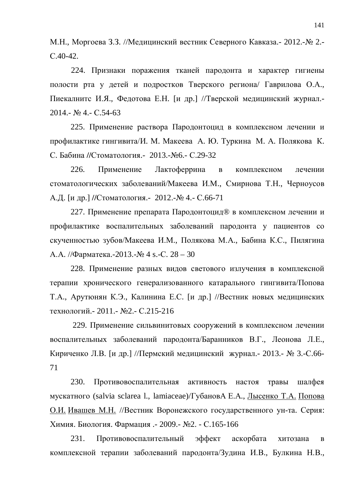М.Н., Моргоева З.З. //Медицинский вестник Северного Кавказа. - 2012.- № 2.- $C.40-42.$ 

224. Признаки поражения тканей пародонта и характер гигиены полости рта у детей и подростков Тверского региона/ Гаврилова О.А., Пиекалнитс И.Я., Федотова Е.Н. [и др.] //Тверской медицинский журнал.-2014.- № 4.- C.54-63

225. Применение раствора Пародонтоцид в комплексном лечении и профилактике гингивита/И. М. Макеева А. Ю. Туркина М. А. Полякова К. С. Бабина //Стоматология.- 2013.-№6.- С.29-32

226. Применение Лактоферрина в комплексном лечении стоматологических заболеваний/Макеева И.М., Смирнова Т.Н., Черноусов А.Д. [и др.] //Стоматология.- 2012.-№ 4.- С.66-71

227. Применение препарата Пародонтоцид® в комплексном лечении и профилактике воспалительных заболеваний пародонта у пациентов со скученностью зубов/Макеева И.М., Полякова М.А., Бабина К.С., Пилягина А.А. //Фарматека.-2013.-№ 4 s.-С. 28 – 30

228. Применение разных видов светового излучения в комплексной терапии хронического генерализованного катарального гингивита/Попова Т.А., Арутюнян К.Э., Калинина Е.С. [и др.] //Вестник новых медицинских технологий. - 2011. - №2. - С.215-216

229. Применение сильвинитовых сооружений в комплексном лечении воспалительных заболеваний пародонта/Баранников В.Г., Леонова Л.Е., Кириченко Л.В. [и др.] //Пермский медицинский журнал.- 2013.- № 3.-С.66-71

230. Противовоспалительная активность настоя травы шалфея мускатного (salvia sclarea l., lamiaceae)/ГубановА Е.А., Лысенко Т.А. Попова О.И. Ивашев М.Н. //Вестник Воронежского государственного ун-та. Серия: Химия. Биология. Фармация. - 2009.- №2. - С.165-166

231. Противовоспалительный эффект аскорбата хитозана в комплексной терапии заболеваний пародонта/Зудина И.В., Булкина Н.В.,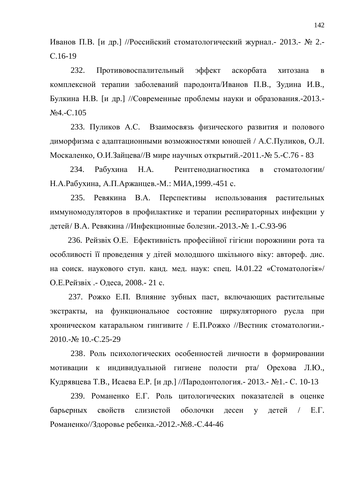Иванов П.В. [и др.] //Российский стоматологический журнал.- 2013.- № 2.ɋ.16-19

232. Противовоспалительный эффект аскорбата хитозана в комплексной терапии заболеваний пародонта/Иванов П.В., Зудина И.В., Булкина Н.В. [и др.] //Современные проблемы науки и образования.-2013.-N<sub>2</sub>4.-C.105

233. Пуликов А.С. Взаимосвязь физического развития и полового диморфизма с адаптационными возможностями юношей / А.С. Пуликов, О.Л. Москаленко, О.И.Зайцева//В мире научных открытий.-2011.-№ 5.-С.76 - 83

234. Рабухина Н.А. Рентгенодиагностика в стоматологии/ Н.А.Рабухина, А.П.Аржанцев.-М.: МИА,1999.-451 с.

235. Ревякина В.А. Перспективы использования растительных иммуномодуляторов в профилактике и терапии респираторных инфекции у детей/ В.А. Ревякина //Инфекционные болезни.-2013.- № 1.-С.93-96

236. Рейзвіх О.Е. Ефективність професійної гігієни порожнини рота та особливості її проведення у дітей молодшого шкільного віку: автореф. дис. на соиск. наукового ступ. канд. мед. наук: спец. 14.01.22 «Стоматологія»/ О.Е. Рейзвіх. - Одеса, 2008. - 21 с.

237. Рожко Е.П. Влияние зубных паст, включающих растительные экстракты, на функциональное состояние циркуляторного русла при хроническом катаральном гингивите / Е.П.Рожко //Вестник стоматологии.-2010.-№ 10.-C.25-29

238. Роль психологических особенностей личности в формировании мотивации к индивидуальной гигиене полости рта/ Орехова Л.Ю., Кудрявцева Т.В., Исаева Е.Р. [и др.] //Пародонтология. - 2013. - №1. - С. 10-13

239. Романенко Е.Г. Роль цитологических показателей в оценке барьерных свойств слизистой оболочки лесен у летей / Е.Г. Романенко//Здоровье ребенка.-2012.-№8.-С.44-46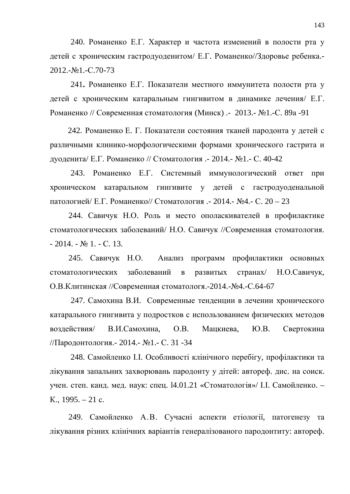240. Романенко Е.Г. Характер и частота изменений в полости рта у детей с хроническим гастродуоденитом/ Е.Г. Романенко//Здоровье ребенка.-2012.-№1.-C.70-73

241. Романенко Е.Г. Показатели местного иммунитета полости рта у детей с хроническим катаральным гингивитом в динамике лечения/ Е.Г. Романенко // Современная стоматология (Минск) .- 2013.- №1.-С. 89а -91

242. Романенко Е. Г. Показатели состояния тканей пародонта у детей с различными клинико-морфологическими формами хронического гастрита и дуоденита/ Е.Г. Романенко // Стоматология .- 2014.- №1.- С. 40-42

243. Романенко Е.Г. Системный иммунологический ответ при хроническом катаральном гингивите у детей с гастродуоденальной патологией/ Е.Г. Романенко// Стоматология .- 2014.- №4.- С. 20 – 23

244. Савичук Н.О. Роль и место ополаскивателей в профилактике стоматологических заболеваний/ Н.О. Савичук //Современная стоматология.  $-2014. - N<sub>2</sub>1. - C. 13.$ 

245. Савичук Н.О. Анализ программ профилактики основных стоматологических заболеваний в развитых странах/ Н.О.Савичук, О.В.Клитинская //Современная стоматологя.-2014.-№4.-С.64-67

247. Самохина В.И. Современные тенденции в лечении хронического катарального гингивита у подростков с использованием физических методов воздействия/ В.И.Самохина, О.В. Мацкиева, Ю.В. Свертокина //Пародонтология. - 2014. - №1. - С. 31 -34

248. Самойленко І.І. Особливості клінічного перебігу, профілактики та лікування запальних захворювань пародонту у дітей: автореф. дис. на соиск. учен. степ. канд. мед. наук: спец. 14.01.21 «Стоматологія»/ І.І. Самойленко. – K.,  $1995. - 21$  c.

249. Самойленко А.В. Сучасні аспекти етіології, патогенезу та лікування різних клінічних варіантів генералізованого пародонтиту: автореф.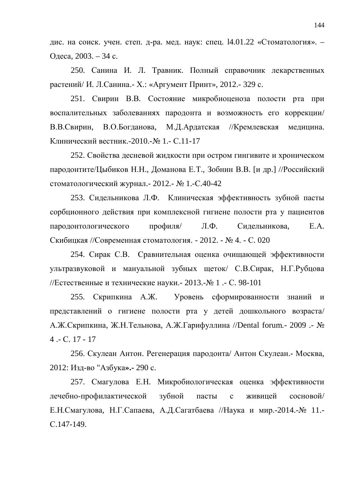дис. на соиск. учен. степ. д-ра. мед. наук: спец.  $14.01.22$  «Стоматология». – Одеса, 2003. – 34 с.

250. Санина И. Л. Травник. Полный справочник лекарственных растений/ И. Л.Санина.- Х.: «Аргумент Принт», 2012.- 329 с.

251. Свирин В.В. Состояние микробиоценоза полости рта при воспалительных заболеваниях пародонта и возможность его коррекции/ В.В.Свирин, В.О.Богданова, М.Д.Ардатская //Кремлевская медицина. Клинический вестник.-2010.- № 1.- С.11-17

252. Свойства десневой жидкости при остром гингивите и хроническом пародонтите/Цыбиков Н.Н., Доманова Е.Т., Зобнин В.В. [и др.] //Российский стоматологический журнал.- 2012.- № 1.-С.40-42

253. Сидельникова Л.Ф. Клиническая эффективность зубной пасты сорбционного действия при комплексной гигиене полости рта у пациентов пародонтологического профиля/ Л.Ф. Сидельникова, Е.А. Скибицкая //Современная стоматология. - 2012. - № 4. - С. 020

254. Сирак С.В. Сравнительная оценка очищающей эффективности ультразвуковой и мануальной зубных щеток/ С.В.Сирак, Н.Г.Рубцова //Естественные и технические науки. - 2013.- $N$ <sup>o</sup> 1 .- С. 98-101

255. Скрипкина А.Ж. Уровень сформированности знаний и представлений о гигиене полости рта у детей дошкольного возраста/ А.Ж.Скрипкина, Ж.Н.Тельнова, А.Ж.Гарифуллина //Dental forum.- 2009 .- №  $4 - C. 17 - 17$ 

256. Скулеан Антон. Регенерация пародонта/ Антон Скулеан.- Москва, 2012: Изд-во "Азбука».- 290 с.

257. Смагулова Е.Н. Микробиологическая оценка эффективности лечебно-профилактической зубной пасты с живицей сосновой/ Е.Н.Смагулова, Н.Г.Сапаева, А.Д.Сагатбаева //Наука и мир.-2014.-№ 11.-C.147-149.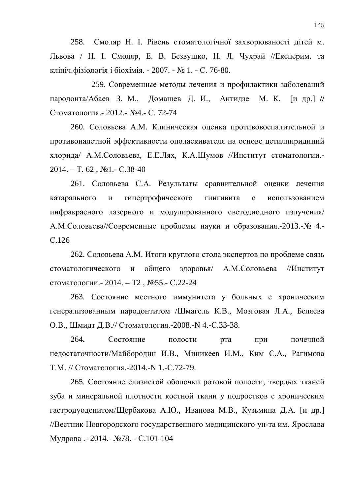258. Смоляр Н. І. Рівень стоматологічної захворюваності дітей м. Львова / Н. І. Смоляр, Е. В. Безвушко, Н. Л. Чухрай //Експерим. та клініч. фізіологія і біохімія. - 2007. - № 1. - С. 76-80.

259. Современные методы лечения и профилактики заболеваний пародонта/Абаев З. М., Домашев Д. И., Антидзе М. К. [и др.] // Стоматология.- 2012.- №4.- С. 72-74

260. Соловьева А.М. Клиническая оценка противовоспалительной и противоналетной эффективности ополаскивателя на основе цетилпиридиний хлорида/ А.М.Соловьева, Е.Е.Лях, К.А.Шумов //Институт стоматологии.- $2014. - T. 62$ ,  $\text{N}$ <sup>o</sup>1.- C.38-40

261. Соловьева С.А. Результаты сравнительной оценки лечения катарального и гипертрофического гингивита с использованием инфракрасного лазерного и модулированного светодиодного излучения/ А.М.Соловьева//Современные проблемы науки и образования.-2013.-№ 4.ɋ.126

262. Соловьева А.М. Итоги круглого стола экспертов по проблеме связь стоматологического и общего здоровья/ А.М.Соловьева //Институт стоматологии. - 2014. – Т2, №55. - С.22-24

263. Состояние местного иммунитета у больных с хроническим генерализованным пародонтитом /Шмагель К.В., Мозговая Л.А., Беляева О.В., Шмидт Д.В.// Стоматология.-2008.-N 4.-С.33-38.

264. Состояние полости рта при почечной недостаточности/Майбородин И.В., Миникеев И.М., Ким С.А., Рагимова Т.М. // Стоматология.-2014.-N 1.-С.72-79.

265. Состояние слизистой оболочки ротовой полости, твердых тканей зуба и минеральной плотности костной ткани у подростков с хроническим гастродуоденитом/Щербакова А.Ю., Иванова М.В., Кузьмина Д.А. [и др.] //Вестник Новгородского государственного медицинского ун-та им. Ярослава Мудрова. - 2014. - №78. - С.101-104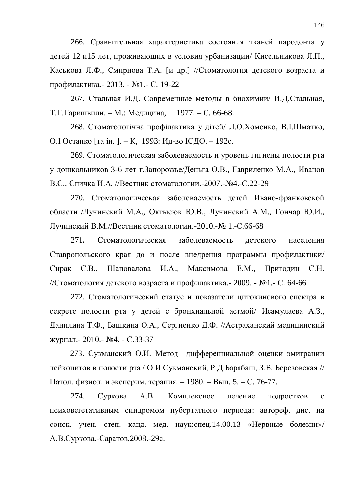266. Сравнительная характеристика состояния тканей пародонта у детей 12 и15 лет, проживающих в условия урбанизации/ Кисельникова Л.П., Каськова Л.Ф., Смирнова Т.А. [и др.] //Стоматология детского возраста и профилактика. - 2013. - №1. - С. 19-22

267. Стальная И.Д. Современные методы в биохимии/ И.Д.Стальная, Т.Г.Гаришвили. – М.: Медицина, 1977. – С. 66-68.

268. Стоматологічна профілактика у дітей Л.О.Хоменко, В.І.Шматко, О. ІОстапко [та ін. ]. – К, 1993: Ид-во IСДО. – 192с.

269. Стоматологическая заболеваемость и уровень гигиены полости рта у дошкольников 3-6 лет г. Запорожье/Деньга О.В., Гавриленко М.А., Иванов В.С., Спичка И.А. //Вестник стоматологии.-2007.- №4.-С.22-29

270. Стоматологическая заболеваемость детей Ивано-франковской области /Лучинский М.А., Октысюк Ю.В., Лучинский А.М., Гончар Ю.И., Лучинский В.М.//Вестник стоматологии.-2010.- № 1.-С.66-68

271. Стоматологическая заболеваемость детского населения Ставропольского края до и после внедрения программы профилактики/ Сирак С.В., Шаповалова И.А., Максимова Е.М., Приголин С.Н. //Стоматология детского возраста и профилактика.- 2009. - №1.- С. 64-66

272. Стоматологический статус и показатели цитокинового спектра в секрете полости рта у детей с бронхиальной астмой/ Исамулаева А.З., Данилина Т.Ф., Башкина О.А., Сергиенко Д.Ф. //Астраханский медицинский журнал.- 2010.- №4. - С.33-37

273. Сукманский О.И. Метод дифференциальной оценки эмиграции лейкоцитов в полости рта / О.И.Сукманский, Р.Д.Барабаш, З.В. Березовская // Патол. физиол. и эксперим. терапия. – 1980. – Вып. 5. – С. 76-77.

274. Суркова А.В. Комплексное лечение подростков с психовегетативным синдромом пубертатного периода: автореф. дис. на соиск. учен. степ. канд. мед. наук:спец.14.00.13 «Нервные болезни»/ А.В.Суркова.-Саратов, 2008.-29с.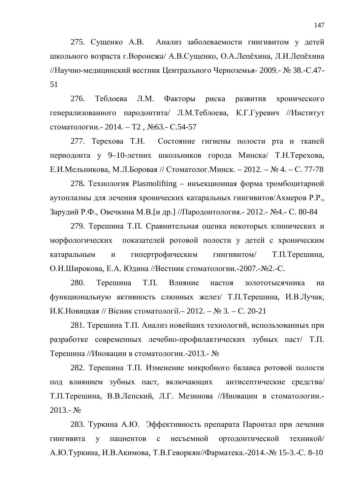275. Сущенко А.В. Анализ заболеваемости гингивитом у детей школьного возраста г. Воронежа/ А.В.Сущенко, О.А.Лепёхина, Л.И.Лепёхина //Научно-медицинский вестник Центрального Черноземья- 2009.- № 38.-С.47-51

276. Теблоева Л.М. Факторы риска развития хронического генерализованного пародонтита/ Л.М.Теблоева, К.Г.Гуревич //Институт стоматологии. - 2014. – Т2, №63. - С.54-57

277. Терехова Т.Н. Состояние гигиены полости рта и тканей периодонта у 9–10-летних школьников города Минска/ Т.Н.Терехова, Е.И.Мельникова, М.Л.Боровая // Стоматолог.Минск. – 2012. – № 4. – С. 77-78

278. Технология Plasmolifting – инъекционная форма тромбоцитарной аутоплазмы для лечения хронических катаральных гингивитов/Ахмеров Р.Р., Зарудий Р.Ф., Овечкина М.В. [и др.] //Пародонтология. - 2012. - №4. - С. 80-84

279. Терешина Т.П. Сравнительная оценка некоторых клинических и морфологических показателей ротовой полости у детей с хроническим катаральным и гипертрофическим гингивитом/ Т.П.Терешина, О.И.Широкова, Е.А. Юдина //Вестник стоматологии.-2007.-№2.-С.

280. Терешина Т.П. Влияние настоя золототысячника на функциональную активность слюнных желез/ Т.П.Терешина, И.В.Лучак, И.К. Новицкая // Вісник стоматології. – 2012. – № 3. – С. 20-21

281. Терешина Т.П. Анализ новейших технологий, использованных при разработке современных лечебно-профилактических зубных паст/ Т.П. Терешина //Иновации в стоматологии.-2013.- №

282. Терешина Т.П. Изменение микробного баланса ротовой полости под влиянием зубных паст, включающих антисептические средства/ Т.П.Терешина, В.В.Лепский, Л.Г. Мезинова //Иновации в стоматологии.- $2013 - N_2$ 

283. Туркина А.Ю. Эффективность препарата Паронтал при лечении гингивита у пациентов с несъемной ортодонтической техникой/ А.Ю. Туркина, И.В. Акимова, Т.В. Геворкян//Фарматека.-2014.-№ 15-3.-С. 8-10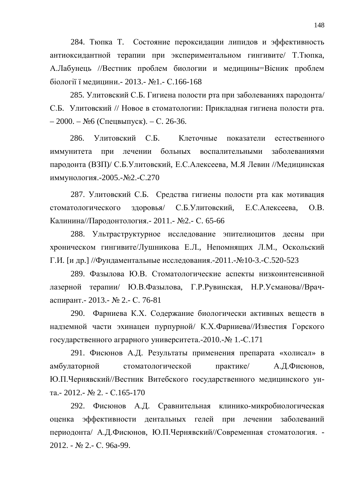284. Тюпка Т. Состояние пероксидации липидов и эффективность антиоксидантной терапии при экспериментальном гингивите/ Т.Тюпка, А.Лабунець //Вестник проблем биологии и медицины=Вісник проблем біології ї мелицини. - 2013. - №1. - С.166-168

285. Улитовский С.Б. Гигиена полости рта при заболеваниях пародонта/ С.Б. Улитовский // Новое в стоматологии: Прикладная гигиена полости рта. – 2000. – №6 (Спецвыпуск). – С. 26-36.

286. Улитовский С.Б. Клеточные показатели естественного иммунитета при лечении больных воспалительными заболеваниями пародонта (ВЗП)/ С.Б.Улитовский, Е.С.Алексеева, М.Я Левин //Медицинская иммунология.-2005.-№2.-С.270

287. Улитовский С.Б. Средства гигиены полости рта как мотивация стоматологического здоровья/ С.Б.Улитовский, Е.С.Алексеева, О.В. Калинина//Пародонтология.- 2011.- №2.- С. 65-66

288. Ультраструктурное исследование эпителиоцитов десны при хроническом гингивите/Лушникова Е.Л., Непомнящих Л.М., Оскольский Г.И. [и др.] //Фундаментальные исследования.-2011.-№10-3.-С.520-523

289. Фазылова Ю.В. Стоматологические аспекты низкоинтенсивной лазерной терапии/ Ю.В.Фазылова, Г.Р.Рувинская, Н.Р.Усманова//Врачаспирант. - 2013. - № 2. - С. 76-81

290. Фарниева К.Х. Содержание биологически активных веществ в надземной части эхинацеи пурпурной/ К.Х.Фарниева//Известия Горского государственного аграрного университета.-2010.- № 1.-С.171

291. Фисюнов А.Д. Результаты применения препарата «холисал» в амбулаторной стоматологической практике/ А.Д.Фисюнов, Ю.П.Чернявский//Вестник Витебского государственного медицинского ун-Ta.- 2012.-  $\text{Ne } 2.$  -  $\text{C}$ .165-170

292. Фисюнов А.Д. Сравнительная клинико-микробиологическая оценка эффективности дентальных гелей при лечении заболеваний периодонта/ А.Д.Фисюнов, Ю.П.Чернявский//Современная стоматология. -2012. - № 2.- С. 96a-99.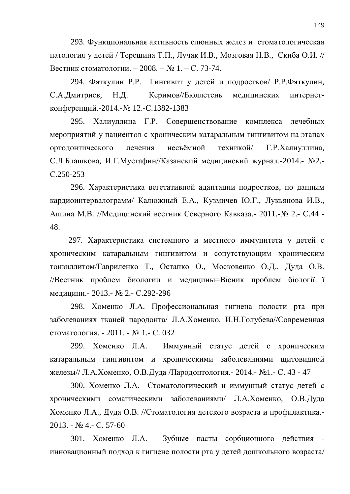293. Функциональная активность слюнных желез и стоматологическая патология у детей / Терешина Т.П., Лучак И.В., Мозговая Н.В., Скиба О.И. // Вестник стоматологии. – 2008. – № 1. – С. 73-74.

294. Фяткулин Р.Р. Гингивит у детей и подростков/ Р.Р.Фяткулин, САДмитриев, Н.Д. Керимов//Бюллетень медицинских интернетконференций.-2014.-№ 12.-С.1382-1383

295. Халиуллина Г.Р. Совершенствование комплекса лечебных мероприятий у пациентов с хроническим катаральным гингивитом на этапах ортодонтического лечения несъёмной техникой/ Г.Р.Халиуллина, С.Л.Блашкова, И.Г.Мустафин//Казанский медицинский журнал.-2014.- №2.ɋ.250-253

296. Характеристика вегетативной адаптации подростков, по данным кардиоинтервалограмм/ Калюжный Е.А., Кузмичев Ю.Г., Лукьянова И.В., Ашина М.В. //Медицинский вестник Северного Кавказа. - 2011.- № 2.- С.44 -48.

297. Характеристика системного и местного иммунитета у детей с хроническим катаральным гингивитом и сопутствующим хроническим тонзиллитом/Гавриленко Т., Остапко О., Московенко О.Д., Дуда О.В. //Вестник проблем биологии и медицины=Вісник проблем біології ї мелицини. - 2013. - № 2. - С.292-296

298. Хоменко Л.А. Профессиональная гигиена полости рта при заболеваниях тканей пародонта/ Л.А.Хоменко, И.Н.Голубева//Современная стоматология. - 2011. - № 1.- С. 032

299. Хоменко Л.А. Иммунный статус детей с хроническим катаральным гингивитом и хроническими заболеваниями щитовидной железы// Л.А.Хоменко, О.В.Дуда /Пародонтология. - 2014. - №1. - С. 43 - 47

300. Хоменко Л.А. Стоматологический и иммунный статус детей с хроническими соматическими заболеваниями/ Л.А.Хоменко, О.В.Дуда Хоменко Л.А., Дуда О.В. //Стоматология детского возраста и профилактика.- $2013. - N<sub>2</sub>4. - C. 57-60$ 

301. Хоменко Л.А. Зубные пасты сорбционного действия инновационный подход к гигиене полости рта у детей дошкольного возраста/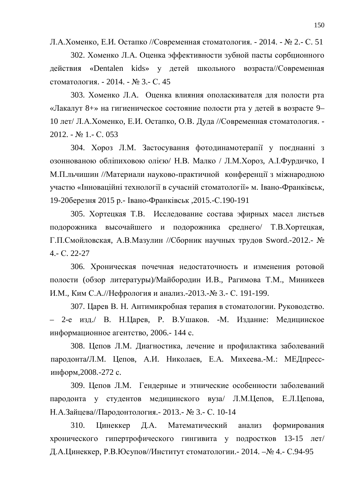Л.А.Хоменко, Е.И. Остапко //Современная стоматология. - 2014. - № 2.- С. 51

302. Хоменко Л.А. Оценка эффективности зубной пасты сорбционного действия «Dentalen kids» у детей школьного возраста//Современная стоматология. - 2014. - № 3.- С. 45

303. Хоменко Л.А. Оценка влияния ополаскивателя для полости рта «Лакалут 8+» на гигиеническое состояние полости рта у детей в возрасте 9– 10 лет/ Л.А.Хоменко, Е.И. Остапко, О.В. Дуда //Современная стоматология. - $2012. - N<sub>2</sub> 1. - C. 053$ 

304. Хороз Л.М. Застосування фотодинамотерапії у поєднанні з озоннованою обліпиховою олією/ Н.В. Малко / Л.М. Хороз, А.І. Фурдичко, І М.П. льчишин //Материали науково-практичной конференції з міжнародною участю «Інноваційні технології в сучасній стоматології» м. Івано-Франківськ, 19-20березня 2015 р.- Івано-Франківськ, 2015.-С.190-191

305. Хортецкая Т.В. Исследование состава эфирных масел листьев подорожника высочайшего и подорожника среднего/ Т.В.Хортецкая, Г.П.Смойловская, А.В.Мазулин //Сборник научных трудов Sword.-2012.- № 4.- ɋ. 22-27

306. Хроническая почечная недостаточность и изменения ротовой полости (обзор литературы)/Майбородин И.В., Рагимова Т.М., Миникеев И.М., Ким С.А.//Нефрология и анализ.-2013.-№ 3.- С. 191-199.

307. Царев В. Н. Антимикробная терапия в стоматологии. Руководство. – 2-е изд./ В. Н. Царев, Р. В. Ушаков. -М. Издание: Медицинское информационное агентство, 2006.- 144 с.

308. Цепов Л.М. Диагностика, лечение и профилактика заболеваний пародонта/Л.М. Цепов, А.И. Николаев, Е.А. Михеева.-М.: МЕДпрессинформ, 2008.-272 с.

309. Цепов Л.М. Гендерные и этнические особенности заболеваний пародонта у студентов медицинского вуза/ Л.М.Цепов, Е.Л.Цепова, Н.А.Зайцева//Пародонтология.- 2013.- № 3.- С. 10-14

310. Цинеккер Д.А. Математический анализ формирования хронического гипертрофического гингивита у подростков 13-15 лет/ Д.А.Цинеккер, Р.В.Юсупов//Институт стоматологии. - 2014. – № 4.- С.94-95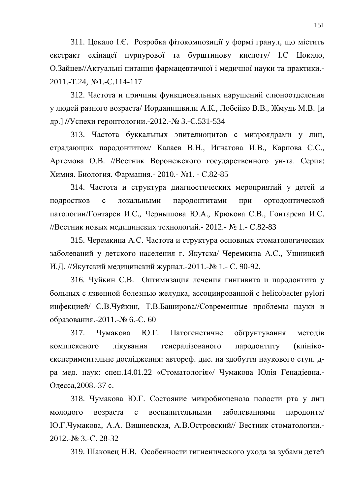311. Цокало І.Є. Розробка фітокомпозиції у формі гранул, що містить екстракт ехінацеї пурпурової та бурштинову кислоту/ І.Є Цокало, О.Зайцев//Актуальні питання фармацевтичної і медичної науки та практики.-2011.-T.24, №1.-C.114-117

312. Частота и причины функциональных нарушений слюноотделения у людей разного возраста/ Иорданишвили А.К., Лобейко В.В., Жмудь М.В. [и др.] //Успехи геронтологии.-2012.-№ 3.-С.531-534

313. Частота буккальных эпителиоцитов с микроядрами у лиц, страдающих пародонтитом/ Калаев В.Н., Игнатова И.В., Карпова С.С., Артемова О.В. //Вестник Воронежского государственного ун-та. Серия: Химия. Биология. Фармация. - 2010. - №1. - С.82-85

314. Частота и структура диагностических мероприятий у детей и подростков с локальными пародонтитами при ортодонтической патологии/Гонтарев И.С., Чернышова Ю.А., Крюкова С.В., Гонтарева И.С. //Вестник новых медицинских технологий. - 2012. - № 1. - С.82-83

315. Черемкина А.С. Частота и структура основных стоматологических заболеваний у детского населения г. Якутска/ Черемкина А.С., Ушницкий И.Д. //Якутский медицинский журнал.-2011.-№ 1.- С. 90-92.

316. Чуйкин С.В. Оптимизация лечения гингивита и пародонтита у больных с язвенной болезнью желудка, ассоциированной с helicobacter pylori инфекцией/ С.В.Чуйкин, Т.В.Баширова//Современные проблемы науки и образования.-2011.-№ 6.-С. 60

317. Чумакова Ю.Г. Патогенетичне обґрунтування методів комплексного лікування генералізованого пародонтиту (клінікоекспериментальне дослідження: автореф. дис. на здобуття наукового ступ. дра мед. наук: спец.14.01.22 «Стоматологія»/ Чумакова Юлія Генадіевна.-Одесса, 2008.-37 с.

318. Чумакова Ю.Г. Состояние микробиоценоза полости рта у лиц молодого возраста с воспалительными заболеваниями пародонта/ Ю.Г.Чумакова, А.А. Вишневская, А.В.Островский// Вестник стоматологии.-2012.-№ 3.-C. 28-32

319. Шаковец Н.В. Особенности гигиенического ухода за зубами детей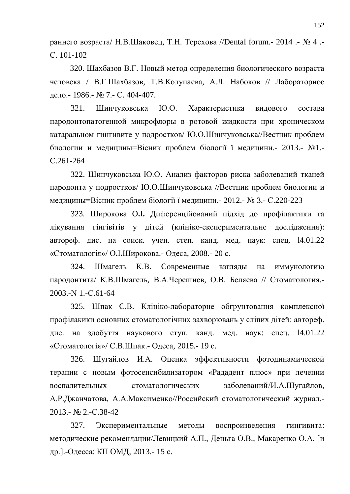раннего возраста/ Н.В.Шаковец, Т.Н. Терехова //Dental forum.- 2014 .- № 4 .ɋ. 101-102

320. Шахбазов В.Г. Новый метод определения биологического возраста человека / В.Г.Шахбазов, Т.В.Колупаева, А.Л. Набоков // Лабораторное дело.- 1986.- № 7.- С. 404-407.

321. Шинчуковська Ю.О. Характеристика видового состава пародонтопатогенной микрофлоры в ротовой жидкости при хроническом катаральном гингивите у подростков/ Ю.О.Шинчуковська//Вестник проблем биологии и медицины=Вісник проблем біології ї медицини. 2013.- №1.ɋ.261-264

322. Шинчуковська Ю.О. Анализ факторов риска заболеваний тканей пародонта у подростков/ Ю.О.Шинчуковська //Вестник проблем биологии и медицины=Вісник проблем біології ї медицини. - 2012. - № 3.- С.220-223

323. Широкова О.І. Диференційований підхід до профілактики та лікування гінгівітів у дітей (клініко-експериментальне дослідження): автореф. дис. на соиск. учен. степ. канд. мед. наук: спец. 14.01.22 «Стоматологія»/ О.І.Широкова.- Одеса, 2008.- 20 с.

324. Шмагель К.В. Современные взгляды на иммунологию пародонтита/ К.В.Шмагель, В.А.Черешнев, О.В. Беляева // Стоматология.- $2003 - N$  1 -  $C$  61-64

325. Шпак С.В. Клініко-лабораторне обгрунтовання комплексної профілакики основних стоматологічних захворювань у сліпих дітей: автореф. дис. на здобуття наукового ступ. канд. мед. наук: спец. 14.01.22 «Стоматологія»/ С.В.Шпак.- Олеса, 2015.- 19 с.

326. Шугайлов И.А. Оценка эффективности фотодинамической терапии с новым фотосенсибилизатором «Рададент плюс» при лечении воспалительных стоматологических заболеваний/И.А.Шугайлов, А.Р.Джанчатова, А.А.Максименко//Российский стоматологический журнал.-2013.- № 2.-C.38-42

327. Экспериментальные методы воспроизведения гингивита: методические рекомендации/Левицкий А.П., Деньга О.В., Макаренко О.А. [и др.].-Одесса: КП ОМД, 2013.- 15 с.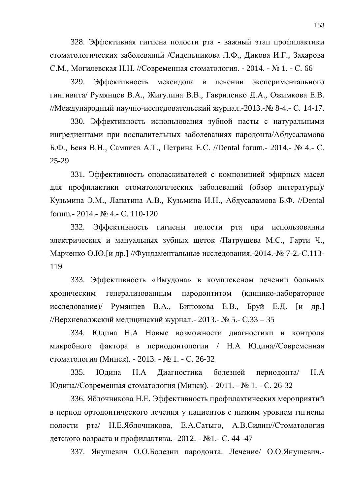328. Эффективная гигиена полости рта - важный этап профилактики стоматологических заболеваний /Сидельникова Л.Ф., Дикова И.Г., Захарова С.М., Могилевская Н.Н. //Современная стоматология. - 2014. - № 1. - С. 66

329. Эффективность мексидола в лечении экспериментального гингивита/ Румянцев В.А., Жигулина В.В., Гавриленко Д.А., Ожимкова Е.В. //Международный научно-исследовательский журнал.-2013.- № 8-4.- С. 14-17.

330. Эффективность использования зубной пасты с натуральными ингредиентами при воспалительных заболеваниях пародонта/Абдусаламова Б.Ф., Беня В.Н., Сампиев А.Т., Петрина Е.С. //Dental forum.- 2014.- № 4.- С. 25-29

331. Эффективность ополаскивателей с композицией эфирных масел для профилактики стоматологических заболеваний (обзор литературы)/ Кузьмина Э.М., Лапатина А.В., Кузьмина И.Н., Абдусаламова Б.Ф. //Dental forum. - 2014. - № 4. - С. 110-120

332. Эффективность гигиены полости рта при использовании электрических и мануальных зубных щеток Латрушева М.С., Гарти Ч., Марченко О.Ю. [и др.] //Фундаментальные исследования.-2014.- $\mathcal{N}_2$  7-2.-С.113-119

333. Эффективность «Имудона» в комплексном лечении больных хроническим генерализованным пародонтитом (клинико-лабораторное исследование)/ Румянцев В.А., Битюкова Е.В., Бруй Е.Д. [и др.] //Верхневолжский медицинский журнал. - 2013. - № 5. - С.33 – 35

334. Юдина Н.А Новые возможности диагностики и контроля микробного фактора в периодонтологии / Н.А Юдина//Современная стоматология (Минск). - 2013. - № 1. - С. 26-32.

335. Юлина Н.А Лиагностика болезней периолонта/ Н.А Юдина//Современная стоматология (Минск). - 2011. - № 1. - С. 26-32

336. Яблочникова Н.Е. Эффективность профилактических мероприятий в период ортодонтического лечения у пациентов с низким уровнем гигиены полости рта/ Н.Е.Яблочникова, Е.А.Сатыго, А.В.Силин//Стоматология детского возраста и профилактика. - 2012. - №1. - С. 44 -47

337. Янушевич О.О.Болезни пародонта. Лечение/ О.О.Янушевич.-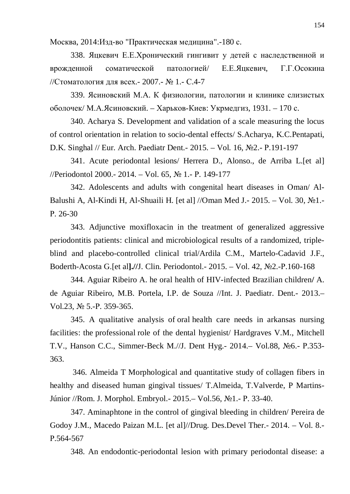Москва, 2014: Изд-во "Практическая медицина".-180 с.

338. Яцкевич Е.Е.Хронический гингивит у детей с наследственной и врожденной соматической патологией/ Е.Е.Яцкевич, Г.Г.Осокина //Стоматология для всех. - 2007. - № 1. - С.4-7

339. Ясиновский М.А. К физиологии, патологии и клинике слизистых оболочек/ М.А.Ясиновский. – Харьков-Киев: Укрмедгиз, 1931. – 170 с.

340. Acharya S. Development and validation of a scale measuring the locus of control orientation in relation to socio-dental effects/ S.Acharya, K.C.Pentapati, D.K. Singhal // Eur. Arch. Paediatr Dent.- 2015. – Vol. 16,  $N<sub>2</sub>2$ .- P.191-197

341. Acute periodontal lesions/ Herrera D., Alonso., de Arriba L.[et al] //Periodontol 2000.- 2014. – Vol. 65,  $\mathcal{N}$  1.- P. 149-177

342. Adolescents and adults with congenital heart diseases in Oman/ Al-Balushi A, Al-Kindi H, Al-Shuaili H. [et al] //Oman Med J.- 2015. – Vol. 30,  $\mathbb{N}^2$ 1.-P. 26-30

343. Adjunctive moxifloxacin in the treatment of generalized aggressive periodontitis patients: clinical and microbiological results of a randomized, tripleblind and placebo-controlled clinical trial/Ardila C.M., Martelo-Cadavid J.F., Boderth-Acosta G. [et al].//J. Clin. Periodontol. - 2015. – Vol. 42, No<sub>2</sub>. -P.160-168

344. Aguiar Ribeiro A. he oral health of HIV-infected Brazilian children**/** A. de Aguiar Ribeiro, M.B. Portela, I.P. de Souza //Int. J. Paediatr. Dent.- 2013.– Vol.23,  $\mathbb{N}$  5.-P. 359-365.

345. A qualitative analysis of oral health care needs in arkansas nursing facilities: the professional role of the dental hygienist/ Hardgraves V.M., Mitchell T.V., Hanson C.C., Simmer-Beck M.//J. Dent Hyg. - 2014. – Vol.88, No. - P.353-363.

 346. Almeida T Morphological and quantitative study of collagen fibers in healthy and diseased human gingival tissues/ T.Almeida, T.Valverde, P Martins-Júnior //Rom. J. Morphol. Embryol. - 2015. – Vol.56, №1. - P. 33-40.

347. Aminaphtone in the control of gingival bleeding in children/ Pereira de Godoy J.M., Macedo Paizan M.L. [et al]//Drug. Des.Devel Ther.- 2014. – Vol. 8.- P.564-567

348. An endodontic-periodontal lesion with primary periodontal disease: a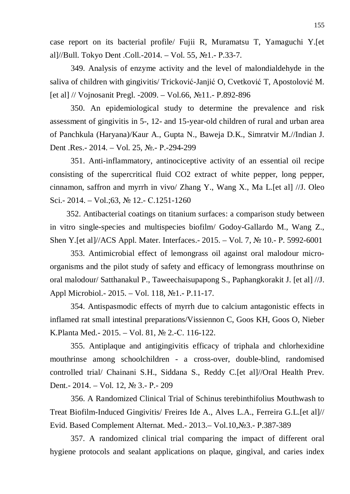case report on its bacterial profile/ Fujii R, Muramatsu T, Yamaguchi Y.[et al]//Bull. Tokyo Dent .Coll.-2014. – Vol. 55,  $N_2$ 1.- P.33-7.

349. Analysis of enzyme activity and the level of malondialdehyde in the saliva of children with gingivitis/ Tricković-Janjić O, Cvetković T, Apostolović M. [et al] // Vojnosanit Pregl. -2009. – Vol.66,  $\mathcal{N}$ <sup>011.</sup> - P.892-896

350. An epidemiological study to determine the prevalence and risk assessment of gingivitis in 5-, 12- and 15-year-old children of rural and urban area of Panchkula (Haryana)/Kaur A., Gupta N., Baweja D.K., Simratvir M.//Indian J. Dent .Res.- 2014. – Vol. 25, No.- P.-294-299

351. Anti-inflammatory, antinociceptive activity of an essential oil recipe consisting of the supercritical fluid CO2 extract of white pepper, long pepper, cinnamon, saffron and myrrh in vivo/ Zhang Y., Wang X., Ma L.[et al] //J. Oleo Sci.- 2014. – Vol.;63,  $\mathbb{N}$  12.- C.1251-1260

 352. Antibacterial coatings on titanium surfaces: a comparison study between in vitro single-species and multispecies biofilm/ Godoy-Gallardo M., Wang Z., Shen Y. [et al]//ACS Appl. Mater. Interfaces. - 2015. – Vol. 7,  $\mathcal{N}$  10. - P. 5992-6001

353. Antimicrobial effect of lemongrass oil against oral malodour microorganisms and the pilot study of safety and efficacy of lemongrass mouthrinse on oral malodour/ Satthanakul P., Taweechaisupapong S., Paphangkorakit J. [et al] //J. Appl Microbiol. - 2015. – Vol. 118,  $N_2$ 1. - P.11-17.

354. Antispasmodic effects of myrrh due to calcium antagonistic effects in inflamed rat small intestinal preparations/Vissiennon C, Goos KH, Goos O, Nieber K.Planta Med. - 2015. – Vol. 81, № 2. - C. 116-122.

355. Antiplaque and antigingivitis efficacy of triphala and chlorhexidine mouthrinse among schoolchildren - a cross-over, double-blind, randomised controlled trial/ Chainani S.H., Siddana S., Reddy C.[et al]//Oral Health Prev. Dent. - 2014. – Vol. 12, № 3. - P. - 209

356. A Randomized Clinical Trial of Schinus terebinthifolius Mouthwash to Treat Biofilm-Induced Gingivitis/ Freires Ide A., Alves L.A., Ferreira G.L.[et al]// Evid. Based Complement Alternat. Med.- 2013. – Vol.10, No.3. - P.387-389

357. A randomized clinical trial comparing the impact of different oral hygiene protocols and sealant applications on plaque, gingival, and caries index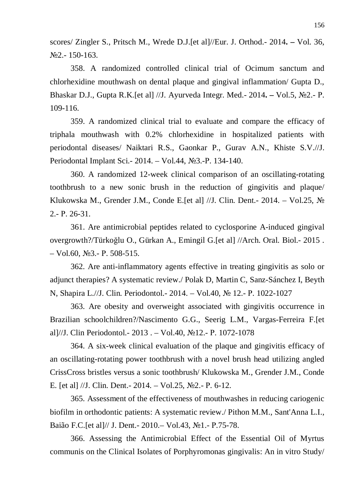scores/ Zingler S., Pritsch M., Wrede D.J.[et al]//Eur. J. Orthod.- 2014**. –** Vol. 36, ʋ2.- 150-163.

358. A randomized controlled clinical trial of Ocimum sanctum and chlorhexidine mouthwash on dental plaque and gingival inflammation/ Gupta D., Bhaskar D.J., Gupta R.K.<sup>[et al]</sup> //J. Ayurveda Integr. Med. - 2014. – Vol.5, No2. - P. 109-116.

359. A randomized clinical trial to evaluate and compare the efficacy of triphala mouthwash with 0.2% chlorhexidine in hospitalized patients with periodontal diseases/ Naiktari R.S., Gaonkar P., Gurav A.N., Khiste S.V.//J. Periodontal Implant Sci.- 2014. – Vol.44, №3.-P. 134-140.

360. A randomized 12-week clinical comparison of an oscillating-rotating toothbrush to a new sonic brush in the reduction of gingivitis and plaque/ Klukowska M., Grender J.M., Conde E. [et al] //J. Clin. Dent.- 2014. – Vol.25,  $\mathcal{N}_2$  $2 - P. 26 - 31$ .

361. Are antimicrobial peptides related to cyclosporine A-induced gingival overgrowth?/Türko÷lu O., Gürkan A., Emingil G.[et al] //Arch. Oral. Biol.- 2015 .  $-$  Vol.60, No.3.- P. 508-515.

362. Are anti-inflammatory agents effective in treating gingivitis as solo or adjunct therapies? A systematic review./ Polak D, Martin C, Sanz-Sánchez I, Beyth N, Shapira L.//J. Clin. Periodontol.- 2014. – Vol.40, № 12.- P. 1022-1027

363. Are obesity and overweight associated with gingivitis occurrence in Brazilian schoolchildren?/Nascimento G.G., Seerig L.M., Vargas-Ferreira F.[et al]//J. Clin Periodontol.- 2013 . – Vol.40,  $\mathcal{N}$ <sup>0</sup>12.- P. 1072-1078

364. A six-week clinical evaluation of the plaque and gingivitis efficacy of an oscillating-rotating power toothbrush with a novel brush head utilizing angled CrissCross bristles versus a sonic toothbrush/ Klukowska M., Grender J.M., Conde E. [et al]  $\frac{1}{J}$ . Clin. Dent. - 2014. – Vol.25, No<sub>2.</sub> - P. 6-12.

365. Assessment of the effectiveness of mouthwashes in reducing cariogenic biofilm in orthodontic patients: A systematic review./ Pithon M.M., Sant'Anna L.I., Baião F.C.[et al]// J. Dent. - 2010. – Vol.43, №1. - P.75-78.

366. Assessing the Antimicrobial Effect of the Essential Oil of Myrtus communis on the Clinical Isolates of Porphyromonas gingivalis: An in vitro Study/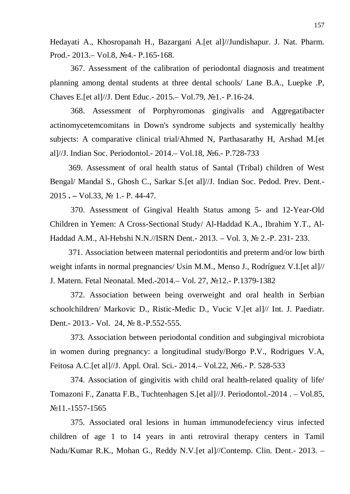Hedayati A., Khosropanah H., Bazargani A.[et al]//Jundishapur. J. Nat. Pharm. Prod.- 2013.– Vol.8, №4.- P.165-168.

367. Assessment of the calibration of periodontal diagnosis and treatment planning among dental students at three dental schools/ Lane B.A., Luepke .P, Chaves E. [et al]//J. Dent Educ. - 2015. – Vol.79, №1. - P.16-24.

368. Assessment of Porphyromonas gingivalis and Aggregatibacter actinomycetemcomitans in Down's syndrome subjects and systemically healthy subjects: A comparative clinical trial/Ahmed N, Parthasarathy H, Arshad M.[et al]//J. Indian Soc. Periodontol.- 2014. - Vol.18, No6.- P.728-733

 369. Assessment of oral health status of Santal (Tribal) children of West Bengal/ Mandal S., Ghosh C., Sarkar S.[et al]//J. Indian Soc. Pedod. Prev. Dent.- 2015 **. –** Vol.33, ʋ 1.- Ɋ. 44-47.

370. Assessment of Gingival Health Status among 5- and 12-Year-Old Children in Yemen: A Cross-Sectional Study/ Al-Haddad K.A., Ibrahim Y.T., Al-Haddad A.M., Al-Hebshi N.N.//ISRN Dent. - 2013. – Vol. 3, № 2. -P. 231 - 233.

 371. Association between maternal periodontitis and preterm and/or low birth weight infants in normal pregnancies/ Usin M.M., Menso J., Rodríguez V.I.[et al]// J. Matern. Fetal Neonatal. Med.-2014. – Vol. 27, No.12. - P.1379-1382

372. Association between being overweight and oral health in Serbian schoolchildren/ Markovic D., Ristic-Medic D., Vucic V.[et al]// Int. J. Paediatr. Dent. - 2013. - Vol. 24, № 8. - P.552-555.

373. Association between periodontal condition and subgingival microbiota in women during pregnancy: a longitudinal study/Borgo P.V., Rodrigues V.A, Feitosa A.C.[et al]//J. Appl. Oral. Sci.- 2014.– Vol.22, №6.- P. 528-533

374. Association of gingivitis with child oral health-related quality of life/ Tomazoni F., Zanatta F.B., Tuchtenhagen S.[et al]//J. Periodontol.-2014 . – Vol.85, No.11.-1557-1565

375. Associated oral lesions in human immunodefeciency virus infected children of age 1 to 14 years in anti retroviral therapy centers in Tamil Nadu/Kumar R.K., Mohan G., Reddy N.V.[et al]//Contemp. Clin. Dent.- 2013. –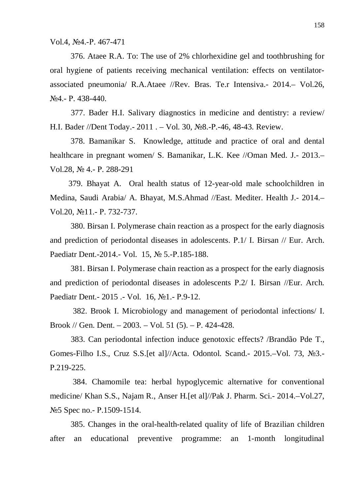Vol.4, №4.-P. 467-471

376. Ataee R.A. To: The use of 2% chlorhexidine gel and toothbrushing for oral hygiene of patients receiving mechanical ventilation: effects on ventilatorassociated pneumonia/ R.A.Ataee //Rev. Bras. Te.r Intensiva.- 2014.– Vol.26, N<sub>2</sub>4<sub>.</sub>- P. 438-440.

377. Bader H.I. Salivary diagnostics in medicine and dentistry: a review/ H.I. Bader //Dent Today.- 2011 . - Vol. 30, No<sub>2</sub>8.-P.-46, 48-43. Review.

378. Bamanikar S. Knowledge, attitude and practice of oral and dental healthcare in pregnant women/ S. Bamanikar, L.K. Kee //Oman Med. J.- 2013.– Vol.28,  $\mathbb{N}$  4.- P. 288-291

 379. Bhayat A. Oral health status of 12-year-old male schoolchildren in Medina, Saudi Arabia/ A. Bhayat, M.S.Ahmad //East. Mediter. Health J.- 2014.– Vol.20, No.11. - P. 732-737.

 380. Birsan I. Polymerase chain reaction as a prospect for the early diagnosis and prediction of periodontal diseases in adolescents. P.1/ I. Birsan // Eur. Arch. Paediatr Dent.-2014.- Vol. 15, № 5.-P.185-188.

381. Birsan I. Polymerase chain reaction as a prospect for the early diagnosis and prediction of periodontal diseases in adolescents P.2/ I. Birsan //Eur. Arch. Paediatr Dent. - 2015 . - Vol. 16, No. - P.9-12.

 382. Brook I. Microbiology and management of periodontal infections/ I. Brook // Gen. Dent. – 2003. – Vol. 51 (5). – P. 424-428.

383. Can periodontal infection induce genotoxic effects? /Brandão Pde T., Gomes-Filho I.S., Cruz S.S. [et al]//Acta. Odontol. Scand. - 2015. - Vol. 73, No 3. -P.219-225.

 384. Chamomile tea: herbal hypoglycemic alternative for conventional medicine/ Khan S.S., Najam R., Anser H.[et al]//Pak J. Pharm. Sci.- 2014.–Vol.27, Nº 5 Spec no. - P.1509 - 1514.

385. Changes in the oral-health-related quality of life of Brazilian children after an educational preventive programme: an 1-month longitudinal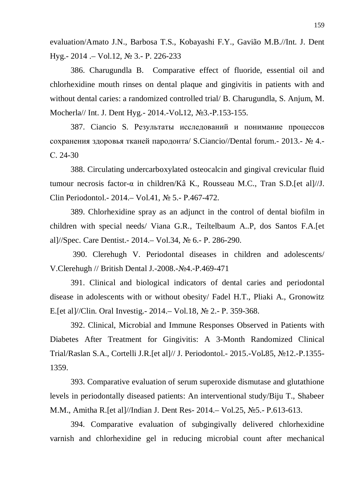evaluation/Amato J.N., Barbosa T.S., Kobayashi F.Y., Gavião M.B.//Int. J. Dent Hyg.-  $2014 - Vol.12$ ,  $N_2$  3.- P. 226-233

386. Charugundla B. Comparative effect of fluoride, essential oil and chlorhexidine mouth rinses on dental plaque and gingivitis in patients with and without dental caries: a randomized controlled trial/ B. Charugundla, S. Anjum, M. Mocherla// Int. J. Dent Hyg.- 2014.-Vol.12, No<sub>2</sub>.-P.153-155.

387. Ciancio S. Результаты исследований и понимание процессов сохранения здоровья тканей пародонта/ S.Ciancio//Dental forum.- 2013.- № 4.ɋ. 24-30

388. Circulating undercarboxylated osteocalcin and gingival crevicular fluid tumour necrosis factor- $\alpha$  in children/Kâ K., Rousseau M.C., Tran S.D.[et al]//J. Clin Periodontol.- 2014. – Vol.41,  $\mathcal{N}_2$  5. - P.467-472.

389. Chlorhexidine spray as an adjunct in the control of dental biofilm in children with special needs/ Viana G.R., Teiltelbaum A..P, dos Santos F.A.[et al]//Spec. Care Dentist. - 2014. – Vol.34,  $\mathcal{N}_2$  6. - P. 286-290.

390. Clerehugh V. Periodontal diseases in children and adolescents/ V.Clerehugh // British Dental J.-2008.-No4.-P.469-471

391. Clinical and biological indicators of dental caries and periodontal disease in adolescents with or without obesity/ Fadel H.T., Pliaki A., Gronowitz E. [et al]//Clin. Oral Investig. - 2014. – Vol. 18,  $\mathbb{N}^{\circ}$  2. - P. 359-368.

392. Clinical, Microbial and Immune Responses Observed in Patients with Diabetes After Treatment for Gingivitis: A 3-Month Randomized Clinical Trial/Raslan S.A., Cortelli J.R.[et al]// J. Periodontol.- 2015.-Vol.85, No<sub>12</sub>.-P.1355-1359.

393. Comparative evaluation of serum superoxide dismutase and glutathione levels in periodontally diseased patients: An interventional study/Biju T., Shabeer M.M., Amitha R. [et al]//Indian J. Dent Res- 2014. – Vol.25, №5. - P.613-613.

394. Comparative evaluation of subgingivally delivered chlorhexidine varnish and chlorhexidine gel in reducing microbial count after mechanical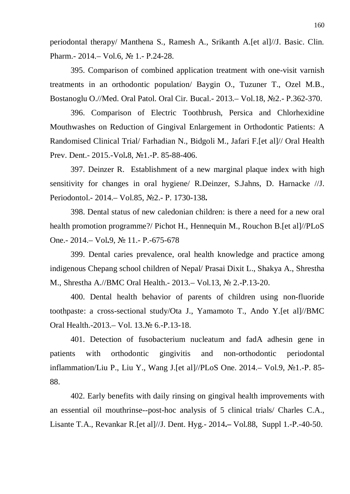periodontal therapy/ Manthena S., Ramesh A., Srikanth A.[et al]//J. Basic. Clin. Pharm. - 2014. - Vol.6, No 1. - P.24-28.

395. Comparison of combined application treatment with one-visit varnish treatments in an orthodontic population/ Baygin O., Tuzuner T., Ozel M.B., Bostanoglu O.//Med. Oral Patol. Oral Cir. Bucal.- 2013. - Vol.18, No.2.- P.362-370.

396. Comparison of Electric Toothbrush, Persica and Chlorhexidine Mouthwashes on Reduction of Gingival Enlargement in Orthodontic Patients: A Randomised Clinical Trial/ Farhadian N., Bidgoli M., Jafari F.[et al]// Oral Health Prev. Dent.- 2015.-Vol.8, №1.-P. 85-88-406.

397. Deinzer R. Establishment of a new marginal plaque index with high sensitivity for changes in oral hygiene/ R.Deinzer, S.Jahns, D. Harnacke //J. Periodontol.- 2014.– Vol.85, ʋ2.- Ɋ. 1730-138**.**

398. Dental status of new caledonian children: is there a need for a new oral health promotion programme?/ Pichot H., Hennequin M., Rouchon B.[et al]//PLoS One.- 2014.– Vol.9, № 11.- P.-675-678

399. Dental caries prevalence, oral health knowledge and practice among indigenous Chepang school children of Nepal/ Prasai Dixit L., Shakya A., Shrestha M., Shrestha A.//BMC Oral Health. - 2013. - Vol.13, № 2. -P.13-20.

400. Dental health behavior of parents of children using non-fluoride toothpaste: a cross-sectional study/Ota J., Yamamoto T., Ando Y.[et al]//BMC Oral Health.-2013.– Vol. 13.№ 6.-P.13-18.

401. Detection of fusobacterium nucleatum and fadA adhesin gene in patients with orthodontic gingivitis and non-orthodontic periodontal inflammation/Liu P., Liu Y., Wang J. [et al]//PLoS One.  $2014 - Vol.9$ ,  $\mathcal{N}_21 - P.85$ -88.

402. Early benefits with daily rinsing on gingival health improvements with an essential oil mouthrinse--post-hoc analysis of 5 clinical trials/ Charles C.A., Lisante T.A., Revankar R. [et al]//J. Dent. Hyg.- 2014.– Vol.88, Suppl 1.-P.-40-50.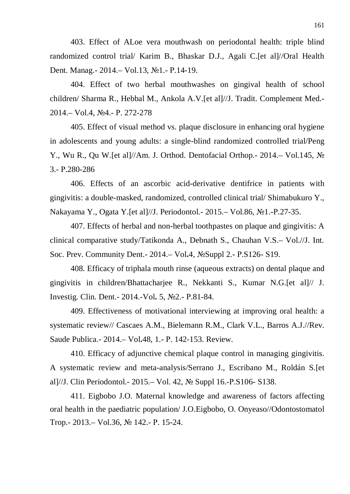403. Effect of ALoe vera mouthwash on periodontal health: triple blind randomized control trial/ Karim B., Bhaskar D.J., Agali C.[et al]//Oral Health Dent. Manag. - 2014. – Vol.13, №1. - P.14-19.

404. Effect of two herbal mouthwashes on gingival health of school children/ Sharma R., Hebbal M., Ankola A.V.[et al]//J. Tradit. Complement Med.- 2014.– Vol.4, №4.- P. 272-278

405. Effect of visual method vs. plaque disclosure in enhancing oral hygiene in adolescents and young adults: a single-blind randomized controlled trial/Peng Y., Wu R., Qu W. [et al]//Am. J. Orthod. Dentofacial Orthop. - 2014. – Vol.145,  $\mathcal{N}_2$ 3.- P.280-286

406. Effects of an ascorbic acid-derivative dentifrice in patients with gingivitis: a double-masked, randomized, controlled clinical trial/ Shimabukuro Y., Nakayama Y., Ogata Y. [et al]//J. Periodontol. - 2015. – Vol.86, №1. -P.27-35.

407. Effects of herbal and non-herbal toothpastes on plaque and gingivitis: A clinical comparative study/Tatikonda A., Debnath S., Chauhan V.S.– Vol.//J. Int. Soc. Prev. Community Dent.- 2014.– Vol.4, No Suppl 2.- P.S126- S19.

408. Efficacy of triphala mouth rinse (aqueous extracts) on dental plaque and gingivitis in children/Bhattacharjee R., Nekkanti S., Kumar N.G.[et al]// J. Investig. Clin. Dent. - 2014. - Vol. 5, №2. - P.81-84.

409. Effectiveness of motivational interviewing at improving oral health: a systematic review// Cascaes A.M., Bielemann R.M., Clark V.L., Barros A.J.//Rev. Saude Publica. - 2014. – Vol. 48, 1. - P. 142 - 153. Review.

410. Efficacy of adjunctive chemical plaque control in managing gingivitis. A systematic review and meta-analysis/Serrano J., Escribano M., Roldán S.[et al]//J. Clin Periodontol.- 2015. – Vol. 42,  $\mathcal{N}$  Suppl 16.-P.S106-S138.

411. Eigbobo J.O. Maternal knowledge and awareness of factors affecting oral health in the paediatric population/ J.O.Eigbobo, O. Onyeaso//Odontostomatol Trop. - 2013. – Vol.36, № 142. - P. 15-24.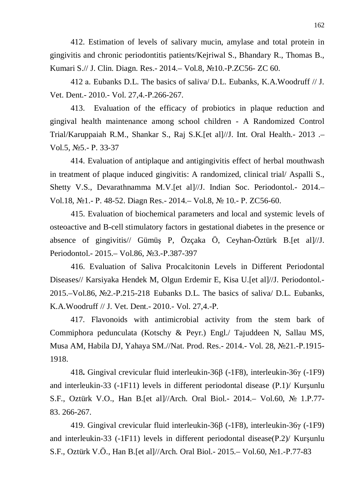412. Estimation of levels of salivary mucin, amylase and total protein in gingivitis and chronic periodontitis patients/Kejriwal S., Bhandary R., Thomas B., Kumari S.// J. Clin. Diagn. Res. - 2014. – Vol.8, №10. - P.ZC56 - ZC 60.

412 a. Eubanks D.L. The basics of saliva/ D.L. Eubanks, K.A.Woodruff // J. Vet. Dent.- 2010.- Vol. 27,4.-P.266-267.

 413. Evaluation of the efficacy of probiotics in plaque reduction and gingival health maintenance among school children - A Randomized Control Trial/Karuppaiah R.M., Shankar S., Raj S.K.[et al]//J. Int. Oral Health.- 2013 .– Vol.5,  $N_2$ 5. - P. 33-37

 414. Evaluation of antiplaque and antigingivitis effect of herbal mouthwash in treatment of plaque induced gingivitis: A randomized, clinical trial/ Aspalli S., Shetty V.S., Devarathnamma M.V.[et al]//J. Indian Soc. Periodontol.- 2014.– Vol.18, №1.- P. 48-52. Diagn Res.- 2014.– Vol.8, № 10.- P. ZC56-60.

415. Evaluation of biochemical parameters and local and systemic levels of osteoactive and B-cell stimulatory factors in gestational diabetes in the presence or absence of gingivitis// Gümüş P, Özçaka Ö, Ceyhan-Öztürk B. [et al]//J. Periodontol. - 2015. – Vol.86, №3. - P.387-397

416. Evaluation of Saliva Procalcitonin Levels in Different Periodontal Diseases// Karsiyaka Hendek M, Olgun Erdemir E, Kisa U.[et al]//J. Periodontol.- 2015.–Vol.86,  $\mathbb{N}^2$ -P.215-218 Eubanks D.L. The basics of saliva  $\emptyset$  D.L. Eubanks, K.A.Woodruff // J. Vet. Dent. - 2010. - Vol. 27.4. - P.

 417. Flavonoids with antimicrobial activity from the stem bark of Commiphora pedunculata (Kotschy & Peyr.) Engl./ Tajuddeen N, Sallau MS, Musa AM, Habila DJ, Yahaya SM.//Nat. Prod. Res.- 2014.- Vol. 28, No21.-P.1915-1918.

418**.** Gingival crevicular fluid interleukin-36ȕ (-1F8), interleukin-36Ȗ (-1F9) and interleukin-33  $(-1)$  levels in different periodontal disease  $(P.1)$  Kursunlu S.F., Oztürk V.O., Han B. [et al]//Arch. Oral Biol.- 2014. – Vol.60, № 1.P.77-83. 266-267.

419. Gingival crevicular fluid interleukin-36 $\beta$  (-1F8), interleukin-36 $\gamma$  (-1F9) and interleukin-33 (-1F11) levels in different periodontal disease( $P.2$ )/ Kurşunlu S.F., Oztürk V.Ö., Han B. [et al]//Arch. Oral Biol. - 2015. – Vol.60, №1. -P.77-83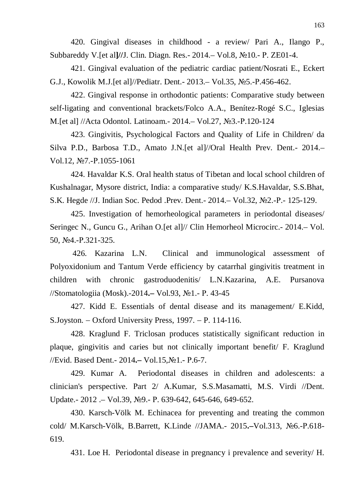420. Gingival diseases in childhood - a review/ Pari A., Ilango P., Subbareddy V.<sup>[et al]//J. Clin. Diagn. Res. - 2014. – Vol.8, No<sup>1</sup>0. - P. ZE01-4.</sup>

421. Gingival evaluation of the pediatric cardiac patient/Nosrati E., Eckert G.J., Kowolik M.J.[et al]//Pediatr. Dent.- 2013. - Vol.35, No.5-P.456-462.

422. Gingival response in orthodontic patients: Comparative study between self-ligating and conventional brackets/Folco A.A., Benítez-Rogé S.C., Iglesias M.[et al] //Acta Odontol. Latinoam. - 2014. – Vol.27, №3. -P.120-124

423. Gingivitis, Psychological Factors and Quality of Life in Children/ da Silva P.D., Barbosa T.D., Amato J.N.[et al]//Oral Health Prev. Dent.- 2014.– Vol.12, №7.-P.1055-1061

424. Havaldar K.S. Oral health status of Tibetan and local school children of Kushalnagar, Mysore district, India: a comparative study/ K.S.Havaldar, S.S.Bhat, S.K. Hegde //J. Indian Soc. Pedod .Prev. Dent. - 2014. – Vol.32, №2. -P. - 125-129.

425. Investigation of hemorheological parameters in periodontal diseases/ Seringec N., Guncu G., Arihan O.[et al]// Clin Hemorheol Microcirc.- 2014.– Vol. 50, №4.-P.321-325.

 426. Kazarina L.N. Clinical and immunological assessment of Polyoxidonium and Tantum Verde efficiency by catarrhal gingivitis treatment in children with chronic gastroduodenitis/ L.N.Kazarina, A.E. Pursanova //Stomatologiia (Mosk).-2014.– Vol.93, №1.- P. 43-45

427. Kidd E. Essentials of dental disease and its management/ E.Kidd, S. Joyston.  $-$  Oxford University Press, 1997.  $-$  P. 114-116.

428. Kraglund F. Triclosan produces statistically significant reduction in plaque, gingivitis and caries but not clinically important benefit/ F. Kraglund //Evid. Based Dent. - 2014. – Vol.15, №1. - P.6-7.

429. Kumar A. Periodontal diseases in children and adolescents: a clinician's perspective. Part 2/ A.Kumar, S.S.Masamatti, M.S. Virdi //Dent. Update.- 2012 .– Vol.39, №9.- P. 639-642, 645-646, 649-652.

430. Karsch-Völk M. Echinacea for preventing and treating the common cold/ M.Karsch-Völk, B.Barrett, K.Linde //JAMA.- 2015.-Vol.313, No6.-P.618-619.

431. Loe H. Periodontal disease in pregnancy i prevalence and severity/ H.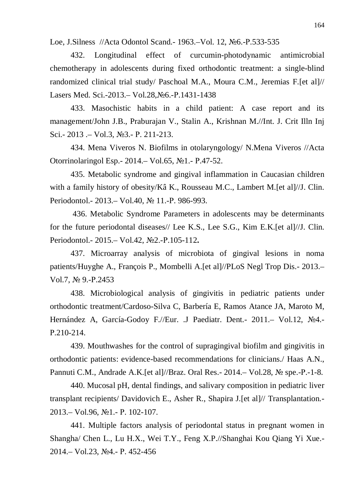Loe, J.Silness //Acta Odontol Scand. - 1963. – Vol. 12, №6. -P.533-535

432. Longitudinal effect of curcumin-photodynamic antimicrobial chemotherapy in adolescents during fixed orthodontic treatment: a single-blind randomized clinical trial study/ Paschoal M.A., Moura C.M., Jeremias F.[et al]// Lasers Med. Sci.-2013.– Vol.28, №6.-P.1431-1438

433. Masochistic habits in a child patient: A case report and its management/John J.B., Praburajan V., Stalin A., Krishnan M.//Int. J. Crit Illn Inj Sci.- 2013 .– Vol.3, No.3.- P. 211-213.

434. Mena Viveros N. Biofilms in otolaryngology/ N.Mena Viveros //Acta Otorrinolaringol Esp. - 2014. – Vol.65, №1. - P.47-52.

435. Metabolic syndrome and gingival inflammation in Caucasian children with a family history of obesity/Kâ K., Rousseau M.C., Lambert M.[et al]//J. Clin. Periodontol. - 2013. – Vol.40, № 11. - P. 986 - 993.

 436. Metabolic Syndrome Parameters in adolescents may be determinants for the future periodontal diseases// Lee K.S., Lee S.G., Kim E.K.[et al]//J. Clin. Periodontol.- 2015.– Vol.42, №2.-P.105-112.

437. Microarray analysis of microbiota of gingival lesions in noma patients/Huyghe A., François P., Mombelli A.[et al]//PLoS Negl Trop Dis.- 2013.– Vol.7,  $N_2$  9.-P.2453

438. Microbiological analysis of gingivitis in pediatric patients under orthodontic treatment/Cardoso-Silva C, Barbería E, Ramos Atance JA, Maroto M, Hernández A, García-Godov F.//Eur. J Paediatr. Dent.- 2011. - Vol.12, No4.-P.210-214.

439. Mouthwashes for the control of supragingival biofilm and gingivitis in orthodontic patients: evidence-based recommendations for clinicians./ Haas A.N., Pannuti C.M., Andrade A.K. [et al]//Braz. Oral Res. - 2014. – Vol.28,  $\mathcal{N}_2$  spe. -P. -1-8.

440. Mucosal pH, dental findings, and salivary composition in pediatric liver transplant recipients/ Davidovich E., Asher R., Shapira J.[et al]// Transplantation.- 2013. – Vol.96, №1. - P. 102-107.

441. Multiple factors analysis of periodontal status in pregnant women in Shangha/ Chen L., Lu H.X., Wei T.Y., Feng X.P.//Shanghai Kou Qiang Yi Xue.- 2014. – Vol.23, №4. - P. 452-456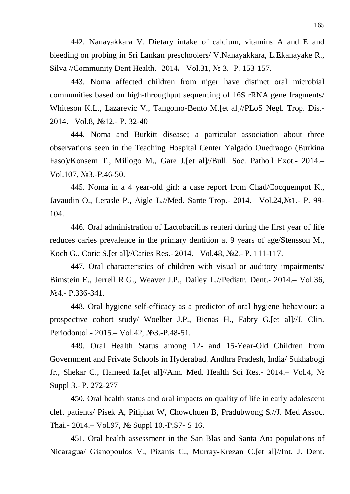442. Nanayakkara V. Dietary intake of calcium, vitamins A and E and bleeding on probing in Sri Lankan preschoolers/ V.Nanayakkara, L.Ekanayake R., Silva //Community Dent Health.- 2014.– Vol.31, № 3.- P. 153-157.

443. Noma affected children from niger have distinct oral microbial communities based on high-throughput sequencing of 16S rRNA gene fragments/ Whiteson K.L., Lazarevic V., Tangomo-Bento M.[et al]//PLoS Negl. Trop. Dis.- 2014. – Vol.8, No12. - P. 32-40

444. Noma and Burkitt disease; a particular association about three observations seen in the Teaching Hospital Center Yalgado Ouedraogo (Burkina Faso)/Konsem T., Millogo M., Gare J.[et al]//Bull. Soc. Patho.l Exot.- 2014.– Vol.107,  $N_2$ 3.-P.46-50.

445. Noma in a 4 year-old girl: a case report from Chad/Cocquempot K., Javaudin O., Lerasle P., Aigle L.//Med. Sante Trop.-  $2014 - Vol.24$ ,  $N_21 - P.$  99-104.

446. Oral administration of Lactobacillus reuteri during the first year of life reduces caries prevalence in the primary dentition at 9 years of age/Stensson M., Koch G., Coric S. [et al]//Caries Res. - 2014. – Vol. 48, No 2. - P. 111-117.

447. Oral characteristics of children with visual or auditory impairments/ Bimstein E., Jerrell R.G., Weaver J.P., Dailey L.//Pediatr. Dent.- 2014.– Vol.36, N<sub>2</sub>4.- P.336-341.

448. Oral hygiene self-efficacy as a predictor of oral hygiene behaviour: a prospective cohort study/ Woelber J.P., Bienas H., Fabry G.[et al]//J. Clin. Periodontol.- 2015. – Vol.42, No.3.-P.48-51.

449. Oral Health Status among 12- and 15-Year-Old Children from Government and Private Schools in Hyderabad, Andhra Pradesh, India/ Sukhabogi Jr., Shekar C., Hameed Ia.[et al]//Ann. Med. Health Sci Res.- 2014. Vol.4, No Suppl 3.- P. 272-277

450. Oral health status and oral impacts on quality of life in early adolescent cleft patients/ Pisek A, Pitiphat W, Chowchuen B, Pradubwong S.//J. Med Assoc. Thai.- 2014.– Vol.97, № Suppl 10.-P.S7- S 16.

451. Oral health assessment in the San Blas and Santa Ana populations of Nicaragua/ Gianopoulos V., Pizanis C., Murray-Krezan C.[et al]//Int. J. Dent.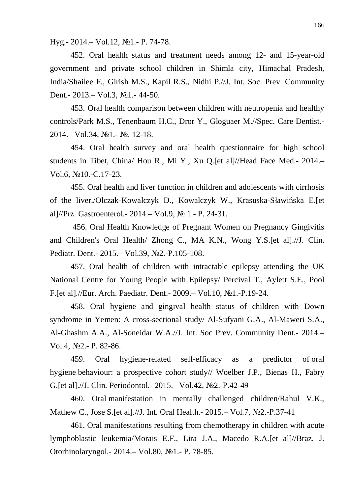Hyg. -  $2014 - Vol.12$ ,  $N_21 - P.74 - 78$ .

452. Oral health status and treatment needs among 12- and 15-year-old government and private school children in Shimla city, Himachal Pradesh, India/Shailee F., Girish M.S., Kapil R.S., Nidhi P.//J. Int. Soc. Prev. Community Dent. - 2013. – Vol.3, №1. - 44-50.

453. Oral health comparison between children with neutropenia and healthy controls/Park M.S., Tenenbaum H.C., Dror Y., Gloguaer M.//Spec. Care Dentist.-  $2014 - \text{Vol}.34$ ,  $\text{Ne}1 - \text{Ne}$ . 12-18.

454. Oral health survey and oral health questionnaire for high school students in Tibet, China/ Hou R., Mi Y., Xu Q.[et al]//Head Face Med.- 2014.–  $Vol.6$ ,  $N<sub>2</sub>10$ .-C.17-23.

455. Oral health and liver function in children and adolescents with cirrhosis of the liver./Olczak-Kowalczyk D., Kowalczyk W., Krasuska-Sławińska E. [et al]//Prz. Gastroenterol. - 2014. – Vol.9,  $\mathcal{N}$  1. - P. 24-31.

 456. Oral Health Knowledge of Pregnant Women on Pregnancy Gingivitis and Children's Oral Health/ Zhong C., MA K.N., Wong Y.S.[et al].//J. Clin. Pediatr. Dent.- 2015. – Vol.39, No2.-P.105-108.

457. Oral health of children with intractable epilepsy attending the UK National Centre for Young People with Epilepsy/ Percival T., Aylett S.E., Pool F.[et al].//Eur. Arch. Paediatr. Dent.- 2009. - Vol.10, No1.-P.19-24.

458. Oral hygiene and gingival health status of children with Down syndrome in Yemen: A cross-sectional study/ Al-Sufyani G.A., Al-Maweri S.A., Al-Ghashm A.A., Al-Soneidar W.A.//J. Int. Soc Prev. Community Dent.- 2014.– Vol.4, №2.- P. 82-86.

459. Oral hygiene-related self-efficacy as a predictor of oral hygiene behaviour: a prospective cohort study// Woelber J.P., Bienas H., Fabry G. [et al].//J. Clin. Periodontol. - 2015. – Vol. 42, No 2. - P. 42 - 49

460. Oral manifestation in mentally challenged children/Rahul V.K., Mathew C., Jose S. [et al].//J. Int. Oral Health. - 2015. – Vol.7, No. 2. - P. 37-41

461. Oral manifestations resulting from chemotherapy in children with acute lymphoblastic leukemia/Morais E.F., Lira J.A., Macedo R.A.[et al]//Braz. J. Otorhinolaryngol. - 2014. – Vol.80, №1. - P. 78-85.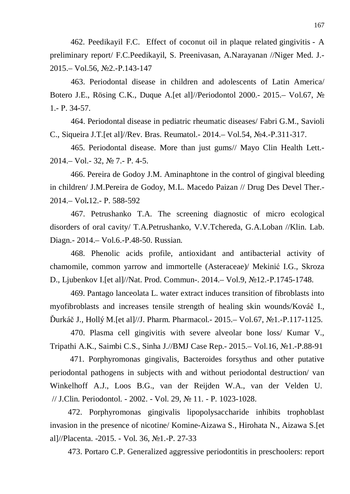462. Peedikayil F.C. Effect of coconut oil in plaque related gingivitis - A preliminary report/ F.C.Peedikayil, S. Preenivasan, A.Narayanan //Niger Med. J.- 2015. – Vol.56, №2. - P.143-147

463. Periodontal disease in children and adolescents of Latin America/ Botero J.E., Rösing C.K., Duque A.[et al]//Periodontol 2000.- 2015.- Vol.67, No  $1 - P. 34 - 57.$ 

464. Periodontal disease in pediatric rheumatic diseases/ Fabri G.M., Savioli C., Siqueira J.T. [et al]//Rev. Bras. Reumatol. - 2014. – Vol.54, №4. - P.311-317.

465. Periodontal disease. More than just gums// Mayo Clin Health Lett.-  $2014 - Vol. - 32$ ,  $\mathbb{N} \times 7$ . - P. 4-5.

466. Pereira de Godoy J.M. Aminaphtone in the control of gingival bleeding in children/ J.M.Pereira de Godoy, M.L. Macedo Paizan // Drug Des Devel Ther.- 2014.– Vol**.**12.- Ɋ. 588-592

467. Petrushanko T.A. The screening diagnostic of micro ecological disorders of oral cavity/ T.A.Petrushanko, V.V.Tchereda, G.A.Loban //Klin. Lab. Diagn. - 2014. – Vol. 6. - P. 48 - 50. Russian.

468. Phenolic acids profile, antioxidant and antibacterial activity of chamomile, common varrow and immortelle (Asteraceae)/ Mekinić I.G., Skroza D., Ljubenkov I. [et al]//Nat. Prod. Commun-. 2014. – Vol.9, No.12. - P.1745-1748.

469. Pantago lanceolata L. water extract induces transition of fibroblasts into myofibroblasts and increases tensile strength of healing skin wounds/Kováč I.,  $\text{Durkáč J., Hollý M.}$ [et al]//J. Pharm. Pharmacol. - 2015. – Vol.67,  $\text{N}$ 21. -P.117-1125.

470. Plasma cell gingivitis with severe alveolar bone loss/ Kumar V., Tripathi A.K., Saimbi C.S., Sinha J.//BMJ Case Rep. - 2015. – Vol.16, №1. - P.88-91

 471. Porphyromonas gingivalis, Bacteroides forsythus and other putative periodontal pathogens in subjects with and without periodontal destruction/ van Winkelhoff A.J., Loos B.G., van der Reijden W.A., van der Velden U. // J.Clin. Periodontol. - 2002. - Vol. 29, № 11. - P. 1023-1028.

 472. Porphyromonas gingivalis lipopolysaccharide inhibits trophoblast invasion in the presence of nicotine/ Komine-Aizawa S., Hirohata N., Aizawa S.[et al]//Placenta. -2015. - Vol. 36, №1.-P. 27-33

473. Portaro C.P. Generalized aggressive periodontitis in preschoolers: report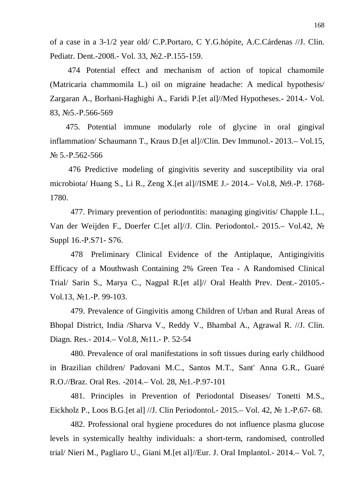of a case in a 3-1/2 year old/ C.P.Portaro, C Y.G.hópite, A.C.Cárdenas //J. Clin. Pediatr. Dent.-2008.- Vol. 33, №2.-P.155-159.

 474 Potential effect and mechanism of action of topical chamomile (Matricaria chammomila L.) oil on migraine headache: A medical hypothesis/ Zargaran A., Borhani-Haghighi A., Faridi P.[et al]//Med Hypotheses.- 2014.- Vol. 83, No.5-P.566-569

475. Potential immune modularly role of glycine in oral gingival inflammation/ Schaumann T., Kraus D.[et al]//Clin. Dev Immunol.- 2013.– Vol.15,  $N<sub>2</sub>$  5.-P.562-566

 476 Predictive modeling of gingivitis severity and susceptibility via oral microbiota/ Huang S., Li R., Zeng X. [et al]//ISME J. - 2014. – Vol.8, No. 9. - P. 1768-1780.

477. Primary prevention of periodontitis: managing gingivitis/ Chapple I.L., Van der Weijden F., Doerfer C.[et al]//J. Clin. Periodontol.- 2015.– Vol.42, № Suppl 16.-P.S71- S76.

478 Preliminary Clinical Evidence of the Antiplaque, Antigingivitis Efficacy of a Mouthwash Containing 2% Green Tea - A Randomised Clinical Trial/ Sarin S., Marya C., Nagpal R.[et al]// Oral Health Prev. Dent.- 20105.- Vol.13, №1.-P. 99-103.

479. Prevalence of Gingivitis among Children of Urban and Rural Areas of Bhopal District, India /Sharva V., Reddy V., Bhambal A., Agrawal R. //J. Clin. Diagn. Res. - 2014. – Vol.8, №11. - P. 52-54

480. Prevalence of oral manifestations in soft tissues during early childhood in Brazilian children/ Padovani M.C., Santos M.T., Sant' Anna G.R., Guaré R.O.//Braz. Oral Res. -2014. – Vol. 28, №1. -P.97-101

481. Principles in Prevention of Periodontal Diseases/ Tonetti M.S., Eickholz P., Loos B.G. [et al] //J. Clin Periodontol. - 2015. – Vol. 42,  $\mathcal{N}_2$  1.-P.67- 68.

482. Professional oral hygiene procedures do not influence plasma glucose levels in systemically healthy individuals: a short-term, randomised, controlled trial/ Nieri M., Pagliaro U., Giani M.[et al]//Eur. J. Oral Implantol.- 2014.– Vol. 7,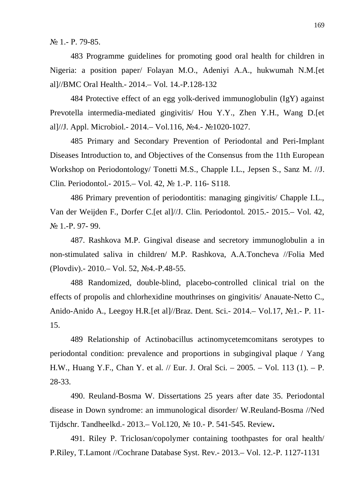$N_2$  1. - P. 79-85.

483 Programme guidelines for promoting good oral health for children in Nigeria: a position paper/ Folayan M.O., Adeniyi A.A., hukwumah N.M.[et al]//BMC Oral Health.- 2014.– Vol. 14.-P.128-132

484 Protective effect of an egg yolk-derived immunoglobulin (IgY) against Prevotella intermedia-mediated gingivitis/ Hou Y.Y., Zhen Y.H., Wang D.[et al]//J. Appl. Microbiol.- 2014. - Vol.116, Nº4. - Nº1020-1027.

485 Primary and Secondary Prevention of Periodontal and Peri-Implant Diseases Introduction to, and Objectives of the Consensus from the 11th European Workshop on Periodontology/ Tonetti M.S., Chapple I.L., Jepsen S., Sanz M. //J. Clin. Periodontol. - 2015. – Vol. 42, № 1. - P. 116 - S118.

486 Primary prevention of periodontitis: managing gingivitis/ Chapple I.L., Van der Weijden F., Dorfer C.[et al]//J. Clin. Periodontol. 2015.- 2015.– Vol. 42, N<sup>o</sup> 1.-P. 97- 99.

487. Rashkova M.P. Gingival disease and secretory immunoglobulin a in non-stimulated saliva in children/ M.P. Rashkova, A.A.Toncheva //Folia Med (Plovdiv). - 2010. – Vol. 52, No.4. - P.48-55.

488 Randomized, double-blind, placebo-controlled clinical trial on the effects of propolis and chlorhexidine mouthrinses on gingivitis/ Anauate-Netto C., Anido-Anido A., Leegoy H.R.[et al]//Braz. Dent. Sci. - 2014. – Vol.17, №1. - P. 11 -15.

489 Relationship of Actinobacillus actinomycetemcomitans serotypes to periodontal condition: prevalence and proportions in subgingival plaque / Yang H.W., Huang Y.F., Chan Y. et al. // Eur. J. Oral Sci. – 2005. – Vol. 113 (1). – P. 28-33.

490. Reuland-Bosma W. Dissertations 25 years after date 35. Periodontal disease in Down syndrome: an immunological disorder/ W.Reuland-Bosma //Ned Tijdschr. Tandheelkd.- 2013.– Vol.120, ʋ 10.- Ɋ. 541-545. Review**.**

491. Riley P. Triclosan/copolymer containing toothpastes for oral health/ P.Riley, T.Lamont //Cochrane Database Syst. Rev.- 2013. – Vol. 12.-P. 1127-1131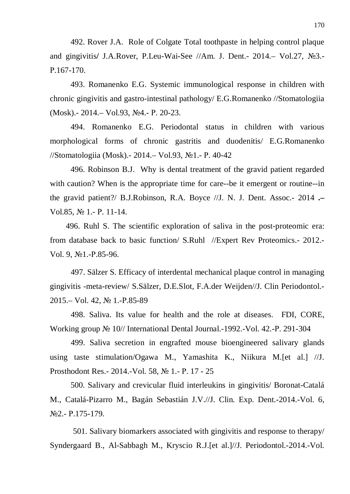492. Rover J.A. Role of Colgate Total toothpaste in helping control plaque and gingivitis/ J.A.Rover, P.Leu-Wai-See //Am. J. Dent.- 2014.- Vol.27, No2.-P.167-170.

493. Romanenko E.G. Systemic immunological response in children with chronic gingivitis and gastro-intestinal pathology/ E.G.Romanenko //Stomatologiia (Mosk).- 2014.– Vol.93, №4.- P. 20-23.

494. Romanenko E.G. Periodontal status in children with various morphological forms of chronic gastritis and duodenitis/ E.G.Romanenko //Stomatologiia (Mosk). - 2014. – Vol.93, №1. - P. 40-42

496. Robinson B.J. Why is dental treatment of the gravid patient regarded with caution? When is the appropriate time for care--be it emergent or routine--in the gravid patient?/ B.J.Robinson, R.A. Boyce //J. N. J. Dent. Assoc.- 2014 **.–** Vol.85,  $\mathbb{N}$  1. - P. 11-14.

496. Ruhl S. The scientific exploration of saliva in the post-proteomic era: from database back to basic function/ S.Ruhl //Expert Rev Proteomics.- 2012.- Vol. 9, №1.-P.85-96.

497. Sälzer S. Efficacy of interdental mechanical plaque control in managing gingivitis -meta-review/ S.Sälzer, D.E.Slot, F.A.der Weijden//J. Clin Periodontol.- 2015. – Vol. 42, № 1.-P.85-89

498. Saliva. Its value for health and the role at diseases. FDI, CORE, Working group № 10// International Dental Journal.-1992.-Vol. 42.-P. 291-304

499. Saliva secretion in engrafted mouse bioengineered salivary glands using taste stimulation/Ogawa M., Yamashita K., Niikura M.[et al.] //J. Prosthodont Res. - 2014. - Vol. 58, № 1. - P. 17 - 25

 500. Salivary and crevicular fluid interleukins in gingivitis/ Boronat-Catalá M., Catalá-Pizarro M., Bagán Sebastián J.V.//J. Clin. Exp. Dent.-2014.-Vol. 6, No<sub>2.</sub>- P.175-179.

501. Salivary biomarkers associated with gingivitis and response to therapy/ Syndergaard B., Al-Sabbagh M., Kryscio R.J.[et al.]//J. Periodontol.-2014.-Vol.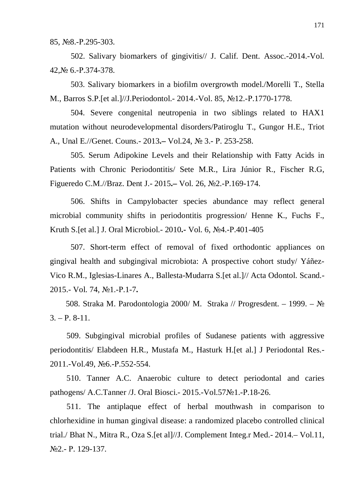85, №8.-P.295-303.

502. Salivary biomarkers of gingivitis// J. Calif. Dent. Assoc.-2014.-Vol. 42, <sub>№</sub> 6.-P.374-378.

503. Salivary biomarkers in a biofilm overgrowth model./Morelli T., Stella M., Barros S.P. [et al.]//J. Periodontol. - 2014. - Vol. 85, No. 12. - P. 1770-1778.

504. Severe congenital neutropenia in two siblings related to HAX1 mutation without neurodevelopmental disorders/Patiroglu T., Gungor H.E., Triot A., Unal E.//Genet. Couns. - 2013. <del>-</del> Vol.24, № 3. - P. 253-258.

 505. Serum Adipokine Levels and their Relationship with Fatty Acids in Patients with Chronic Periodontitis/ Sete M.R., Lira Júnior R., Fischer R.G, Figueredo C.M.//Braz. Dent J.- 2015. Vol. 26, No.2.-P.169-174.

 506. Shifts in Campylobacter species abundance may reflect general microbial community shifts in periodontitis progression/ Henne K., Fuchs F., Kruth S.<sup>[et al.]</sup> J. Oral Microbiol.- 2010.- Vol. 6, Nº4.-P.401-405

507. Short-term effect of removal of fixed orthodontic appliances on gingival health and subgingival microbiota: A prospective cohort study/ Yáñez-Vico R.M., Iglesias-Linares A., Ballesta-Mudarra S.[et al.]// Acta Odontol. Scand.- 2015.- Vol. 74, ʋ1.-Ɋ.1-7**.**

508. Straka M. Parodontologia 2000/ M. Straka // Progresdent. – 1999. –  $\mathcal{N}_{\mathfrak{D}}$  $3. - P. 8-11.$ 

509. Subgingival microbial profiles of Sudanese patients with aggressive periodontitis/ Elabdeen H.R., Mustafa M., Hasturk H.[et al.] J Periodontal Res.- 2011.-Vol.49, No6.-P.552-554.

 510. Tanner A.C. Anaerobic culture to detect periodontal and caries pathogens/ A.C.Tanner / J. Oral Biosci.-  $2015.-Vol.57$  N<sup>o</sup>1.-P.18-26.

 511. The antiplaque effect of herbal mouthwash in comparison to chlorhexidine in human gingival disease: a randomized placebo controlled clinical trial./ Bhat N., Mitra R., Oza S.[et al]//J. Complement Integ.r Med.- 2014.– Vol.11, No<sub>2.</sub>- P. 129-137.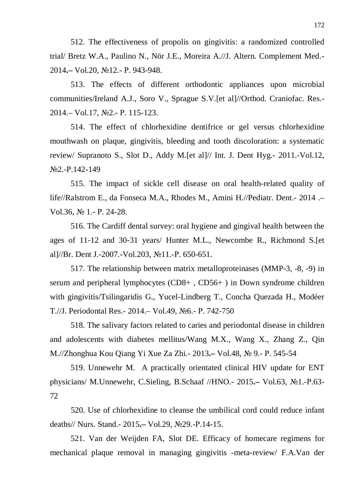512. The effectiveness of propolis on gingivitis: a randomized controlled trial/ Bretz W.A., Paulino N., Nör J.E., Moreira A.//J. Altern. Complement Med.- 2014**.–** Vol.20, ʋ12.- Ɋ. 943-948.

513. The effects of different orthodontic appliances upon microbial communities/Ireland A.J., Soro V., Sprague S.V.[et al]//Orthod. Craniofac. Res.- 2014. – Vol.17, №2. - P. 115-123.

514. The effect of chlorhexidine dentifrice or gel versus chlorhexidine mouthwash on plaque, gingivitis, bleeding and tooth discoloration: a systematic review/ Supranoto S., Slot D., Addy M.[et al]// Int. J. Dent Hyg.- 2011.-Vol.12,  $\text{No2.-P.142-149}$ 

515. The impact of sickle cell disease on oral health-related quality of life//Ralstrom E., da Fonseca M.A., Rhodes M., Amini H.//Pediatr. Dent.- 2014 .– Vol.36,  $\mathbb{N}$  1. - P. 24-28.

516. The Cardiff dental survey: oral hygiene and gingival health between the ages of 11-12 and 30-31 years/ Hunter M.L., Newcombe R., Richmond S.[et al]//Br. Dent J.-2007.-Vol.203,  $\mathcal{N}$ <sup>011.-P.</sup> 650-651.

517. The relationship between matrix metalloproteinases (MMP-3, -8, -9) in serum and peripheral lymphocytes (CD8+ , CD56+ ) in Down syndrome children with gingivitis/Tsilingaridis G., Yucel-Lindberg T., Concha Quezada H., Modéer T.//J. Periodontal Res. - 2014. – Vol.49, No. - P. 742-750

518. The salivary factors related to caries and periodontal disease in children and adolescents with diabetes mellitus/Wang M.X., Wang X., Zhang Z., Qin M.//Zhonghua Kou Qiang Yi Xue Za Zhi.- 2013**.**– Vol.48, № 9.- P. 545-54

519. Unnewehr M. A practically orientated clinical HIV update for ENT physicians/ M.Unnewehr, C.Sieling, B.Schaaf //HNO.- 2015.- Vol.63, No1.-P.63-72

520. Use of chlorhexidine to cleanse the umbilical cord could reduce infant deaths// Nurs. Stand.- 2015.- Vol.29, №29.-P.14-15.

521. Van der Weijden FA, Slot DE. Efficacy of homecare regimens for mechanical plaque removal in managing gingivitis -meta-review/ F.A.Van der